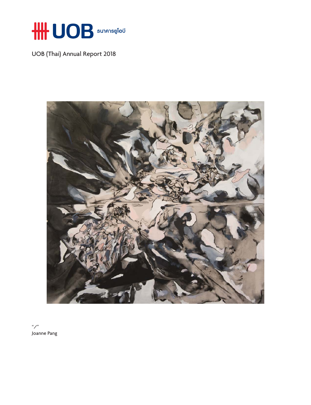

UOB (Thai) Annual Report 2018



 $\sqrt{n}$ Joanne Pang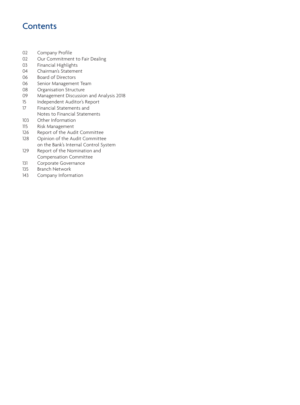# **Contents**

- 02 Company Profile
- 02 Our Commitment to Fair Dealing
- 03 Financial Highlights
- 04 Chairman's Statement
- 06 Board of Directors
- 06 Senior Management Team
- 08 Organisation Structure
- 09 Management Discussion and Analysis 2018
- 15 Independent Auditor's Report 17 Financial Statements and
- Notes to Financial Statements 103 Other Information
- 115 Risk Management
- 126 Report of the Audit Committee
- 128 Opinion of the Audit Committee
- on the Bank's Internal Control System
- 129 Report of the Nomination and Compensation Committee
- 131 Corporate Governance
- 135 Branch Network
- 143 Company Information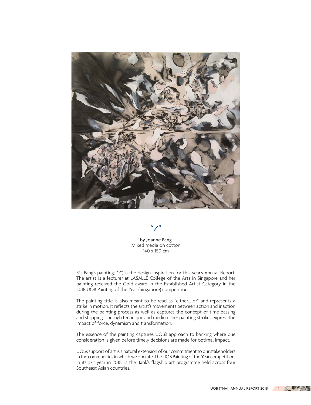



by Joanne Pang Mixed media on cotton 140 x 150 cm

Ms Pang's painting, "/", is the design inspiration for this year's Annual Report. The artist is a lecturer at LASALLE College of the Arts in Singapore and her painting received the Gold award in the Established Artist Category in the 2018 UOB Painting of the Year (Singapore) competition.

The painting title is also meant to be read as "either… or" and represents a strike in motion. It reflects the artist's movements between action and inaction during the painting process as well as captures the concept of time passing and stopping. Through technique and medium, her painting strokes express the impact of force, dynamism and transformation.

The essence of the painting captures UOB's approach to banking where due consideration is given before timely decisions are made for optimal impact.

UOB's support of art is a natural extension of our commitment to our stakeholders in the communities in which we operate. The UOB Painting of the Year competition, in its 37<sup>th</sup> year in 2018, is the Bank's flagship art programme held across four Southeast Asian countries.

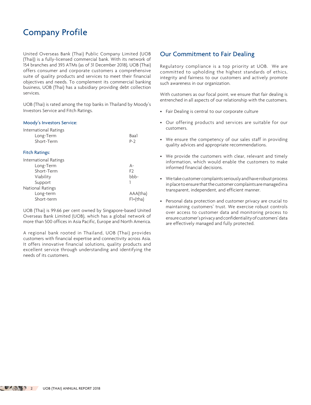# Company Profile

United Overseas Bank (Thai) Public Company Limited (UOB (Thai)) is a fully-licensed commercial bank. With its network of 154 branches and 393 ATMs (as of 31 December 2018), UOB (Thai) offers consumer and corporate customers a comprehensive suite of quality products and services to meet their financial objectives and needs. To complement its commercial banking business, UOB (Thai) has a subsidiary providing debt collection services.

UOB (Thai) is rated among the top banks in Thailand by Moody's Investors Service and Fitch Ratings.

#### Moody's Investors Service:

| International Ratings |       |
|-----------------------|-------|
| Long-Term             | Baal  |
| Short-Term            | $P-2$ |

#### Fitch Ratings:

| А-             |
|----------------|
| F <sub>2</sub> |
| bbb-           |
|                |
|                |
| AAA(tha)       |
| $F1+(tha)$     |
|                |

UOB (Thai) is 99.66 per cent owned by Singapore-based United Overseas Bank Limited (UOB), which has a global network of more than 500 offices in Asia Pacific, Europe and North America.

A regional bank rooted in Thailand, UOB (Thai) provides customers with financial expertise and connectivity across Asia. It offers innovative financial solutions, quality products and excellent service through understanding and identifying the needs of its customers.

## Our Commitment to Fair Dealing

Regulatory compliance is a top priority at UOB. We are committed to upholding the highest standards of ethics, integrity and fairness to our customers and actively promote such awareness in our organization.

With customers as our focal point, we ensure that fair dealing is entrenched in all aspects of our relationship with the customers.

- Fair Dealing is central to our corporate culture
- Our offering products and services are suitable for our customers.
- We ensure the competency of our sales staff in providing quality advices and appropriate recommendations.
- We provide the customers with clear, relevant and timely information, which would enable the customers to make informed financial decisions.
- We take customer complaints seriously and have robust process in place to ensure that the customer complaints are managed in a transparent, independent, and efficient manner.
- Personal data protection and customer privacy are crucial to maintaining customers' trust. We exercise robust controls over access to customer data and monitoring process to ensure customer's privacy and confidentiality of customers' data are effectively managed and fully protected.

**2 UOB (THAI) ANNUAL REPORT 2018**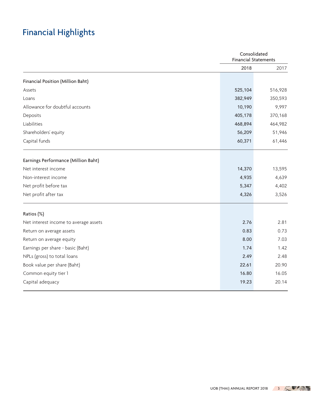# Financial Highlights

|                                       |         | Consolidated<br><b>Financial Statements</b> |  |
|---------------------------------------|---------|---------------------------------------------|--|
|                                       | 2018    | 2017                                        |  |
| Financial Position (Million Baht)     |         |                                             |  |
| Assets                                | 525,104 | 516,928                                     |  |
| Loans                                 | 382,949 | 350,593                                     |  |
| Allowance for doubtful accounts       | 10,190  | 9,997                                       |  |
| Deposits                              | 405,178 | 370,168                                     |  |
| Liabilities                           | 468,894 | 464,982                                     |  |
| Shareholders' equity                  | 56,209  | 51,946                                      |  |
| Capital funds                         | 60,371  | 61,446                                      |  |
| Earnings Performance (Million Baht)   |         |                                             |  |
| Net interest income                   | 14,370  | 13,595                                      |  |
| Non-interest income                   | 4,935   | 4,639                                       |  |
| Net profit before tax                 | 5,347   | 4,402                                       |  |
| Net profit after tax                  | 4,326   | 3,526                                       |  |
| Ratios (%)                            |         |                                             |  |
| Net interest income to average assets | 2.76    | 2.81                                        |  |
| Return on average assets              | 0.83    | 0.73                                        |  |
| Return on average equity              | 8.00    | 7.03                                        |  |
| Earnings per share - basic (Baht)     | 1.74    | 1.42                                        |  |
| NPLs (gross) to total loans           | 2.49    | 2.48                                        |  |
| Book value per share (Baht)           | 22.61   | 20.90                                       |  |
| Common equity tier 1                  | 16.80   | 16.05                                       |  |
| Capital adequacy                      | 19.23   | 20.14                                       |  |
|                                       |         |                                             |  |

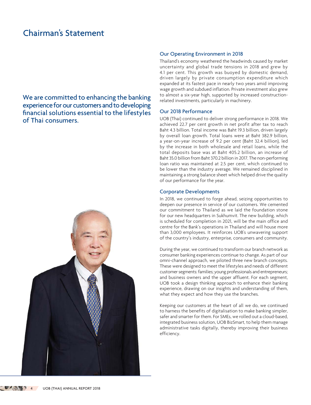## Chairman's Statement

We are committed to enhancing the banking experience for our customers and to developing financial solutions essential to the lifestyles of Thai consumers.



### Our Operating Environment in 2018

Thailand's economy weathered the headwinds caused by market uncertainty and global trade tensions in 2018 and grew by 4.1 per cent. This growth was buoyed by domestic demand, driven largely by private consumption expenditure which expanded at its fastest pace in nearly two years amid improving wage growth and subdued inflation. Private investment also grew to almost a six-year high, supported by increased constructionrelated investments, particularly in machinery.

### Our 2018 Performance

UOB (Thai) continued to deliver strong performance in 2018. We achieved 22.7 per cent growth in net profit after tax to reach Baht 4.3 billion. Total income was Baht 19.3 billion, driven largely by overall loan growth. Total loans were at Baht 382.9 billion, a year-on-year increase of 9.2 per cent (Baht 32.4 billion), led by the increase in both wholesale and retail loans, while the total deposits base was at Baht 405.2 billion, an increase of Baht 35.0 billion from Baht 370.2 billion in 2017. The non-performing loan ratio was maintained at 2.5 per cent, which continued to be lower than the industry average. We remained disciplined in maintaining a strong balance sheet which helped drive the quality of our performance for the year.

### Corporate Developments

In 2018, we continued to forge ahead, seizing opportunities to deepen our presence in service of our customers. We cemented our commitment to Thailand as we laid the foundation stone for our new headquarters in Sukhumvit. The new building, which is scheduled for completion in 2021, will be the main office and centre for the Bank's operations in Thailand and will house more than 3,000 employees. It reinforces UOB's unwavering support of the country's industry, enterprise, consumers and community.

During the year, we continued to transform our branch network as consumer banking experiences continue to change. As part of our omni-channel approach, we piloted three new branch concepts. These were designed to meet the lifestyles and needs of different customer segments: families; young professionals and entrepreneurs; and business owners and the upper affluent. For each segment, UOB took a design thinking approach to enhance their banking experience, drawing on our insights and understanding of them, what they expect and how they use the branches.

Keeping our customers at the heart of all we do, we continued to harness the benefits of digitalisation to make banking simpler, safer and smarter for them. For SMEs, we rolled out a cloud-based, integrated business solution, UOB BizSmart, to help them manage administrative tasks digitally, thereby improving their business efficiency.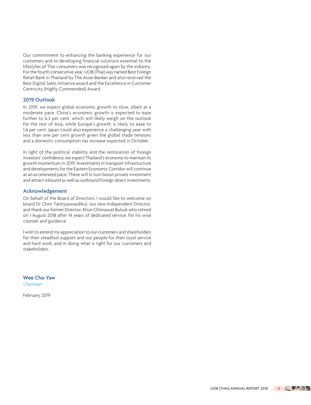Our commitment to enhancing the banking experience for our customers and to developing financial solutions essential to the lifestyles of Thai consumers was recognised again by the industry. For the fourth consecutive year, UOB (Thai) was named Best Foreign Retail Bank in Thailand by The Asian Banker and also received the Best Digital Sales Initiative award and the Excellence in Customer Centricity (Highly Commended) Award.

#### 2019 Outlook

In 2019, we expect global economic growth to slow, albeit at a moderate pace. China's economic growth is expected to ease further to 6.3 per cent, which will likely weigh on the outlook for the rest of Asia, while Europe's growth is likely to ease to 1.6 per cent. Japan could also experience a challenging year with less than one per cent growth given the global trade tensions and a domestic consumption tax increase expected in October.

In light of the political stability and the restoration of foreign investors' confidence, we expect Thailand's economy to maintain its growth momentum in 2019. Investments in transport infrastructure and developments for the Eastern Economic Corridor will continue at an accelerated pace. These will in turn boost private investment and attract inbound as well as outbound foreign direct investments.

### Acknowledgement

On behalf of the Board of Directors, I would like to welcome on board Dr Chim Tantiyaswasdikul, our new Independent Director, and thank our former Director, Khun Chinnawat Bulsuk who retired on 1 August 2018 after 14 years of dedicated service, for his wise counsel and guidance.

I wish to extend my appreciation to our customers and shareholders for their steadfast support and our people for their loyal service and hard work, and in doing what is right for our customers and stakeholders.

Wee Cho Yaw Chairman

February 2019

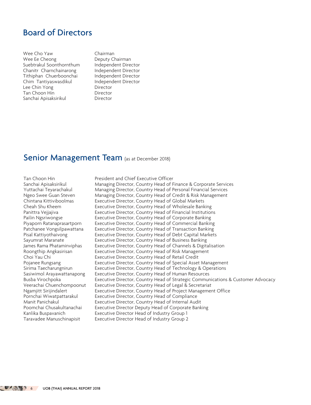## Board of Directors

Wee Cho Yaw Chairman<br>
Wee Ee Cheong Clear Deputy Clear Suebtrakul Soonthornthum Independent Director Chanitr Charnchainarong Independent Director Tithiphan Chuerboonchai Independent Director Chim Tantiyaswasdikul Independent Director Lee Chin Yong Director Tan Choon Hin Director Sanchai Apisaksirikul Director

Deputy Chairman

## Senior Management Team (as at December 2018)

Tan Choon Hin President and Chief Executive Officer

Sanchai Apisaksirikul Managing Director, Country Head of Finance & Corporate Services<br>19 Managing Director, Country Head of Personal Financial Services Managing Director, Country Head of Personal Financial Services Ngeo Swee Guan Steven Managing Director, Country Head of Credit & Risk Management Chintana Kittiviboolmas Executive Director, Country Head of Global Markets Cheah Shu Kheem Executive Director, Country Head of Wholesale Banking Panittra Vejjajiva **Executive Director, Country Head of Financial Institutions** Pailin Ngsriwongse **Executive Director, Country Head of Corporate Banking** Piyaporn Ratanaprasartporn Executive Director, Country Head of Commercial Banking Patchanee Vongsilpawattana Executive Director, Country Head of Transaction Banking Pisal Kattiyothaivong **Executive Director, Country Head of Debt Capital Markets** Sayumrat Maranate Executive Director, Country Head of Business Banking James Rama Phataminviphas Executive Director, Country Head of Channels & Digitalisation Roongthip Angkasirisan Executive Director, Country Head of Risk Management Choi Yau Chi **Executive Director, Country Head of Retail Credit**<br>Pojanee Rungsang **Executive Director, Country Head of Special** Asset Executive Director, Country Head of Special Asset Management Sirima Taecharungnirun Executive Director, Country Head of Technology & Operations Sasiwimol Arayawattanapong Executive Director, Country Head of Human Resources Busba Virochpoka Executive Director, Country Head of Strategic Communications & Customer Advocacy Veerachai Chuenchompoonut Executive Director, Country Head of Legal & Secretariat Ngamjitt Sirijindalert **Executive Director, Country Head of Project Management Office**<br>Pornchai Wiwatpattarakul **Executive Director, Country Head of Compliance** Executive Director, Country Head of Compliance Manit Panichakul Executive Director, Country Head of Internal Audit Poomchai Chusakultanachai Executive Director Deputy Head of Corporate Banking Kanlika Buspavanich Executive Director Head of Industry Group 1 Taravadee Manuschinapisit Executive Director Head of Industry Group 2

**6 UOB (THAI) ANNUAL REPORT 2018**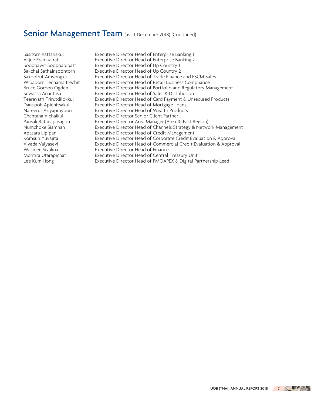## Senior Management Team (as at December 2018) (Continued)

Sasitorn Rattanakul Executive Director Head of Enterprise Banking 1 Vajee Pramualrat Executive Director Head of Enterprise Banking 2 Sooppawit Sooppapipatt Executive Director Head of Up Country 1 Sakchai Sathainsoontorn Executive Director Head of Up Country 2 Sakoolrut Amyongka Executive Director Head of Trade Finance and FSCM Sales Wipaporn Techamaitrechit Executive Director Head of Retail Business Compliance Bruce Gordon Ogden Executive Director Head of Portfolio and Regulatory Management Suwassa Anantasa Executive Director Head of Sales & Distribution Tearavath Trirutdilokkul Executive Director Head of Card Payment & Unsecured Products Danupob Apichitsakul Executive Director Head of Mortgage Loans Nareerut Ariyaprayoon Executive Director Head of Wealth Products Chantana Vichaikul Executive Director Senior Client Partner Pansak Ratanapasagorn Executive Director Area Manager (Area 10 East Region) Executive Director Head of Channels Strategy & Network Management Apasara Lipipan Executive Director Head of Credit Management<br>Komsun Yuvajita Executive Director Head of Corporate Credit Eva Executive Director Head of Corporate Credit Evaluation & Approval Viyada Valyasevi Executive Director Head of Commercial Credit Evaluation & Approval Wasinee Sivakua **Executive Director Head of Finance** Montira Utarapichat Executive Director Head of Central Treasury Unit Lee Kum Hong **Executive Director Head of PMOAPEX & Digital Partnership Lead** 

UOB (THAI) ANNUAL REPORT 2018 7 2 2

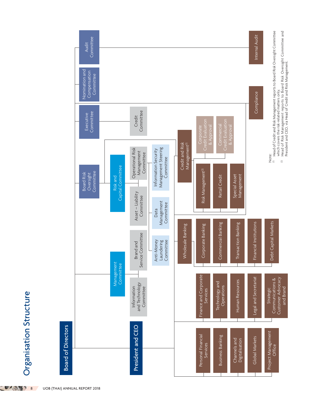

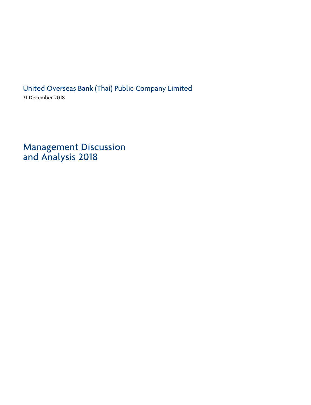# United Overseas Bank (Thai) Public Company Limited

31 December 2018

Management Discussion and Analysis 2018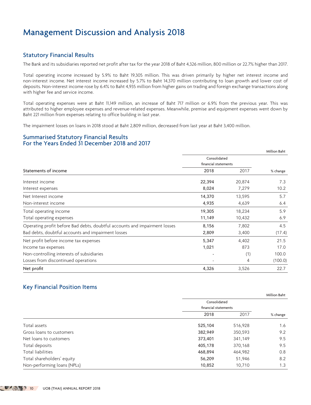### Statutory Financial Results

The Bank and its subsidiaries reported net profit after tax for the year 2018 of Baht 4,326 million, 800 million or 22.7% higher than 2017.

Total operating income increased by 5.9% to Baht 19,305 million. This was driven primarily by higher net interest income and non-interest income. Net interest income increased by 5.7% to Baht 14,370 million contributing to loan growth and lower cost of deposits. Non-interest income rose by 6.4% to Baht 4,935 million from higher gains on trading and foreign exchange transactions along with higher fee and service income.

Total operating expenses were at Baht 11,149 million, an increase of Baht 717 million or 6.9% from the previous year. This was attributed to higher employee expenses and revenue-related expenses. Meanwhile, premise and equipment expenses went down by Baht 221 million from expenses relating to office building in last year.

The impairment losses on loans in 2018 stood at Baht 2,809 million, decreased from last year at Baht 3,400 million.

### Summarised Statutory Financial Results For the Years Ended 31 December 2018 and 2017

|                                                                            |                      |        | Million Baht |
|----------------------------------------------------------------------------|----------------------|--------|--------------|
|                                                                            | Consolidated         |        |              |
|                                                                            | financial statements |        |              |
| Statements of income                                                       | 2018                 | 2017   | % change     |
| Interest income                                                            | 22,394               | 20,874 | 7.3          |
| Interest expenses                                                          | 8,024                | 7,279  | 10.2         |
| Net Interest income                                                        | 14,370               | 13,595 | 5.7          |
| Non-interest income                                                        | 4,935                | 4,639  | 6.4          |
| Total operating income                                                     | 19,305               | 18,234 | 5.9          |
| Total operating expenses                                                   | 11,149               | 10,432 | 6.9          |
| Operating profit before Bad debts, doubtful accounts and impairment losses | 8,156                | 7,802  | 4.5          |
| Bad debts, doubtful accounts and impairment losses                         | 2,809                | 3,400  | (17.4)       |
| Net profit before income tax expenses                                      | 5,347                | 4,402  | 21.5         |
| Income tax expenses                                                        | 1,021                | 873    | 17.0         |
| Non-controlling interests of subsidiaries                                  |                      | (1)    | 100.0        |
| Losses from discontinued operations                                        |                      | 4      | (100.0)      |
| Net profit                                                                 | 4,326                | 3,526  | 22.7         |

## Key Financial Position Items

|                             |              |                      | Million Baht |
|-----------------------------|--------------|----------------------|--------------|
|                             | Consolidated |                      |              |
|                             |              | financial statements |              |
|                             | 2018         | 2017                 | % change     |
| Total assets                | 525,104      | 516,928              | 1.6          |
| Gross loans to customers    | 382,949      | 350,593              | 9.2          |
| Net loans to customers      | 373,401      | 341,149              | 9.5          |
| Total deposits              | 405,178      | 370,168              | 9.5          |
| Total liabilities           | 468,894      | 464,982              | 0.8          |
| Total shareholders' equity  | 56,209       | 51,946               | 8.2          |
| Non-performing loans (NPLs) | 10,852       | 10,710               | 1.3          |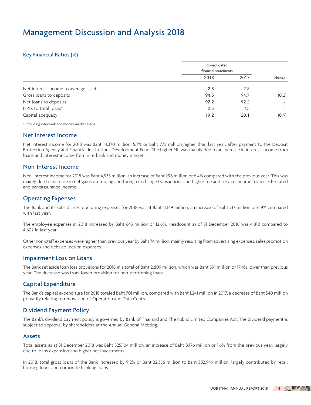## Key Financial Ratios (%)

|                                       | Consolidated<br>financial statements |      |                          |
|---------------------------------------|--------------------------------------|------|--------------------------|
|                                       | 2018                                 | 2017 | change                   |
| Net interest income to average assets | 2.8                                  | 2.8  |                          |
| Gross loans to deposits               | 94.5                                 | 94.7 | (0.2)                    |
| Net loans to deposits                 | 92.2                                 | 92.2 | $\overline{\phantom{a}}$ |
| NPLs to total loans*                  | 2.5                                  | 2.5  |                          |
| Capital adequacy                      | 19.2                                 | 20.1 | (0.9)                    |

\* Including interbank and money market loans

### Net Interest Income

Net interest income for 2018 was Baht 14,370 million, 5.7% or Baht 775 million higher than last year, after payment to the Deposit Protection Agency and Financial Institutions Development Fund. The higher NII was mainly due to an increase in interest income from loans and interest income from interbank and money market.

### Non-Interest Income

Non-interest income for 2018 was Baht 4,935 million, an increase of Baht 296 million or 6.4% compared with the previous year. This was mainly due to increase in net gains on trading and foreign exchange transactions and higher fee and service income from card-related and bancassurance income.

### Operating Expenses

The Bank and its subsidiaries' operating expenses for 2018 was at Baht 11,149 million, an increase of Baht 717 million or 6.9% compared with last year.

The employee expenses in 2018 increased by Baht 643 million or 12.6%. Headcount as of 31 December 2018 was 4,810 compared to 4,602 in last year.

Other non-staff expenses were higher than previous year by Baht 74 million, mainly resulting from advertising expenses, sales promotion expenses and debt collection expenses.

### Impairment Loss on Loans

The Bank set aside loan loss provisions for 2018 in a total of Baht 2,809 million, which was Baht 591 million or 17.4% lower than previous year. The decrease was from lower provision for non-performing loans.

### Capital Expenditure

The Bank's capital expenditure for 2018 totaled Baht 701 million, compared with Baht 1,241 million in 2017, a decrease of Baht 540 million primarily relating to renovation of Operation and Data Centre.

### Dividend Payment Policy

The Bank's dividend payment policy is governed by Bank of Thailand and The Public Limited Companies Act. The dividend payment is subject to approval by shareholders at the Annual General Meeting.

### Assets

Total assets as at 31 December 2018 was Baht 525,104 million, an increase of Baht 8,176 million or 1.6% from the previous year, largely due to loans expansion and higher net investments.

In 2018, total gross loans of the Bank increased by 9.2% or Baht 32,356 million to Baht 382,949 million, largely contributed by retail housing loans and corporate banking loans.

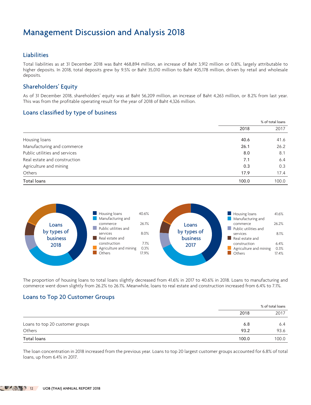## Liabilities

Total liabilities as at 31 December 2018 was Baht 468,894 million, an increase of Baht 3,912 million or 0.8%, largely attributable to higher deposits. In 2018, total deposits grew by 9.5% or Baht 35,010 million to Baht 405,178 million, driven by retail and wholesale deposits.

## Shareholders' Equity

As of 31 December 2018, shareholders' equity was at Baht 56,209 million, an increase of Baht 4,263 million, or 8.2% from last year. This was from the profitable operating result for the year of 2018 of Baht 4,326 million.

## Loans classified by type of business

|                               |       | % of total loans |  |
|-------------------------------|-------|------------------|--|
|                               | 2018  | 2017             |  |
| Housing loans                 | 40.6  | 41.6             |  |
| Manufacturing and commerce    | 26.1  | 26.2             |  |
| Public utilities and services | 8.0   | 8.1              |  |
| Real estate and construction  | 7.1   | 6.4              |  |
| Agriculture and mining        | 0.3   | 0.3              |  |
| Others                        | 17.9  | 17.4             |  |
| Total loans                   | 100.0 | 100.0            |  |



The proportion of housing loans to total loans slightly decreased from 41.6% in 2017 to 40.6% in 2018. Loans to manufacturing and commerce went down slightly from 26.2% to 26.1%. Meanwhile, loans to real estate and construction increased from 6.4% to 7.1%.

### Loans to Top 20 Customer Groups

|                                 |       | % of total loans |
|---------------------------------|-------|------------------|
|                                 | 2018  | 2017             |
| Loans to top 20 customer groups | 6.8   | 6.4              |
| Others                          | 93.2  | 93.6             |
| Total loans                     | 100.0 | 100.0            |

The loan concentration in 2018 increased from the previous year. Loans to top 20 largest customer groups accounted for 6.8% of total loans, up from 6.4% in 2017.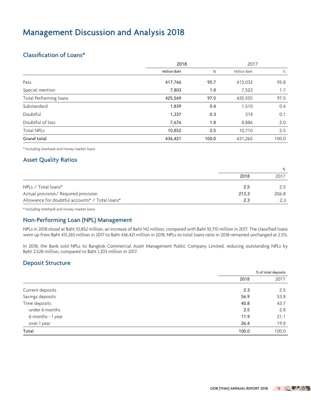## Classification of Loans\*

|                        | 2018         |       | 2017         |       |
|------------------------|--------------|-------|--------------|-------|
|                        | Million Baht | %     | Million Baht | %     |
| Pass                   | 417,766      | 95.7  | 413,032      | 95.8  |
| Special mention        | 7,803        | 1.8   | 7,523        | 1.7   |
| Total Performing loans | 425,569      | 97.5  | 420,555      | 97.5  |
| Substandard            | 1,839        | 0.4   | 1,510        | 0.4   |
| Doubtful               | 1,337        | 0.3   | 314          | 0.1   |
| Doubtful of loss       | 7,676        | 1.8   | 8,886        | 2.0   |
| Total NPLs             | 10,852       | 2.5   | 10,710       | 2.5   |
| Grand total            | 436,421      | 100.0 | 431,265      | 100.0 |

\* Including interbank and money market loans

## Asset Quality Ratios

|                                                 |       | ℅     |  |
|-------------------------------------------------|-------|-------|--|
|                                                 | 2018  | 2017  |  |
| NPLs $\angle$ Total loans*                      | 2.5   | 2.5   |  |
| Actual provision/Required provision             | 213.3 | 206.8 |  |
| Allowance for doubtful accounts* / Total loans* | 2.3   | 2.3   |  |
|                                                 |       |       |  |

\* Including interbank and money market loans

## Non-Performing Loan (NPL) Management

NPLs in 2018 stood at Baht 10,852 million, an increase of Baht 142 million, compared with Baht 10,710 million in 2017. The classified loans went up from Baht 431,265 million in 2017 to Baht 436,421 million in 2018. NPLs to total loans ratio in 2018 remained unchanged at 2.5%.

In 2018, the Bank sold NPLs to Bangkok Commercial Asset Management Public Company Limited, reducing outstanding NPLs by Baht 2,528 million, compared to Baht 1,203 million in 2017.

## Deposit Structure

|                   |       | % of total deposits |  |
|-------------------|-------|---------------------|--|
|                   | 2018  | 2017                |  |
| Current deposits  | 2.3   | 2.5                 |  |
| Savings deposits  | 56.9  | 53.8                |  |
| Time deposits     | 40.8  | 43.7                |  |
| under 6 months    | 2.5   | 2.8                 |  |
| 6 months - 1 year | 11.9  | 21.1                |  |
| over 1 year       | 26.4  | 19.8                |  |
| Total             | 100.0 | 100.0               |  |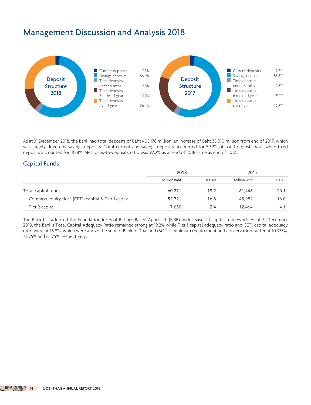

As at 31 December 2018, the Bank had total deposits of Baht 405,178 million, an increase of Baht 35,010 million from end of 2017, which was largely driven by savings deposits. Total current and savings deposits accounted for 59.2% of total deposit base, while fixed deposits accounted for 40.8%. Net loans-to-deposits ratio was 92.2% as at end of 2018 same as end of 2017.

### Capital Funds

|                                                      | 2018         |       | 2017         |         |
|------------------------------------------------------|--------------|-------|--------------|---------|
|                                                      | Million Baht | % CAR | Million Baht | $%$ CAR |
| Total capital funds                                  | 60,371       | 19.2  | 61.446       | 20.1    |
| Common equity tier 1 (CET1) capital & Tier 1 capital | 52,721       | 16.8  | 48,982       | 16.0    |
| Tier 2 capital                                       | 7,650        | 2.4   | 12.464       | 4.1     |

The Bank has adopted the Foundation Internal Ratings-Based Approach (FIRB) under Basel III capital framework. As at 31 December 2018, the Bank's Total Capital Adequacy Ratio remained strong at 19.2% while Tier 1 capital adequacy ratio and CET1 capital adequacy ratio were at 16.8%, which were above the sum of Bank of Thailand (BOT)'s minimum requirement and conservation buffer at 10.375%, 7.875% and 6.375%, respectively.

**14 UOB (THAI) ANNUAL REPORT 2018**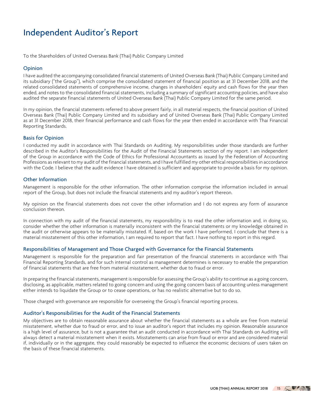# Independent Auditor's Report

To the Shareholders of United Overseas Bank (Thai) Public Company Limited

### Opinion

I have audited the accompanying consolidated financial statements of United Overseas Bank (Thai) Public Company Limited and its subsidiary ("the Group"), which comprise the consolidated statement of financial position as at 31 December 2018, and the related consolidated statements of comprehensive income, changes in shareholders' equity and cash flows for the year then ended, and notes to the consolidated financial statements, including a summary of significant accounting policies, and have also audited the separate financial statements of United Overseas Bank (Thai) Public Company Limited for the same period.

In my opinion, the financial statements referred to above present fairly, in all material respects, the financial position of United Overseas Bank (Thai) Public Company Limited and its subsidiary and of United Overseas Bank (Thai) Public Company Limited as at 31 December 2018, their financial performance and cash flows for the year then ended in accordance with Thai Financial Reporting Standards.

### Basis for Opinion

I conducted my audit in accordance with Thai Standards on Auditing. My responsibilities under those standards are further described in the Auditor's Responsibilities for the Audit of the Financial Statements section of my report. I am independent of the Group in accordance with the Code of Ethics for Professional Accountants as issued by the Federation of Accounting Professions as relevant to my audit of the financial statements, and I have fulfilled my other ethical responsibilities in accordance with the Code. I believe that the audit evidence I have obtained is sufficient and appropriate to provide a basis for my opinion.

### Other Information

Management is responsible for the other information. The other information comprise the information included in annual report of the Group, but does not include the financial statements and my auditor's report thereon.

My opinion on the financial statements does not cover the other information and I do not express any form of assurance conclusion thereon.

In connection with my audit of the financial statements, my responsibility is to read the other information and, in doing so, consider whether the other information is materially inconsistent with the financial statements or my knowledge obtained in the audit or otherwise appears to be materially misstated. If, based on the work I have performed, I conclude that there is a material misstatement of this other information, I am required to report that fact. I have nothing to report in this regard.

### Responsibilities of Management and Those Charged with Governance for the Financial Statements

Management is responsible for the preparation and fair presentation of the financial statements in accordance with Thai Financial Reporting Standards, and for such internal control as management determines is necessary to enable the preparation of financial statements that are free from material misstatement, whether due to fraud or error.

In preparing the financial statements, management is responsible for assessing the Group's ability to continue as a going concern, disclosing, as applicable, matters related to going concern and using the going concern basis of accounting unless management either intends to liquidate the Group or to cease operations, or has no realistic alternative but to do so.

Those charged with governance are responsible for overseeing the Group's financial reporting process.

### Auditor's Responsibilities for the Audit of the Financial Statements

My objectives are to obtain reasonable assurance about whether the financial statements as a whole are free from material misstatement, whether due to fraud or error, and to issue an auditor's report that includes my opinion. Reasonable assurance is a high level of assurance, but is not a guarantee that an audit conducted in accordance with Thai Standards on Auditing will always detect a material misstatement when it exists. Misstatements can arise from fraud or error and are considered material if, individually or in the aggregate, they could reasonably be expected to influence the economic decisions of users taken on the basis of these financial statements.

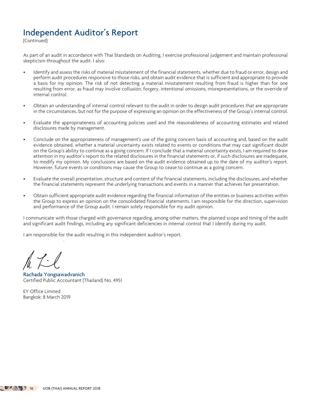# Independent Auditor's Report

(Continued)

As part of an audit in accordance with Thai Standards on Auditing, I exercise professional judgement and maintain professional skepticism throughout the audit. I also:

- Identify and assess the risks of material misstatement of the financial statements, whether due to fraud or error, design and perform audit procedures responsive to those risks, and obtain audit evidence that is sufficient and appropriate to provide a basis for my opinion. The risk of not detecting a material misstatement resulting from fraud is higher than for one resulting from error, as fraud may involve collusion, forgery, intentional omissions, misrepresentations, or the override of internal control.
- Obtain an understanding of internal control relevant to the audit in order to design audit procedures that are appropriate in the circumstances, but not for the purpose of expressing an opinion on the effectiveness of the Group's internal control.
- Evaluate the appropriateness of accounting policies used and the reasonableness of accounting estimates and related disclosures made by management.
- Conclude on the appropriateness of management's use of the going concern basis of accounting and, based on the audit evidence obtained, whether a material uncertainty exists related to events or conditions that may cast significant doubt on the Group's ability to continue as a going concern. If I conclude that a material uncertainty exists, I am required to draw attention in my auditor's report to the related disclosures in the financial statements or, if such disclosures are inadequate, to modify my opinion. My conclusions are based on the audit evidence obtained up to the date of my auditor's report. However, future events or conditions may cause the Group to cease to continue as a going concern.
- Evaluate the overall presentation, structure and content of the financial statements, including the disclosures, and whether the financial statements represent the underlying transactions and events in a manner that achieves fair presentation.
- Obtain sufficient appropriate audit evidence regarding the financial information of the entities or business activities within the Group to express an opinion on the consolidated financial statements. I am responsible for the direction, supervision and performance of the Group audit. I remain solely responsible for my audit opinion.

I communicate with those charged with governance regarding, among other matters, the planned scope and timing of the audit and significant audit findings, including any significant deficiencies in internal control that I identify during my audit.

I am responsible for the audit resulting in this independent auditor's report.

Rachada Yongsawadvanich Certified Public Accountant (Thailand) No. 4951

EY Office Limited Bangkok: 8 March 2019

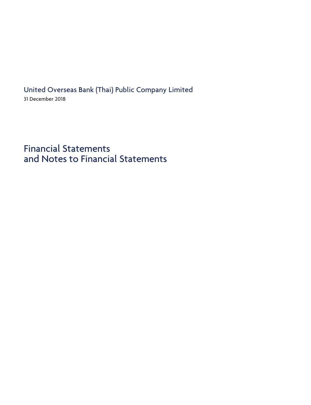# United Overseas Bank (Thai) Public Company Limited

31 December 2018

# Financial Statements and Notes to Financial Statements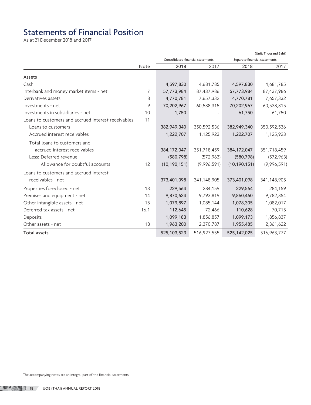# Statements of Financial Position

As at 31 December 2018 and 2017

|                                                     |      |                                   |             |                               | (Unit: Thousand Baht) |
|-----------------------------------------------------|------|-----------------------------------|-------------|-------------------------------|-----------------------|
|                                                     |      | Consolidated financial statements |             | Separate financial statements |                       |
|                                                     | Note | 2018                              | 2017        | 2018                          | 2017                  |
| Assets                                              |      |                                   |             |                               |                       |
| Cash                                                |      | 4,597,830                         | 4,681,785   | 4,597,830                     | 4,681,785             |
| Interbank and money market items - net              | 7    | 57,773,984                        | 87,437,986  | 57,773,984                    | 87,437,986            |
| Derivatives assets                                  | 8    | 4,770,781                         | 7,657,332   | 4,770,781                     | 7,657,332             |
| Investments - net                                   | 9    | 70,202,967                        | 60,538,315  | 70,202,967                    | 60,538,315            |
| Investments in subsidiaries - net                   | 10   | 1,750                             |             | 61,750                        | 61,750                |
| Loans to customers and accrued interest receivables | 11   |                                   |             |                               |                       |
| Loans to customers                                  |      | 382,949,340                       | 350,592,536 | 382,949,340                   | 350,592,536           |
| Accrued interest receivables                        |      | 1,222,707                         | 1,125,923   | 1,222,707                     | 1,125,923             |
| Total loans to customers and                        |      |                                   |             |                               |                       |
| accrued interest receivables                        |      | 384,172,047                       | 351,718,459 | 384,172,047                   | 351,718,459           |
| Less: Deferred revenue                              |      | (580, 798)                        | (572,963)   | (580, 798)                    | (572,963)             |
| Allowance for doubtful accounts                     | 12   | (10, 190, 151)                    | (9,996,591) | (10, 190, 151)                | (9,996,591)           |
| Loans to customers and accrued interest             |      |                                   |             |                               |                       |
| receivables - net                                   |      | 373,401,098                       | 341,148,905 | 373,401,098                   | 341,148,905           |
| Properties foreclosed - net                         | 13   | 229,564                           | 284,159     | 229,564                       | 284,159               |
| Premises and equipment - net                        | 14   | 9,870,624                         | 9,793,819   | 9,860,460                     | 9,782,354             |
| Other intangible assets - net                       | 15   | 1,079,897                         | 1,085,144   | 1,078,305                     | 1,082,017             |
| Deferred tax assets - net                           | 16.1 | 112,645                           | 72,466      | 110,628                       | 70,715                |
| Deposits                                            |      | 1,099,183                         | 1,856,857   | 1,099,173                     | 1,856,837             |
| Other assets - net                                  | 18   | 1,963,200                         | 2,370,787   | 1,955,485                     | 2,361,622             |
| Total assets                                        |      | 525,103,523                       | 516,927,555 | 525,142,025                   | 516,963,777           |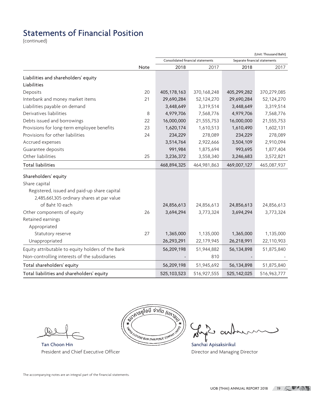# Statements of Financial Position

(continued)

|                                                   |      | (Unit: Thousand Baht)             |             |                               |             |
|---------------------------------------------------|------|-----------------------------------|-------------|-------------------------------|-------------|
|                                                   |      | Consolidated financial statements |             | Separate financial statements |             |
|                                                   | Note | 2018                              | 2017        | 2018                          | 2017        |
| Liabilities and shareholders' equity              |      |                                   |             |                               |             |
| Liabilities                                       |      |                                   |             |                               |             |
| Deposits                                          | 20   | 405,178,163                       | 370,168,248 | 405,299,282                   | 370,279,085 |
| Interbank and money market items                  | 21   | 29,690,284                        | 52,124,270  | 29,690,284                    | 52,124,270  |
| Liabilities payable on demand                     |      | 3,448,649                         | 3,319,514   | 3,448,649                     | 3,319,514   |
| Derivatives liabilities                           | 8    | 4,979,706                         | 7,568,776   | 4,979,706                     | 7,568,776   |
| Debts issued and borrowings                       | 22   | 16,000,000                        | 21,555,753  | 16,000,000                    | 21,555,753  |
| Provisions for long-term employee benefits        | 23   | 1,620,174                         | 1,610,513   | 1,610,490                     | 1,602,131   |
| Provisions for other liabilities                  | 24   | 234,229                           | 278,089     | 234,229                       | 278,089     |
| Accrued expenses                                  |      | 3,514,764                         | 2,922,666   | 3,504,109                     | 2,910,094   |
| Guarantee deposits                                |      | 991,984                           | 1,875,694   | 993,695                       | 1,877,404   |
| Other liabilities                                 | 25   | 3,236,372                         | 3,558,340   | 3,246,683                     | 3,572,821   |
| <b>Total liabilities</b>                          |      | 468,894,325                       | 464,981,863 | 469,007,127                   | 465,087,937 |
| Shareholders' equity                              |      |                                   |             |                               |             |
| Share capital                                     |      |                                   |             |                               |             |
| Registered, issued and paid-up share capital      |      |                                   |             |                               |             |
| 2,485,661,305 ordinary shares at par value        |      |                                   |             |                               |             |
| of Baht 10 each                                   |      | 24,856,613                        | 24,856,613  | 24,856,613                    | 24,856,613  |
| Other components of equity                        | 26   | 3,694,294                         | 3,773,324   | 3,694,294                     | 3,773,324   |
| Retained earnings                                 |      |                                   |             |                               |             |
| Appropriated                                      |      |                                   |             |                               |             |
| Statutory reserve                                 | 27   | 1,365,000                         | 1,135,000   | 1,365,000                     | 1,135,000   |
| Unappropriated                                    |      | 26,293,291                        | 22,179,945  | 26,218,991                    | 22,110,903  |
| Equity attributable to equity holders of the Bank |      | 56,209,198                        | 51,944,882  | 56,134,898                    | 51,875,840  |
| Non-controlling interests of the subsidiaries     |      |                                   | 810         |                               |             |
| Total shareholders' equity                        |      | 56,209,198                        | 51,945,692  | 56,134,898                    | 51,875,840  |
| Total liabilities and shareholders' equity        |      | 525,103,523                       | 516,927,555 | 525,142,025                   | 516,963,777 |

President and Chief Executive Officer **Director and Managing Director** and Managing Director



 $\rightarrow$  $\alpha$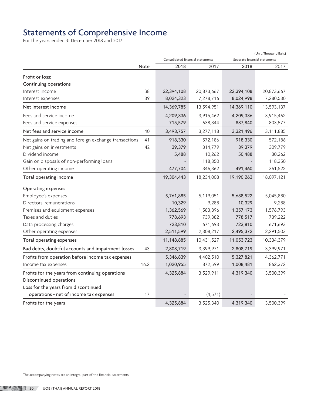# Statements of Comprehensive Income

For the years ended 31 December 2018 and 2017

|                                                        |      |                                   |            |                               | (Unit: Thousand Baht) |
|--------------------------------------------------------|------|-----------------------------------|------------|-------------------------------|-----------------------|
|                                                        |      | Consolidated financial statements |            | Separate financial statements |                       |
|                                                        | Note | 2018                              | 2017       | 2018                          | 2017                  |
| Profit or loss:                                        |      |                                   |            |                               |                       |
| Continuing operations                                  |      |                                   |            |                               |                       |
| Interest income                                        | 38   | 22,394,108                        | 20,873,667 | 22,394,108                    | 20,873,667            |
| Interest expenses                                      | 39   | 8,024,323                         | 7,278,716  | 8,024,998                     | 7,280,530             |
| Net interest income                                    |      | 14,369,785                        | 13,594,951 | 14,369,110                    | 13,593,137            |
| Fees and service income                                |      | 4,209,336                         | 3,915,462  | 4,209,336                     | 3,915,462             |
| Fees and service expenses                              |      | 715,579                           | 638,344    | 887,840                       | 803,577               |
| Net fees and service income                            | 40   | 3,493,757                         | 3,277,118  | 3,321,496                     | 3,111,885             |
| Net gains on trading and foreign exchange transactions | 41   | 918,330                           | 572,186    | 918,330                       | 572,186               |
| Net gains on investments                               | 42   | 39,379                            | 314,779    | 39,379                        | 309,779               |
| Dividend income                                        |      | 5,488                             | 10,262     | 50,488                        | 30,262                |
| Gain on disposals of non-performing loans              |      |                                   | 118,350    |                               | 118,350               |
| Other operating income                                 |      | 477,704                           | 346,362    | 491,460                       | 361,522               |
| Total operating income                                 |      | 19,304,443                        | 18,234,008 | 19,190,263                    | 18,097,121            |
| Operating expenses                                     |      |                                   |            |                               |                       |
| Employee's expenses                                    |      | 5,761,885                         | 5,119,051  | 5,688,522                     | 5,045,880             |
| Directors' remunerations                               |      | 10,329                            | 9,288      | 10,329                        | 9,288                 |
| Premises and equipment expenses                        |      | 1,362,569                         | 1,583,896  | 1,357,173                     | 1,576,793             |
| Taxes and duties                                       |      | 778,693                           | 739,382    | 778,517                       | 739,222               |
| Data processing charges                                |      | 723,810                           | 671,693    | 723,810                       | 671,693               |
| Other operating expenses                               |      | 2,511,599                         | 2,308,217  | 2,495,372                     | 2,291,503             |
| Total operating expenses                               |      | 11,148,885                        | 10,431,527 | 11,053,723                    | 10,334,379            |
| Bad debts, doubtful accounts and impairment losses     | 43   | 2,808,719                         | 3,399,971  | 2,808,719                     | 3,399,971             |
| Profits from operation before income tax expenses      |      | 5,346,839                         | 4,402,510  | 5,327,821                     | 4,362,771             |
| Income tax expenses                                    | 16.2 | 1,020,955                         | 872,599    | 1,008,481                     | 862,372               |
| Profits for the years from continuing operations       |      | 4,325,884                         | 3,529,911  | 4,319,340                     | 3,500,399             |
| Discontinued operations                                |      |                                   |            |                               |                       |
| Loss for the years from discontinued                   |      |                                   |            |                               |                       |
| operations - net of income tax expenses                | 17   |                                   | (4, 571)   |                               |                       |
| Profits for the years                                  |      | 4,325,884                         | 3,525,340  | 4,319,340                     | 3,500,399             |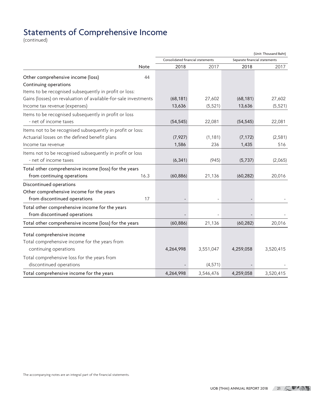# Statements of Comprehensive Income

(continued)

|                                                                 |                                   |           |                               | (Unit: Thousand Baht) |
|-----------------------------------------------------------------|-----------------------------------|-----------|-------------------------------|-----------------------|
|                                                                 | Consolidated financial statements |           | Separate financial statements |                       |
| Note                                                            | 2018                              | 2017      | 2018                          | 2017                  |
| Other comprehensive income (loss)<br>44                         |                                   |           |                               |                       |
| Continuing operations                                           |                                   |           |                               |                       |
| Items to be recognised subsequently in profit or loss:          |                                   |           |                               |                       |
| Gains (losses) on revaluation of available-for-sale investments | (68, 181)                         | 27,602    | (68, 181)                     | 27,602                |
| Income tax revenue (expenses)                                   | 13,636                            | (5, 521)  | 13,636                        | (5, 521)              |
| Items to be recognised subsequently in profit or loss           |                                   |           |                               |                       |
| - net of income taxes                                           | (54, 545)                         | 22,081    | (54, 545)                     | 22,081                |
| Items not to be recognised subsequently in profit or loss:      |                                   |           |                               |                       |
| Actuarial losses on the defined benefit plans                   | (7, 927)                          | (1, 181)  | (7, 172)                      | (2,581)               |
| Income tax revenue                                              | 1,586                             | 236       | 1,435                         | 516                   |
| Items not to be recognised subsequently in profit or loss       |                                   |           |                               |                       |
| - net of income taxes                                           | (6, 341)                          | (945)     | (5,737)                       | (2,065)               |
| Total other comprehensive income (loss) for the years           |                                   |           |                               |                       |
| from continuing operations<br>16.3                              | (60, 886)                         | 21,136    | (60, 282)                     | 20,016                |
| Discontinued operations                                         |                                   |           |                               |                       |
| Other comprehensive income for the years                        |                                   |           |                               |                       |
| from discontinued operations<br>17                              |                                   |           |                               |                       |
| Total other comprehensive income for the years                  |                                   |           |                               |                       |
| from discontinued operations                                    |                                   |           |                               |                       |
| Total other comprehensive income (loss) for the years           | (60, 886)                         | 21,136    | (60, 282)                     | 20,016                |
| Total comprehensive income                                      |                                   |           |                               |                       |
| Total comprehensive income for the years from                   |                                   |           |                               |                       |
| continuing operations                                           | 4,264,998                         | 3,551,047 | 4,259,058                     | 3,520,415             |
| Total comprehensive loss for the years from                     |                                   |           |                               |                       |
| discontinued operations                                         |                                   | (4, 571)  |                               |                       |
| Total comprehensive income for the years                        | 4,264,998                         | 3,546,476 | 4,259,058                     | 3,520,415             |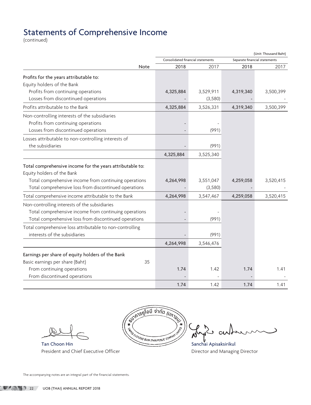# Statements of Comprehensive Income

(continued)

|                                                           |                                   |           |                               | (Unit: Thousand Baht) |
|-----------------------------------------------------------|-----------------------------------|-----------|-------------------------------|-----------------------|
|                                                           | Consolidated financial statements |           | Separate financial statements |                       |
| Note                                                      | 2018                              | 2017      | 2018                          | 2017                  |
| Profits for the years attributable to:                    |                                   |           |                               |                       |
| Equity holders of the Bank                                |                                   |           |                               |                       |
| Profits from continuing operations                        | 4,325,884                         | 3,529,911 | 4,319,340                     | 3,500,399             |
| Losses from discontinued operations                       |                                   | (3,580)   |                               |                       |
| Profits attributable to the Bank                          | 4,325,884                         | 3,526,331 | 4,319,340                     | 3,500,399             |
| Non-controlling interests of the subsidiaries             |                                   |           |                               |                       |
| Profits from continuing operations                        |                                   |           |                               |                       |
| Losses from discontinued operations                       |                                   | (991)     |                               |                       |
| Losses attributable to non-controlling interests of       |                                   |           |                               |                       |
| the subsidiaries                                          |                                   | (991)     |                               |                       |
|                                                           | 4,325,884                         | 3,525,340 |                               |                       |
| Total comprehensive income for the years attributable to: |                                   |           |                               |                       |
| Equity holders of the Bank                                |                                   |           |                               |                       |
| Total comprehensive income from continuing operations     | 4,264,998                         | 3,551,047 | 4,259,058                     | 3,520,415             |
| Total comprehensive loss from discontinued operations     |                                   | (3,580)   |                               |                       |
| Total comprehensive income attributable to the Bank       | 4,264,998                         | 3,547,467 | 4,259,058                     | 3,520,415             |
| Non-controlling interests of the subsidiaries             |                                   |           |                               |                       |
| Total comprehensive income from continuing operations     |                                   |           |                               |                       |
| Total comprehensive loss from discontinued operations     |                                   | (991)     |                               |                       |
| Total comprehensive loss attributable to non-controlling  |                                   |           |                               |                       |
| interests of the subsidiaries                             |                                   | (991)     |                               |                       |
|                                                           | 4,264,998                         | 3,546,476 |                               |                       |
| Earnings per share of equity holders of the Bank          |                                   |           |                               |                       |
| Basic earnings per share (Baht)<br>35                     |                                   |           |                               |                       |
| From continuing operations                                | 1.74                              | 1.42      | 1.74                          | 1.41                  |
| From discontinued operations                              |                                   |           |                               |                       |
|                                                           | 1.74                              | 1.42      | 1.74                          | 1.41                  |

President and Chief Executive Officer **Director and Managing Director** and Managing Director



 $\rightarrow$  $\alpha$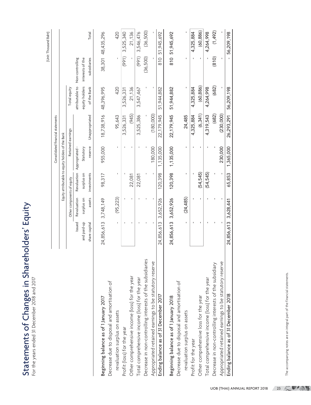| I<br><b>CANC</b><br>コンフン<br>Jupley<br>֧֓֜֕֜֜<br>$\mathfrak{c}$ |                                                                                         |
|----------------------------------------------------------------|-----------------------------------------------------------------------------------------|
| <b>FChanges in S</b><br>ノコワ<br>ر<br>م<br>Ě                     | 「こくい<br>)<br> <br>$\mathbf$<br>$\overline{(\}$<br>á<br>wears ended 315<br>ר<br>221<br>= |
| <b>SASH</b><br>ļ                                               | j                                                                                       |

|                                                                               |               |                            |             |                                                   |                                   |                 |                  | (Unit: Thousand Baht) |
|-------------------------------------------------------------------------------|---------------|----------------------------|-------------|---------------------------------------------------|-----------------------------------|-----------------|------------------|-----------------------|
|                                                                               |               |                            |             |                                                   | Consolidated financial statements |                 |                  |                       |
|                                                                               |               |                            |             | Equity attributable to equity holders of the Bank |                                   |                 |                  |                       |
|                                                                               |               | Other components of equity |             |                                                   | Retained earnings                 | Total equity    |                  |                       |
|                                                                               | <b>Issued</b> | Revaluation                | Revaluation | Appropriated-                                     |                                   | attributable to | Non-controlling  |                       |
|                                                                               | and paid-up   | surplus on                 | surplus on  | Statutory                                         |                                   | equity holders  | interests of the |                       |
|                                                                               | share capital | assets                     | investments | reserve                                           | Unappropriated                    | of the Bank     | subsidiaries     | Total                 |
| Beginning balance as of 1 January 2017                                        | 24,856,613    | 3,748,149                  | 98,317      | 955,000                                           | 18,738,916                        | 48,396,995      | 38,301           | 48,435,296            |
| Decrease due to disposal and amortisation of                                  |               |                            |             |                                                   |                                   |                 |                  |                       |
| revaluation surplus on assets                                                 | $\mathbf{I}$  | (95, 223)                  |             |                                                   | 95,643                            | 420             |                  | 420                   |
| Profit (loss) for the year                                                    |               |                            |             |                                                   | 3,526,331                         | 3,526,331       | (991)            | 3,525,340             |
| Other comprehensive income (loss) for the year                                |               |                            | 22,081      |                                                   | (945)                             | 21,136          |                  | 21,136                |
| Total comprehensive income (loss) for the year                                |               |                            | 22,081      |                                                   | 3,525,386                         | 3,547,467       | (991)            | 3,546,476             |
| Decrease in non-controlling interests of the subsidiaries                     |               |                            |             |                                                   |                                   |                 | (36, 500)        | (36, 500)             |
| Appropriated retained earnings to be statutory reserve                        |               |                            |             | 180,000                                           | (180,000)                         |                 |                  |                       |
| Ending balance as of 31 December 2017                                         | 24,856,613    | 3,652,926                  | 120,398     | 1,135,000                                         | 22,179,945                        | 51,944,882      | 810              | 51,945,692            |
| Beginning balance as of 1 January 2018                                        | 24,856,613    | 3,652,926                  | 120,398     | 1,135,000                                         | 22,179,945                        | 51,944,882      | 810              | 51,945,692            |
| Decrease due to disposal and amortisation of<br>revaluation surplus on assets |               | (24, 485)                  |             | ı                                                 | 24,485                            | ٠               |                  |                       |
| Profit for the year                                                           |               |                            | J,          | $\overline{\phantom{a}}$                          | 4,325,884                         | 4,325,884       |                  | 4,325,884             |
| Other comprehensive loss for the year                                         |               |                            | (54, 545)   | I.                                                | (6, 341)                          | (60, 886)       | 1                | (60, 886)             |
| Total comprehensive income (loss) for the year                                |               |                            | (54,545)    |                                                   | 4,319,543                         | 4,264,998       |                  | 4,264,998             |
| Decrease in non-controlling interests of the subsidiary                       |               |                            |             |                                                   | (682)                             | (682)           | (810)            | (1,492)               |
| Appropriated retained earnings to be statutory reserve                        |               |                            |             | 230,000                                           | (230,000)                         |                 |                  |                       |
| Ending balance as of 31 December 2018                                         | 24,856,613    | 3,628,441                  | 65,853      | 1,365,000                                         | 26,293,291                        | 56,209,198      |                  | 56,209,198            |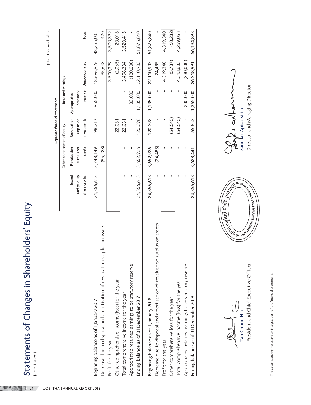| J<br>֖֦֧֦֦֦֧֦֦֦֦֦֦֦֦֦֧֦֧֦֧֦֧֦֦֧֝֟֝֝֝֝֝<br>֧֝֜ <b>֞</b> ֧֓׆<br>)<br> <br> <br>האמאר |   |
|------------------------------------------------------------------------------------|---|
| t<br>hanges in :                                                                   |   |
| j<br>۔<br>د<br>ディーク くろん キャッシュ<br>りりろ                                               | S |

| (continued)<br>24                                                              | Statements of Changes in Shareholders' Equity                                 |               |                            |                               |                   |                |                       |
|--------------------------------------------------------------------------------|-------------------------------------------------------------------------------|---------------|----------------------------|-------------------------------|-------------------|----------------|-----------------------|
|                                                                                |                                                                               |               |                            |                               |                   |                | (Unit: Thousand Baht) |
|                                                                                |                                                                               |               |                            | Separate financial statements |                   |                |                       |
|                                                                                |                                                                               |               | Other components of equity |                               | Retained earnings |                |                       |
|                                                                                |                                                                               | Issued        | Revaluation                | Revaluation                   | Appropriated -    |                |                       |
|                                                                                |                                                                               | and paid-up   | surplus on                 | surplus on                    | Statutory         |                |                       |
|                                                                                |                                                                               | share capital | assets                     | investments                   | reserve           | Unappropriated | <b>Total</b>          |
| Beginning balance as of 1 January 2017<br><b>UOB (THAI) ANNUAL REPORT 2018</b> |                                                                               | 24,856,613    | 3,748,149                  | 98,317                        | 955,000           | 18,696,926     | 48,355,005            |
|                                                                                | Decrease due to disposal and amortisation of revaluation surplus on assets    |               | (95, 223)                  |                               |                   | 95,643         | 420                   |
| Profit for the year                                                            |                                                                               |               |                            |                               |                   | 3,500,399      | 3,500,399             |
| Other comprehensive income (loss) for the year                                 |                                                                               |               |                            | 22,081                        |                   | (2,065)        | 20,016                |
| Total comprehensive income for the year                                        |                                                                               |               |                            | 22,081                        |                   | 3,498,334      | 3,520,415             |
|                                                                                | Appropriated retained earnings to be statutory reserve                        |               |                            |                               | 180,000           | (180,000)      |                       |
| Ending balance as of 31 December 2017                                          |                                                                               | 24,856,613    | 3,652,926                  | 120,398                       | 1,135,000         | 22,110,903     | 51,875,840            |
| Beginning balance as of 1 January 2018                                         |                                                                               | 24,856,613    | 3,652,926                  | 120,398                       | 1,135,000         | 22,110,903     | 51,875,840            |
|                                                                                | surplus on assets<br>Decrease due to disposal and amortisation of revaluation |               | (24, 485)                  |                               |                   | 24,485         |                       |
| Profit for the year                                                            |                                                                               |               |                            |                               |                   | 4,319,340      | 4,319,340             |
| Other comprehensive loss for the year                                          |                                                                               |               |                            | (54, 545)                     |                   | (5,737)        | (60, 282)             |
| Total comprehensive income (loss) for the year                                 |                                                                               |               |                            | (54, 545)                     |                   | 4,313,603      | 4,259,058             |
|                                                                                | Appropriated retained earnings to be statutory reserve                        |               |                            |                               | 230,000           | (230,000)      |                       |
| Ending balance as of 31 December 2018                                          |                                                                               | 24,856,613    | 3,628,441                  | 65,853                        | 1,365,000         | 26,218,991     | 56,134,898            |

 $\bigotimes_{\text{Tan} \text{Choon Him}}$ 

President and Chief Executive Officer



**Compte de la proporcion de la principale de la proporcion de la proporcion de la procesa de la procesa de la procesa de la procesa de la procesa de la procesa de la procesa de la procesa de la procesa de la procesa de la** 

The accompanying notes are an integral part of the financial statements. The accompanying notes are an integral part of the financial statements.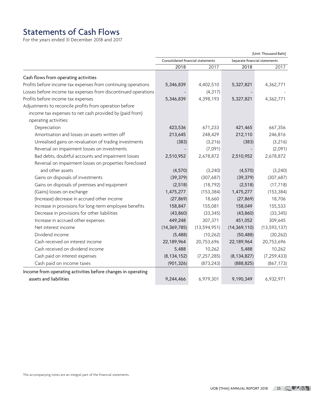# Statements of Cash Flows

For the years ended 31 December 2018 and 2017

(Unit: Thousand Baht)

|                                                                | Consolidated financial statements |                | Separate financial statements |                |
|----------------------------------------------------------------|-----------------------------------|----------------|-------------------------------|----------------|
|                                                                | 2018                              | 2017           | 2018                          | 2017           |
| Cash flows from operating activities                           |                                   |                |                               |                |
| Profits before income tax expenses from continuing operations  | 5,346,839                         | 4,402,510      | 5,327,821                     | 4,362,771      |
| Losses before income tax expenses from discontinued operations |                                   | (4, 317)       |                               |                |
| Profits before income tax expenses                             | 5,346,839                         | 4,398,193      | 5,327,821                     | 4,362,771      |
| Adjustments to reconcile profits from operation before         |                                   |                |                               |                |
| income tax expenses to net cash provided by (paid from)        |                                   |                |                               |                |
| operating activities:                                          |                                   |                |                               |                |
| Depreciation                                                   | 423,536                           | 671,233        | 421,465                       | 667,356        |
| Amortisation and losses on assets written off                  | 213,645                           | 248,429        | 212,110                       | 246,816        |
| Unrealised gains on revaluation of trading investments         | (383)                             | (3, 216)       | (383)                         | (3, 216)       |
| Reversal on impairment losses on investments                   |                                   | (7,091)        |                               | (2,091)        |
| Bad debts, doubtful accounts and impairment losses             | 2,510,952                         | 2,678,872      | 2,510,952                     | 2,678,872      |
| Reversal on impairment losses on properties foreclosed         |                                   |                |                               |                |
| and other assets                                               | (4,570)                           | (3, 240)       | (4,570)                       | (3, 240)       |
| Gains on disposals of investments                              | (39, 379)                         | (307, 687)     | (39, 379)                     | (307, 687)     |
| Gains on disposals of premises and equipment                   | (2, 518)                          | (18, 792)      | (2, 518)                      | (17, 718)      |
| (Gains) losses on exchange                                     | 1,475,277                         | (153, 384)     | 1,475,277                     | (153, 384)     |
| (Increase) decrease in accrued other income                    | (27, 869)                         | 18,660         | (27, 869)                     | 18,706         |
| Increase in provisions for long-term employee benefits         | 158,847                           | 155,081        | 158,049                       | 155,533        |
| Decrease in provisions for other liabilities                   | (43, 860)                         | (33, 345)      | (43, 860)                     | (33, 345)      |
| Increase in accrued other expenses                             | 449,248                           | 307,371        | 451,052                       | 309,645        |
| Net interest income                                            | (14, 369, 785)                    | (13, 594, 951) | (14, 369, 110)                | (13, 593, 137) |
| Dividend income                                                | (5, 488)                          | (10, 262)      | (50, 488)                     | (30, 262)      |
| Cash received on interest income                               | 22,189,964                        | 20,753,696     | 22,189,964                    | 20,753,696     |
| Cash received on dividend income                               | 5,488                             | 10,262         | 5,488                         | 10,262         |
| Cash paid on interest expenses                                 | (8, 134, 152)                     | (7, 257, 285)  | (8, 134, 827)                 | (7, 259, 433)  |
| Cash paid on income taxes                                      | (901, 326)                        | (873, 243)     | (888, 825)                    | (867, 173)     |
| Income from operating activities before changes in operating   |                                   |                |                               |                |
| assets and liabilities                                         | 9,244,466                         | 6,979,301      | 9,190,349                     | 6,932,971      |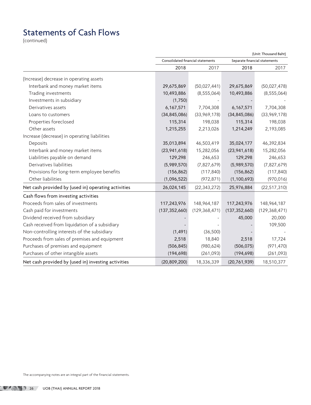# Statements of Cash Flows

(continued)

|                                                     |                                   |                 |                               | (Unit: Thousand Baht) |
|-----------------------------------------------------|-----------------------------------|-----------------|-------------------------------|-----------------------|
|                                                     | Consolidated financial statements |                 | Separate financial statements |                       |
|                                                     | 2018                              | 2017            | 2018                          | 2017                  |
| (Increase) decrease in operating assets             |                                   |                 |                               |                       |
| Interbank and money market items                    | 29,675,869                        | (50,027,441)    | 29,675,869                    | (50,027,478)          |
| Trading investments                                 | 10,493,886                        | (8, 555, 064)   | 10,493,886                    | (8, 555, 064)         |
| Investments in subsidiary                           | (1,750)                           |                 |                               |                       |
| Derivatives assets                                  | 6,167,571                         | 7,704,308       | 6,167,571                     | 7,704,308             |
| Loans to customers                                  | (34, 845, 086)                    | (33,969,178)    | (34, 845, 086)                | (33,969,178)          |
| Properties foreclosed                               | 115,314                           | 198,038         | 115,314                       | 198,038               |
| Other assets                                        | 1,215,255                         | 2,213,026       | 1,214,249                     | 2,193,085             |
| Increase (decrease) in operating liabilities        |                                   |                 |                               |                       |
| Deposits                                            | 35,013,894                        | 46,503,419      | 35,024,177                    | 46,392,834            |
| Interbank and money market items                    | (23,941,618)                      | 15,282,056      | (23,941,618)                  | 15,282,056            |
| Liabilities payable on demand                       | 129,298                           | 246,653         | 129,298                       | 246,653               |
| Derivatives liabilities                             | (5,989,570)                       | (7,827,679)     | (5,989,570)                   | (7,827,679)           |
| Provisions for long-term employee benefits          | (156, 862)                        | (117, 840)      | (156, 862)                    | (117, 840)            |
| Other liabilities                                   | (1,096,522)                       | (972, 871)      | (1, 100, 693)                 | (970, 016)            |
| Net cash provided by (used in) operating activities | 26,024,145                        | (22, 343, 272)  | 25,976,884                    | (22, 517, 310)        |
| Cash flows from investing activities                |                                   |                 |                               |                       |
| Proceeds from sales of investments                  | 117,243,976                       | 148,964,187     | 117,243,976                   | 148,964,187           |
| Cash paid for investments                           | (137, 352, 660)                   | (129, 368, 471) | (137, 352, 660)               | (129, 368, 471)       |
| Dividend received from subsidiary                   |                                   |                 | 45,000                        | 20,000                |
| Cash received from liquidation of a subsidiary      |                                   |                 |                               | 109,500               |
| Non-controlling interests of the subsidiary         | (1, 491)                          | (36, 500)       |                               |                       |
| Proceeds from sales of premises and equipment       | 2,518                             | 18,840          | 2,518                         | 17,724                |
| Purchases of premises and equipment                 | (506, 845)                        | (980, 624)      | (506, 075)                    | (971, 470)            |
| Purchases of other intangible assets                | (194, 698)                        | (261, 093)      | (194, 698)                    | (261, 093)            |
| Net cash provided by (used in) investing activities | (20, 809, 200)                    | 18,336,339      | (20, 761, 939)                | 18,510,377            |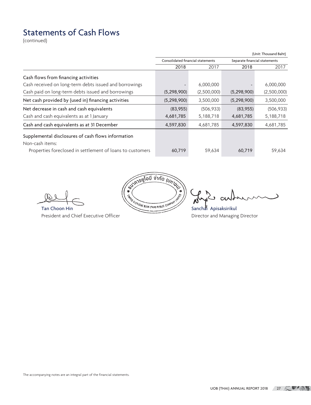# Statements of Cash Flows

(continued)

|                                                                                                                                    |                                   |             |                               | (Unit: Thousand Baht) |
|------------------------------------------------------------------------------------------------------------------------------------|-----------------------------------|-------------|-------------------------------|-----------------------|
|                                                                                                                                    | Consolidated financial statements |             | Separate financial statements |                       |
|                                                                                                                                    | 2018                              | 2017        | 2018                          | 2017                  |
| Cash flows from financing activities                                                                                               |                                   |             |                               |                       |
| Cash received on long-term debts issued and borrowings                                                                             |                                   | 6,000,000   |                               | 6,000,000             |
| Cash paid on long-term debts issued and borrowings                                                                                 | (5,298,900)                       | (2,500,000) | (5,298,900)                   | (2,500,000)           |
| Net cash provided by (used in) financing activities                                                                                | (5,298,900)                       | 3,500,000   | (5,298,900)                   | 3,500,000             |
| Net decrease in cash and cash equivalents                                                                                          | (83,955)                          | (506, 933)  | (83,955)                      | (506, 933)            |
| Cash and cash equivalents as at 1 January                                                                                          | 4,681,785                         | 5,188,718   | 4,681,785                     | 5,188,718             |
| Cash and cash equivalents as at 31 December                                                                                        | 4,597,830                         | 4,681,785   | 4,597,830                     | 4,681,785             |
| Supplemental disclosures of cash flows information<br>Non-cash items:<br>Properties foreclosed in settlement of loans to customers | 60,719                            | 59,634      | 60,719                        | 59,634                |
|                                                                                                                                    |                                   |             |                               |                       |



President and Chief Executive Officer Director and Managing Director and Managing Director



 $\overrightarrow{ }$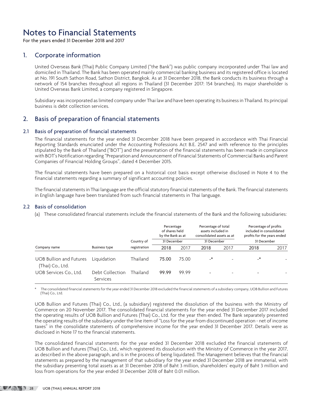For the years ended 31 December 2018 and 2017

## 1. Corporate information

 United Overseas Bank (Thai) Public Company Limited ("the Bank") was public company incorporated under Thai law and domiciled in Thailand. The Bank has been operated mainly commercial banking business and its registered office is located at No. 191 South Sathon Road, Sathon District, Bangkok. As at 31 December 2018, the Bank conducts its business through a network of 154 branches throughout all regions in Thailand (31 December 2017: 154 branches). Its major shareholder is United Overseas Bank Limited, a company registered in Singapore.

 Subsidiary was incorporated as limited company under Thai law and have been operating its business in Thailand. Its principal business is debt collection services.

## 2. Basis of preparation of financial statements

### 2.1 Basis of preparation of financial statements

 The financial statements for the year ended 31 December 2018 have been prepared in accordance with Thai Financial Reporting Standards enunciated under the Accounting Professions Act B.E. 2547 and with reference to the principles stipulated by the Bank of Thailand ("BOT") and the presentation of the financial statements has been made in compliance with BOT's Notification regarding "Preparation and Announcement of Financial Statements of Commercial Banks and Parent Companies of Financial Holding Groups", dated 4 December 2015.

 The financial statements have been prepared on a historical cost basis except otherwise disclosed in Note 4 to the financial statements regarding a summary of significant accounting policies.

 The financial statements in Thai language are the official statutory financial statements of the Bank. The financial statements in English language have been translated from such financial statements in Thai language.

### 2.2 Basis of consolidation

(a) These consolidated financial statements include the financial statements of the Bank and the following subsidiaries:

| Company name           | <b>Business type</b>        | Country of<br>registration | Percentage<br>of shares held<br>by the Bank as at<br>31 December |             | Percentage of total<br>assets included in<br>consolidated assets as at<br>31 December |       | Percentage of profits<br>included in consolidated<br>profits for the years ended<br>31 December |                 |
|------------------------|-----------------------------|----------------------------|------------------------------------------------------------------|-------------|---------------------------------------------------------------------------------------|-------|-------------------------------------------------------------------------------------------------|-----------------|
|                        |                             |                            |                                                                  |             |                                                                                       |       |                                                                                                 |                 |
|                        |                             |                            | <b>UOB Bullion and Futures</b><br>(Thai) Co., Ltd.               | Liquidation | Thailand                                                                              | 75.00 | 75.00                                                                                           | $\cdot^{\star}$ |
| UOB Services Co., Ltd. | Debt Collection<br>Services | Thailand                   | 99.99                                                            | 99.99       | $\overline{\phantom{a}}$                                                              |       |                                                                                                 |                 |

 \* The consolidated financial statements for the year ended 31 December 2018 excluded the financial statements of a subsidiary company, UOB Bullion and Futures (Thai) Co., Ltd.

 UOB Bullion and Futures (Thai) Co., Ltd., (a subsidiary) registered the dissolution of the business with the Ministry of Commerce on 20 November 2017. The consolidated financial statements for the year ended 31 December 2017 included the operating results of UOB Bullion and Futures (Thai) Co., Ltd. for the year then ended. The Bank separately presented the operating results of the subsidiary under the line item of "Loss for the year from discontinued operation - net of income taxes" in the consolidate statements of comprehensive income for the year ended 31 December 2017. Details were as disclosed in Note 17 to the financial statements.

 The consolidated financial statements for the year ended 31 December 2018 excluded the financial statements of UOB Bullion and Futures (Thai) Co., Ltd., which registered its dissolution with the Ministry of Commerce in the year 2017, as described in the above paragraph, and is in the process of being liquidated. The Management believes that the financial statements as prepared by the management of that subsidiary for the year ended 31 December 2018 are immaterial, with the subsidiary presenting total assets as at 31 December 2018 of Baht 3 million, shareholders' equity of Baht 3 million and loss from operations for the year ended 31 December 2018 of Baht 0.01 million.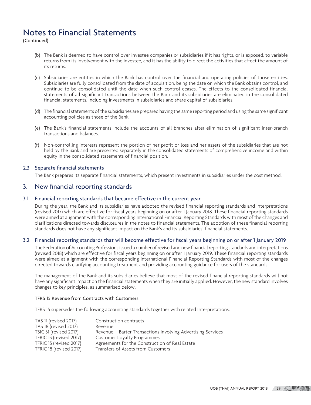(Continued)

- (b) The Bank is deemed to have control over investee companies or subsidiaries if it has rights, or is exposed, to variable returns from its involvement with the investee, and it has the ability to direct the activities that affect the amount of its returns.
- (c) Subsidiaries are entities in which the Bank has control over the financial and operating policies of those entities. Subsidiaries are fully consolidated from the date of acquisition, being the date on which the Bank obtains control, and continue to be consolidated until the date when such control ceases. The effects to the consolidated financial statements of all significant transactions between the Bank and its subsidiaries are eliminated in the consolidated financial statements, including investments in subsidiaries and share capital of subsidiaries.
- (d) The financial statements of the subsidiaries are prepared having the same reporting period and using the same significant accounting policies as those of the Bank.
- (e) The Bank's financial statements include the accounts of all branches after elimination of significant inter-branch transactions and balances.
- (f) Non-controlling interests represent the portion of net profit or loss and net assets of the subsidiaries that are not held by the Bank and are presented separately in the consolidated statements of comprehensive income and within equity in the consolidated statements of financial position.

### 2.3 Separate financial statements

The Bank prepares its separate financial statements, which present investments in subsidiaries under the cost method.

### 3. New financial reporting standards

### 3.1 Financial reporting standards that became effective in the current year

 During the year, the Bank and its subsidiaries have adopted the revised financial reporting standards and interpretations (revised 2017) which are effective for fiscal years beginning on or after 1 January 2018. These financial reporting standards were aimed at alignment with the corresponding International Financial Reporting Standards with most of the changes and clarifications directed towards disclosures in the notes to financial statements. The adoption of these financial reporting standards does not have any significant impact on the Bank's and its subsidiaries' financial statements.

### 3.2 Financial reporting standards that will become effective for fiscal years beginning on or after 1 January 2019

 The Federation of Accounting Professions issued a number of revised and new financial reporting standards and interpretations (revised 2018) which are effective for fiscal years beginning on or after 1 January 2019. These financial reporting standards were aimed at alignment with the corresponding International Financial Reporting Standards with most of the changes directed towards clarifying accounting treatment and providing accounting guidance for users of the standards.

 The management of the Bank and its subsidiaries believe that most of the revised financial reporting standards will not have any significant impact on the financial statements when they are initially applied. However, the new standard involves changes to key principles, as summarised below.

#### TFRS 15 Revenue from Contracts with Customers

TFRS 15 supersedes the following accounting standards together with related Interpretations.

| TAS 11 (revised 2017)   | Construction contracts                                       |
|-------------------------|--------------------------------------------------------------|
| TAS 18 (revised 2017)   | Revenue                                                      |
| TSIC 31 (revised 2017)  | Revenue - Barter Transactions Involving Advertising Services |
| TFRIC 13 (revised 2017) | Customer Loyalty Programmes                                  |
| TFRIC 15 (revised 2017) | Agreements for the Construction of Real Estate               |
| TFRIC 18 (revised 2017) | Transfers of Assets from Customers                           |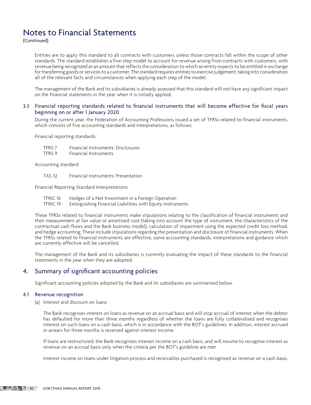(Continued)

 Entities are to apply this standard to all contracts with customers unless those contracts fall within the scope of other standards. The standard establishes a five-step model to account for revenue arising from contracts with customers, with revenue being recognized at an amount that reflects the consideration to which an entity expects to be entitled in exchange for transferring goods or services to a customer. The standard requires entities to exercise judgement, taking into consideration all of the relevant facts and circumstances when applying each step of the model.

 The management of the Bank and its subsidiaries is already assessed that this standard will not have any significant impact on the financial statements in the year when it is initially applied.

### 3.3 Financial reporting standards related to financial instruments that will become effective for fiscal years beginning on or after 1 January 2020

 During the current year, the Federation of Accounting Professions issued a set of TFRSs related to financial instruments, which consists of five accounting standards and interpretations, as follows:

Financial reporting standards:

TFRS 7 Financial Instruments: Disclosures<br>TFRS 9 Financial Instruments Financial Instruments

Accounting standard:

TAS 32 Financial Instruments: Presentation

Financial Reporting Standard Interpretations:

- TFRIC 16 Hedges of a Net Investment in a Foreign Operation
- TFRIC 19 Extinguishing Financial Liabilities with Equity Instruments

 These TFRSs related to financial instruments make stipulations relating to the classification of financial instruments and their measurement at fair value or amortised cost (taking into account the type of instrument, the characteristics of the contractual cash flows and the Bank business model), calculation of impairment using the expected credit loss method, and hedge accounting. These include stipulations regarding the presentation and disclosure of financial instruments. When the TFRSs related to financial instruments are effective, some accounting standards, interpretations and guidance which are currently effective will be cancelled.

 The management of the Bank and its subsidiaries is currently evaluating the impact of these standards to the financial statements in the year when they are adopted.

### 4. Summary of significant accounting policies

Significant accounting policies adopted by the Bank and its subsidiaries are summarised below.

#### 4.1 Revenue recognition

(a) Interest and discount on loans

 The Bank recognises interest on loans as revenue on an accrual basis and will stop accrual of interest when the debtor has defaulted for more than three months regardless of whether the loans are fully collateralised and recognises interest on such loans on a cash basis, which is in accordance with the BOT's guidelines. In addition, interest accrued in arrears for three months is reversed against interest income.

 If loans are restructured, the Bank recognises interest income on a cash basis, and will resume to recognise interest as revenue on an accrual basis only when the criteria per the BOT's guideline are met.

Interest income on loans under litigation process and receivables purchased is recognised as revenue on a cash basis.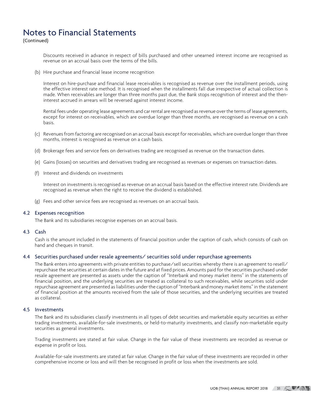(Continued)

 Discounts received in advance in respect of bills purchased and other unearned interest income are recognised as revenue on an accrual basis over the terms of the bills.

(b) Hire purchase and financial lease income recognition

 Interest on hire-purchase and financial lease receivables is recognised as revenue over the installment periods, using the effective interest rate method. It is recognised when the installments fall due irrespective of actual collection is made. When receivables are longer than three months past due, the Bank stops recognition of interest and the then interest accrued in arrears will be reversed against interest income.

 Rental fees under operating lease agreements and car rental are recognised as revenue over the terms of lease agreements, except for interest on receivables, which are overdue longer than three months, are recognised as revenue on a cash basis.

- (c) Revenues from factoring are recognised on an accrual basis except for receivables, which are overdue longer than three months, interest is recognised as revenue on a cash basis.
- (d) Brokerage fees and service fees on derivatives trading are recognised as revenue on the transaction dates.
- (e) Gains (losses) on securities and derivatives trading are recognised as revenues or expenses on transaction dates.
- (f) Interest and dividends on investments

 Interest on investments is recognised as revenue on an accrual basis based on the effective interest rate. Dividends are recognised as revenue when the right to receive the dividend is established.

(g) Fees and other service fees are recognised as revenues on an accrual basis.

#### 4.2 Expenses recognition

The Bank and its subsidiaries recognise expenses on an accrual basis.

#### 4.3 Cash

 Cash is the amount included in the statements of financial position under the caption of cash, which consists of cash on hand and cheques in transit.

#### 4.4 Securities purchased under resale agreements/ securities sold under repurchase agreements

The Bank enters into agreements with private entities to purchase/sell securities whereby there is an agreement to resell/ repurchase the securities at certain dates in the future and at fixed prices. Amounts paid for the securities purchased under resale agreement are presented as assets under the caption of "Interbank and money market items" in the statements of financial position, and the underlying securities are treated as collateral to such receivables, while securities sold under repurchase agreement are presented as liabilities under the caption of "Interbank and money market items" in the statement of financial position at the amounts received from the sale of those securities, and the underlying securities are treated as collateral.

#### 4.5 Investments

 The Bank and its subsidiaries classify investments in all types of debt securities and marketable equity securities as either trading investments, available-for-sale investments, or held-to-maturity investments, and classify non-marketable equity securities as general investments.

 Trading investments are stated at fair value. Change in the fair value of these investments are recorded as revenue or expense in profit or loss.

 Available-for-sale investments are stated at fair value. Change in the fair value of these investments are recorded in other comprehensive income or loss and will then be recognised in profit or loss when the investments are sold.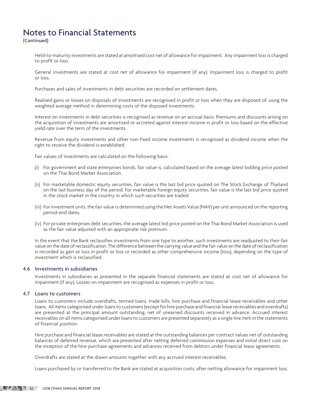(Continued)

 Held-to-maturity investments are stated at amortised cost net of allowance for impairment. Any impairment loss is charged to profit or loss.

 General investments are stated at cost net of allowance for impairment (if any). Impairment loss is charged to profit or loss.

Purchases and sales of investments in debt securities are recorded on settlement dates.

 Realised gains or losses on disposals of investments are recognised in profit or loss when they are disposed of, using the weighted average method in determining costs of the disposed investments.

 Interest on investments in debt securities is recognised as revenue on an accrual basis. Premiums and discounts arising on the acquisition of investments are amortised or accreted against interest income in profit or loss based on the effective yield rate over the term of the investments.

 Revenue from equity investments and other non-fixed income investments is recognised as dividend income when the right to receive the dividend is established.

Fair values of investments are calculated on the following basis:

- (i) For government and state enterprises bonds, fair value is, calculated based on the average latest bidding price posted on the Thai Bond Market Association.
- (ii) For marketable domestic equity securities, fair value is the last bid price quoted on The Stock Exchange of Thailand on the last business day of the period. For marketable foreign equity securities, fair value is the last bid price quoted in the stock market in the country in which such securities are traded.
- (iii) For investment units, the fair value is determined using the Net Assets Value (NAV) per unit announced on the reporting period-end dates.
- (iv) For private enterprises debt securities, the average latest bid price posted on the Thai Bond Market Association is used as the fair value adjusted with an appropriate risk premium.

 In the event that the Bank reclassifies investments from one type to another, such investments are readjusted to their fair value on the date of reclassification. The difference between the carrying value and the fair value on the date of reclassification is recorded as gain or loss in profit or loss or recorded as other comprehensive income (loss), depending on the type of investment which is reclassified.

### 4.6 Investments in subsidiaries

 Investments in subsidiaries as presented in the separate financial statements are stated at cost net of allowance for impairment (if any). Losses on impairment are recognised as expenses in profit or loss.

### 4.7 Loans to customers

 Loans to customers include overdrafts, termed loans, trade bills, hire purchase and financial lease receivables and other loans. All items categorised under loans to customers (except for hire purchase and financial lease receivables and overdrafts) are presented at the principal amount outstanding, net of unearned discounts received in advance. Accrued interest receivables on all items categorised under loans to customers are presented separately as a single line item in the statements of financial position.

 Hire purchase and financial lease receivables are stated at the outstanding balances per contract values net of outstanding balances of deferred revenue, which are presented after netting deferred commission expenses and initial direct cost on the inception of the hire-purchase agreements and advances received from debtors under financial lease agreements.

Overdrafts are stated at the drawn amounts together with any accrued interest receivables.

Loans purchased by or transferred to the Bank are stated at acquisition costs, after netting allowance for impairment loss.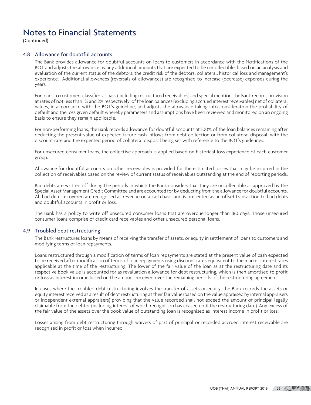(Continued)

### 4.8 Allowance for doubtful accounts

 The Bank provides allowance for doubtful accounts on loans to customers in accordance with the Notifications of the BOT and adjusts the allowance by any additional amounts that are expected to be uncollectible, based on an analysis and evaluation of the current status of the debtors, the credit risk of the debtors, collateral, historical loss and management's experience. Additional allowances (reversals of allowances) are recognised to increase (decrease) expenses during the years.

 For loans to customers classified as pass (including restructured receivables) and special mention, the Bank records provision at rates of not less than 1% and 2% respectively, of the loan balances (excluding accrued interest receivables) net of collateral values, in accordance with the BOT's guideline, and adjusts the allowance taking into consideration the probability of default and the loss given default whereby parameters and assumptions have been reviewed and monitored on an ongoing basis to ensure they remain applicable.

 For non-performing loans, the Bank records allowance for doubtful accounts at 100% of the loan balances remaining after deducting the present value of expected future cash inflows from debt collection or from collateral disposal, with the discount rate and the expected period of collateral disposal being set with reference to the BOT's guidelines.

 For unsecured consumer loans, the collective approach is applied based on historical loss experience of each customer group.

 Allowance for doubtful accounts on other receivables is provided for the estimated losses that may be incurred in the collection of receivables based on the review of current status of receivables outstanding at the end of reporting periods.

 Bad debts are written off during the periods in which the Bank considers that they are uncollectible as approved by the Special Asset Management Credit Committee and are accounted for by deducting from the allowance for doubtful accounts. All bad debt recovered are recognised as revenue on a cash basis and is presented as an offset transaction to bad debts and doubtful accounts in profit or loss.

 The Bank has a policy to write off unsecured consumer loans that are overdue longer than 180 days. Those unsecured consumer loans comprise of credit card receivables and other unsecured personal loans.

### 4.9 Troubled debt restructuring

 The Bank restructures loans by means of receiving the transfer of assets, or equity in settlement of loans to customers and modifying terms of loan repayments.

 Loans restructured through a modification of terms of loan repayments are stated at the present value of cash expected to be received after modification of terms of loan repayments using discount rates equivalent to the market interest rates applicable at the time of the restructuring. The lower of the fair value of the loan as at the restructuring date and its respective book value is accounted for as revaluation allowance for debt restructuring, which is then amortised to profit or loss as interest income based on the amount received over the remaining periods of the restructuring agreement.

 In cases where the troubled debt restructuring involves the transfer of assets or equity, the Bank records the assets or equity interest received as a result of debt restructuring at their fair value (based on the value appraised by internal appraisers or independent external appraisers) providing that the value recorded shall not exceed the amount of principal legally claimable from the debtor (including interest of which recognition has ceased until the restructuring date). Any excess of the fair value of the assets over the book value of outstanding loan is recognised as interest income in profit or loss.

 Losses arising from debt restructuring through waivers of part of principal or recorded accrued interest receivable are recognised in profit or loss when incurred.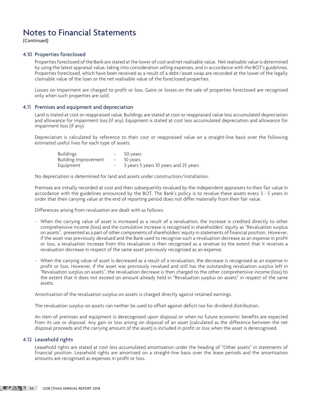(Continued)

### 4.10 Properties foreclosed

Properties foreclosed of the Bank are stated at the lower of cost and net realisable value. Net realisable value is determined by using the latest appraisal value, taking into consideration selling expenses, and in accordance with the BOT's guidelines. Properties foreclosed, which have been received as a result of a debt/asset swap are recorded at the lower of the legally claimable value of the loan or the net realisable value of the foreclosed properties.

 Losses on impairment are charged to profit or loss. Gains or losses on the sale of properties foreclosed are recognised only when such properties are sold.

### 4.11 Premises and equipment and depreciation

 Land is stated at cost or reappraised value. Buildings are stated at cost or reappraised value less accumulated depreciation and allowance for impairment loss (if any). Equipment is stated at cost less accumulated depreciation and allowance for impairment loss (if any).

 Depreciation is calculated by reference to their cost or reappraised value on a straight-line basis over the following estimated useful lives for each type of assets:

| <b>Buildings</b>     | - 50 years                              |
|----------------------|-----------------------------------------|
| Building improvement | - 10 vears                              |
| Equipment            | - 3 years 5 years 10 years and 25 years |

No depreciation is determined for land and assets under construction/installation.

 Premises are initially recorded at cost and then subsequently revalued by the independent appraisers to their fair value in accordance with the guidelines announced by the BOT. The Bank's policy is to revalue these assets every 3 - 5 years in order that their carrying value at the end of reporting period does not differ materially from their fair value.

Differences arising from revaluation are dealt with as follows:

- When the carrying value of asset is increased as a result of a revaluation, the increase is credited directly to other comprehensive income (loss) and the cumulative increase is recognised in shareholders' equity as "Revaluation surplus on assets", presented as a part of other components of shareholders' equity in statements of financial position. However, if the asset was previously devalued and the Bank used to recognise such a revaluation decrease as an expense in profit or loss, a revaluation increase from this revaluation is then recognised as a revenue to the extent that it reverses a revaluation decrease in respect of the same asset previously recognised as an expense.
- When the carrying value of asset is decreased as a result of a revaluation, the decrease is recognised as an expense in profit or loss. However, if the asset was previously revalued and still has the outstanding revaluation surplus left in "Revaluation surplus on assets", the revaluation decrease is then charged to the other comprehensive income (loss) to the extent that it does not exceed on amount already held in "Revaluation surplus on assets" in respect of the same assets.

Amortisation of the revaluation surplus on assets is charged directly against retained earnings.

The revaluation surplus on assets can neither be used to offset against deficit nor for dividend distribution.

 An item of premises and equipment is derecognised upon disposal or when no future economic benefits are expected from its use or disposal. Any gain or loss arising on disposal of an asset (calculated as the difference between the net disposal proceeds and the carrying amount of the asset) is included in profit or loss when the asset is derecognised.

### 4.12 Leasehold rights

 Leasehold rights are stated at cost less accumulated amortisation under the heading of "Other assets" in statements of financial position. Leasehold rights are amortised on a straight-line basis over the lease periods and the amortisation amounts are recognised as expenses in profit or loss.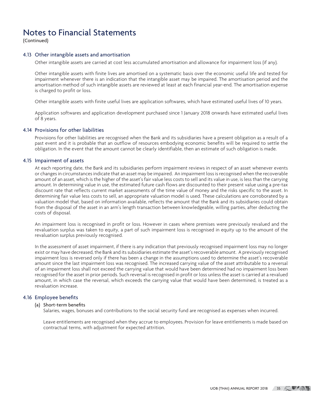(Continued)

### 4.13 Other intangible assets and amortisation

Other intangible assets are carried at cost less accumulated amortisation and allowance for impairment loss (if any).

 Other intangible assets with finite lives are amortised on a systematic basis over the economic useful life and tested for impairment whenever there is an indication that the intangible asset may be impaired. The amortisation period and the amortisation method of such intangible assets are reviewed at least at each financial year-end. The amortisation expense is charged to profit or loss.

Other intangible assets with finite useful lives are application softwares, which have estimated useful lives of 10 years.

 Application softwares and application development purchased since 1 January 2018 onwards have estimated useful lives of 8 years.

### 4.14 Provisions for other liabilities

 Provisions for other liabilities are recognised when the Bank and its subsidiaries have a present obligation as a result of a past event and it is probable that an outflow of resources embodying economic benefits will be required to settle the obligation. In the event that the amount cannot be clearly identifiable, then an estimate of such obligation is made.

### 4.15 Impairment of assets

 At each reporting date, the Bank and its subsidiaries perform impairment reviews in respect of an asset whenever events or changes in circumstances indicate that an asset may be impaired. An impairment loss is recognised when the recoverable amount of an asset, which is the higher of the asset's fair value less costs to sell and its value in use, is less than the carrying amount. In determining value in use, the estimated future cash flows are discounted to their present value using a pre-tax discount rate that reflects current market assessments of the time value of money and the risks specific to the asset. In determining fair value less costs to sell, an appropriate valuation model is used. These calculations are corroborated by a valuation model that, based on information available, reflects the amount that the Bank and its subsidiaries could obtain from the disposal of the asset in an arm's length transaction between knowledgeable, willing parties, after deducting the costs of disposal.

 An impairment loss is recognised in profit or loss. However in cases where premises were previously revalued and the revaluation surplus was taken to equity, a part of such impairment loss is recognised in equity up to the amount of the revaluation surplus previously recognised.

 In the assessment of asset impairment, if there is any indication that previously recognised impairment loss may no longer exist or may have decreased, the Bank and its subsidiaries estimate the asset's recoverable amount. A previously recognised impairment loss is reversed only if there has been a change in the assumptions used to determine the asset's recoverable amount since the last impairment loss was recognised. The increased carrying value of the asset attributable to a reversal of an impairment loss shall not exceed the carrying value that would have been determined had no impairment loss been recognised for the asset in prior periods. Such reversal is recognised in profit or loss unless the asset is carried at a revalued amount, in which case the reversal, which exceeds the carrying value that would have been determined, is treated as a revaluation increase.

### 4.16 Employee benefits

#### (a) Short-term benefits

Salaries, wages, bonuses and contributions to the social security fund are recognised as expenses when incurred.

 Leave entitlements are recognised when they accrue to employees. Provision for leave entitlements is made based on contractual terms, with adjustment for expected attrition.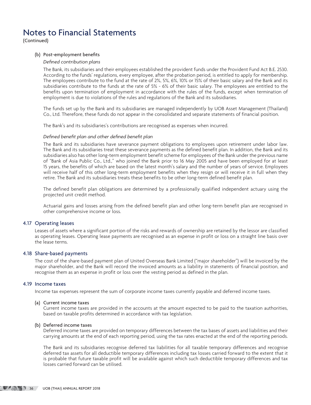(Continued)

### (b) Post-employment benefits

### *Defined contribution plans*

 The Bank, its subsidiaries and their employees established the provident funds under the Provident Fund Act B.E. 2530. According to the funds' regulations, every employee, after the probation period, is entitled to apply for membership. The employees contribute to the fund at the rate of 2%, 5%, 6%, 10% or 15% of their basic salary and the Bank and its subsidiaries contribute to the funds at the rate of 5% - 6% of their basic salary. The employees are entitled to the benefits upon termination of employment in accordance with the rules of the funds, except when termination of employment is due to violations of the rules and regulations of the Bank and its subsidiaries.

 The funds set up by the Bank and its subsidiaries are managed independently by UOB Asset Management (Thailand) Co., Ltd. Therefore, these funds do not appear in the consolidated and separate statements of financial position.

The Bank's and its subsidiaries's contributions are recognised as expenses when incurred.

#### *Defined benefit plan and other defined benefit plan*

 The Bank and its subsidiaries have severance payment obligations to employees upon retirement under labor law. The Bank and its subsidiaries treat these severance payments as the defined benefit plan. In addition, the Bank and its subsidiaries also has other long-term employment benefit scheme for employees of the Bank under the previous name of "Bank of Asia Public Co., Ltd.," who joined the Bank prior to 16 May 2005 and have been employed for at least 15 years, the benefits of which are based on the latest month's salary and the number of years of service. Employees will receive half of this other long-term employment benefits when they resign or will receive it in full when they retire. The Bank and its subsidiaries treats these benefits to be other long-term defined benefit plan.

 The defined benefit plan obligations are determined by a professionally qualified independent actuary using the projected unit credit method.

 Actuarial gains and losses arising from the defined benefit plan and other long-term benefit plan are recognised in other comprehensive income or loss.

#### 4.17 Operating leases

 Leases of assets where a significant portion of the risks and rewards of ownership are retained by the lessor are classified as operating leases. Operating lease payments are recognised as an expense in profit or loss on a straight line basis over the lease terms.

### 4.18 Share-based payments

 The cost of the share-based payment plan of United Overseas Bank Limited ("major shareholder") will be invoiced by the major shareholder, and the Bank will record the invoiced amounts as a liability in statements of financial position, and recognise them as an expense in profit or loss over the vesting period as defined in the plan.

### 4.19 Income taxes

Income tax expenses represent the sum of corporate income taxes currently payable and deferred income taxes.

### (a) Current income taxes

 Current income taxes are provided in the accounts at the amount expected to be paid to the taxation authorities, based on taxable profits determined in accordance with tax legislation.

#### (b) Deferred income taxes

 Deferred income taxes are provided on temporary differences between the tax bases of assets and liabilities and their carrying amounts at the end of each reporting period, using the tax rates enacted at the end of the reporting periods.

 The Bank and its subsidiaries recognise deferred tax liabilities for all taxable temporary differences and recognise deferred tax assets for all deductible temporary differences including tax losses carried forward to the extent that it is probable that future taxable profit will be available against which such deductible temporary differences and tax losses carried forward can be utilised.

**36 UOB (THAI) ANNUAL REPORT 2018**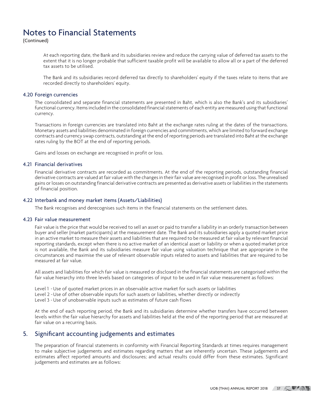(Continued)

 At each reporting date, the Bank and its subsidiaries review and reduce the carrying value of deferred tax assets to the extent that it is no longer probable that sufficient taxable profit will be available to allow all or a part of the deferred tax assets to be utilised.

 The Bank and its subsidiaries record deferred tax directly to shareholders' equity if the taxes relate to items that are recorded directly to shareholders' equity.

#### 4.20 Foreign currencies

 The consolidated and separate financial statements are presented in Baht, which is also the Bank's and its subsidiaries' functional currency. Items included in the consolidated financial statements of each entity are measured using that functional currency.

 Transactions in foreign currencies are translated into Baht at the exchange rates ruling at the dates of the transactions. Monetary assets and liabilities denominated in foreign currencies and commitments, which are limited to forward exchange contracts and currency swap contracts, outstanding at the end of reporting periods are translated into Baht at the exchange rates ruling by the BOT at the end of reporting periods.

Gains and losses on exchange are recognised in profit or loss.

### 4.21 Financial derivatives

 Financial derivative contracts are recorded as commitments. At the end of the reporting periods, outstanding financial derivative contracts are valued at fair value with the changes in their fair value are recognised in profit or loss. The unrealised gains or losses on outstanding financial derivative contracts are presented as derivative assets or liabilities in the statements of financial position.

### 4.22 Interbank and money market items (Assets/Liabilities)

The Bank recognises and derecognises such items in the financial statements on the settlement dates.

### 4.23 Fair value measurement

 Fair value is the price that would be received to sell an asset or paid to transfer a liability in an orderly transaction between buyer and seller (market participants) at the measurement date. The Bank and its subsidiaries apply a quoted market price in an active market to measure their assets and liabilities that are required to be measured at fair value by relevant financial reporting standards, except when there is no active market of an identical asset or liability or when a quoted market price is not available, the Bank and its subsidiaries measure fair value using valuation technique that are appropriate in the circumstances and maximise the use of relevant observable inputs related to assets and liabilities that are required to be measured at fair value.

 All assets and liabilities for which fair value is measured or disclosed in the financial statements are categorised within the fair value hierarchy into three levels based on categories of input to be used in fair value measurement as follows:

Level 1 - Use of quoted market prices in an observable active market for such assets or liabilities

Level 2 - Use of other observable inputs for such assets or liabilities, whether directly or indirectly

Level 3 - Use of unobservable inputs such as estimates of future cash flows

 At the end of each reporting period, the Bank and its subsidiaries determine whether transfers have occurred between levels within the fair value hierarchy for assets and liabilities held at the end of the reporting period that are measured at fair value on a recurring basis.

### 5. Significant accounting judgements and estimates

 The preparation of financial statements in conformity with Financial Reporting Standards at times requires management to make subjective judgements and estimates regarding matters that are inherently uncertain. These judgements and estimates affect reported amounts and disclosures; and actual results could differ from these estimates. Significant judgements and estimates are as follows: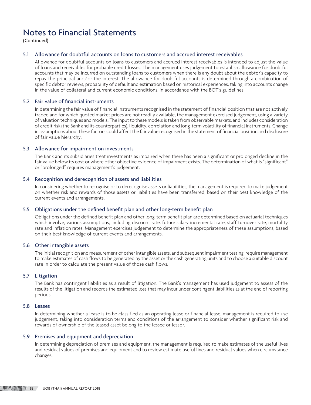(Continued)

### 5.1 Allowance for doubtful accounts on loans to customers and accrued interest receivables

 Allowance for doubtful accounts on loans to customers and accrued interest receivables is intended to adjust the value of loans and receivables for probable credit losses. The management uses judgement to establish allowance for doubtful accounts that may be incurred on outstanding loans to customers when there is any doubt about the debtor's capacity to repay the principal and/or the interest. The allowance for doubtful accounts is determined through a combination of specific debtor reviews, probability of default and estimation based on historical experiences, taking into accounts change in the value of collateral and current economic conditions, in accordance with the BOT's guidelines.

### 5.2 Fair value of financial instruments

 In determining the fair value of financial instruments recognised in the statement of financial position that are not actively traded and for which quoted market prices are not readily available, the management exercised judgement, using a variety of valuation techniques and models. The input to these models is taken from observable markets, and includes consideration of credit risk (the Bank and its counterparties), liquidity, correlation and long-term volatility of financial instruments. Change in assumptions about these factors could affect the fair value recognised in the statement of financial position and disclosure of fair value hierarchy.

### 5.3 Allowance for impairment on investments

 The Bank and its subsidiaries treat investments as impaired when there has been a significant or prolonged decline in the fair value below its cost or where other objective evidence of impairment exists. The determination of what is "significant" or "prolonged" requires management's judgement.

### 5.4 Recognition and derecognition of assets and liabilities

 In considering whether to recognise or to derecognise assets or liabilities, the management is required to make judgement on whether risk and rewards of those assets or liabilities have been transferred, based on their best knowledge of the current events and arrangements.

### 5.5 Obligations under the defined benefit plan and other long-term benefit plan

 Obligations under the defined benefit plan and other long-term benefit plan are determined based on actuarial techniques which involve, various assumptions, including discount rate, future salary incremental rate, staff turnover rate, mortality rate and inflation rates. Management exercises judgement to determine the appropriateness of these assumptions, based on their best knowledge of current events and arrangements.

#### 5.6 Other intangible assets

 The initial recognition and measurement of other intangible assets, and subsequent impairment testing, require management to make estimates of cash flows to be generated by the asset or the cash generating units and to choose a suitable discount rate in order to calculate the present value of those cash flows.

### 5.7 Litigation

 The Bank has contingent liabilities as a result of litigation. The Bank's management has used judgement to assess of the results of the litigation and records the estimated loss that may incur under contingent liabilities as at the end of reporting periods.

#### 5.8 Leases

 In determining whether a lease is to be classified as an operating lease or financial lease, management is required to use judgement, taking into consideration terms and conditions of the arrangement to consider whether significant risk and rewards of ownership of the leased asset belong to the lessee or lessor.

### 5.9 Premises and equipment and depreciation

 In determining depreciation of premises and equipment, the management is required to make estimates of the useful lives and residual values of premises and equipment and to review estimate useful lives and residual values when circumstance changes.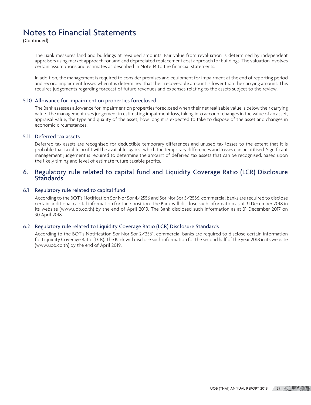(Continued)

 The Bank measures land and buildings at revalued amounts. Fair value from revaluation is determined by independent appraisers using market approach for land and depreciated replacement cost approach for buildings. The valuation involves certain assumptions and estimates as described in Note 14 to the financial statements.

 In addition, the management is required to consider premises and equipment for impairment at the end of reporting period and record impairment losses when it is determined that their recoverable amount is lower than the carrying amount. This requires judgements regarding forecast of future revenues and expenses relating to the assets subject to the review.

### 5.10 Allowance for impairment on properties foreclosed

 The Bank assesses allowance for impairment on properties foreclosed when their net realisable value is below their carrying value. The management uses judgement in estimating impairment loss, taking into account changes in the value of an asset, appraisal value, the type and quality of the asset, how long it is expected to take to dispose of the asset and changes in economic circumstances.

### 5.11 Deferred tax assets

 Deferred tax assets are recognised for deductible temporary differences and unused tax losses to the extent that it is probable that taxable profit will be available against which the temporary differences and losses can be utilised. Significant management judgement is required to determine the amount of deferred tax assets that can be recognised, based upon the likely timing and level of estimate future taxable profits.

### 6. Regulatory rule related to capital fund and Liquidity Coverage Ratio (LCR) Disclosure Standards

### 6.1 Regulatory rule related to capital fund

 According to the BOT's Notification Sor Nor Sor 4/2556 and Sor Nor Sor 5/2556, commercial banks are required to disclose certain additional capital information for their position. The Bank will disclose such information as at 31 December 2018 in its website (www.uob.co.th) by the end of April 2019. The Bank disclosed such information as at 31 December 2017 on 30 April 2018.

### 6.2 Regulatory rule related to Liquidity Coverage Ratio (LCR) Disclosure Standards

 According to the BOT's Notification Sor Nor Sor 2/2561, commercial banks are required to disclose certain information for Liquidity Coverage Ratio (LCR). The Bank will disclose such information for the second half of the year 2018 in its website (www.uob.co.th) by the end of April 2019.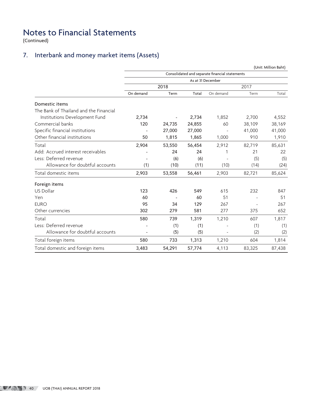(Continued)

## 7. Interbank and money market items (Assets)

|                                        |           |        |                   |                                                |        | (Unit: Million Baht) |
|----------------------------------------|-----------|--------|-------------------|------------------------------------------------|--------|----------------------|
|                                        |           |        |                   | Consolidated and separate financial statements |        |                      |
|                                        |           |        | As at 31 December |                                                |        |                      |
|                                        |           | 2018   |                   |                                                | 2017   |                      |
|                                        | On demand | Term   | Total             | On demand                                      | Term   | Total                |
| Domestic items                         |           |        |                   |                                                |        |                      |
| The Bank of Thailand and the Financial |           |        |                   |                                                |        |                      |
| Institutions Development Fund          | 2,734     |        | 2,734             | 1,852                                          | 2,700  | 4,552                |
| Commercial banks                       | 120       | 24,735 | 24,855            | 60                                             | 38,109 | 38,169               |
| Specific financial institutions        |           | 27,000 | 27,000            |                                                | 41,000 | 41,000               |
| Other financial institutions           | 50        | 1,815  | 1,865             | 1,000                                          | 910    | 1,910                |
| Total                                  | 2,904     | 53,550 | 56,454            | 2,912                                          | 82,719 | 85,631               |
| Add: Accrued interest receivables      |           | 24     | 24                | 1                                              | 21     | 22                   |
| Less: Deferred revenue                 |           | (6)    | (6)               |                                                | (5)    | (5)                  |
| Allowance for doubtful accounts        | (1)       | (10)   | (11)              | (10)                                           | (14)   | (24)                 |
| Total domestic items                   | 2,903     | 53,558 | 56,461            | 2,903                                          | 82,721 | 85,624               |
| Foreign items                          |           |        |                   |                                                |        |                      |
| US Dollar                              | 123       | 426    | 549               | 615                                            | 232    | 847                  |
| Yen                                    | 60        |        | 60                | 51                                             |        | 51                   |
| <b>EURO</b>                            | 95        | 34     | 129               | 267                                            |        | 267                  |
| Other currencies                       | 302       | 279    | 581               | 277                                            | 375    | 652                  |
| Total                                  | 580       | 739    | 1,319             | 1,210                                          | 607    | 1,817                |
| Less: Deferred revenue                 |           | (1)    | (1)               |                                                | (1)    | (1)                  |
| Allowance for doubtful accounts        |           | (5)    | (5)               |                                                | (2)    | (2)                  |
| Total foreign items                    | 580       | 733    | 1,313             | 1,210                                          | 604    | 1,814                |
| Total domestic and foreign items       | 3,483     | 54,291 | 57,774            | 4,113                                          | 83,325 | 87,438               |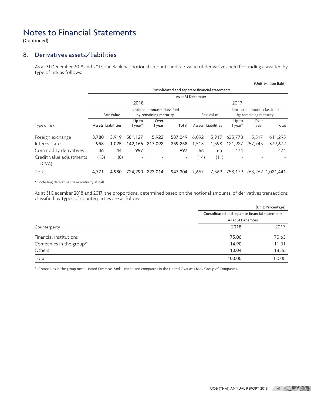(Continued)

### 8. Derivatives assets/liabilities

 As at 31 December 2018 and 2017, the Bank has notional amounts and fair value of derivatives held for trading classified by type of risk as follows:

|                                   | (Unit: Million Baht)                |                    |                  |                             |                                                |                   |                    |                          |                             |                           |
|-----------------------------------|-------------------------------------|--------------------|------------------|-----------------------------|------------------------------------------------|-------------------|--------------------|--------------------------|-----------------------------|---------------------------|
|                                   |                                     |                    |                  |                             | Consolidated and separate financial statements |                   |                    |                          |                             |                           |
|                                   |                                     |                    |                  |                             |                                                | As at 31 December |                    |                          |                             |                           |
|                                   |                                     |                    | 2018             |                             |                                                |                   |                    | 2017                     |                             |                           |
|                                   |                                     |                    |                  | Notional amounts classified |                                                |                   |                    |                          | Notional amounts classified |                           |
|                                   | Fair Value<br>by remaining maturity |                    |                  |                             |                                                |                   | Fair Value         |                          | by remaining maturity       |                           |
| Type of risk                      |                                     | Assets Liabilities | Up to<br>1 year* | Over<br>1 year              | Total                                          |                   | Assets Liabilities | Up to<br>1 year*         | Over<br>1 year              | Total                     |
| Foreign exchange                  | 3,780                               | 3.919              | 581,127          | 5.922                       | 587,049                                        | 6,092             | 5,917              | 635,778                  | 5,517                       | 641,295                   |
| Interest rate                     | 958                                 | 1,025              | 142,166          | 217,092                     | 359,258                                        | 1,513             | 1,598              | 121,927                  | 257,745                     | 379,672                   |
| Commodity derivatives             | 46                                  | 44                 | 997              | $\overline{\phantom{a}}$    | 997                                            | 66                | 65                 | 474                      | $\sim$                      | 474                       |
| Credit value adjustments<br>(CVA) | (13)                                | (8)                | $\overline{a}$   |                             | ٠                                              | (14)              | (11)               | $\overline{\phantom{a}}$ | $\overline{\phantom{a}}$    |                           |
| Total                             | 4,771                               | 4,980              | 724,290          | 223,014                     | 947,304                                        | 7,657             | 7,569              |                          |                             | 758,179 263,262 1,021,441 |

\* Including derivatives have maturity at call.

 As at 31 December 2018 and 2017, the proportions, determined based on the notional amounts, of derivatives transactions classified by types of counterparties are as follows:

|                         |                                                | (Unit: Percentage) |  |  |  |  |
|-------------------------|------------------------------------------------|--------------------|--|--|--|--|
|                         | Consolidated and separate financial statements |                    |  |  |  |  |
|                         | As at 31 December                              |                    |  |  |  |  |
| Counterparty            | 2018                                           | 2017               |  |  |  |  |
| Financial institutions  | 75.06                                          | 70.63              |  |  |  |  |
| Companies in the group* | 14.90                                          | 11.01              |  |  |  |  |
| Others                  | 10.04                                          | 18.36              |  |  |  |  |
| Total                   | 100.00                                         | 100.00             |  |  |  |  |

\* Companies in the group mean United Overseas Bank Limited and companies in the United Overseas Bank Group of Companies.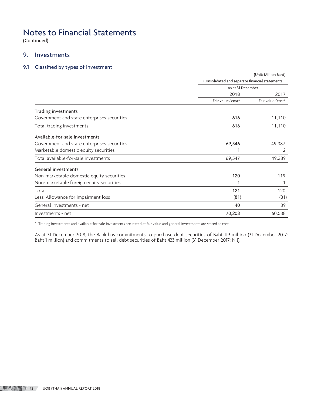(Continued)

### 9. Investments

## 9.1 Classified by types of investment

|                                             |                                                | (Unit: Million Baht) |
|---------------------------------------------|------------------------------------------------|----------------------|
|                                             | Consolidated and separate financial statements |                      |
|                                             | As at 31 December                              |                      |
|                                             | 2018                                           | 2017                 |
|                                             | Fair value/cost*                               | Fair value/cost*     |
| Trading investments                         |                                                |                      |
| Government and state enterprises securities | 616                                            | 11,110               |
| Total trading investments                   | 616                                            | 11,110               |
| Available-for-sale investments              |                                                |                      |
| Government and state enterprises securities | 69,546                                         | 49,387               |
| Marketable domestic equity securities       |                                                | 2                    |
| Total available-for-sale investments        | 69,547                                         | 49,389               |
| General investments                         |                                                |                      |
| Non-marketable domestic equity securities   | 120                                            | 119                  |
| Non-marketable foreign equity securities    |                                                |                      |
| Total                                       | 121                                            | 120                  |
| Less: Allowance for impairment loss         | (81)                                           | (81)                 |
| General investments - net                   | 40                                             | 39                   |
| Investments - net                           | 70,203                                         | 60,538               |

\* Trading investments and available-for-sale investments are stated at fair value and general investments are stated at cost.

 As at 31 December 2018, the Bank has commitments to purchase debt securities of Baht 119 million (31 December 2017: Baht 1 million) and commitments to sell debt securities of Baht 433 million (31 December 2017: Nil).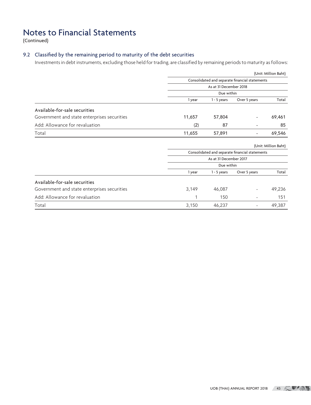(Continued)

### 9.2 Classified by the remaining period to maturity of the debt securities

Investments in debt instruments, excluding those held for trading, are classified by remaining periods to maturity as follows:

|                                             | (Unit: Million Baht) |                        |                                                |                      |  |  |  |
|---------------------------------------------|----------------------|------------------------|------------------------------------------------|----------------------|--|--|--|
|                                             |                      |                        | Consolidated and separate financial statements |                      |  |  |  |
|                                             |                      | As at 31 December 2018 |                                                |                      |  |  |  |
|                                             |                      | Due within             |                                                |                      |  |  |  |
|                                             | 1 year               | $1 - 5$ years          | Over 5 years                                   | Total                |  |  |  |
| Available-for-sale securities               |                      |                        |                                                |                      |  |  |  |
| Government and state enterprises securities | 11,657               | 57,804                 |                                                | 69,461               |  |  |  |
| Add: Allowance for revaluation              | (2)                  | 87                     |                                                | 85                   |  |  |  |
| Total                                       | 11,655               | 57,891                 | $\overline{\phantom{a}}$                       | 69,546               |  |  |  |
|                                             |                      |                        |                                                | (Unit: Million Baht) |  |  |  |
|                                             |                      |                        | Consolidated and separate financial statements |                      |  |  |  |
|                                             |                      | As at 31 December 2017 |                                                |                      |  |  |  |
|                                             |                      | Due within             |                                                |                      |  |  |  |
|                                             | 1 year               | $1 - 5$ years          | Over 5 years                                   | Total                |  |  |  |
| Available-for-sale securities               |                      |                        |                                                |                      |  |  |  |
| Government and state enterprises securities | 3,149                | 46,087                 |                                                | 49,236               |  |  |  |
| Add: Allowance for revaluation              |                      | 150                    |                                                | 151                  |  |  |  |
| Total                                       | 3,150                | 46,237                 |                                                | 49,387               |  |  |  |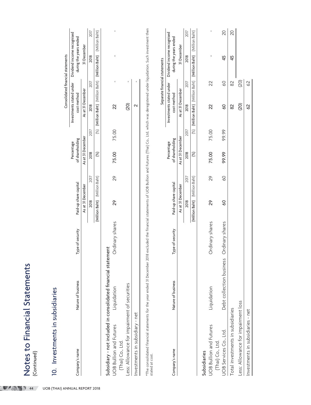| (Continued)                                  | Notes to Financial Statements                                              |                  |                               |                         |                                                              |                                                                                                                                              |                                                      |                |
|----------------------------------------------|----------------------------------------------------------------------------|------------------|-------------------------------|-------------------------|--------------------------------------------------------------|----------------------------------------------------------------------------------------------------------------------------------------------|------------------------------------------------------|----------------|
| 10. Investments in subsidiaries              |                                                                            |                  |                               |                         |                                                              | Consolidated financial statements                                                                                                            |                                                      |                |
| Company's name                               | Nature of business                                                         | Type of security | Paid-up share capital         |                         | of shareholding<br>Percentage                                | Investments stated under<br>cost method                                                                                                      | Dividend income recognised<br>during the years ended |                |
|                                              |                                                                            |                  | As at 31 December             |                         | As at 31 December                                            | As at 31 December                                                                                                                            | 31 December                                          |                |
|                                              |                                                                            |                  | 2018                          | 2017                    | 2017<br>2018                                                 | 2017<br>2018                                                                                                                                 | 2018                                                 | 2017           |
|                                              |                                                                            |                  | (Million Baht) (Million Baht) |                         | (%)<br>8                                                     | (Million Baht) (Million Baht)                                                                                                                | (Million Baht)                                       | (Million Baht) |
|                                              | Subsidiary - not included in consolidated financial statement              |                  |                               |                         |                                                              |                                                                                                                                              |                                                      |                |
| <b>UOB Bullion and Futures</b>               | Liquidation                                                                | Ordinary shares  | 29                            | 75.00<br>29             | 75.00                                                        | 22                                                                                                                                           | I                                                    |                |
| (Thai) Co., Ltd.                             |                                                                            |                  |                               |                         |                                                              |                                                                                                                                              |                                                      |                |
| Less: Allowance for impairment of securities |                                                                            |                  |                               |                         |                                                              | (20)                                                                                                                                         |                                                      |                |
| Investments in subsidiary - net              |                                                                            |                  |                               |                         |                                                              | $\mathbf{\Omega}$                                                                                                                            |                                                      |                |
| stated at cost.                              | *The consolidated financial statements for the year ended 31 December 2018 |                  |                               |                         |                                                              | excluded the financial statements of UOB Bullion and Futures (Thai) Co., Ltd, which was deregistered under liquidation. Such investment then |                                                      |                |
|                                              |                                                                            |                  |                               |                         |                                                              | Separate financial statements                                                                                                                |                                                      |                |
| Company's name                               | Nature of business                                                         | Type of security | Paid-up share capital         |                         | of shareholding<br>Percentage                                | Investments stated under<br>cost method                                                                                                      | Dividend income recognised<br>during the years ended |                |
|                                              |                                                                            |                  | As at 31 December             |                         | As at 31 December                                            | As at 31 December                                                                                                                            | 31 December                                          |                |
|                                              |                                                                            |                  | 2018                          | 2017                    | 2017<br>2018                                                 | 2017<br>2018                                                                                                                                 | 2018                                                 | 2017           |
|                                              |                                                                            |                  | (Million Baht) (Million Baht) |                         | $\begin{pmatrix} 0 \\ 0 \\ 0 \end{pmatrix}$<br>$\mathcal{E}$ | (Million Baht) (Million Baht)                                                                                                                | (Million Baht)                                       | (Million Baht) |
| Subsidiaries                                 |                                                                            |                  |                               |                         |                                                              |                                                                                                                                              |                                                      |                |
| <b>UOB Bullion and Futures</b>               | Liquidation                                                                | Ordinary shares  | 29                            | 75.00<br>29             | 75.00                                                        | 22<br>22                                                                                                                                     | ٠                                                    | $\mathbf I$    |
| (Thai) Co., Ltd.                             |                                                                            |                  |                               |                         |                                                              |                                                                                                                                              |                                                      |                |
| UOB Services Co., Ltd.                       | Debt collection business                                                   | Ordinary shares  | $\infty$                      | 99.99<br>$\overline{6}$ | 99.99                                                        | $\overline{6}$<br>$\infty$                                                                                                                   | 45                                                   | $\overline{C}$ |
| Total investments in subsidiaries            |                                                                            |                  |                               |                         |                                                              | 82<br>82                                                                                                                                     | 45                                                   | $\overline{C}$ |
| Less: Allowance for impairment loss          |                                                                            |                  |                               |                         |                                                              | (20)<br>(20)                                                                                                                                 |                                                      |                |
| hvestments in subsidiaries - net             |                                                                            |                  |                               |                         |                                                              | 62<br>62                                                                                                                                     |                                                      |                |

Notes to Financial Statements (Continued)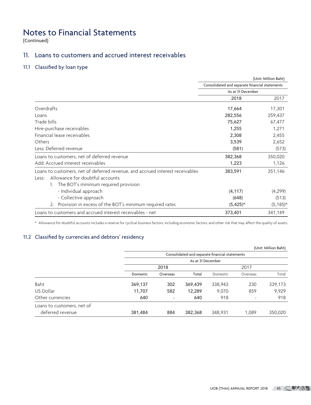(Continued)

## 11. Loans to customers and accrued interest receivables

## 11.1 Classified by loan type

|                                                                               | (Unit: Million Baht)                           |              |  |  |  |
|-------------------------------------------------------------------------------|------------------------------------------------|--------------|--|--|--|
|                                                                               | Consolidated and separate financial statements |              |  |  |  |
|                                                                               | As at 31 December                              |              |  |  |  |
|                                                                               | 2018                                           | 2017         |  |  |  |
| Overdrafts                                                                    | 17,664                                         | 17,301       |  |  |  |
| Loans                                                                         | 282,556                                        | 259,437      |  |  |  |
| Trade bills                                                                   | 75,627                                         | 67,477       |  |  |  |
| Hire-purchase receivables                                                     | 1,255                                          | 1,271        |  |  |  |
| Financial lease receivables                                                   | 2,308                                          | 2,455        |  |  |  |
| Others                                                                        | 3,539                                          | 2,652        |  |  |  |
| Less: Deferred revenue                                                        | (581)                                          | (573)        |  |  |  |
| Loans to customers, net of deferred revenue                                   | 382,368                                        | 350,020      |  |  |  |
| Add: Accrued interest receivables                                             | 1,223                                          | 1,126        |  |  |  |
| Loans to customers, net of deferred revenue, and accrued interest receivables | 383,591                                        | 351,146      |  |  |  |
| Allowance for doubtful accounts<br>Less:                                      |                                                |              |  |  |  |
| The BOT's minimum required provision                                          |                                                |              |  |  |  |
| - Individual approach                                                         | (4, 117)                                       | (4, 299)     |  |  |  |
| - Collective approach                                                         | (648)                                          | (513)        |  |  |  |
| 2. Provision in excess of the BOT's minimum required rates                    | $(5,425)^*$                                    | $(5, 185)^*$ |  |  |  |
| Loans to customers and accrued interest receivables - net                     | 373,401                                        | 341,149      |  |  |  |

\* Allowance for doubtful accounts includes a reserve for cyclical business factors, including economic factors, and other risk that may affect the quality of assets.

### 11.2 Classified by currencies and debtors' residency

|                            |          |                          |                   |                                                |                          | (Unit: Million Baht) |  |
|----------------------------|----------|--------------------------|-------------------|------------------------------------------------|--------------------------|----------------------|--|
|                            |          |                          |                   | Consolidated and separate financial statements |                          |                      |  |
|                            |          |                          | As at 31 December |                                                |                          |                      |  |
|                            |          | 2018                     |                   |                                                | 2017                     |                      |  |
|                            | Domestic | Overseas                 | Total             | Domestic                                       | Overseas                 | Total                |  |
| Baht                       | 369,137  | 302                      | 369,439           | 338,943                                        | 230                      | 339,173              |  |
| US Dollar                  | 11,707   | 582                      | 12,289            | 9,070                                          | 859                      | 9,929                |  |
| Other currencies           | 640      | $\overline{\phantom{a}}$ | 640               | 918                                            | $\overline{\phantom{a}}$ | 918                  |  |
| Loans to customers, net of |          |                          |                   |                                                |                          |                      |  |
| deferred revenue           | 381,484  | 884                      | 382,368           | 348,931                                        | 1.089                    | 350,020              |  |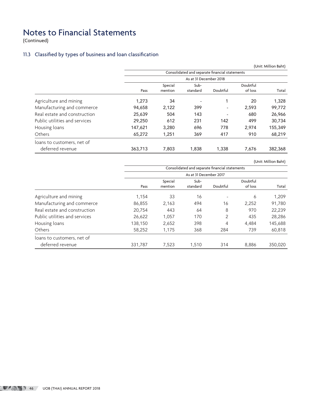(Continued)

## 11.3 Classified by types of business and loan classification

|         |         |          |          |                        | (Unit: Million Baht)                           |
|---------|---------|----------|----------|------------------------|------------------------------------------------|
|         |         |          |          |                        |                                                |
|         |         |          |          |                        |                                                |
|         | Special | Sub-     |          | Doubtful               |                                                |
| Pass    | mention | standard | Doubtful | of loss                | Total                                          |
| 1,273   | 34      | ٠        | 1        | 20                     | 1,328                                          |
| 94,658  | 2,122   | 399      |          | 2,593                  | 99,772                                         |
| 25,639  | 504     | 143      | ۰        | 680                    | 26,966                                         |
| 29,250  | 612     | 231      | 142      | 499                    | 30,734                                         |
| 147,621 | 3,280   | 696      | 778      | 2.974                  | 155,349                                        |
| 65,272  | 1,251   | 369      | 417      | 910                    | 68,219                                         |
|         |         |          |          |                        |                                                |
| 363,713 | 7,803   | 1,838    | 1,338    | 7,676                  | 382,368                                        |
|         |         |          |          | As at 31 December 2018 | Consolidated and separate financial statements |

(Unit: Million Baht)

|                               |         |                    |                        | Consolidated and separate financial statements |                     |         |
|-------------------------------|---------|--------------------|------------------------|------------------------------------------------|---------------------|---------|
|                               |         |                    | As at 31 December 2017 |                                                |                     |         |
|                               | Pass    | Special<br>mention | Sub-<br>standard       | Doubtful                                       | Doubtful<br>of loss | Total   |
| Agriculture and mining        | 1,154   | 33                 | 16                     |                                                | 6                   | 1,209   |
| Manufacturing and commerce    | 86,855  | 2,163              | 494                    | 16                                             | 2,252               | 91,780  |
| Real estate and construction  | 20.754  | 443                | 64                     | 8                                              | 970                 | 22,239  |
| Public utilities and services | 26,622  | 1,057              | 170                    | 2                                              | 435                 | 28,286  |
| Housing loans                 | 138,150 | 2,652              | 398                    | 4                                              | 4.484               | 145,688 |
| Others                        | 58,252  | 1,175              | 368                    | 284                                            | 739                 | 60,818  |
| loans to customers, net of    |         |                    |                        |                                                |                     |         |
| deferred revenue              | 331,787 | 7,523              | 1,510                  | 314                                            | 8,886               | 350,020 |

**46 UOB (THAI) ANNUAL REPORT 2018**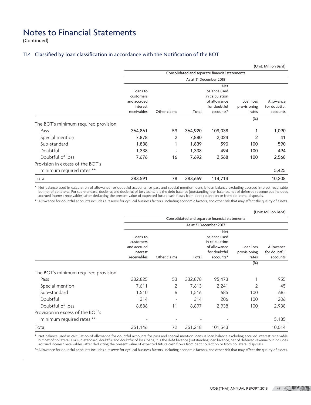(Continued)

.

### 11.4 Classified by loan classification in accordance with the Notification of the BOT

|                                              |                                                  |                          |         |                                                                              |                           | (Unit: Million Baht)      |
|----------------------------------------------|--------------------------------------------------|--------------------------|---------|------------------------------------------------------------------------------|---------------------------|---------------------------|
|                                              |                                                  |                          |         | Consolidated and separate financial statements                               |                           |                           |
|                                              |                                                  |                          |         | As at 31 December 2018                                                       |                           |                           |
|                                              | Loans to<br>customers<br>and accrued<br>interest |                          |         | <b>Net</b><br>balance used<br>in calculation<br>of allowance<br>for doubtful | Loan loss<br>provisioning | Allowance<br>for doubtful |
|                                              | receivables                                      | Other claims             | Total   | accounts*                                                                    | rates                     | accounts                  |
| The BOT's minimum required provision<br>Pass | 364,861                                          | 59                       | 364,920 | 109,038                                                                      | (%)                       | 1,090                     |
| Special mention                              | 7,878                                            | 2                        | 7,880   | 2,024                                                                        | 2                         | 41                        |
| Sub-standard                                 | 1,838                                            |                          | 1,839   | 590                                                                          | 100                       | 590                       |
| Doubtful                                     | 1,338                                            | $\overline{\phantom{a}}$ | 1,338   | 494                                                                          | 100                       | 494                       |
| Doubtful of loss                             | 7,676                                            | 16                       | 7,692   | 2,568                                                                        | 100                       | 2,568                     |
| Provision in excess of the BOT's             |                                                  |                          |         |                                                                              |                           |                           |
| minimum required rates **                    |                                                  | $\overline{\phantom{0}}$ |         |                                                                              |                           | 5,425                     |
| Total                                        | 383,591                                          | 78                       | 383,669 | 114,714                                                                      |                           | 10,208                    |

\* Net balance used in calculation of allowance for doubtful accounts for pass and special mention loans is loan balance excluding accrued interest receivable but net of collateral. For sub-standard, doubtful and doubtful of loss loans, it is the debt balance (outstanding loan balance, net of deferred revenue but includes accrued interest receivables) after deducting the present value of expected future cash flows from debt collection or from collateral disposals.

\*\* Allowance for doubtful accounts includes a reserve for cyclical business factors, including economic factors, and other risk that may affect the quality of assets.

|                                      |                          |                          |         |                                                |                | (Unit: Million Baht) |
|--------------------------------------|--------------------------|--------------------------|---------|------------------------------------------------|----------------|----------------------|
|                                      |                          |                          |         | Consolidated and separate financial statements |                |                      |
|                                      |                          |                          |         | As at 31 December 2017                         |                |                      |
|                                      |                          |                          |         | <b>Net</b>                                     |                |                      |
|                                      | Loans to                 |                          |         | balance used                                   |                |                      |
|                                      | customers<br>and accrued |                          |         | in calculation<br>of allowance                 | Loan loss      | Allowance            |
|                                      | interest                 |                          |         | for doubtful                                   | provisioning   | for doubtful         |
|                                      | receivables              | Other claims             | Total   | accounts*                                      | rates          | accounts             |
|                                      |                          |                          |         |                                                | $(\%)$         |                      |
| The BOT's minimum required provision |                          |                          |         |                                                |                |                      |
| Pass                                 | 332,825                  | 53                       | 332,878 | 95,473                                         |                | 955                  |
| Special mention                      | 7,611                    | 2                        | 7,613   | 2,241                                          | $\overline{2}$ | 45                   |
| Sub-standard                         | 1,510                    | 6                        | 1,516   | 685                                            | 100            | 685                  |
| Doubtful                             | 314                      | $\overline{\phantom{a}}$ | 314     | 206                                            | 100            | 206                  |
| Doubtful of loss                     | 8,886                    | 11                       | 8,897   | 2,938                                          | 100            | 2,938                |
| Provision in excess of the BOT's     |                          |                          |         |                                                |                |                      |
| minimum required rates **            |                          |                          |         |                                                |                | 5,185                |
| Total                                | 351,146                  | 72                       | 351,218 | 101,543                                        |                | 10,014               |

 \* Net balance used in calculation of allowance for doubtful accounts for pass and special mention loans is loan balance excluding accrued interest receivable but net of collateral. For sub-standard, doubtful and doubtful of loss loans, it is the debt balance (outstanding loan balance, net of deferred revenue but includes accrued interest receivables) after deducting the present value of expected future cash flows from debt collection or from collateral disposals.

\*\* Allowance for doubtful accounts includes a reserve for cyclical business factors, including economic factors, and other risk that may affect the quality of assets.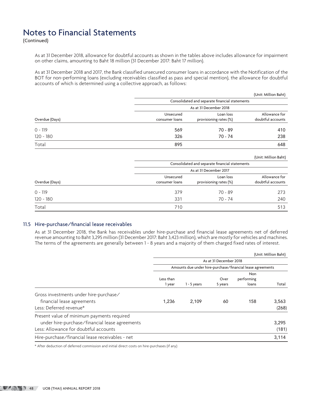(Continued)

 As at 31 December 2018, allowance for doubtful accounts as shown in the tables above includes allowance for impairment on other claims, amounting to Baht 18 million (31 December 2017: Baht 17 million).

 As at 31 December 2018 and 2017, the Bank classified unsecured consumer loans in accordance with the Notification of the BOT for non-performing loans (excluding receivables classified as pass and special mention), the allowance for doubtful accounts of which is determined using a collective approach, as follows:

|                |                        |                                                | (Unit: Million Baht) |  |  |
|----------------|------------------------|------------------------------------------------|----------------------|--|--|
|                |                        | Consolidated and separate financial statements |                      |  |  |
|                | As at 31 December 2018 |                                                |                      |  |  |
|                | Unsecured              | Loan loss                                      | Allowance for        |  |  |
| Overdue (Days) | consumer loans         | provisioning rates (%)                         | doubtful accounts    |  |  |
| $0 - 119$      | 569                    | 70 - 89                                        | 410                  |  |  |
| $120 - 180$    | 326                    | $70 - 74$                                      | 238                  |  |  |
| Total          | 895                    |                                                | 648                  |  |  |

(Unit: Million Baht)

|                |                             | Consolidated and separate financial statements |                                    |
|----------------|-----------------------------|------------------------------------------------|------------------------------------|
|                |                             | As at 31 December 2017                         |                                    |
| Overdue (Days) | Unsecured<br>consumer loans | Loan loss<br>provisioning rates (%)            | Allowance for<br>doubtful accounts |
| $0 - 119$      | 379                         | 70 - 89                                        | 273                                |
| 120 - 180      | 331                         | 70 - 74                                        | 240                                |
| Total          | 710                         |                                                | 513                                |

### 11.5 Hire-purchase/financial lease receivables

 As at 31 December 2018, the Bank has receivables under hire-purchase and financial lease agreements net of deferred revenue amounting to Baht 3,295 million (31 December 2017: Baht 3,423 million), which are mostly for vehicles and machines. The terms of the agreements are generally between 1 - 8 years and a majority of them charged fixed rates of interest.

|                                                 |                        |               |                 |                                                            | (Unit: Million Baht) |
|-------------------------------------------------|------------------------|---------------|-----------------|------------------------------------------------------------|----------------------|
|                                                 | As at 31 December 2018 |               |                 |                                                            |                      |
|                                                 |                        |               |                 | Amounts due under hire-purchase/financial lease agreements |                      |
|                                                 | Less than<br>1 year    | $1 - 5$ years | Over<br>5 years | Non<br>performing<br>loans                                 | Total                |
| Gross investments under hire-purchase/          |                        |               |                 |                                                            |                      |
| financial lease agreements                      | 1,236                  | 2.109         | 60              | 158                                                        | 3,563                |
| Less: Deferred revenue*                         |                        |               |                 |                                                            | (268)                |
| Present value of minimum payments required      |                        |               |                 |                                                            |                      |
| under hire-purchase/financial lease agreements  |                        |               |                 |                                                            | 3,295                |
| Less: Allowance for doubtful accounts           |                        |               |                 |                                                            | (181)                |
| Hire-purchase/financial lease receivables - net |                        |               |                 |                                                            | 3,114                |

\* After deduction of deferred commission and initial direct costs on hire-purchases (if any)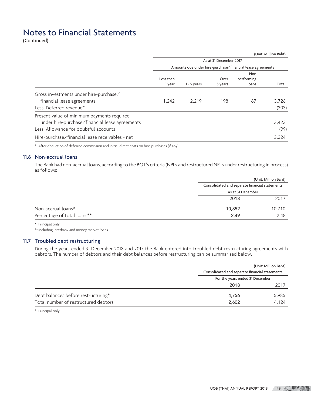(Continued)

|                                                 |                        |               |                 |                                                            | (Unit: Million Baht) |
|-------------------------------------------------|------------------------|---------------|-----------------|------------------------------------------------------------|----------------------|
|                                                 | As at 31 December 2017 |               |                 |                                                            |                      |
|                                                 |                        |               |                 | Amounts due under hire-purchase/financial lease agreements |                      |
|                                                 | Less than<br>1 year    | $1 - 5$ years | Over<br>5 years | Non<br>performing<br>loans                                 | Total                |
| Gross investments under hire-purchase/          |                        |               |                 |                                                            |                      |
| financial lease agreements                      | 1.242                  | 2.219         | 198             | 67                                                         | 3.726                |
| Less: Deferred revenue*                         |                        |               |                 |                                                            | (303)                |
| Present value of minimum payments required      |                        |               |                 |                                                            |                      |
| under hire-purchase/financial lease agreements  |                        |               |                 |                                                            | 3,423                |
| Less: Allowance for doubtful accounts           |                        |               |                 |                                                            | (99)                 |
| Hire-purchase/financial lease receivables - net |                        |               |                 |                                                            | 3,324                |

\* After deduction of deferred commission and initial direct costs on hire-purchases (if any)

### 11.6 Non-accrual loans

 The Bank had non-accrual loans, according to the BOT's criteria (NPLs and restructured NPLs under restructuring in process) as follows:

|                             |                                                | (Unit: Million Baht) |  |  |
|-----------------------------|------------------------------------------------|----------------------|--|--|
|                             | Consolidated and separate financial statements |                      |  |  |
|                             | As at 31 December                              |                      |  |  |
|                             | 2018                                           | 2017                 |  |  |
| Non-accrual loans*          | 10,852                                         | 10,710               |  |  |
| Percentage of total loans** | 2.49                                           | 2.48                 |  |  |

\* Principal only

\*\* Including interbank and money market loans

### 11.7 Troubled debt restructuring

 During the years ended 31 December 2018 and 2017 the Bank entered into troubled debt restructuring agreements with debtors. The number of debtors and their debt balances before restructuring can be summarised below.

|                                      |                                                | (Unit: Million Baht) |
|--------------------------------------|------------------------------------------------|----------------------|
|                                      | Consolidated and separate financial statements |                      |
|                                      | For the years ended 31 December                |                      |
|                                      | 2018                                           | 2017                 |
| Debt balances before restructuring*  | 4,756                                          | 5,985                |
| Total number of restructured debtors | 2,602                                          | 4.124                |

\* Principal only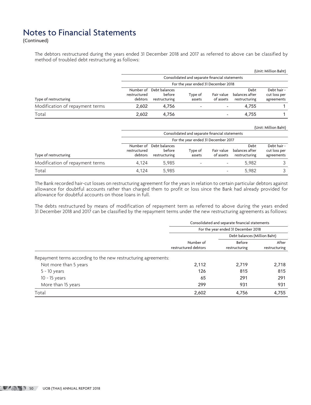(Continued)

 The debtors restructured during the years ended 31 December 2018 and 2017 as referred to above can be classified by method of troubled debt restructuring as follows:

|                                 |                                                |                                                    |                   |                          |                                         | (Unit: Million Baht)                      |
|---------------------------------|------------------------------------------------|----------------------------------------------------|-------------------|--------------------------|-----------------------------------------|-------------------------------------------|
|                                 | Consolidated and separate financial statements |                                                    |                   |                          |                                         |                                           |
|                                 | For the year ended 31 December 2018            |                                                    |                   |                          |                                         |                                           |
| Type of restructuring           | restructured<br>debtors                        | Number of Debt balances<br>before<br>restructuring | Type of<br>assets | Fair value<br>of assets  | Debt<br>balances after<br>restructuring | Debt hair -<br>cut loss per<br>agreements |
| Modification of repayment terms | 2,602                                          | 4,756                                              |                   | $\overline{\phantom{0}}$ | 4,755                                   |                                           |
| Total                           | 2,602                                          | 4,756                                              |                   | $\overline{\phantom{0}}$ | 4.755                                   |                                           |

|                                     |                         |                                                    |                                                |                         |                                         | (Unit: Million Baht)                      |
|-------------------------------------|-------------------------|----------------------------------------------------|------------------------------------------------|-------------------------|-----------------------------------------|-------------------------------------------|
|                                     |                         |                                                    | Consolidated and separate financial statements |                         |                                         |                                           |
| For the year ended 31 December 2017 |                         |                                                    |                                                |                         |                                         |                                           |
| Type of restructuring               | restructured<br>debtors | Number of Debt balances<br>before<br>restructuring | Type of<br>assets                              | Fair value<br>of assets | Debt<br>balances after<br>restructuring | Debt hair -<br>cut loss per<br>agreements |
| Modification of repayment terms     | 4.124                   | 5,985                                              |                                                | -                       | 5.982                                   |                                           |
| Total                               | 4.124                   | 5.985                                              |                                                | -                       | 5.982                                   |                                           |

 The Bank recorded hair-cut losses on restructuring agreement for the years in relation to certain particular debtors against allowance for doubtful accounts rather than charged them to profit or loss since the Bank had already provided for allowance for doubtful accounts on those loans in full.

 The debts restructured by means of modification of repayment term as referred to above during the years ended 31 December 2018 and 2017 can be classified by the repayment terms under the new restructuring agreements as follows:

|                                                                |                                   | Consolidated and separate financial statements |                        |  |  |  |
|----------------------------------------------------------------|-----------------------------------|------------------------------------------------|------------------------|--|--|--|
|                                                                |                                   | For the year ended 31 December 2018            |                        |  |  |  |
|                                                                |                                   | Debt balances (Million Baht)                   |                        |  |  |  |
|                                                                | Number of<br>restructured debtors | Before<br>restructuring                        | After<br>restructuring |  |  |  |
| Repayment terms according to the new restructuring agreements: |                                   |                                                |                        |  |  |  |
| Not more than 5 years                                          | 2,112                             | 2,719                                          | 2,718                  |  |  |  |
| $5 - 10$ years                                                 | 126                               | 815                                            | 815                    |  |  |  |
| $10 - 15$ years                                                | 65                                | 291                                            | 291                    |  |  |  |
| More than 15 years                                             | 299                               | 931                                            | 931                    |  |  |  |
| Total                                                          | 2,602                             | 4.756                                          | 4,755                  |  |  |  |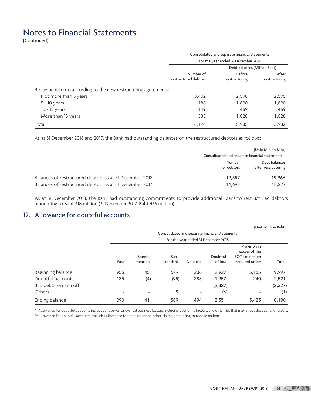(Continued)

|                                                                |                                   | Consolidated and separate financial statements<br>For the year ended 31 December 2017 |                        |  |  |  |
|----------------------------------------------------------------|-----------------------------------|---------------------------------------------------------------------------------------|------------------------|--|--|--|
|                                                                |                                   |                                                                                       |                        |  |  |  |
|                                                                |                                   | Debt balances (Million Baht)                                                          |                        |  |  |  |
|                                                                | Number of<br>restructured debtors | Before<br>restructuring                                                               | After<br>restructuring |  |  |  |
| Repayment terms according to the new restructuring agreements: |                                   |                                                                                       |                        |  |  |  |
| Not more than 5 years                                          | 3,402                             | 2,598                                                                                 | 2,595                  |  |  |  |
| 5 - 10 years                                                   | 188                               | 1,890                                                                                 | 1,890                  |  |  |  |
| $10 - 15$ years                                                | 149                               | 469                                                                                   | 469                    |  |  |  |
| More than 15 years                                             | 385                               | 1,028                                                                                 | 1,028                  |  |  |  |
| Total                                                          | 4,124                             | 5,985                                                                                 | 5,982                  |  |  |  |

As at 31 December 2018 and 2017, the Bank had outstanding balances on the restructured debtors as follows:

|                                                         |                                                | (Unit: Million Baht)                 |
|---------------------------------------------------------|------------------------------------------------|--------------------------------------|
|                                                         | Consolidated and separate financial statements |                                      |
|                                                         | Number<br>of debtors                           | Debt balances<br>after restructuring |
| Balances of restructured debtors as at 31 December 2018 | 12.557                                         | 19,966                               |
| Balances of restructured debtors as at 31 December 2017 | 14.693                                         | 18.227                               |

 As at 31 December 2018, the Bank had outstanding commitments to provide additional loans to restructured debtors amounting to Baht 418 million (31 December 2017: Baht 436 million).

## 12. Allowance for doubtful accounts

|                       |                                     |                          |                                                |                          |                     |                                                                          | (Unit: Million Baht) |  |
|-----------------------|-------------------------------------|--------------------------|------------------------------------------------|--------------------------|---------------------|--------------------------------------------------------------------------|----------------------|--|
|                       |                                     |                          | Consolidated and separate financial statements |                          |                     |                                                                          |                      |  |
|                       | For the year ended 31 December 2018 |                          |                                                |                          |                     |                                                                          |                      |  |
|                       | Pass                                | Special<br>mention       | Sub-<br>standard                               | Doubtful                 | Doubtful<br>of loss | Provision in<br>excess of the<br><b>BOT's minimum</b><br>required rates* | Total                |  |
| Beginning balance     | 955                                 | 45                       | 679                                            | 206                      | 2.927               | 5,185                                                                    | 9,997                |  |
| Doubtful accounts     | 135                                 | (4)                      | (95)                                           | 288                      | 1,957               | 240                                                                      | 2,521                |  |
| Bad debts written off | $\overline{\phantom{a}}$            | $\overline{\phantom{a}}$ | $\overline{\phantom{a}}$                       | $\overline{\phantom{a}}$ | (2,327)             | $\overline{\phantom{a}}$                                                 | (2,327)              |  |
| <b>Others</b>         | ٠                                   | $\overline{\phantom{a}}$ | 5                                              | $\overline{\phantom{a}}$ | (6)                 | -                                                                        | (1)                  |  |
| Ending balance        | 1,090                               | 41                       | 589                                            | 494                      | 2,551               | 5,425                                                                    | 10,190               |  |

 \* Allowance for doubtful accounts includes a reserve for cyclical business factors, including economic factors, and other risk that may affect the quality of assets. \*\* Allowance for doubtful accounts excludes allowance for impairment on other claims, amounting to Baht 18 million.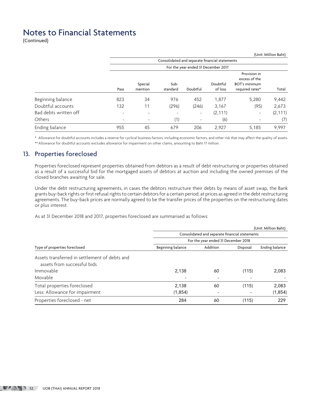(Continued)

|                       |                                     |                          |                                                |                          |                     |                                                                          | (Unit: Million Baht) |
|-----------------------|-------------------------------------|--------------------------|------------------------------------------------|--------------------------|---------------------|--------------------------------------------------------------------------|----------------------|
|                       |                                     |                          | Consolidated and separate financial statements |                          |                     |                                                                          |                      |
|                       | For the year ended 31 December 2017 |                          |                                                |                          |                     |                                                                          |                      |
|                       | Pass                                | Special<br>mention       | Sub-<br>standard                               | Doubtful                 | Doubtful<br>of loss | Provision in<br>excess of the<br><b>BOT's minimum</b><br>required rates* | Total                |
| Beginning balance     | 823                                 | 34                       | 976                                            | 452                      | 1,877               | 5,280                                                                    | 9,442                |
| Doubtful accounts     | 132                                 | 11                       | (296)                                          | (246)                    | 3,167               | (95)                                                                     | 2,673                |
| Bad debts written off | $\overline{\phantom{a}}$            | $\overline{\phantom{a}}$ | $\overline{\phantom{a}}$                       | $\overline{\phantom{a}}$ | (2, 111)            | -                                                                        | (2, 111)             |
| <b>Others</b>         |                                     | -                        | (1)                                            | $\overline{\phantom{m}}$ | (6)                 | $\overline{\phantom{a}}$                                                 | (7)                  |
| Ending balance        | 955                                 | 45                       | 679                                            | 206                      | 2,927               | 5,185                                                                    | 9,997                |

 \* Allowance for doubtful accounts includes a reserve for cyclical business factors, including economic factors, and other risk that may affect the quality of assets. \*\* Allowance for doubtful accounts excludes allowance for impairment on other claims, amounting to Baht 17 million.

## 13. Properties foreclosed

 Properties foreclosed represent properties obtained from debtors as a result of debt restructuring or properties obtained as a result of a successful bid for the mortgaged assets of debtors at auction and including the owned premises of the closed branches awaiting for sale.

 Under the debt restructuring agreements, in cases the debtors restructure their debts by means of asset swap, the Bank grants buy-back rights or first refusal rights to certain debtors for a certain period, at prices as agreed in the debt restructuring agreements. The buy-back prices are normally agreed to be the transfer prices of the properties on the restructuring dates or plus interest.

As at 31 December 2018 and 2017, properties foreclosed are summarised as follows:

|                                               |                                                |                                     |                          | (Unit: Million Baht)  |  |  |  |
|-----------------------------------------------|------------------------------------------------|-------------------------------------|--------------------------|-----------------------|--|--|--|
|                                               | Consolidated and separate financial statements |                                     |                          |                       |  |  |  |
|                                               |                                                | For the year ended 31 December 2018 |                          |                       |  |  |  |
| Type of properties foreclosed                 | Beginning balance                              | Addition                            | Disposal                 | <b>Ending balance</b> |  |  |  |
| Assets transferred in settlement of debts and |                                                |                                     |                          |                       |  |  |  |
| assets from successful bids                   |                                                |                                     |                          |                       |  |  |  |
| Immovable                                     | 2.138                                          | 60                                  | (115)                    | 2.083                 |  |  |  |
| Movable                                       |                                                |                                     | $\overline{\phantom{a}}$ |                       |  |  |  |
| Total properties foreclosed                   | 2.138                                          | 60                                  | (115)                    | 2.083                 |  |  |  |
| Less: Allowance for impairment                | (1,854)                                        |                                     | $\overline{\phantom{a}}$ | (1,854)               |  |  |  |
| Properties foreclosed - net                   | 284                                            | 60                                  | (115)                    | 229                   |  |  |  |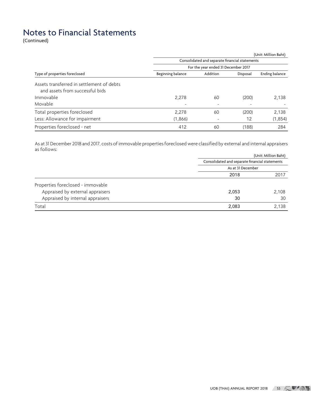(Continued)

|                                                                              |                                                                                       |          |          | (Unit: Million Baht) |  |  |  |
|------------------------------------------------------------------------------|---------------------------------------------------------------------------------------|----------|----------|----------------------|--|--|--|
|                                                                              | Consolidated and separate financial statements<br>For the year ended 31 December 2017 |          |          |                      |  |  |  |
|                                                                              |                                                                                       |          |          |                      |  |  |  |
| Type of properties foreclosed                                                | Beginning balance                                                                     | Addition | Disposal | Ending balance       |  |  |  |
| Assets transferred in settlement of debts<br>and assets from successful bids |                                                                                       |          |          |                      |  |  |  |
| Immovable                                                                    | 2,278                                                                                 | 60       | (200)    | 2,138                |  |  |  |
| Movable                                                                      |                                                                                       |          |          |                      |  |  |  |
| Total properties foreclosed                                                  | 2.278                                                                                 | 60       | (200)    | 2,138                |  |  |  |
| Less: Allowance for impairment                                               | (1,866)                                                                               |          | 12       | (1, 854)             |  |  |  |
| Properties foreclosed - net                                                  | 412                                                                                   | 60       | (188)    | 284                  |  |  |  |

 As at 31 December 2018 and 2017, costs of immovable properties foreclosed were classified by external and internal appraisers as follows:

|                                   |                                                | (Unit: Million Baht) |
|-----------------------------------|------------------------------------------------|----------------------|
|                                   | Consolidated and separate financial statements |                      |
|                                   | As at 31 December                              |                      |
|                                   | 2018                                           | 2017                 |
| Properties foreclosed - immovable |                                                |                      |
| Appraised by external appraisers  | 2,053                                          | 2,108                |
| Appraised by internal appraisers  | 30                                             | 30                   |
| Total                             | 2,083                                          | 2,138                |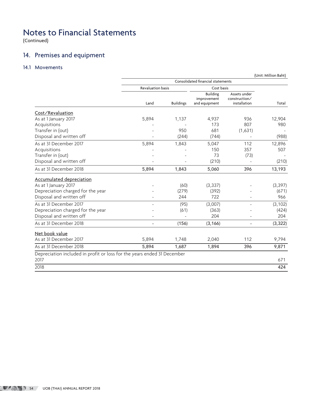(Continued)

# 14. Premises and equipment

### 14.1 Movements

|                                                                         |                          |                  | Consolidated financial statements               |                                               | (Unit: Million Baht) |
|-------------------------------------------------------------------------|--------------------------|------------------|-------------------------------------------------|-----------------------------------------------|----------------------|
|                                                                         | <b>Revaluation basis</b> | Cost basis       |                                                 |                                               |                      |
|                                                                         | Land                     | <b>Buildings</b> | <b>Building</b><br>improvement<br>and equipment | Assets under<br>construction/<br>installation | Total                |
| Cost/Revaluation                                                        |                          |                  |                                                 |                                               |                      |
| As at 1 January 2017                                                    | 5,894                    | 1,137            | 4,937                                           | 936                                           | 12,904               |
| Acquisitions                                                            |                          |                  | 173                                             | 807                                           | 980                  |
| Transfer in (out)                                                       |                          | 950              | 681                                             | (1,631)                                       |                      |
| Disposal and written off                                                |                          | (244)            | (744)                                           |                                               | (988)                |
| As at 31 December 2017                                                  | 5,894                    | 1,843            | 5,047                                           | 112                                           | 12,896               |
| Acquisitions                                                            |                          |                  | 150                                             | 357                                           | 507                  |
| Transfer in (out)                                                       |                          |                  | 73                                              | (73)                                          |                      |
| Disposal and written off                                                |                          |                  | (210)                                           |                                               | (210)                |
| As at 31 December 2018                                                  | 5,894                    | 1,843            | 5,060                                           | 396                                           | 13,193               |
| <b>Accumulated depreciation</b>                                         |                          |                  |                                                 |                                               |                      |
| As at 1 January 2017                                                    |                          | (60)             | (3, 337)                                        |                                               | (3, 397)             |
| Depreciation charged for the year                                       |                          | (279)            | (392)                                           |                                               | (671)                |
| Disposal and written off                                                |                          | 244              | 722                                             |                                               | 966                  |
| As at 31 December 2017                                                  |                          | (95)             | (3,007)                                         |                                               | (3, 102)             |
| Depreciation charged for the year                                       |                          | (61)             | (363)                                           |                                               | (424)                |
| Disposal and written off                                                |                          |                  | 204                                             |                                               | 204                  |
| As at 31 December 2018                                                  | $\overline{\phantom{a}}$ | (156)            | (3, 166)                                        | $\blacksquare$                                | (3, 322)             |
| Net book value                                                          |                          |                  |                                                 |                                               |                      |
| As at 31 December 2017                                                  | 5,894                    | 1,748            | 2,040                                           | 112                                           | 9,794                |
| As at 31 December 2018                                                  | 5,894                    | 1,687            | 1,894                                           | 396                                           | 9,871                |
| Depreciation included in profit or loss for the years ended 31 December |                          |                  |                                                 |                                               |                      |
| 2017                                                                    |                          |                  |                                                 |                                               | 671                  |
| 2018                                                                    |                          |                  |                                                 |                                               | 424                  |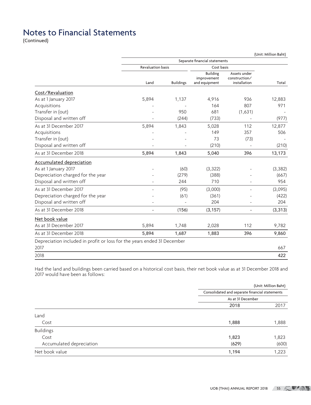(Continued)

|                                                                         |                          |                  |                                                 |                                               | (Unit: Million Baht) |
|-------------------------------------------------------------------------|--------------------------|------------------|-------------------------------------------------|-----------------------------------------------|----------------------|
|                                                                         |                          |                  | Separate financial statements                   |                                               |                      |
|                                                                         | <b>Revaluation basis</b> |                  | Cost basis                                      |                                               |                      |
|                                                                         | Land                     | <b>Buildings</b> | <b>Building</b><br>improvement<br>and equipment | Assets under<br>construction/<br>installation | Total                |
| Cost/Revaluation                                                        |                          |                  |                                                 |                                               |                      |
| As at 1 January 2017                                                    | 5,894                    | 1,137            | 4,916                                           | 936                                           | 12,883               |
| Acquisitions                                                            |                          |                  | 164                                             | 807                                           | 971                  |
| Transfer in (out)                                                       |                          | 950              | 681                                             | (1,631)                                       |                      |
| Disposal and written off                                                |                          | (244)            | (733)                                           |                                               | (977)                |
| As at 31 December 2017                                                  | 5,894                    | 1,843            | 5,028                                           | 112                                           | 12,877               |
| Acquisitions                                                            |                          |                  | 149                                             | 357                                           | 506                  |
| Transfer in (out)                                                       |                          |                  | 73                                              | (73)                                          |                      |
| Disposal and written off                                                |                          |                  | (210)                                           |                                               | (210)                |
| As at 31 December 2018                                                  | 5,894                    | 1,843            | 5,040                                           | 396                                           | 13,173               |
| <b>Accumulated depreciation</b>                                         |                          |                  |                                                 |                                               |                      |
| As at 1 January 2017                                                    |                          | (60)             | (3,322)                                         |                                               | (3, 382)             |
| Depreciation charged for the year                                       |                          | (279)            | (388)                                           |                                               | (667)                |
| Disposal and written off                                                |                          | 244              | 710                                             |                                               | 954                  |
| As at 31 December 2017                                                  |                          | (95)             | (3,000)                                         |                                               | (3,095)              |
| Depreciation charged for the year                                       |                          | (61)             | (361)                                           |                                               | (422)                |
| Disposal and written off                                                |                          |                  | 204                                             |                                               | 204                  |
| As at 31 December 2018                                                  |                          | (156)            | (3, 157)                                        | $\overline{\phantom{a}}$                      | (3, 313)             |
| Net book value                                                          |                          |                  |                                                 |                                               |                      |
| As at 31 December 2017                                                  | 5,894                    | 1,748            | 2,028                                           | 112                                           | 9,782                |
| As at 31 December 2018                                                  | 5,894                    | 1,687            | 1,883                                           | 396                                           | 9,860                |
| Depreciation included in profit or loss for the years ended 31 December |                          |                  |                                                 |                                               |                      |
| 2017                                                                    |                          |                  |                                                 |                                               | 667                  |
| 2018                                                                    |                          |                  |                                                 |                                               | 422                  |

 Had the land and buildings been carried based on a historical cost basis, their net book value as at 31 December 2018 and 2017 would have been as follows:

|                          |                                                                     | (Unit: Million Baht) |  |
|--------------------------|---------------------------------------------------------------------|----------------------|--|
|                          | Consolidated and separate financial statements<br>As at 31 December |                      |  |
|                          |                                                                     |                      |  |
|                          | 2018                                                                | 2017                 |  |
| Land                     |                                                                     |                      |  |
| Cost                     | 1,888                                                               | 1,888                |  |
| <b>Buildings</b>         |                                                                     |                      |  |
| Cost                     | 1,823                                                               | 1,823                |  |
| Accumulated depreciation | (629)                                                               | (600)                |  |
| Net book value           | 1,194                                                               | 1,223                |  |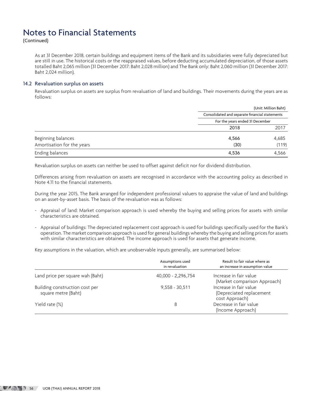(Continued)

 As at 31 December 2018, certain buildings and equipment items of the Bank and its subsidiaries were fully depreciated but are still in use. The historical costs or the reappraised values, before deducting accumulated depreciation, of those assets totalled Baht 2,065 million (31 December 2017: Baht 2,028 million) and The Bank only: Baht 2,060 million (31 December 2017: Baht 2,024 million).

### 14.2 Revaluation surplus on assets

 Revaluation surplus on assets are surplus from revaluation of land and buildings. Their movements during the years are as follows:

|                            |                                                | (Unit: Million Baht) |
|----------------------------|------------------------------------------------|----------------------|
|                            | Consolidated and separate financial statements |                      |
|                            | For the years ended 31 December                |                      |
|                            | 2018                                           | 2017                 |
| Beginning balances         | 4,566                                          | 4,685                |
| Amortisation for the years | (30)                                           | (119)                |
| Ending balances            | 4,536                                          | 4,566                |

Revaluation surplus on assets can neither be used to offset against deficit nor for dividend distribution.

 Differences arising from revaluation on assets are recognised in accordance with the accounting policy as described in Note 4.11 to the financial statements.

 During the year 2015, The Bank arranged for independent professional valuers to appraise the value of land and buildings on an asset-by-asset basis. The basis of the revaluation was as follows:

- Appraisal of land: Market comparison approach is used whereby the buying and selling prices for assets with similar characteristics are obtained.
- Appraisal of buildings: The depreciated replacement cost approach is used for buildings specifically used for the Bank's operation. The market comparison approach is used for general buildings whereby the buying and selling prices for assets with similar characteristics are obtained. The income approach is used for assets that generate income.

Key assumptions in the valuation, which are unobservable inputs generally, are summarised below:

|                                                       | Assumptions used<br>in revaluation | Result to fair value where as<br>an increase in assumption value     |
|-------------------------------------------------------|------------------------------------|----------------------------------------------------------------------|
| Land price per square wah (Baht)                      | 40,000 - 2,296,754                 | Increase in fair value<br>(Market comparison Approach)               |
| Building construction cost per<br>square metre (Baht) | $9,558 - 30,511$                   | Increase in fair value<br>(Depreciated replacement<br>cost Approach) |
| Yield rate (%)                                        | 8                                  | Decrease in fair value<br>(Income Approach)                          |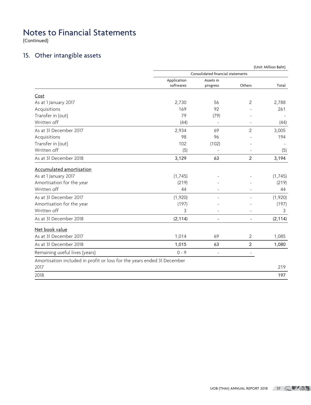(Continued)

## 15. Other intangible assets

|                                                                         | (Unit: Million Baht)     |                                   |                          |          |
|-------------------------------------------------------------------------|--------------------------|-----------------------------------|--------------------------|----------|
|                                                                         |                          | Consolidated financial statements |                          |          |
|                                                                         | Application<br>softwares | Assets in                         |                          |          |
|                                                                         |                          | progress                          | Others                   | Total    |
| Cost                                                                    |                          |                                   |                          |          |
| As at 1 January 2017                                                    | 2,730                    | 56                                | 2                        | 2,788    |
| Acquisitions                                                            | 169                      | 92                                |                          | 261      |
| Transfer in (out)                                                       | 79                       | (79)                              |                          |          |
| Written off                                                             | (44)                     |                                   |                          | (44)     |
| As at 31 December 2017                                                  | 2,934                    | 69                                | 2                        | 3,005    |
| Acquisitions                                                            | 98                       | 96                                |                          | 194      |
| Transfer in (out)                                                       | 102                      | (102)                             |                          |          |
| Written off                                                             | (5)                      |                                   |                          | (5)      |
| As at 31 December 2018                                                  | 3,129                    | 63                                | 2                        | 3,194    |
| Accumulated amortisation                                                |                          |                                   |                          |          |
| As at 1 January 2017                                                    | (1,745)                  |                                   |                          | (1,745)  |
| Amortisation for the year                                               | (219)                    |                                   |                          | (219)    |
| Written off                                                             | 44                       |                                   |                          | 44       |
| As at 31 December 2017                                                  | (1,920)                  |                                   |                          | (1,920)  |
| Amortisation for the year                                               | (197)                    |                                   |                          | (197)    |
| Written off                                                             | 3                        |                                   |                          | 3        |
| As at 31 December 2018                                                  | (2, 114)                 | $\overline{\phantom{a}}$          | $\overline{\phantom{a}}$ | (2, 114) |
| Net book value                                                          |                          |                                   |                          |          |
| As at 31 December 2017                                                  | 1,014                    | 69                                | 2                        | 1,085    |
| As at 31 December 2018                                                  | 1,015                    | 63                                | $\overline{2}$           | 1,080    |
| Remaining useful lives (years)                                          | $0 - 9$                  | $\overline{\phantom{a}}$          | $\overline{\phantom{a}}$ |          |
| Amortisation included in profit or loss for the years ended 31 December |                          |                                   |                          |          |
| 2017                                                                    |                          |                                   |                          | 219      |
| 2018                                                                    |                          |                                   |                          | 197      |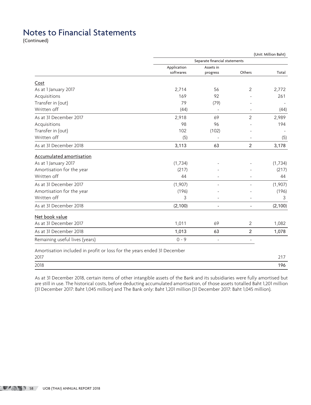(Continued)

|                                                                         |                          |                               |                          | (Unit: Million Baht) |
|-------------------------------------------------------------------------|--------------------------|-------------------------------|--------------------------|----------------------|
|                                                                         |                          | Separate financial statements |                          |                      |
|                                                                         | Application<br>softwares | Assets in<br>progress         | Others                   | Total                |
| Cost                                                                    |                          |                               |                          |                      |
| As at 1 January 2017                                                    | 2,714                    | 56                            | 2                        | 2,772                |
| Acquisitions                                                            | 169                      | 92                            |                          | 261                  |
| Transfer in (out)                                                       | 79                       | (79)                          |                          |                      |
| Written off                                                             | (44)                     | $\sim$                        |                          | (44)                 |
| As at 31 December 2017                                                  | 2,918                    | 69                            | $\overline{2}$           | 2,989                |
| Acquisitions                                                            | 98                       | 96                            |                          | 194                  |
| Transfer in (out)                                                       | 102                      | (102)                         |                          |                      |
| Written off                                                             | (5)                      |                               |                          | (5)                  |
| As at 31 December 2018                                                  | 3,113                    | 63                            | $\overline{2}$           | 3,178                |
| Accumulated amortisation                                                |                          |                               |                          |                      |
| As at 1 January 2017                                                    | (1,734)                  |                               |                          | (1,734)              |
| Amortisation for the year                                               | (217)                    |                               |                          | (217)                |
| Written off                                                             | 44                       |                               |                          | 44                   |
| As at 31 December 2017                                                  | (1,907)                  |                               |                          | (1,907)              |
| Amortisation for the year                                               | (196)                    |                               |                          | (196)                |
| Written off                                                             | 3                        |                               |                          | 3                    |
| As at 31 December 2018                                                  | (2, 100)                 |                               |                          | (2, 100)             |
| Net book value                                                          |                          |                               |                          |                      |
| As at 31 December 2017                                                  | 1,011                    | 69                            | 2                        | 1,082                |
| As at 31 December 2018                                                  | 1,013                    | 63                            | $\overline{2}$           | 1,078                |
| Remaining useful lives (years)                                          | $0 - 9$                  | $\overline{\phantom{a}}$      | $\overline{\phantom{a}}$ |                      |
| Amortisation included in profit or loss for the years ended 31 December |                          |                               |                          |                      |
| 2017                                                                    |                          |                               |                          | 217                  |
| 2018                                                                    |                          |                               |                          | 196                  |

 As at 31 December 2018, certain items of other intangible assets of the Bank and its subsidiaries were fully amortised but are still in use. The historical costs, before deducting accumulated amortisation, of those assets totalled Baht 1,201 million (31 December 2017: Baht 1,045 million) and The Bank only: Baht 1,201 million (31 December 2017: Baht 1,045 million).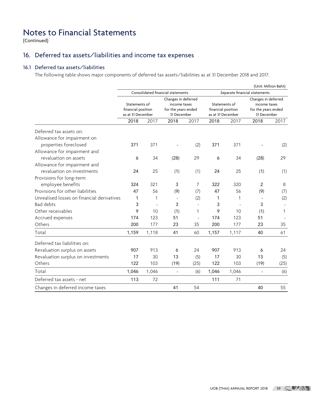(Continued)

## 16. Deferred tax assets/liabilities and income tax expenses

## 16.1 Deferred tax assets/liabilities

The following table shows major components of deferred tax assets/liabilities as at 31 December 2018 and 2017.

|                                            |       |                                                          |                                   |                                                                           |       |                                                          |                                                                           | (Unit: Million Baht) |
|--------------------------------------------|-------|----------------------------------------------------------|-----------------------------------|---------------------------------------------------------------------------|-------|----------------------------------------------------------|---------------------------------------------------------------------------|----------------------|
|                                            |       |                                                          | Consolidated financial statements |                                                                           |       |                                                          | Separate financial statements                                             |                      |
|                                            |       | Statements of<br>financial position<br>as at 31 December |                                   | Changes in deferred<br>income taxes<br>for the years ended<br>31 December |       | Statements of<br>financial position<br>as at 31 December | Changes in deferred<br>income taxes<br>for the years ended<br>31 December |                      |
|                                            | 2018  | 2017                                                     | 2018                              | 2017                                                                      | 2018  | 2017                                                     | 2018                                                                      | 2017                 |
| Deferred tax assets on:                    |       |                                                          |                                   |                                                                           |       |                                                          |                                                                           |                      |
| Allowance for impairment on                |       |                                                          |                                   |                                                                           |       |                                                          |                                                                           |                      |
| properties foreclosed                      | 371   | 371                                                      |                                   | (2)                                                                       | 371   | 371                                                      |                                                                           | (2)                  |
| Allowance for impairment and               |       |                                                          |                                   |                                                                           |       |                                                          |                                                                           |                      |
| revaluation on assets                      | 6     | 34                                                       | (28)                              | 29                                                                        | 6     | 34                                                       | (28)                                                                      | 29                   |
| Allowance for impairment and               |       |                                                          |                                   |                                                                           |       |                                                          |                                                                           |                      |
| revaluation on investments                 | 24    | 25                                                       | (1)                               | (1)                                                                       | 24    | 25                                                       | (1)                                                                       | (1)                  |
| Provisions for long-term                   |       |                                                          |                                   |                                                                           |       |                                                          |                                                                           |                      |
| employee benefits                          | 324   | 321                                                      | 3                                 | 7                                                                         | 322   | 320                                                      | $\overline{2}$                                                            | 8                    |
| Provisions for other liabilities           | 47    | 56                                                       | (9)                               | (7)                                                                       | 47    | 56                                                       | (9)                                                                       | (7)                  |
| Unrealised losses on financial derivatives | 1     | 1                                                        |                                   | (2)                                                                       | 1     | 1                                                        |                                                                           | (2)                  |
| <b>Bad debts</b>                           | 3     |                                                          | 3                                 | $\sim$                                                                    | 3     | $\blacksquare$                                           | 3                                                                         |                      |
| Other receivables                          | 9     | 10                                                       | (1)                               | 1                                                                         | 9     | 10                                                       | (1)                                                                       | 1                    |
| Accrued expenses                           | 174   | 123                                                      | 51                                | $\overline{\phantom{a}}$                                                  | 174   | 123                                                      | 51                                                                        |                      |
| Others                                     | 200   | 177                                                      | 23                                | 35                                                                        | 200   | 177                                                      | 23                                                                        | 35                   |
| Total                                      | 1,159 | 1,118                                                    | 41                                | 60                                                                        | 1,157 | 1,117                                                    | 40                                                                        | 61                   |
| Deferred tax liabilities on:               |       |                                                          |                                   |                                                                           |       |                                                          |                                                                           |                      |
| Revaluation surplus on assets              | 907   | 913                                                      | 6                                 | 24                                                                        | 907   | 913                                                      | 6                                                                         | 24                   |
| Revaluation surplus on investments         | 17    | 30                                                       | 13                                | (5)                                                                       | 17    | 30                                                       | 13                                                                        | (5)                  |
| Others                                     | 122   | 103                                                      | (19)                              | (25)                                                                      | 122   | 103                                                      | (19)                                                                      | (25)                 |
| Total                                      | 1,046 | 1,046                                                    | ÷,                                | (6)                                                                       | 1,046 | 1,046                                                    | $\overline{\phantom{a}}$                                                  | (6)                  |
| Deferred tax assets - net                  | 113   | 72                                                       |                                   |                                                                           | 111   | 71                                                       |                                                                           |                      |
| Changes in deferred income taxes           |       |                                                          | 41                                | 54                                                                        |       |                                                          | 40                                                                        | 55                   |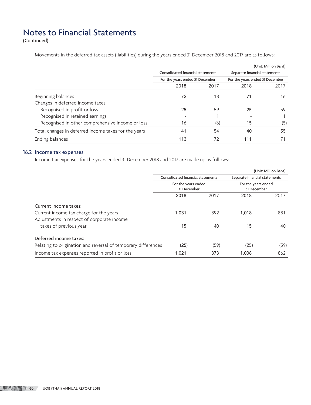(Continued)

Movements in the deferred tax assets (liabilities) during the years ended 31 December 2018 and 2017 are as follows:

|                                                      |                                   |      |                                 | (Unit: Million Baht) |  |
|------------------------------------------------------|-----------------------------------|------|---------------------------------|----------------------|--|
|                                                      | Consolidated financial statements |      | Separate financial statements   |                      |  |
|                                                      | For the years ended 31 December   |      | For the years ended 31 December |                      |  |
|                                                      | 2018                              | 2017 | 2018                            | 2017                 |  |
| Beginning balances                                   | 72                                | 18   | 71                              | 16                   |  |
| Changes in deferred income taxes                     |                                   |      |                                 |                      |  |
| Recognised in profit or loss                         | 25                                | 59   | 25                              | 59                   |  |
| Recognised in retained earnings                      |                                   |      |                                 |                      |  |
| Recognised in other comprehensive income or loss     | 16                                | (6)  | 15                              | (5)                  |  |
| Total changes in deferred income taxes for the years | 41                                | 54   | 40                              | 55                   |  |
| Ending balances                                      | 113                               | 72   | 111                             | 71                   |  |

### 16.2 Income tax expenses

Income tax expenses for the years ended 31 December 2018 and 2017 are made up as follows:

|                                                               |                                   |                                    |                               | (Unit: Million Baht)               |
|---------------------------------------------------------------|-----------------------------------|------------------------------------|-------------------------------|------------------------------------|
|                                                               | Consolidated financial statements |                                    | Separate financial statements |                                    |
|                                                               |                                   | For the years ended<br>31 December |                               | For the years ended<br>31 December |
|                                                               | 2018                              | 2017                               | 2018                          | 2017                               |
| Current income taxes:                                         |                                   |                                    |                               |                                    |
| Current income tax charge for the years                       | 1,031                             | 892                                | 1,018                         | 881                                |
| Adjustments in respect of corporate income                    |                                   |                                    |                               |                                    |
| taxes of previous year                                        | 15                                | 40                                 | 15                            | 40                                 |
| Deferred income taxes:                                        |                                   |                                    |                               |                                    |
| Relating to origination and reversal of temporary differences | (25)                              | (59)                               | (25)                          | (59)                               |
| Income tax expenses reported in profit or loss                | 1.021                             | 873                                | 1,008                         | 862                                |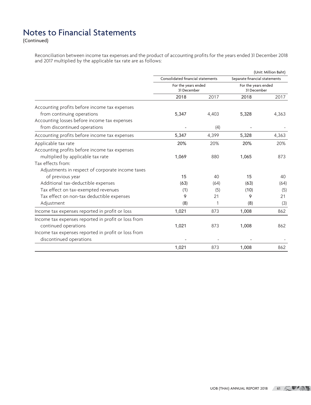(Continued)

 Reconciliation between income tax expenses and the product of accounting profits for the years ended 31 December 2018 and 2017 multiplied by the applicable tax rate are as follows:

|                                                     |                                   |       |                               | (Unit: Million Baht) |  |
|-----------------------------------------------------|-----------------------------------|-------|-------------------------------|----------------------|--|
|                                                     | Consolidated financial statements |       | Separate financial statements |                      |  |
|                                                     | For the years ended               |       | For the years ended           |                      |  |
|                                                     | 31 December                       |       | 31 December                   |                      |  |
|                                                     | 2018                              | 2017  | 2018                          | 2017                 |  |
| Accounting profits before income tax expenses       |                                   |       |                               |                      |  |
| from continuing operations                          | 5,347                             | 4,403 | 5,328                         | 4,363                |  |
| Accounting losses before income tax expenses        |                                   |       |                               |                      |  |
| from discontinued operations                        |                                   | (4)   |                               |                      |  |
| Accounting profits before income tax expenses       | 5,347                             | 4,399 | 5,328                         | 4,363                |  |
| Applicable tax rate                                 | 20%                               | 20%   | 20%                           | 20%                  |  |
| Accounting profits before income tax expenses       |                                   |       |                               |                      |  |
| multiplied by applicable tax rate                   | 1,069                             | 880   | 1,065                         | 873                  |  |
| Tax effects from:                                   |                                   |       |                               |                      |  |
| Adjustments in respect of corporate income taxes    |                                   |       |                               |                      |  |
| of previous year                                    | 15                                | 40    | 15                            | 40                   |  |
| Additional tax-deductible expenses                  | (63)                              | (64)  | (63)                          | (64)                 |  |
| Tax effect on tax-exempted revenues                 | (1)                               | (5)   | (10)                          | (5)                  |  |
| Tax effect on non-tax deductible expenses           | 9                                 | 21    | 9                             | 21                   |  |
| Adjustment                                          | (8)                               |       | (8)                           | (3)                  |  |
| Income tax expenses reported in profit or loss      | 1,021                             | 873   | 1,008                         | 862                  |  |
| Income tax expenses reported in profit or loss from |                                   |       |                               |                      |  |
| continued operations                                | 1,021                             | 873   | 1,008                         | 862                  |  |
| Income tax expenses reported in profit or loss from |                                   |       |                               |                      |  |
| discontinued operations                             |                                   |       |                               |                      |  |
|                                                     | 1,021                             | 873   | 1,008                         | 862                  |  |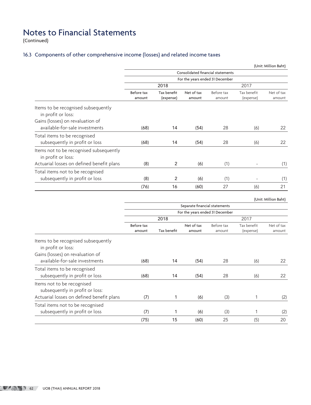(Continued)

## 16.3 Components of other comprehensive income (losses) and related income taxes

|                                                                    |                                   |                                 |                               |                                 |                          | (Unit: Million Baht) |
|--------------------------------------------------------------------|-----------------------------------|---------------------------------|-------------------------------|---------------------------------|--------------------------|----------------------|
|                                                                    | Consolidated financial statements |                                 |                               |                                 |                          |                      |
|                                                                    |                                   | For the years ended 31 December |                               |                                 |                          |                      |
|                                                                    |                                   | 2018                            |                               |                                 | 2017                     |                      |
|                                                                    | Before tax<br>amount              | Tax benefit<br>(expense)        | Net of tax<br>amount          | Before tax<br>amount            | Tax benefit<br>(expense) | Net of tax<br>amount |
| Items to be recognised subsequently<br>in profit or loss:          |                                   |                                 |                               |                                 |                          |                      |
| Gains (losses) on revaluation of<br>available-for-sale investments | (68)                              | 14                              | (54)                          | 28                              | (6)                      | 22                   |
| Total items to be recognised<br>subsequently in profit or loss     | (68)                              | 14                              | (54)                          | 28                              | (6)                      | 22                   |
| Items not to be recognised subsequently<br>in profit or loss:      |                                   |                                 |                               |                                 |                          |                      |
| Actuarial losses on defined benefit plans                          | (8)                               | $\overline{2}$                  | (6)                           | (1)                             |                          | (1)                  |
| Total items not to be recognised<br>subsequently in profit or loss | (8)                               | 2                               | (6)                           | (1)                             |                          | (1)                  |
|                                                                    | (76)                              | 16                              | (60)                          | 27                              | (6)                      | 21                   |
|                                                                    |                                   |                                 |                               |                                 |                          | (Unit: Million Baht) |
|                                                                    |                                   |                                 | Separate financial statements |                                 |                          |                      |
|                                                                    |                                   |                                 |                               | For the years ended 31 December |                          |                      |
|                                                                    |                                   | 2018                            |                               |                                 | 2017                     |                      |

|                                                               | Before tax<br>amount | Tax benefit | Net of tax<br>amount | Before tax<br>amount | Tax benefit<br>(expense) | Net of tax<br>amount |
|---------------------------------------------------------------|----------------------|-------------|----------------------|----------------------|--------------------------|----------------------|
| Items to be recognised subsequently<br>in profit or loss:     |                      |             |                      |                      |                          |                      |
| Gains (losses) on revaluation of                              |                      |             |                      |                      |                          |                      |
| available-for-sale investments                                | (68)                 | 14          | (54)                 | 28                   | (6)                      | 22                   |
| Total items to be recognised                                  |                      |             |                      |                      |                          |                      |
| subsequently in profit or loss                                | (68)                 | 14          | (54)                 | 28                   | (6)                      | 22                   |
| Items not to be recognised<br>subsequently in profit or loss: |                      |             |                      |                      |                          |                      |
| Actuarial losses on defined benefit plans                     | (7)                  |             | (6)                  | (3)                  |                          | (2)                  |
| Total items not to be recognised                              |                      |             |                      |                      |                          |                      |
| subsequently in profit or loss                                | (7)                  |             | (6)                  | (3)                  |                          | (2)                  |
|                                                               | (75)                 | 15          | (60)                 | 25                   | (5)                      | 20                   |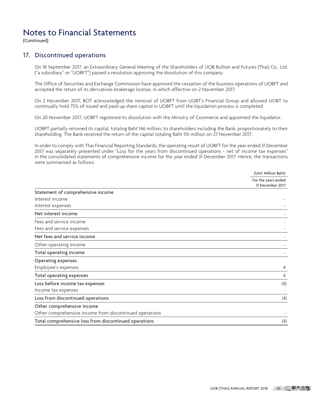(Continued)

## 17. Discontinued operations

 On 18 September 2017, an Extraordinary General Meeting of the Shareholders of UOB Bullion and Futures (Thai) Co., Ltd. ("a subsidiary" or "UOBFT") passed a resolution approving the dissolution of this company.

 The Office of Securities and Exchange Commission have approved the cessation of the business operations of UOBFT and accepted the return of its derivatives brokerage license, in which effective on 2 November 2017.

 On 2 November 2017, BOT acknowledged the removal of UOBFT from UOBT's Financial Group and allowed UOBT to continually hold 75% of issued and paid-up share capital in UOBFT until the liquidation process is completed.

On 20 November 2017, UOBFT registered its dissolution with the Ministry of Commerce and appointed the liquidator.

 UOBFT partially returned its capital, totaling Baht 146 million, to shareholders including the Bank, proportionately to their shareholding. The Bank received the return of the capital totaling Baht 110 million on 27 November 2017.

 In order to comply with Thai Financial Reporting Standards, the operating result of UOBFT for the year ended 31 December 2017 was separately presented under "Loss for the years from discontinued operations - net of income tax expenses" in the consolidated statements of comprehensive income for the year ended 31 December 2017. Hence, the transactions were summarised as follows:

|                                                         | (Unit: Million Baht) |
|---------------------------------------------------------|----------------------|
|                                                         | For the years ended  |
|                                                         | 31 December 2017     |
| Statement of comprehensive income                       |                      |
| Interest income                                         |                      |
| Interest expenses                                       |                      |
| Net interest income                                     |                      |
| Fees and service income                                 |                      |
| Fees and service expenses                               |                      |
| Net fees and service income                             |                      |
| Other operating income                                  |                      |
| Total operating income                                  |                      |
| Operating expenses                                      |                      |
| Employee's expenses                                     | 4                    |
| Total operating expenses                                | 4                    |
| Loss before income tax expenses                         | (4)                  |
| Income tax expenses                                     |                      |
| Loss from discontinued operations                       | (4)                  |
| Other comprehensive income                              |                      |
| Other comprehensive income from discontinued operations |                      |
| Total comprehensive loss from discontinued operations   | (4)                  |
|                                                         |                      |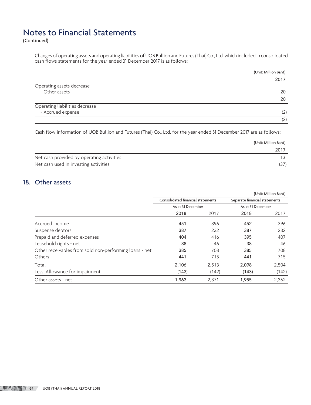(Continued)

 Changes of operating assets and operating liabilities of UOB Bullion and Futures (Thai) Co., Ltd. which included in consolidated cash flows statements for the year ended 31 December 2017 is as follows:

|                                                     | (Unit: Million Baht) |
|-----------------------------------------------------|----------------------|
|                                                     | 2017                 |
|                                                     |                      |
| Operating assets decrease<br>- Other assets         | 20                   |
|                                                     | 20                   |
|                                                     |                      |
| Operating liabilities decrease<br>- Accrued expense | (2)                  |
|                                                     | (2)                  |

Cash flow information of UOB Bullion and Futures (Thai) Co., Ltd. for the year ended 31 December 2017 are as follows:

|                                           | (Unit: Million Baht) |
|-------------------------------------------|----------------------|
|                                           | 2017                 |
| Net cash provided by operating activities |                      |
| Net cash used in investing activities     | (37                  |

## 18. Other assets

|                                                        |                   |                                   |                   | (Unit: Million Baht)          |
|--------------------------------------------------------|-------------------|-----------------------------------|-------------------|-------------------------------|
|                                                        |                   | Consolidated financial statements |                   | Separate financial statements |
|                                                        | As at 31 December |                                   | As at 31 December |                               |
|                                                        | 2018              | 2017                              | 2018              | 2017                          |
| Accrued income                                         | 451               | 396                               | 452               | 396                           |
| Suspense debtors                                       | 387               | 232                               | 387               | 232                           |
| Prepaid and deferred expenses                          | 404               | 416                               | 395               | 407                           |
| Leasehold rights - net                                 | 38                | 46                                | 38                | 46                            |
| Other receivables from sold non-performing loans - net | 385               | 708                               | 385               | 708                           |
| Others                                                 | 441               | 715                               | 441               | 715                           |
| Total                                                  | 2,106             | 2,513                             | 2,098             | 2,504                         |
| Less: Allowance for impairment                         | (143)             | (142)                             | (143)             | (142)                         |
| Other assets - net                                     | 1,963             | 2,371                             | 1,955             | 2,362                         |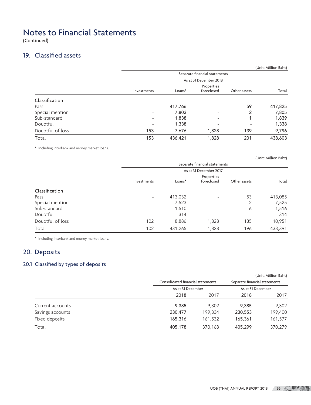(Continued)

## 19. Classified assets

|                  |                          |         |                               |                          | (Unit: Million Baht) |
|------------------|--------------------------|---------|-------------------------------|--------------------------|----------------------|
|                  |                          |         | Separate financial statements |                          |                      |
|                  |                          |         | As at 31 December 2018        |                          |                      |
|                  |                          |         | Properties                    |                          |                      |
|                  | Investments              | Loans*  | foreclosed                    | Other assets             | Total                |
| Classification   |                          |         |                               |                          |                      |
| Pass             | $\overline{\phantom{a}}$ | 417,766 | ۰                             | 59                       | 417,825              |
| Special mention  | $\overline{\phantom{0}}$ | 7,803   |                               | 2                        | 7,805                |
| Sub-standard     | $\overline{\phantom{a}}$ | 1,838   | ۰.                            | 4                        | 1,839                |
| Doubtful         | $\overline{\phantom{a}}$ | 1,338   | -                             | $\overline{\phantom{a}}$ | 1,338                |
| Doubtful of loss | 153                      | 7,676   | 1,828                         | 139                      | 9,796                |
| Total            | 153                      | 436,421 | 1,828                         | 201                      | 438,603              |

\* Including interbank and money market loans.

|                  |                          |            |                               |              | (Unit: Million Baht) |  |
|------------------|--------------------------|------------|-------------------------------|--------------|----------------------|--|
|                  |                          |            | Separate financial statements |              |                      |  |
|                  |                          |            | As at 31 December 2017        |              |                      |  |
|                  |                          | Properties |                               |              |                      |  |
|                  | Investments              | Loans*     | foreclosed                    | Other assets | Total                |  |
| Classification   |                          |            |                               |              |                      |  |
| Pass             | $\sim$                   | 413,032    |                               | 53           | 413,085              |  |
| Special mention  | $\overline{\phantom{0}}$ | 7,523      |                               |              | 7,525                |  |
| Sub-standard     | $\overline{\phantom{a}}$ | 1,510      |                               | 6            | 1,516                |  |
| Doubtful         | $\overline{\phantom{a}}$ | 314        |                               |              | 314                  |  |
| Doubtful of loss | 102                      | 8,886      | 1,828                         | 135          | 10,951               |  |
| Total            | 102                      | 431,265    | 1,828                         | 196          | 433,391              |  |

\* Including interbank and money market loans.

## 20. Deposits

## 20.1 Classified by types of deposits

|                  |                                   |         |                               | (Unit: Million Baht) |  |
|------------------|-----------------------------------|---------|-------------------------------|----------------------|--|
|                  | Consolidated financial statements |         | Separate financial statements |                      |  |
|                  | As at 31 December                 |         |                               | As at 31 December    |  |
|                  | 2018                              | 2017    | 2018                          | 2017                 |  |
| Current accounts | 9,385                             | 9,302   | 9,385                         | 9,302                |  |
| Savings accounts | 230,477                           | 199,334 | 230,553                       | 199,400              |  |
| Fixed deposits   | 165,316                           | 161.532 | 165,361                       | 161,577              |  |
| Total            | 405,178                           | 370,168 | 405,299                       | 370,279              |  |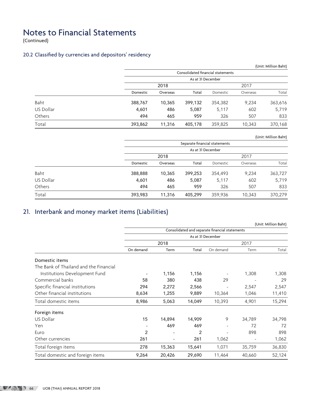(Continued)

## 20.2 Classified by currencies and depositors' residency

|           |          |          |                   |                                   |          | (Unit: Million Baht) |  |
|-----------|----------|----------|-------------------|-----------------------------------|----------|----------------------|--|
|           |          |          |                   | Consolidated financial statements |          |                      |  |
|           |          |          | As at 31 December |                                   |          |                      |  |
|           |          | 2018     |                   |                                   | 2017     |                      |  |
|           | Domestic | Overseas | Total             | Domestic                          | Overseas | Total                |  |
| Baht      | 388,767  | 10,365   | 399,132           | 354,382                           | 9,234    | 363,616              |  |
| US Dollar | 4,601    | 486      | 5,087             | 5,117                             | 602      | 5,719                |  |
| Others    | 494      | 465      | 959               | 326                               | 507      | 833                  |  |
| Total     | 393,862  | 11,316   | 405,178           | 359,825                           | 10,343   | 370,168              |  |

|           |          |          |                               |          |          | (Unit: Million Baht) |  |
|-----------|----------|----------|-------------------------------|----------|----------|----------------------|--|
|           |          |          | Separate financial statements |          |          |                      |  |
|           |          |          | As at 31 December             |          |          |                      |  |
|           |          | 2018     |                               |          | 2017     |                      |  |
|           | Domestic | Overseas | Total                         | Domestic | Overseas | Total                |  |
| Baht      | 388,888  | 10,365   | 399,253                       | 354,493  | 9,234    | 363,727              |  |
| US Dollar | 4,601    | 486      | 5,087                         | 5,117    | 602      | 5,719                |  |
| Others    | 494      | 465      | 959                           | 326      | 507      | 833                  |  |
| Total     | 393,983  | 11,316   | 405,299                       | 359,936  | 10,343   | 370,279              |  |
|           |          |          |                               |          |          |                      |  |

# 21. Interbank and money market items (Liabilities)

|                                        |                                                |                          |        |                          |                          | (Unit: Million Baht) |  |  |
|----------------------------------------|------------------------------------------------|--------------------------|--------|--------------------------|--------------------------|----------------------|--|--|
|                                        | Consolidated and separate financial statements |                          |        |                          |                          |                      |  |  |
|                                        |                                                |                          |        | As at 31 December        |                          |                      |  |  |
|                                        |                                                | 2018                     |        |                          | 2017                     |                      |  |  |
|                                        | On demand                                      | Term                     | Total  | On demand                | Term                     | Total                |  |  |
| Domestic items                         |                                                |                          |        |                          |                          |                      |  |  |
| The Bank of Thailand and the Financial |                                                |                          |        |                          |                          |                      |  |  |
| Institutions Development Fund          |                                                | 1,156                    | 1,156  |                          | 1,308                    | 1,308                |  |  |
| Commercial banks                       | 58                                             | 380                      | 438    | 29                       |                          | 29                   |  |  |
| Specific financial institutions        | 294                                            | 2,272                    | 2,566  | $\overline{\phantom{a}}$ | 2,547                    | 2,547                |  |  |
| Other financial institutions           | 8,634                                          | 1,255                    | 9,889  | 10,364                   | 1,046                    | 11,410               |  |  |
| Total domestic items                   | 8,986                                          | 5,063                    | 14,049 | 10,393                   | 4,901                    | 15,294               |  |  |
| Foreign items                          |                                                |                          |        |                          |                          |                      |  |  |
| US Dollar                              | 15                                             | 14,894                   | 14,909 | 9                        | 34,789                   | 34,798               |  |  |
| Yen                                    |                                                | 469                      | 469    |                          | 72                       | 72                   |  |  |
| Euro                                   | 2                                              | $\overline{\phantom{a}}$ | 2      | $\overline{a}$           | 898                      | 898                  |  |  |
| Other currencies                       | 261                                            | $\overline{\phantom{a}}$ | 261    | 1,062                    | $\overline{\phantom{a}}$ | 1,062                |  |  |
| Total foreign items                    | 278                                            | 15,363                   | 15,641 | 1,071                    | 35,759                   | 36,830               |  |  |
| Total domestic and foreign items       | 9,264                                          | 20,426                   | 29,690 | 11,464                   | 40,660                   | 52,124               |  |  |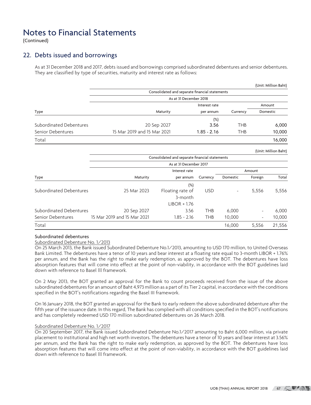(Continued)

## 22. Debts issued and borrowings

 As at 31 December 2018 and 2017, debts issued and borrowings comprised subordinated debentures and senior debentures. They are classified by type of securities, maturity and interest rate as follows:

|                         |                             |                                                |            | (Unit: Million Baht) |
|-------------------------|-----------------------------|------------------------------------------------|------------|----------------------|
|                         |                             | Consolidated and separate financial statements |            |                      |
|                         | As at 31 December 2018      |                                                |            |                      |
|                         |                             | Interest rate                                  |            | Amount               |
| Type                    | Maturity                    | per annum                                      | Currency   | Domestic             |
|                         |                             | (%)                                            |            |                      |
| Subordinated Debentures | 20 Sep 2027                 | 3.56                                           | <b>THB</b> | 6,000                |
| Senior Debentures       | 15 Mar 2019 and 15 Mar 2021 | $1.85 - 2.16$                                  | THB        | 10,000               |
| Total                   |                             |                                                |            | 16,000               |

|                         |                                                |                        |            |          |                | (Unit: Million Baht) |  |  |  |  |
|-------------------------|------------------------------------------------|------------------------|------------|----------|----------------|----------------------|--|--|--|--|
|                         | Consolidated and separate financial statements |                        |            |          |                |                      |  |  |  |  |
|                         |                                                | As at 31 December 2017 |            |          |                |                      |  |  |  |  |
|                         |                                                | Interest rate          |            |          | Amount         |                      |  |  |  |  |
| Type                    | Maturity                                       | per annum              | Currency   | Domestic | Foreign        | Total                |  |  |  |  |
|                         |                                                | $(\%)$                 |            |          |                |                      |  |  |  |  |
| Subordinated Debentures | 25 Mar 2023                                    | Floating rate of       | <b>USD</b> | Ξ.       | 5,556          | 5,556                |  |  |  |  |
|                         |                                                | 3-month                |            |          |                |                      |  |  |  |  |
|                         |                                                | $LIBOR + 1.76$         |            |          |                |                      |  |  |  |  |
| Subordinated Debentures | 20 Sep 2027                                    | 3.56                   | <b>THB</b> | 6,000    | ۰              | 6,000                |  |  |  |  |
| Senior Debentures       | 15 Mar 2019 and 15 Mar 2021                    | $1.85 - 2.16$          | <b>THB</b> | 10,000   | $\overline{a}$ | 10,000               |  |  |  |  |
| Total                   |                                                |                        |            | 16,000   | 5,556          | 21,556               |  |  |  |  |

### Subordinated debentures

### Subordinated Debenture No. 1/2013

 On 25 March 2013, the Bank issued Subordinated Debenture No.1/2013, amounting to USD 170 million, to United Overseas Bank Limited. The debentures have a tenor of 10 years and bear interest at a floating rate equal to 3-month LIBOR + 1.76% per annum, and the Bank has the right to make early redemption, as approved by the BOT. The debentures have loss absorption features that will come into effect at the point of non-viability, in accordance with the BOT guidelines laid down with reference to Basel lll framework.

 On 2 May 2013, the BOT granted an approval for the Bank to count proceeds received from the issue of the above subordinated debentures for an amount of Baht 4,973 million as a part of its Tier 2 capital, in accordance with the conditions specified in the BOT's notifications regarding the Basel III framework.

 On 16 January 2018, the BOT granted an approval for the Bank to early redeem the above subordinated debenture after the fifth year of the issuance date. In this regard, The Bank has complied with all conditions specified in the BOT's notifications and has completely redeemed USD 170 million subordinated debentures on 26 March 2018.

#### Subordinated Debenture No. 1/2017

 On 20 September 2017, the Bank issued Subordinated Debenture No.1/2017 amounting to Baht 6,000 million, via private placement to institutional and high net worth investors. The debentures have a tenor of 10 years and bear interest at 3.56% per annum, and the Bank has the right to make early redemption, as approved by the BOT. The debentures have loss absorption features that will come into effect at the point of non-viability, in accordance with the BOT guidelines laid down with reference to Basel lll framework.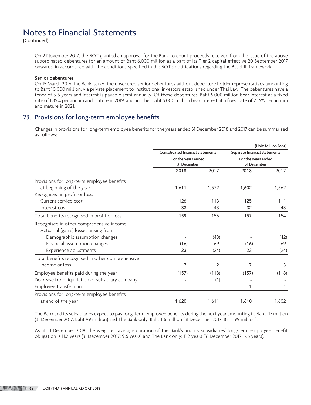(Continued)

 On 2 November 2017, the BOT granted an approval for the Bank to count proceeds received from the issue of the above subordinated debentures for an amount of Baht 6,000 million as a part of its Tier 2 capital effective 20 September 2017 onwards, in accordance with the conditions specified in the BOT's notifications regarding the Basel III framework.

### Senior debentures

 On 15 March 2016, the Bank issued the unsecured senior debentures without debenture holder representatives amounting to Baht 10,000 million, via private placement to institutional investors established under Thai Law. The debentures have a tenor of 3-5 years and interest is payable semi-annually. Of those debentures, Baht 5,000 million bear interest at a fixed rate of 1.85% per annum and mature in 2019, and another Baht 5,000 million bear interest at a fixed rate of 2.16% per annum and mature in 2021.

## 23. Provisions for long-term employee benefits

 Changes in provisions for long-term employee benefits for the years ended 31 December 2018 and 2017 can be summarised as follows:

|                                                  |                                    |       |                                    | (Unit: Million Baht) |
|--------------------------------------------------|------------------------------------|-------|------------------------------------|----------------------|
|                                                  | Consolidated financial statements  |       | Separate financial statements      |                      |
|                                                  | For the years ended<br>31 December |       | For the years ended<br>31 December |                      |
|                                                  | 2018                               | 2017  | 2018                               | 2017                 |
| Provisions for long-term employee benefits       |                                    |       |                                    |                      |
| at beginning of the year                         | 1,611                              | 1,572 | 1,602                              | 1,562                |
| Recognised in profit or loss:                    |                                    |       |                                    |                      |
| Current service cost                             | 126                                | 113   | 125                                | 111                  |
| Interest cost                                    | 33                                 | 43    | 32                                 | 43                   |
| Total benefits recognised in profit or loss      | 159                                | 156   | 157                                | 154                  |
| Recognised in other comprehensive income:        |                                    |       |                                    |                      |
| Actuarial (gains) losses arising from            |                                    |       |                                    |                      |
| Demographic assumption changes                   |                                    | (43)  |                                    | (42)                 |
| Financial assumption changes                     | (16)                               | 69    | (16)                               | 69                   |
| Experience adjustments                           | 23                                 | (24)  | 23                                 | (24)                 |
| Total benefits recognised in other comprehensive |                                    |       |                                    |                      |
| income or loss                                   | $\overline{7}$                     | 2     | 7                                  | 3                    |
| Employee benefits paid during the year           | (157)                              | (118) | (157)                              | (118)                |
| Decrease from liquidation of subsidiary company  |                                    | (1)   |                                    |                      |
| Employee transferal in                           |                                    |       | 1                                  |                      |
| Provisions for long-term employee benefits       |                                    |       |                                    |                      |
| at end of the year                               | 1,620                              | 1,611 | 1,610                              | 1,602                |

 The Bank and its subsidiaries expect to pay long-term employee benefits during the next year amounting to Baht 117 million (31 December 2017: Baht 99 million) and The Bank only: Baht 116 million (31 December 2017: Baht 99 million).

 As at 31 December 2018, the weighted average duration of the Bank's and its subsidiaries' long-term employee benefit obligation is 11.2 years (31 December 2017: 9.6 years) and The Bank only: 11.2 years (31 December 2017: 9.6 years).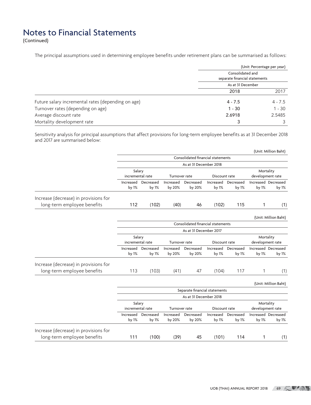(Continued)

The principal assumptions used in determining employee benefits under retirement plans can be summarised as follows:

|                                                    |                                                   | (Unit: Percentage per year) |  |  |
|----------------------------------------------------|---------------------------------------------------|-----------------------------|--|--|
|                                                    | Consolidated and<br>separate financial statements |                             |  |  |
|                                                    | As at 31 December                                 |                             |  |  |
|                                                    | 2018                                              | 2017                        |  |  |
| Future salary incremental rates (depending on age) | $4 - 7.5$                                         | $4 - 7.5$                   |  |  |
| Turnover rates (depending on age)                  | $1 - 30$                                          | $1 - 30$                    |  |  |
| Average discount rate                              | 2.6918                                            | 2.5485                      |  |  |
| Mortality development rate                         |                                                   |                             |  |  |

 Sensitivity analysis for principal assumptions that affect provisions for long-term employee benefits as at 31 December 2018 and 2017 are summarised below:

|                                       |                            |                    |                     |                                   |                    |                    |                  | (Unit: Million Baht)         |
|---------------------------------------|----------------------------|--------------------|---------------------|-----------------------------------|--------------------|--------------------|------------------|------------------------------|
|                                       |                            |                    |                     | Consolidated financial statements |                    |                    |                  |                              |
|                                       |                            |                    |                     | As at 31 December 2018            |                    |                    |                  |                              |
|                                       | Salary                     |                    |                     |                                   |                    |                    | Mortality        |                              |
|                                       | incremental rate           |                    | Turnover rate       |                                   | Discount rate      |                    | development rate |                              |
|                                       | Increased<br>by 1%         | Decreased<br>by 1% | Increased<br>by 20% | Decreased<br>by 20%               | Increased<br>by 1% | Decreased<br>by 1% | by 1%            | Increased Decreased<br>by 1% |
| Increase (decrease) in provisions for |                            |                    |                     |                                   |                    |                    |                  |                              |
| long-term employee benefits           | 112                        | (102)              | (40)                | 46                                | (102)              | 115                | 1                | (1)                          |
|                                       |                            |                    |                     |                                   |                    |                    |                  | (Unit: Million Baht)         |
|                                       |                            |                    |                     | Consolidated financial statements |                    |                    |                  |                              |
|                                       |                            |                    |                     | As at 31 December 2017            |                    |                    |                  |                              |
|                                       | Salary                     |                    |                     |                                   |                    |                    | Mortality        |                              |
|                                       | incremental rate           |                    | Turnover rate       |                                   | Discount rate      |                    | development rate |                              |
|                                       | Increased<br>by 1%         | Decreased<br>by 1% | Increased<br>by 20% | Decreased<br>by 20%               | Increased<br>by 1% | Decreased<br>by 1% | by 1%            | Increased Decreased<br>by 1% |
|                                       |                            |                    |                     |                                   |                    |                    |                  |                              |
| Increase (decrease) in provisions for |                            |                    |                     |                                   |                    |                    |                  |                              |
| long-term employee benefits           | 113                        | (103)              | (41)                | 47                                | (104)              | 117                | 1                | (1)                          |
|                                       |                            |                    |                     |                                   |                    |                    |                  | (Unit: Million Baht)         |
|                                       |                            |                    |                     | Separate financial statements     |                    |                    |                  |                              |
|                                       |                            |                    |                     | As at 31 December 2018            |                    |                    |                  |                              |
|                                       | Salary<br>incremental rate |                    |                     |                                   |                    |                    | Mortality        |                              |
|                                       |                            |                    | Turnover rate       |                                   | Discount rate      |                    | development rate |                              |
|                                       | Increased<br>by 1%         | Decreased<br>by 1% | Increased<br>by 20% | Decreased<br>by 20%               | Increased<br>by 1% | Decreased<br>by 1% | by 1%            | Increased Decreased<br>by 1% |
|                                       |                            |                    |                     |                                   |                    |                    |                  |                              |
| Increase (decrease) in provisions for |                            |                    |                     |                                   |                    |                    |                  |                              |
| long-term employee benefits           | 111                        | (100)              | (39)                | 45                                | (101)              | 114                | 1                | (1)                          |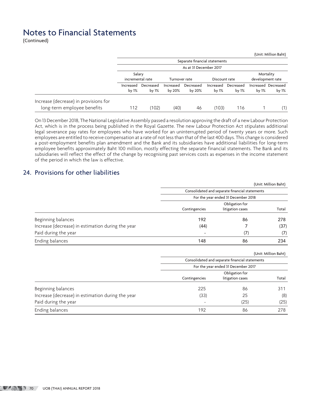(Continued)

|                                       |                  |           |               |                               |               |           |                  | (Unit: Million Baht) |
|---------------------------------------|------------------|-----------|---------------|-------------------------------|---------------|-----------|------------------|----------------------|
|                                       |                  |           |               | Separate financial statements |               |           |                  |                      |
|                                       |                  |           |               | As at 31 December 2017        |               |           |                  |                      |
|                                       | Salary           |           |               |                               |               |           |                  | Mortality            |
|                                       | incremental rate |           | Turnover rate |                               | Discount rate |           | development rate |                      |
|                                       | Increased        | Decreased | Increased     | Decreased                     | Increased     | Decreased |                  | Increased Decreased  |
|                                       | by 1%            | by $1\%$  | by 20%        | by 20%                        | by $1\%$      | by 1%     | by $1\%$         | by 1%                |
| Increase (decrease) in provisions for |                  |           |               |                               |               |           |                  |                      |
| long-term employee benefits           | 112              | (102)     | (40)          | 46                            | (103)         | 116       |                  | (1)                  |

 On 13 December 2018, The National Legislative Assembly passed a resolution approving the draft of a new Labour Protection Act, which is in the process being published in the Royal Gazette. The new Labour Protection Act stipulates additional legal severance pay rates for employees who have worked for an uninterrupted period of twenty years or more. Such employees are entitled to receive compensation at a rate of not less than that of the last 400 days. This change is considered a post-employment benefits plan amendment and the Bank and its subsidiaries have additional liabilities for long-term employee benefits approximately Baht 100 million, mostly effecting the separate financial statements. The Bank and its subsidiaries will reflect the effect of the change by recognising past services costs as expenses in the income statement of the period in which the law is effective.

## 24. Provisions for other liabilities

|                                                   | (Unit: Million Baht)                           |                  |       |  |  |  |
|---------------------------------------------------|------------------------------------------------|------------------|-------|--|--|--|
|                                                   | Consolidated and separate financial statements |                  |       |  |  |  |
|                                                   | For the year ended 31 December 2018            |                  |       |  |  |  |
|                                                   | Obligation for                                 |                  |       |  |  |  |
|                                                   | Contingencies                                  | litigation cases | Total |  |  |  |
| Beginning balances                                | 192                                            | 86               | 278   |  |  |  |
| Increase (decrease) in estimation during the year | (44)                                           |                  | (37)  |  |  |  |
| Paid during the year                              |                                                | (7)              | (7)   |  |  |  |
| Ending balances                                   | 148                                            | 86               | 234   |  |  |  |

|                                                   | (Unit: Million Baht)                           |                  |       |  |  |  |  |
|---------------------------------------------------|------------------------------------------------|------------------|-------|--|--|--|--|
|                                                   | Consolidated and separate financial statements |                  |       |  |  |  |  |
|                                                   | For the year ended 31 December 2017            |                  |       |  |  |  |  |
|                                                   | Obligation for                                 |                  |       |  |  |  |  |
|                                                   | Contingencies                                  | litigation cases | Total |  |  |  |  |
| Beginning balances                                | 225                                            | 86               | 311   |  |  |  |  |
| Increase (decrease) in estimation during the year | (33)                                           | 25               | (8)   |  |  |  |  |
| Paid during the year                              | $\overline{\phantom{a}}$                       | (25)             | (25)  |  |  |  |  |
| Ending balances                                   | 192                                            | 86               | 278   |  |  |  |  |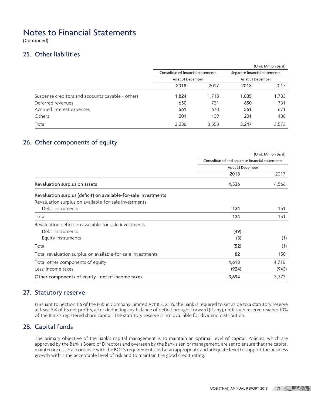(Continued)

#### 25. Other liabilities

|                                                  |                                   |                   |                               | (Unit: Million Baht) |
|--------------------------------------------------|-----------------------------------|-------------------|-------------------------------|----------------------|
|                                                  | Consolidated financial statements |                   | Separate financial statements |                      |
|                                                  |                                   | As at 31 December |                               | As at 31 December    |
|                                                  | 2018                              | 2017              | 2018                          | 2017                 |
| Suspense creditors and accounts payable - others | 1,824                             | 1,718             | 1,835                         | 1,733                |
| Deferred revenues                                | 650                               | 731               | 650                           | 731                  |
| Accrued interest expenses                        | 561                               | 670               | 561                           | 671                  |
| <b>Others</b>                                    | 201                               | 439               | 201                           | 438                  |
| Total                                            | 3,236                             | 3.558             | 3,247                         | 3.573                |

### 26. Other components of equity

|                                                                 | (Unit: Million Baht)                           |       |  |  |
|-----------------------------------------------------------------|------------------------------------------------|-------|--|--|
|                                                                 | Consolidated and separate financial statements |       |  |  |
|                                                                 | As at 31 December                              |       |  |  |
|                                                                 | 2018                                           | 2017  |  |  |
| Revaluation surplus on assets                                   | 4,536                                          | 4,566 |  |  |
| Revaluation surplus (deficit) on available-for-sale investments |                                                |       |  |  |
| Revaluation surplus on available-for-sale investments           |                                                |       |  |  |
| Debt instruments                                                | 134                                            | 151   |  |  |
| Total                                                           | 134                                            | 151   |  |  |
| Revaluation deficit on available-for-sale investments           |                                                |       |  |  |
| Debt instruments                                                | (49)                                           |       |  |  |
| Equity instruments                                              | (3)                                            | (1)   |  |  |
| Total                                                           | (52)                                           | (1)   |  |  |
| Total revaluation surplus on available-for-sale investments     | 82                                             | 150   |  |  |
| Total other components of equity                                | 4,618                                          | 4,716 |  |  |
| Less: income taxes                                              | (924)                                          | (943) |  |  |
| Other components of equity - net of income taxes                | 3,694                                          | 3,773 |  |  |

#### 27. Statutory reserve

 Pursuant to Section 116 of the Public Company Limited Act B.E. 2535, the Bank is required to set aside to a statutory reserve at least 5% of its net profits, after deducting any balance of deficit brought forward (if any), until such reserve reaches 10% of the Bank's registered share capital. The statutory reserve is not available for dividend distribution.

### 28. Capital funds

 The primary objective of the Bank's capital management is to maintain an optimal level of capital. Policies, which are approved by the Bank's Board of Directors and overseen by the Bank's senior management, are set to ensure that the capital maintenance is in accordance with the BOT's requirements and at an appropriate and adequate level to support the business growth within the acceptable level of risk and to maintain the good credit rating.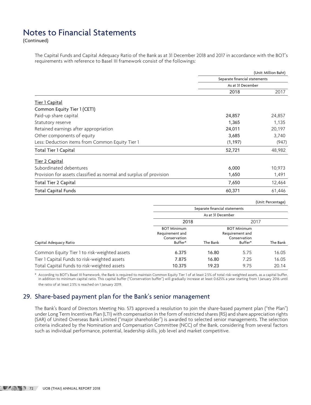(Continued)

 The Capital Funds and Capital Adequacy Ratio of the Bank as at 31 December 2018 and 2017 in accordance with the BOT's requirements with reference to Basel III framework consist of the followings:

|                                                                    | (Unit: Million Baht)          |        |  |  |
|--------------------------------------------------------------------|-------------------------------|--------|--|--|
|                                                                    | Separate financial statements |        |  |  |
|                                                                    | As at 31 December             |        |  |  |
|                                                                    | 2018                          | 2017   |  |  |
| Tier 1 Capital                                                     |                               |        |  |  |
| Common Equity Tier 1 (CET1)                                        |                               |        |  |  |
| Paid-up share capital                                              | 24,857                        | 24,857 |  |  |
| Statutory reserve                                                  | 1,365                         | 1,135  |  |  |
| Retained earnings after appropriation                              | 24,011                        | 20,197 |  |  |
| Other components of equity                                         | 3,685                         | 3,740  |  |  |
| Less: Deduction items from Common Equity Tier 1                    | (1, 197)                      | (947)  |  |  |
| <b>Total Tier 1 Capital</b>                                        | 52,721                        | 48,982 |  |  |
| Tier 2 Capital                                                     |                               |        |  |  |
| Subordinated debentures                                            | 6,000                         | 10,973 |  |  |
| Provision for assets classified as normal and surplus of provision | 1,650                         | 1,491  |  |  |
| <b>Total Tier 2 Capital</b>                                        | 7,650                         | 12,464 |  |  |
| <b>Total Capital Funds</b>                                         | 60,371                        | 61,446 |  |  |

|                                              |                                                       |                               |                                                       | (Unit: Percentage) |
|----------------------------------------------|-------------------------------------------------------|-------------------------------|-------------------------------------------------------|--------------------|
|                                              |                                                       | Separate financial statements |                                                       |                    |
|                                              |                                                       | As at 31 December             |                                                       |                    |
|                                              | 2018                                                  |                               |                                                       | 2017               |
|                                              | <b>BOT Minimum</b><br>Requirement and<br>Conservation |                               | <b>BOT Minimum</b><br>Requirement and<br>Conservation |                    |
| Capital Adequacy Ratio                       | Buffer*                                               | The Bank                      | Buffer*                                               | The Bank           |
| Common Equity Tier 1 to risk-weighted assets | 6.375                                                 | 16.80                         | 5.75                                                  | 16.05              |
| Tier 1 Capital Funds to risk-weighted assets | 7.875                                                 | 16.80                         | 7.25                                                  | 16.05              |
| Total Capital Funds to risk-weighted assets  | 10.375                                                | 19.23                         | 9.75                                                  | 20.14              |

 \* According to BOT's Basel III framework, the Bank is required to maintain Common Equity Tier 1 of at least 2.5% of total risk-weighted assets, as a capital buffer, in addition to minimum capital ratio. This capital buffer ("Conservation buffer") will gradually increase at least 0.625% a year starting from 1 January 2016 until the ratio of at least 2.5% is reached on 1 January 2019.

### 29. Share-based payment plan for the Bank's senior management

 The Bank's Board of Directors Meeting No. 573 approved a resolution to join the share-based payment plan ("the Plan") under Long Term Incentives Plan (LTI) with compensation in the form of restricted shares (RS) and share appreciation rights (SAR) of United Overseas Bank Limited ("major shareholder") is awarded to selected senior managements. The selection criteria indicated by the Nomination and Compensation Committee (NCC) of the Bank, considering from several factors such as individual performance, potential, leadership skills, job level and market competitive.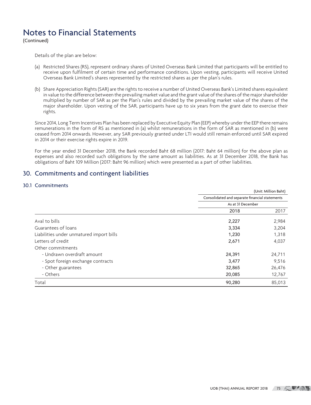(Continued)

Details of the plan are below:

- (a) Restricted Shares (RS), represent ordinary shares of United Overseas Bank Limited that participants will be entitled to receive upon fulfilment of certain time and performance conditions. Upon vesting, participants will receive United Overseas Bank Limited's shares represented by the restricted shares as per the plan's rules.
- (b) Share Appreciation Rights (SAR) are the rights to receive a number of United Overseas Bank's Limited shares equivalent in value to the difference between the prevailing market value and the grant value of the shares of the major shareholder multiplied by number of SAR as per the Plan's rules and divided by the prevailing market value of the shares of the major shareholder. Upon vesting of the SAR, participants have up to six years from the grant date to exercise their rights.

 Since 2014, Long Term Incentives Plan has been replaced by Executive Equity Plan (EEP) whereby under the EEP there remains remunerations in the form of RS as mentioned in (a) whilst remunerations in the form of SAR as mentioned in (b) were ceased from 2014 onwards. However, any SAR previously granted under LTI would still remain enforced until SAR expired in 2014 or their exercise rights expire in 2019.

 For the year ended 31 December 2018, the Bank recorded Baht 68 million (2017: Baht 64 million) for the above plan as expenses and also recorded such obligations by the same amount as liabilities. As at 31 December 2018, the Bank has obligations of Baht 109 Million (2017: Baht 96 million) which were presented as a part of other liabilities.

#### 30. Commitments and contingent liabilities

#### 30.1 Commitments

|                                          |                                                | (Unit: Million Baht) |
|------------------------------------------|------------------------------------------------|----------------------|
|                                          | Consolidated and separate financial statements |                      |
|                                          | As at 31 December                              |                      |
|                                          | 2018                                           | 2017                 |
| Aval to bills                            | 2,227                                          | 2,984                |
| Guarantees of loans                      | 3,334                                          | 3,204                |
| Liabilities under unmatured import bills | 1,230                                          | 1,318                |
| Letters of credit                        | 2,671                                          | 4,037                |
| Other commitments                        |                                                |                      |
| - Undrawn overdraft amount               | 24,391                                         | 24,711               |
| - Spot foreign exchange contracts        | 3,477                                          | 9,516                |
| - Other guarantees                       | 32,865                                         | 26,476               |
| - Others                                 | 20,085                                         | 12,767               |
| Total                                    | 90,280                                         | 85,013               |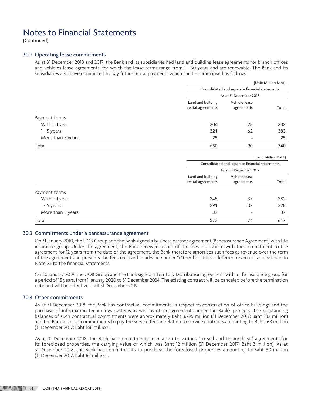(Continued)

#### 30.2 Operating lease commitments

 As at 31 December 2018 and 2017, the Bank and its subsidiaries had land and building lease agreements for branch offices and vehicles lease agreements, for which the lease terms range from 1 - 30 years and are renewable. The Bank and its subsidiaries also have committed to pay future rental payments which can be summarised as follows:

|                   |                                                                       | (Unit: Million Baht)<br>Consolidated and separate financial statements |     |  |  |
|-------------------|-----------------------------------------------------------------------|------------------------------------------------------------------------|-----|--|--|
|                   |                                                                       |                                                                        |     |  |  |
|                   |                                                                       | As at 31 December 2018                                                 |     |  |  |
|                   | Land and building<br>Vehicle lease<br>rental agreements<br>agreements |                                                                        |     |  |  |
| Payment terms     |                                                                       |                                                                        |     |  |  |
| Within 1 year     | 304                                                                   | 28                                                                     | 332 |  |  |
| $1 - 5$ years     | 321                                                                   | 62                                                                     | 383 |  |  |
| More than 5 years | 25                                                                    |                                                                        | 25  |  |  |
| Total             | 650                                                                   | 90                                                                     | 740 |  |  |
|                   |                                                                       |                                                                        |     |  |  |

|                   |                   | (Unit: Million Baht)<br>Consolidated and separate financial statements |       |  |  |
|-------------------|-------------------|------------------------------------------------------------------------|-------|--|--|
|                   |                   |                                                                        |       |  |  |
|                   |                   | As at 31 December 2017                                                 |       |  |  |
|                   | Land and building | Vehicle lease                                                          |       |  |  |
|                   | rental agreements | agreements                                                             | Total |  |  |
| Payment terms     |                   |                                                                        |       |  |  |
| Within 1 year     | 245               | 37                                                                     | 282   |  |  |
| $1 - 5$ years     | 291               | 37                                                                     | 328   |  |  |
| More than 5 years | 37                | ٠                                                                      | 37    |  |  |
| Total             | 573               | 74                                                                     | 647   |  |  |

#### 30.3 Commitments under a bancassurance agreement

 On 31 January 2010, the UOB Group and the Bank signed a business partner agreement (Bancassurance Agreement) with life insurance group. Under the agreement, the Bank received a sum of the fees in advance with the commitment to the agreement for 12 years from the date of the agreement, the Bank therefore amortises such fees as revenue over the term of the agreement and presents the fees received in advance under "Other liabilities - deferred revenue", as disclosed in Note 25 to the financial statements.

 On 30 January 2019, the UOB Group and the Bank signed a Territory Distribution agreement with a life insurance group for a period of 15 years, from 1 January 2020 to 31 December 2034. The existing contract will be canceled before the termination date and will be effective until 31 December 2019.

#### 30.4 Other commitments

 As at 31 December 2018, the Bank has contractual commitments in respect to construction of office buildings and the purchase of information technology systems as well as other agreements under the Bank's projects. The outstanding balances of such contractual commitments were approximately Baht 3,295 million (31 December 2017: Baht 232 million) and the Bank also has commitments to pay the service fees in relation to service contracts amounting to Baht 168 million (31 December 2017: Baht 166 million).

 As at 31 December 2018, the Bank has commitments in relation to various "to-sell and to-purchase" agreements for its foreclosed properties, the carrying value of which was Baht 12 million (31 December 2017: Baht 3 million). As at 31 December 2018, the Bank has commitments to purchase the foreclosed properties amounting to Baht 80 million (31 December 2017: Baht 83 million).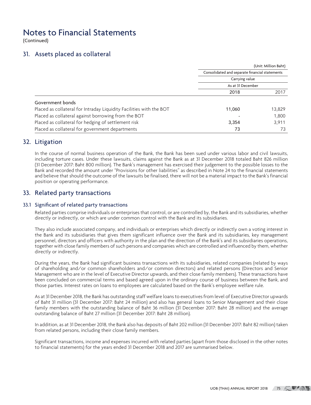(Continued)

#### 31. Assets placed as collateral

|                                                                     | (Unit: Million Baht)                                             |        |
|---------------------------------------------------------------------|------------------------------------------------------------------|--------|
|                                                                     | Consolidated and separate financial statements<br>Carrying value |        |
|                                                                     |                                                                  |        |
|                                                                     | As at 31 December                                                |        |
|                                                                     | 2018                                                             | 2017   |
| Government bonds                                                    |                                                                  |        |
| Placed as collateral for Intraday Liquidity Facilities with the BOT | 11,060                                                           | 13,829 |
| Placed as collateral against borrowing from the BOT                 |                                                                  | 1,800  |
| Placed as collateral for hedging of settlement risk                 | 3,354                                                            | 3,911  |
| Placed as collateral for government departments                     | 73                                                               | 73     |

#### 32. Litigation

 In the course of normal business operation of the Bank, the Bank has been sued under various labor and civil lawsuits, including torture cases. Under these lawsuits, claims against the Bank as at 31 December 2018 totaled Baht 826 million (31 December 2017: Baht 800 million). The Bank's management has exercised their judgement to the possible losses to the Bank and recorded the amount under "Provisions for other liabilities" as described in Note 24 to the financial statements and believe that should the outcome of the lawsuits be finalised, there will not be a material impact to the Bank's financial position or operating performance.

#### 33. Related party transactions

#### 33.1 Significant of related party transactions

 Related parties comprise individuals or enterprises that control, or are controlled by, the Bank and its subsidiaries, whether directly or indirectly, or which are under common control with the Bank and its subsidiaries.

 They also include associated company, and individuals or enterprises which directly or indirectly own a voting interest in the Bank and its subsidiaries that gives them significant influence over the Bank and its subsidiaries, key management personnel, directors and officers with authority in the plan and the direction of the Bank's and its subsidiaries operations, together with close family members of such persons and companies which are controlled and influenced by them, whether directly or indirectly.

 During the years, the Bank had significant business transactions with its subsidiaries, related companies (related by ways of shareholding and/or common shareholders and/or common directors) and related persons (Directors and Senior Management who are in the level of Executive Director upwards, and their close family members). These transactions have been concluded on commercial terms and based agreed upon in the ordinary course of business between the Bank, and those parties. Interest rates on loans to employees are calculated based on the Bank's employee welfare rule.

 As at 31 December 2018, the Bank has outstanding staff welfare loans to executives from level of Executive Director upwards of Baht 31 million (31 December 2017: Baht 24 million) and also has general loans to Senior Management and their close family members with the outstanding balance of Baht 36 million (31 December 2017: Baht 28 million) and the average outstanding balance of Baht 27 million (31 December 2017: Baht 28 million).

 In addition, as at 31 December 2018, the Bank also has deposits of Baht 202 million (31 December 2017: Baht 82 million) taken from related persons, including their close family members.

 Significant transactions, income and expenses incurred with related parties (apart from those disclosed in the other notes to financial statements) for the years ended 31 December 2018 and 2017 are summarised below.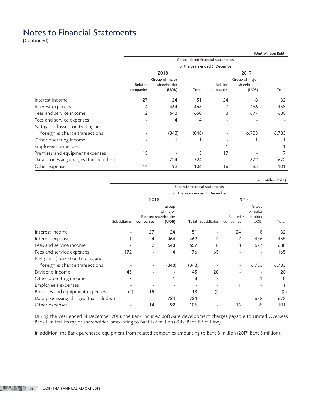(Continued)

|                                        |           |                |       |                                   |                | (Unit: Million Baht) |  |
|----------------------------------------|-----------|----------------|-------|-----------------------------------|----------------|----------------------|--|
|                                        |           |                |       | Consolidated financial statements |                |                      |  |
|                                        |           |                |       | For the years ended 31 December   |                |                      |  |
|                                        |           | 2018           |       |                                   | 2017           |                      |  |
|                                        |           | Group of major |       |                                   | Group of major |                      |  |
|                                        | Related   | shareholder    |       | Related                           | shareholder    |                      |  |
|                                        | companies | (UOB)          | Total | companies                         | (UOB)          | Total                |  |
| Interest income                        | 27        | 24             | 51    | 24                                | 8              | 32                   |  |
| Interest expenses                      | 4         | 464            | 468   |                                   | 456            | 463                  |  |
| Fees and service income                | 2         | 648            | 650   | 3                                 | 677            | 680                  |  |
| Fees and service expenses              |           | 4              | 4     |                                   |                |                      |  |
| Net gains (losses) on trading and      |           |                |       |                                   |                |                      |  |
| foreign exchange transactions          |           | (848)          | (848) |                                   | 6,783          | 6,783                |  |
| Other operating income                 |           |                |       |                                   |                |                      |  |
| Employee's expenses                    |           |                |       |                                   |                |                      |  |
| Premises and equipment expenses        | 15        |                | 15    | 17                                |                | 17                   |  |
| Data processing charges (tax included) |           | 724            | 724   |                                   | 672            | 672                  |  |
| Other expenses                         | 14        | 92             | 106   | 16                                | 85             | 101                  |  |

(Unit: Million Baht)

|                                        | Separate financial statements |                     |                          |       |                                 |                          |                          |       |
|----------------------------------------|-------------------------------|---------------------|--------------------------|-------|---------------------------------|--------------------------|--------------------------|-------|
|                                        |                               |                     |                          |       | For the years ended 31 December |                          |                          |       |
|                                        |                               | 2018                |                          |       |                                 | 2017                     |                          |       |
|                                        |                               |                     | Group                    |       |                                 |                          | Group                    |       |
|                                        |                               |                     | of major                 |       |                                 |                          | of major                 |       |
|                                        |                               | Related shareholder |                          |       |                                 |                          | Related shareholder      |       |
|                                        | Subsidiaries                  | companies           | (UOB)                    |       | Total Subsidiaries              | companies                | (UOB)                    | Total |
| Interest income                        |                               | 27                  | 24                       | 51    |                                 | 24                       | 8                        | 32    |
| Interest expenses                      |                               | 4                   | 464                      | 469   | 2                               | 7                        | 456                      | 465   |
| Fees and service income                | 7                             | 2                   | 648                      | 657   | 8                               | 3                        | 677                      | 688   |
| Fees and service expenses              | 172                           |                     | 4                        | 176   | 165                             |                          |                          | 165   |
| Net gains (losses) on trading and      |                               |                     |                          |       |                                 |                          |                          |       |
| foreign exchange transactions          |                               |                     | (848)                    | (848) |                                 |                          | 6,783                    | 6,783 |
| Dividend income                        | 45                            |                     |                          | 45    | 20                              |                          |                          | 20    |
| Other operating income                 | 7                             |                     | 1                        | 8     |                                 |                          |                          | 8     |
| Employee's expenses                    | $\overline{a}$                |                     | $\overline{\phantom{a}}$ |       |                                 |                          | $\overline{\phantom{0}}$ |       |
| Premises and equipment expenses        | (2)                           | 15                  | $\overline{\phantom{a}}$ | 13    | (2)                             | $\overline{\phantom{a}}$ |                          | (2)   |
| Data processing charges (tax included) | $\overline{\phantom{a}}$      |                     | 724                      | 724   | ۰                               | $\overline{\phantom{m}}$ | 672                      | 672   |
| Other expenses                         |                               | 14                  | 92                       | 106   |                                 | 16                       | 85                       | 101   |

 During the year ended 31 December 2018, the Bank incurred software development charges payable to United Overseas Bank Limited, its major shareholder, amounting to Baht 127 million (2017: Baht 153 million).

In addition, the Bank purchased equipment from related companies amounting to Baht 8 million (2017: Baht 5 million).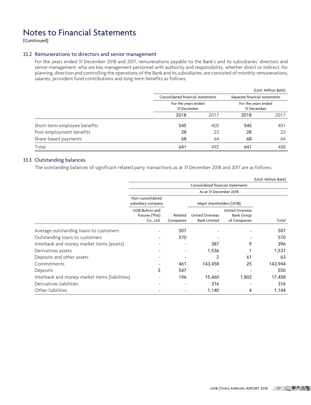(Continued)

#### 33.2 Remunerations to directors and senior management

 For the years ended 31 December 2018 and 2017, remunerations payable to the Bank's and its subsidiaries' directors and senior management, who are key management personnel with authority and responsibility, whether direct or indirect, for planning, direction and controlling the operations of the Bank and its subsidiaries, are consisted of monthly remunerations, salaries, provident fund contributions and long-term benefits as follows:

|                              |                                    |      |                                    | (Unit: Million Baht) |
|------------------------------|------------------------------------|------|------------------------------------|----------------------|
|                              | Consolidated financial statements  |      | Separate financial statements      |                      |
|                              | For the years ended<br>31 December |      | For the years ended<br>31 December |                      |
|                              | 2018                               | 2017 | 2018                               | 2017                 |
| Short-term employee benefits | 545                                | 405  | 545                                | 401                  |
| Post-employment benefits     | 28                                 | 23   | 28                                 | 23                   |
| Share-based payments         | 68                                 | 64   | 68                                 | 64                   |
| Total                        | 641                                | 492  | 641                                | 488                  |

#### 33.3 Outstanding balances

The outstanding balances of significant related party transactions as at 31 December 2018 and 2017 are as follows:

|                                                |                                        |                        |                                   |                        | (Unit: Million Baht) |  |
|------------------------------------------------|----------------------------------------|------------------------|-----------------------------------|------------------------|----------------------|--|
|                                                |                                        |                        | Consolidated financial statements |                        |                      |  |
|                                                |                                        | As at 31 December 2018 |                                   |                        |                      |  |
|                                                | Non-consolidated<br>subsidiary company |                        | Major shareholders (UOB)          |                        |                      |  |
|                                                | <b>UOB Bullion and</b>                 |                        |                                   | <b>United Overseas</b> |                      |  |
|                                                | Futures (Thai)                         | Related                | United Overseas                   | <b>Bank Group</b>      |                      |  |
|                                                | Co., Ltd.                              | Companies              | <b>Bank Limited</b>               | of Companies           | Total                |  |
| Average outstanding loans to customers         |                                        | 507                    |                                   |                        | 507                  |  |
| Outstanding loans to customers                 |                                        | 570                    |                                   |                        | 570                  |  |
| Interbank and money market items (assets)      |                                        |                        | 387                               | 9                      | 396                  |  |
| Derivatives assets                             |                                        |                        | 1,536                             |                        | 1,537                |  |
| Deposits and other assets                      |                                        |                        | 2                                 | 61                     | 63                   |  |
| Commitments                                    |                                        | 461                    | 143,458                           | 25                     | 143,944              |  |
| Deposits                                       | 3                                      | 547                    |                                   |                        | 550                  |  |
| Interbank and money market items (liabilities) |                                        | 196                    | 15,460                            | 1,802                  | 17,458               |  |
| Derivatives liabilities                        |                                        |                        | 316                               |                        | 316                  |  |
| Other liabilities                              |                                        |                        | 1,140                             | 4                      | 1,144                |  |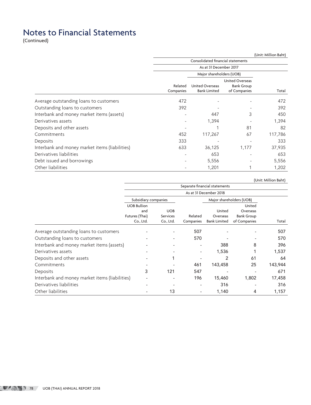(Continued)

|                                                | (Unit: Million Baht)              |                          |                        |         |  |  |  |  |
|------------------------------------------------|-----------------------------------|--------------------------|------------------------|---------|--|--|--|--|
|                                                | Consolidated financial statements |                          |                        |         |  |  |  |  |
|                                                |                                   | As at 31 December 2017   |                        |         |  |  |  |  |
|                                                |                                   | Major shareholders (UOB) |                        |         |  |  |  |  |
|                                                |                                   |                          | <b>United Overseas</b> |         |  |  |  |  |
|                                                | Related                           | <b>United Overseas</b>   | <b>Bank Group</b>      |         |  |  |  |  |
|                                                | Companies                         | <b>Bank Limited</b>      | of Companies           | Total   |  |  |  |  |
| Average outstanding loans to customers         | 472                               |                          |                        | 472     |  |  |  |  |
| Outstanding loans to customers                 | 392                               |                          |                        | 392     |  |  |  |  |
| Interbank and money market items (assets)      |                                   | 447                      | 3                      | 450     |  |  |  |  |
| Derivatives assets                             |                                   | 1,394                    |                        | 1,394   |  |  |  |  |
| Deposits and other assets                      |                                   |                          | 81                     | 82      |  |  |  |  |
| Commitments                                    | 452                               | 117,267                  | 67                     | 117,786 |  |  |  |  |
| Deposits                                       | 333                               |                          |                        | 333     |  |  |  |  |
| Interbank and money market items (liabilities) | 633                               | 36,125                   | 1,177                  | 37,935  |  |  |  |  |
| Derivatives liabilities                        |                                   | 653                      |                        | 653     |  |  |  |  |
| Debt issued and borrowings                     |                                   | 5,556                    |                        | 5,556   |  |  |  |  |
| Other liabilities                              |                                   | 1,201                    |                        | 1,202   |  |  |  |  |

(Unit: Million Baht)

|                                                | Separate financial statements |            |                          |                          |                   |         |  |  |
|------------------------------------------------|-------------------------------|------------|--------------------------|--------------------------|-------------------|---------|--|--|
|                                                | As at 31 December 2018        |            |                          |                          |                   |         |  |  |
|                                                | Subsidiary companies          |            |                          | Major shareholders (UOB) |                   |         |  |  |
|                                                | <b>UOB Bullion</b>            |            |                          |                          | United            |         |  |  |
|                                                | and                           | <b>UOB</b> |                          | United                   | Overseas          |         |  |  |
|                                                | Futures (Thai)                | Services   | Related                  | Overseas                 | <b>Bank Group</b> |         |  |  |
|                                                | Co., Ltd.                     | Co., Ltd.  | Companies                | <b>Bank Limited</b>      | of Companies      | Total   |  |  |
| Average outstanding loans to customers         |                               |            | 507                      |                          |                   | 507     |  |  |
| Outstanding loans to customers                 |                               |            | 570                      |                          |                   | 570     |  |  |
| Interbank and money market items (assets)      |                               | ۰          | $\overline{\phantom{a}}$ | 388                      | 8                 | 396     |  |  |
| Derivatives assets                             |                               |            | ۰                        | 1,536                    |                   | 1,537   |  |  |
| Deposits and other assets                      |                               | 1          |                          | 2                        | 61                | 64      |  |  |
| Commitments                                    |                               |            | 461                      | 143,458                  | 25                | 143,944 |  |  |
| Deposits                                       | 3                             | 121        | 547                      |                          |                   | 671     |  |  |
| Interbank and money market items (liabilities) |                               |            | 196                      | 15,460                   | 1,802             | 17,458  |  |  |
| Derivatives liabilities                        |                               |            | ٠                        | 316                      |                   | 316     |  |  |
| Other liabilities                              |                               | 13         | $\overline{\phantom{a}}$ | 1,140                    | 4                 | 1,157   |  |  |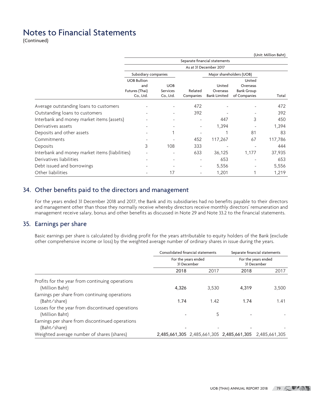(Continued)

|                                                | (Unit: Million Baht)          |                          |                          |                                 |                          |         |  |  |
|------------------------------------------------|-------------------------------|--------------------------|--------------------------|---------------------------------|--------------------------|---------|--|--|
|                                                | Separate financial statements |                          |                          |                                 |                          |         |  |  |
|                                                |                               |                          |                          | As at 31 December 2017          |                          |         |  |  |
|                                                | Subsidiary companies          |                          |                          | Major shareholders (UOB)        |                          |         |  |  |
|                                                | <b>UOB Bullion</b>            |                          |                          |                                 | United                   |         |  |  |
|                                                | and                           | <b>UOB</b>               |                          | United                          | Overseas                 |         |  |  |
|                                                | Futures (Thai)                | Services                 | Related                  | Overseas<br><b>Bank Limited</b> | <b>Bank Group</b>        |         |  |  |
|                                                | Co., Ltd.                     | Co., Ltd.                | Companies                |                                 | of Companies             | Total   |  |  |
| Average outstanding loans to customers         |                               | $\overline{\phantom{0}}$ | 472                      |                                 |                          | 472     |  |  |
| Outstanding loans to customers                 |                               | $\overline{\phantom{a}}$ | 392                      |                                 | $\overline{\phantom{0}}$ | 392     |  |  |
| Interbank and money market items (assets)      |                               | $\overline{\phantom{a}}$ | -                        | 447                             | 3                        | 450     |  |  |
| Derivatives assets                             |                               | $\overline{\phantom{a}}$ | ۰                        | 1,394                           |                          | 1,394   |  |  |
| Deposits and other assets                      |                               |                          |                          |                                 | 81                       | 83      |  |  |
| Commitments                                    |                               |                          | 452                      | 117,267                         | 67                       | 117,786 |  |  |
| Deposits                                       | 3                             | 108                      | 333                      |                                 |                          | 444     |  |  |
| Interbank and money market items (liabilities) |                               | ٠                        | 633                      | 36,125                          | 1,177                    | 37,935  |  |  |
| Derivatives liabilities                        |                               | $\overline{\phantom{a}}$ | ٠                        | 653                             |                          | 653     |  |  |
| Debt issued and borrowings                     |                               |                          | $\overline{\phantom{a}}$ | 5,556                           |                          | 5,556   |  |  |
| Other liabilities                              |                               | 17                       |                          | 1,201                           |                          | 1,219   |  |  |

### 34. Other benefits paid to the directors and management

 For the years ended 31 December 2018 and 2017, the Bank and its subsidiaries had no benefits payable to their directors and management other than those they normally receive whereby directors receive monthly directors' remuneration and management receive salary, bonus and other benefits as discussed in Note 29 and Note 33.2 to the financial statements.

#### 35. Earnings per share

 Basic earnings per share is calculated by dividing profit for the years attributable to equity holders of the Bank (exclude other comprehensive income or loss) by the weighted average number of ordinary shares in issue during the years.

|                                                  |       | Consolidated financial statements  |       | Separate financial statements<br>For the years ended<br>31 December |  |  |
|--------------------------------------------------|-------|------------------------------------|-------|---------------------------------------------------------------------|--|--|
|                                                  |       | For the years ended<br>31 December |       |                                                                     |  |  |
|                                                  | 2018  | 2017                               | 2018  | 2017                                                                |  |  |
| Profits for the year from continuing operations  |       |                                    |       |                                                                     |  |  |
| (Million Baht)                                   | 4,326 | 3,530                              | 4,319 | 3,500                                                               |  |  |
| Earnings per share from continuing operations    |       |                                    |       |                                                                     |  |  |
| (Baht/share)                                     | 1.74  | 1.42                               | 1.74  | 1.41                                                                |  |  |
| Losses for the year from discontinued operations |       |                                    |       |                                                                     |  |  |
| (Million Baht)                                   |       | 5                                  |       |                                                                     |  |  |
| Earnings per share from discontinued operations  |       |                                    |       |                                                                     |  |  |
| (Baht/share)                                     |       |                                    |       |                                                                     |  |  |
| Weighted average number of shares (shares)       |       |                                    |       | 2,485,661,305 2,485,661,305 2,485,661,305 2,485,661,305             |  |  |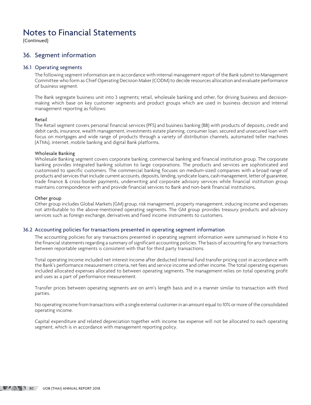(Continued)

#### 36. Segment information

#### 36.1 Operating segments

 The following segment information are in accordance with internal management report of the Bank submit to Management Committee who form as Chief Operating Decision Maker (CODM) to decide resources allocation and evaluate performance of business segment.

 The Bank segregate business unit into 3 segments; retail, wholesale banking and other, for driving business and decision making which base on key customer segments and product groups which are used in business decision and internal management reporting as follows:

#### Retail

 The Retail segment covers personal financial services (PFS) and business banking (BB) with products of deposits, credit and debit cards, insurance, wealth management, investments estate planning, consumer loan, secured and unsecured loan with focus on mortgages and wide range of products through a variety of distribution channels, automated teller machines (ATMs), internet, mobile banking and digital Bank platforms.

#### Wholesale Banking

 Wholesale Banking segment covers corporate banking, commercial banking and financial institution group. The corporate banking provides integrated banking solution to large corporations. The products and services are sophisticated and customised to specific customers. The commercial banking focuses on medium-sized companies with a broad range of products and services that include current accounts, deposits, lending, syndicate loans, cash management, letter of guarantee, trade finance & cross-border payments, underwriting and corporate advisory services while financial institution group maintains correspondence with and provide financial services to Bank and non-bank financial institutions.

#### Other group

 Other group includes Global Markets (GM) group, risk management, property management, inducing income and expenses not attributable to the above-mentioned operating segments. The GM group provides treasury products and advisory services such as foreign exchange, derivatives and fixed income instruments to customers.

#### 36.2 Accounting policies for transactions presented in operating segment information

 The accounting policies for any transactions presented in operating segment information were summarised in Note 4 to the financial statements regarding a summary of significant accounting policies. The basis of accounting for any transactions between reportable segments is consistent with that for third party transactions.

 Total operating income included net interest income after deducted internal fund transfer pricing cost in accordance with the Bank's performance measurement criteria, net fees and service income and other income. The total operating expenses included allocated expenses allocated to between operating segments. The management relies on total operating profit and uses as a part of performance measurement.

 Transfer prices between operating segments are on arm's length basis and in a manner similar to transaction with third parties.

 No operating income from transactions with a single external customer in an amount equal to 10% or more of the consolidated operating income.

 Capital expenditure and related depreciation together with income tax expense will not be allocated to each operating segment, which is in accordance with management reporting policy.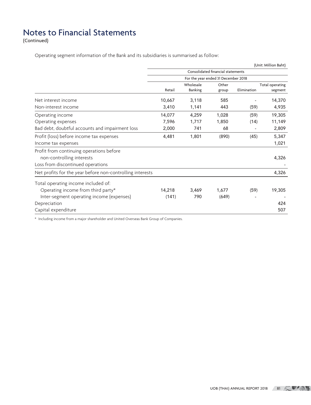(Continued)

Operating segment information of the Bank and its subsidiaries is summarised as follow:

|                                                           | (Unit: Million Baht)                |                             |                |                              |                            |  |  |
|-----------------------------------------------------------|-------------------------------------|-----------------------------|----------------|------------------------------|----------------------------|--|--|
|                                                           | Consolidated financial statements   |                             |                |                              |                            |  |  |
|                                                           | For the year ended 31 December 2018 |                             |                |                              |                            |  |  |
|                                                           | Retail                              | Wholesale<br><b>Banking</b> | Other<br>group | Elimination                  | Total operating<br>segment |  |  |
| Net interest income                                       | 10,667                              | 3,118                       | 585            |                              | 14,370                     |  |  |
| Non-interest income                                       | 3,410                               | 1,141                       | 443            | (59)                         | 4,935                      |  |  |
| Operating income                                          | 14,077                              | 4,259                       | 1,028          | (59)                         | 19,305                     |  |  |
| Operating expenses                                        | 7,596                               | 1,717                       | 1,850          | (14)                         | 11,149                     |  |  |
| Bad debt, doubtful accounts and impairment loss           | 2,000                               | 741                         | 68             | $\qquad \qquad \blacksquare$ | 2,809                      |  |  |
| Profit (loss) before income tax expenses                  | 4,481                               | 1,801                       | (890)          | (45)                         | 5,347                      |  |  |
| Income tax expenses                                       |                                     |                             |                |                              | 1,021                      |  |  |
| Profit from continuing operations before                  |                                     |                             |                |                              |                            |  |  |
| non-controlling interests                                 |                                     |                             |                |                              | 4,326                      |  |  |
| Loss from discontinued operations                         |                                     |                             |                |                              |                            |  |  |
| Net profits for the year before non-controlling interests |                                     |                             |                |                              | 4,326                      |  |  |
| Total operating income included of:                       |                                     |                             |                |                              |                            |  |  |
| Operating income from third party*                        | 14,218                              | 3,469                       | 1,677          | (59)                         | 19,305                     |  |  |
| Inter-segment operating income (expenses)                 | (141)                               | 790                         | (649)          |                              |                            |  |  |
| Depreciation                                              |                                     |                             |                |                              | 424                        |  |  |
| Capital expenditure                                       |                                     |                             |                |                              | 507                        |  |  |

\* Including income from a major shareholder and United Overseas Bank Group of Companies.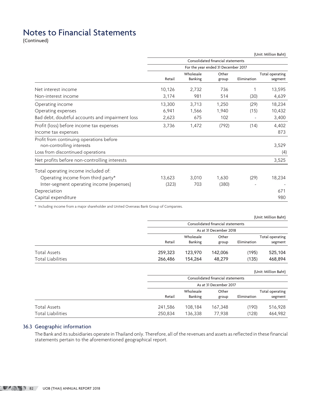(Continued)

|                                                 | (Unit: Million Baht)              |                                     |       |             |                 |  |  |
|-------------------------------------------------|-----------------------------------|-------------------------------------|-------|-------------|-----------------|--|--|
|                                                 | Consolidated financial statements |                                     |       |             |                 |  |  |
|                                                 |                                   | For the year ended 31 December 2017 |       |             |                 |  |  |
|                                                 |                                   | Wholesale                           | Other |             | Total operating |  |  |
|                                                 | Retail                            | <b>Banking</b>                      | group | Elimination | segment         |  |  |
| Net interest income                             | 10,126                            | 2,732                               | 736   |             | 13,595          |  |  |
| Non-interest income                             | 3,174                             | 981                                 | 514   | (30)        | 4,639           |  |  |
| Operating income                                | 13,300                            | 3,713                               | 1,250 | (29)        | 18,234          |  |  |
| Operating expenses                              | 6,941                             | 1,566                               | 1,940 | (15)        | 10,432          |  |  |
| Bad debt, doubtful accounts and impairment loss | 2,623                             | 675                                 | 102   |             | 3,400           |  |  |
| Profit (loss) before income tax expenses        | 3,736                             | 1,472                               | (792) | (14)        | 4,402           |  |  |
| Income tax expenses                             |                                   |                                     |       |             | 873             |  |  |
| Profit from continuing operations before        |                                   |                                     |       |             |                 |  |  |
| non-controlling interests                       |                                   |                                     |       |             | 3,529           |  |  |
| Loss from discontinued operations               |                                   |                                     |       |             | (4)             |  |  |
| Net profits before non-controlling interests    |                                   |                                     |       |             | 3,525           |  |  |
| Total operating income included of:             |                                   |                                     |       |             |                 |  |  |
| Operating income from third party*              | 13,623                            | 3,010                               | 1,630 | (29)        | 18,234          |  |  |
| Inter-segment operating income (expenses)       | (323)                             | 703                                 | (380) |             |                 |  |  |
| Depreciation                                    |                                   |                                     |       |             | 671             |  |  |
| Capital expenditure                             |                                   |                                     |       |             | 980             |  |  |

\* Including income from a major shareholder and United Overseas Bank Group of Companies.

|                          |         |                                   |         |             | (Unit: Million Baht) |  |  |
|--------------------------|---------|-----------------------------------|---------|-------------|----------------------|--|--|
|                          |         | Consolidated financial statements |         |             |                      |  |  |
|                          |         | As at 31 December 2018            |         |             |                      |  |  |
|                          |         | Wholesale                         | Other   |             | Total operating      |  |  |
|                          | Retail  | <b>Banking</b>                    | group   | Elimination | segment              |  |  |
| <b>Total Assets</b>      | 259,323 | 123,970                           | 142,006 | (195)       | 525,104              |  |  |
| <b>Total Liabilities</b> | 266,486 | 154,264                           | 48,279  | (135)       | 468,894              |  |  |

|                          |         |                             |                                   |             | (Unit: Million Baht)       |  |
|--------------------------|---------|-----------------------------|-----------------------------------|-------------|----------------------------|--|
|                          |         |                             | Consolidated financial statements |             |                            |  |
|                          |         | As at 31 December 2017      |                                   |             |                            |  |
|                          | Retail  | Wholesale<br><b>Banking</b> | Other<br>group                    | Elimination | Total operating<br>segment |  |
| <b>Total Assets</b>      | 241,586 | 108,184                     | 167,348                           | (190)       | 516,928                    |  |
| <b>Total Liabilities</b> | 250,834 | 136,338                     | 77,938                            | (128)       | 464,982                    |  |

### 36.3 Geographic information

 The Bank and its subsidiaries operate in Thailand only. Therefore, all of the revenues and assets as reflected in these financial statements pertain to the aforementioned geographical report.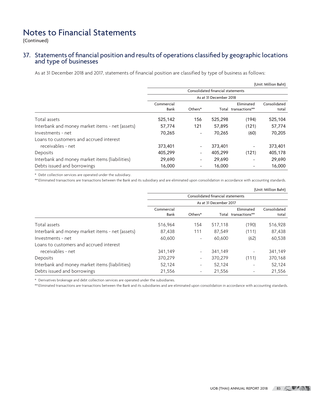(Continued)

# 37. Statements of financial position and results of operations classified by geographic locations and type of businesses

As at 31 December 2018 and 2017, statements of financial position are classified by type of business as follows:

|            |                          |         | Consolidated financial statements |                                                |  |  |  |  |  |
|------------|--------------------------|---------|-----------------------------------|------------------------------------------------|--|--|--|--|--|
|            |                          |         |                                   |                                                |  |  |  |  |  |
| Commercial |                          |         | Eliminated                        | Consolidated                                   |  |  |  |  |  |
| Bank       | Others*                  |         |                                   | total                                          |  |  |  |  |  |
| 525,142    | 156                      | 525,298 | (194)                             | 525,104                                        |  |  |  |  |  |
| 57,774     | 121                      | 57,895  | (121)                             | 57,774                                         |  |  |  |  |  |
| 70,265     | $\overline{\phantom{a}}$ | 70,265  | (60)                              | 70,205                                         |  |  |  |  |  |
|            |                          |         |                                   |                                                |  |  |  |  |  |
| 373,401    | ۰                        | 373,401 | ۰                                 | 373,401                                        |  |  |  |  |  |
| 405,299    | $\overline{\phantom{a}}$ | 405,299 | (121)                             | 405,178                                        |  |  |  |  |  |
| 29,690     | $\overline{\phantom{a}}$ | 29,690  |                                   | 29,690                                         |  |  |  |  |  |
| 16,000     | ۰                        | 16,000  |                                   | 16,000                                         |  |  |  |  |  |
|            |                          |         |                                   | As at 31 December 2018<br>Total transactions** |  |  |  |  |  |

\* Debt collection services are operated under the subsidiary.

\*\* Eliminated transactions are transactions between the Bank and its subsidiary and are eliminated upon consolidation in accordance with accounting standards.

|                                                 |                                   |         |                        |                      | (Unit: Million Baht) |  |  |
|-------------------------------------------------|-----------------------------------|---------|------------------------|----------------------|----------------------|--|--|
|                                                 | Consolidated financial statements |         |                        |                      |                      |  |  |
|                                                 |                                   |         | As at 31 December 2017 |                      |                      |  |  |
|                                                 | Commercial                        |         |                        | Eliminated           | Consolidated         |  |  |
|                                                 | Bank                              | Others* |                        | Total transactions** | total                |  |  |
| Total assets                                    | 516,964                           | 154     | 517,118                | (190)                | 516,928              |  |  |
| Interbank and money market items - net (assets) | 87,438                            | 111     | 87,549                 | (111)                | 87,438               |  |  |
| Investments - net                               | 60,600                            | $\sim$  | 60,600                 | (62)                 | 60,538               |  |  |
| Loans to customers and accrued interest         |                                   |         |                        |                      |                      |  |  |
| receivables - net                               | 341,149                           | Ξ.      | 341,149                | ۰                    | 341,149              |  |  |
| Deposits                                        | 370,279                           | ۰.      | 370.279                | (111)                | 370,168              |  |  |
| Interbank and money market items (liabilities)  | 52,124                            | ۰.      | 52,124                 | ۰                    | 52,124               |  |  |
| Debts issued and borrowings                     | 21,556                            | ۰.      | 21,556                 |                      | 21,556               |  |  |

\* Derivatives brokerage and debt collection services are operated under the subsidiaries.

\*\* Eliminated transactions are transactions between the Bank and its subsidiaries and are eliminated upon consolidation in accordance with accounting standards.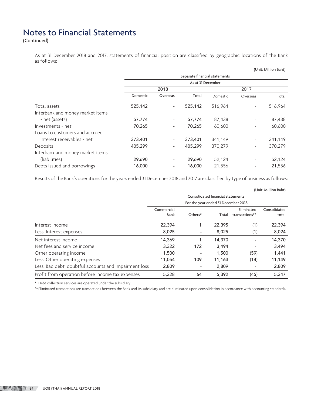(Continued)

 As at 31 December 2018 and 2017, statements of financial position are classified by geographic locations of the Bank as follows:

|                                  |                               |                          |                   |          |                          | (Unit: Million Baht) |  |  |
|----------------------------------|-------------------------------|--------------------------|-------------------|----------|--------------------------|----------------------|--|--|
|                                  | Separate financial statements |                          |                   |          |                          |                      |  |  |
|                                  |                               |                          | As at 31 December |          |                          |                      |  |  |
|                                  |                               | 2018                     |                   |          | 2017                     |                      |  |  |
|                                  | Domestic                      | Overseas                 | Total             | Domestic | Overseas                 | Total                |  |  |
| Total assets                     | 525,142                       | -                        | 525,142           | 516,964  | $\overline{\phantom{a}}$ | 516,964              |  |  |
| Interbank and money market items |                               |                          |                   |          |                          |                      |  |  |
| - net (assets)                   | 57,774                        | $\overline{\phantom{a}}$ | 57,774            | 87,438   | $\overline{\phantom{a}}$ | 87,438               |  |  |
| Investments - net                | 70,265                        | $\overline{\phantom{a}}$ | 70,265            | 60,600   | $\overline{\phantom{a}}$ | 60,600               |  |  |
| Loans to customers and accrued   |                               |                          |                   |          |                          |                      |  |  |
| interest receivables - net       | 373,401                       | $\overline{\phantom{a}}$ | 373,401           | 341,149  | $\overline{\phantom{a}}$ | 341,149              |  |  |
| Deposits                         | 405,299                       | $\overline{\phantom{a}}$ | 405,299           | 370,279  | $\overline{\phantom{a}}$ | 370,279              |  |  |
| Interbank and money market items |                               |                          |                   |          |                          |                      |  |  |
| (liabilities)                    | 29,690                        | $\overline{\phantom{a}}$ | 29,690            | 52,124   | $\overline{\phantom{m}}$ | 52,124               |  |  |
| Debts issued and borrowings      | 16,000                        | $\overline{\phantom{a}}$ | 16,000            | 21,556   | $\overline{\phantom{a}}$ | 21,556               |  |  |

Results of the Bank's operations for the years ended 31 December 2018 and 2017 are classified by type of business as follows:

|                                                       |                                   |                                     |        |                | (Unit: Million Baht) |  |
|-------------------------------------------------------|-----------------------------------|-------------------------------------|--------|----------------|----------------------|--|
|                                                       | Consolidated financial statements |                                     |        |                |                      |  |
|                                                       |                                   | For the year ended 31 December 2018 |        |                |                      |  |
|                                                       | Commercial                        |                                     |        | Eliminated     | Consolidated         |  |
|                                                       | <b>Bank</b>                       | Others*                             | Total  | transactions** | total                |  |
| Interest income                                       | 22,394                            |                                     | 22,395 | (1)            | 22,394               |  |
| Less: Interest expenses                               | 8,025                             | ٠                                   | 8,025  | (1)            | 8,024                |  |
| Net interest income                                   | 14,369                            |                                     | 14,370 |                | 14,370               |  |
| Net fees and service income                           | 3,322                             | 172                                 | 3.494  |                | 3.494                |  |
| Other operating income                                | 1,500                             | $\overline{\phantom{a}}$            | 1,500  | (59)           | 1,441                |  |
| Less: Other operating expenses                        | 11,054                            | 109                                 | 11,163 | (14)           | 11,149               |  |
| Less: Bad debt, doubtful accounts and impairment loss | 2,809                             | ٠                                   | 2,809  |                | 2,809                |  |
| Profit from operation before income tax expenses      | 5,328                             | 64                                  | 5,392  | (45)           | 5,347                |  |

\* Debt collection services are operated under the subsidiary.

\*\* Eliminated transactions are transactions between the Bank and its subsidiary and are eliminated upon consolidation in accordance with accounting standards.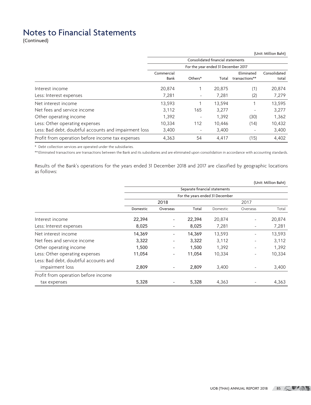(Continued)

|                                                       |                    |         |                                     |                              | (Unit: Million Baht)  |
|-------------------------------------------------------|--------------------|---------|-------------------------------------|------------------------------|-----------------------|
|                                                       |                    |         | Consolidated financial statements   |                              |                       |
|                                                       |                    |         | For the year ended 31 December 2017 |                              |                       |
|                                                       | Commercial<br>Bank | Others* | Total                               | Eliminated<br>transactions** | Consolidated<br>total |
| Interest income                                       | 20,874             |         | 20,875                              | (1)                          | 20,874                |
| Less: Interest expenses                               | 7,281              | -       | 7,281                               | (2)                          | 7,279                 |
| Net interest income                                   | 13,593             |         | 13,594                              |                              | 13,595                |
| Net fees and service income                           | 3,112              | 165     | 3,277                               |                              | 3,277                 |
| Other operating income                                | 1,392              | -       | 1,392                               | (30)                         | 1,362                 |
| Less: Other operating expenses                        | 10,334             | 112     | 10,446                              | (14)                         | 10,432                |
| Less: Bad debt, doubtful accounts and impairment loss | 3,400              | -       | 3,400                               |                              | 3,400                 |
| Profit from operation before income tax expenses      | 4,363              | 54      | 4,417                               | (15)                         | 4,402                 |

\* Debt collection services are operated under the subsidiaries.

\*\* Eliminated transactions are transactions between the Bank and its subsidiaries and are eliminated upon consolidation in accordance with accounting standards.

 Results of the Bank's operations for the years ended 31 December 2018 and 2017 are classified by geographic locations as follows:

|                                       |          |                              |                               |                                 |                          | (Unit: Million Baht) |  |
|---------------------------------------|----------|------------------------------|-------------------------------|---------------------------------|--------------------------|----------------------|--|
|                                       |          |                              | Separate financial statements |                                 |                          |                      |  |
|                                       |          |                              |                               | For the years ended 31 December |                          |                      |  |
|                                       |          | 2018                         |                               |                                 | 2017                     |                      |  |
|                                       | Domestic | Overseas                     | Total                         | Domestic                        | Overseas                 | Total                |  |
| Interest income                       | 22,394   | -                            | 22,394                        | 20,874                          | $\overline{a}$           | 20,874               |  |
| Less: Interest expenses               | 8,025    | -                            | 8,025                         | 7,281                           |                          | 7,281                |  |
| Net interest income                   | 14,369   | $\overline{\phantom{a}}$     | 14,369                        | 13,593                          | $\overline{a}$           | 13,593               |  |
| Net fees and service income           | 3,322    | ٠                            | 3,322                         | 3,112                           | $\overline{\phantom{0}}$ | 3,112                |  |
| Other operating income                | 1,500    | -                            | 1,500                         | 1,392                           | $\overline{\phantom{0}}$ | 1,392                |  |
| Less: Other operating expenses        | 11,054   | ۰                            | 11,054                        | 10,334                          | $\overline{\phantom{0}}$ | 10,334               |  |
| Less: Bad debt, doubtful accounts and |          |                              |                               |                                 |                          |                      |  |
| impairment loss                       | 2,809    | $\overline{\phantom{a}}$     | 2,809                         | 3,400                           |                          | 3,400                |  |
| Profit from operation before income   |          |                              |                               |                                 |                          |                      |  |
| tax expenses                          | 5,328    | $\qquad \qquad \blacksquare$ | 5,328                         | 4,363                           |                          | 4,363                |  |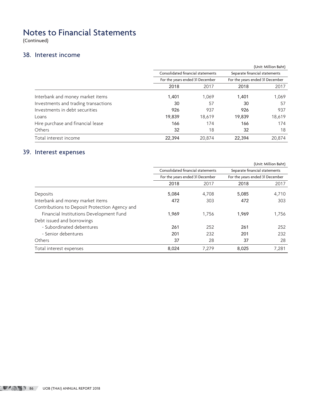(Continued)

### 38. Interest income

|                                      |                                   |                                 |                               | (Unit: Million Baht)            |  |  |
|--------------------------------------|-----------------------------------|---------------------------------|-------------------------------|---------------------------------|--|--|
|                                      | Consolidated financial statements |                                 | Separate financial statements |                                 |  |  |
|                                      |                                   | For the years ended 31 December |                               | For the years ended 31 December |  |  |
|                                      | 2018                              | 2017                            | 2018                          | 2017                            |  |  |
| Interbank and money market items     | 1,401                             | 1.069                           | 1,401                         | 1,069                           |  |  |
| Investments and trading transactions | 30                                | 57                              | 30                            | 57                              |  |  |
| Investments in debt securities       | 926                               | 937                             | 926                           | 937                             |  |  |
| Loans                                | 19,839                            | 18,619                          | 19,839                        | 18,619                          |  |  |
| Hire purchase and financial lease    | 166                               | 174                             | 166                           | 174                             |  |  |
| Others                               | 32                                | 18                              | 32                            | 18                              |  |  |
| Total interest income                | 22,394                            | 20,874                          | 22,394                        | 20.874                          |  |  |
|                                      |                                   |                                 |                               |                                 |  |  |

### 39. Interest expenses

|                                                |                                   |       |                                 | (Unit: Million Baht) |  |
|------------------------------------------------|-----------------------------------|-------|---------------------------------|----------------------|--|
|                                                | Consolidated financial statements |       | Separate financial statements   |                      |  |
|                                                | For the years ended 31 December   |       | For the years ended 31 December |                      |  |
|                                                | 2018                              | 2017  | 2018                            | 2017                 |  |
| Deposits                                       | 5,084                             | 4.708 | 5,085                           | 4,710                |  |
| Interbank and money market items               | 472                               | 303   | 472                             | 303                  |  |
| Contributions to Deposit Protection Agency and |                                   |       |                                 |                      |  |
| Financial Institutions Development Fund        | 1,969                             | 1,756 | 1,969                           | 1,756                |  |
| Debt issued and borrowings                     |                                   |       |                                 |                      |  |
| - Subordinated debentures                      | 261                               | 252   | 261                             | 252                  |  |
| - Senior debentures                            | 201                               | 232   | 201                             | 232                  |  |
| Others                                         | 37                                | 28    | 37                              | 28                   |  |
| Total interest expenses                        | 8.024                             | 7,279 | 8,025                           | 7,281                |  |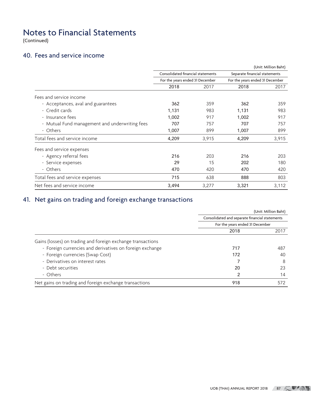(Continued)

### 40. Fees and service income

|                                                |                                   |       |                                 | (Unit: Million Baht) |
|------------------------------------------------|-----------------------------------|-------|---------------------------------|----------------------|
|                                                | Consolidated financial statements |       | Separate financial statements   |                      |
|                                                | For the years ended 31 December   |       | For the years ended 31 December |                      |
|                                                | 2018                              | 2017  | 2018                            | 2017                 |
| Fees and service income                        |                                   |       |                                 |                      |
| - Acceptances, aval and guarantees             | 362                               | 359   | 362                             | 359                  |
| - Credit cards                                 | 1,131                             | 983   | 1,131                           | 983                  |
| - Insurance fees                               | 1,002                             | 917   | 1,002                           | 917                  |
| - Mutual Fund management and underwriting fees | 707                               | 757   | 707                             | 757                  |
| - Others                                       | 1,007                             | 899   | 1,007                           | 899                  |
| Total fees and service income                  | 4,209                             | 3,915 | 4,209                           | 3,915                |
| Fees and service expenses                      |                                   |       |                                 |                      |
| - Agency referral fees                         | 216                               | 203   | 216                             | 203                  |
| - Service expenses                             | 29                                | 15    | 202                             | 180                  |
| - Others                                       | 470                               | 420   | 470                             | 420                  |
| Total fees and service expenses                | 715                               | 638   | 888                             | 803                  |
| Net fees and service income                    | 3,494                             | 3,277 | 3,321                           | 3,112                |

# 41. Net gains on trading and foreign exchange transactions

|                                                             |                                                | (Unit: Million Baht) |
|-------------------------------------------------------------|------------------------------------------------|----------------------|
|                                                             | Consolidated and separate financial statements |                      |
|                                                             | For the years ended 31 December                |                      |
|                                                             | 2018                                           | 2017                 |
| Gains (losses) on trading and foreign exchange transactions |                                                |                      |
| - Foreign currencies and derivatives on foreign exchange    | 717                                            | 487                  |
| - Foreign currencies (Swap Cost)                            | 172                                            | 40                   |
| - Derivatives on interest rates                             |                                                | 8                    |
| - Debt securities                                           | 20                                             | 23                   |
| - Others                                                    |                                                | 14                   |
| Net gains on trading and foreign exchange transactions      | 918                                            | 572                  |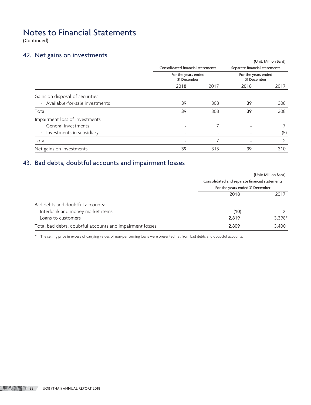(Continued)

### 42. Net gains on investments

|                                  |                                    |      |                                    | (Unit: Million Baht) |  |
|----------------------------------|------------------------------------|------|------------------------------------|----------------------|--|
|                                  | Consolidated financial statements  |      | Separate financial statements      |                      |  |
|                                  | For the years ended<br>31 December |      | For the years ended<br>31 December |                      |  |
|                                  | 2018                               | 2017 | 2018                               | 2017                 |  |
| Gains on disposal of securities  |                                    |      |                                    |                      |  |
| - Available-for-sale investments | 39                                 | 308  | 39                                 | 308                  |  |
| Total                            | 39                                 | 308  | 39                                 | 308                  |  |
| Impairment loss of investments   |                                    |      |                                    |                      |  |
| - General investments            |                                    |      |                                    |                      |  |
| - Investments in subsidiary      |                                    |      |                                    | (5)                  |  |
| Total                            |                                    |      |                                    | 2                    |  |
| Net gains on investments         | 39                                 | 315  | 39                                 | 310                  |  |

### 43. Bad debts, doubtful accounts and impairment losses

|                                                          |                                                | (Unit: Million Baht) |
|----------------------------------------------------------|------------------------------------------------|----------------------|
|                                                          | Consolidated and separate financial statements |                      |
|                                                          | For the years ended 31 December                |                      |
|                                                          | 2018                                           | 2017                 |
| Bad debts and doubtful accounts:                         |                                                |                      |
| Interbank and money market items                         | (10)                                           |                      |
| Loans to customers                                       | 2,819                                          | $3.398*$             |
| Total bad debts, doubtful accounts and impairment losses | 2.809                                          | 3,400                |
|                                                          |                                                |                      |

\* The selling price in excess of carrying values of non-performing loans were presented net from bad debts and doubtful accounts.

**88 UOB (THAI) ANNUAL REPORT 2018**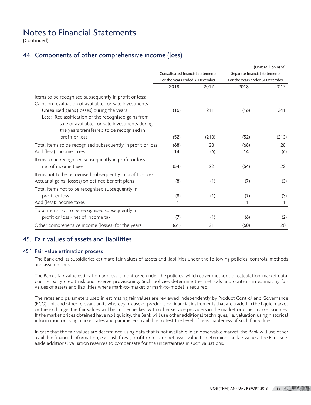(Continued)

### 44. Components of other comprehensive income (loss)

|                                                             |                                   |       |                                 | (Unit: Million Baht) |  |
|-------------------------------------------------------------|-----------------------------------|-------|---------------------------------|----------------------|--|
|                                                             | Consolidated financial statements |       | Separate financial statements   |                      |  |
|                                                             | For the years ended 31 December   |       | For the years ended 31 December |                      |  |
|                                                             | 2018                              | 2017  | 2018                            | 2017                 |  |
| Items to be recognised subsequently in profit or loss:      |                                   |       |                                 |                      |  |
| Gains on revaluation of available-for-sale investments      |                                   |       |                                 |                      |  |
| Unrealised gains (losses) during the years                  | (16)                              | 241   | (16)                            | 241                  |  |
| Less: Reclassification of the recognised gains from         |                                   |       |                                 |                      |  |
| sale of available-for-sale investments during               |                                   |       |                                 |                      |  |
| the years transferred to be recognised in                   |                                   |       |                                 |                      |  |
| profit or loss                                              | (52)                              | (213) | (52)                            | (213)                |  |
| Total items to be recognised subsequently in profit or loss | (68)                              | 28    | (68)                            | 28                   |  |
| Add (less): Income taxes                                    | 14                                | (6)   | 14                              | (6)                  |  |
| Items to be recognised subsequently in profit or loss -     |                                   |       |                                 |                      |  |
| net of income taxes                                         | (54)                              | 22    | (54)                            | 22                   |  |
| Items not to be recognised subsequently in profit or loss:  |                                   |       |                                 |                      |  |
| Actuarial gains (losses) on defined benefit plans           | (8)                               | (1)   | (7)                             | (3)                  |  |
| Total items not to be recognised subsequently in            |                                   |       |                                 |                      |  |
| profit or loss                                              | (8)                               | (1)   | (7)                             | (3)                  |  |
| Add (less): Income taxes                                    | 1                                 |       | 1                               | 1                    |  |
| Total items not to be recognised subsequently in            |                                   |       |                                 |                      |  |
| profit or loss - net of income tax                          | (7)                               | (1)   | (6)                             | (2)                  |  |
| Other comprehensive income (losses) for the years           | (61)                              | 21    | (60)                            | 20                   |  |

### 45. Fair values of assets and liabilities

#### 45.1 Fair value estimation process

 The Bank and its subsidiaries estimate fair values of assets and liabilities under the following policies, controls, methods and assumptions.

 The Bank's fair value estimation process is monitored under the policies, which cover methods of calculation, market data, counterparty credit risk and reserve provisioning. Such policies determine the methods and controls in estimating fair values of assets and liabilities where mark-to-market or mark-to-model is required.

 The rates and parameters used in estimating fair values are reviewed independently by Product Control and Governance (PCG) Unit and other relevant units whereby in case of products or financial instruments that are traded in the liquid market or the exchange, the fair values will be cross-checked with other service providers in the market or other market sources. If the market prices obtained have no liquidity, the Bank will use other additional techniques, i.e. valuation using historical information or using market rates and parameters available to test the level of reasonableness of such fair values.

 In case that the fair values are determined using data that is not available in an observable market, the Bank will use other available financial information, e.g. cash flows, profit or loss, or net asset value to determine the fair values. The Bank sets aside additional valuation reserves to compensate for the uncertainties in such valuations.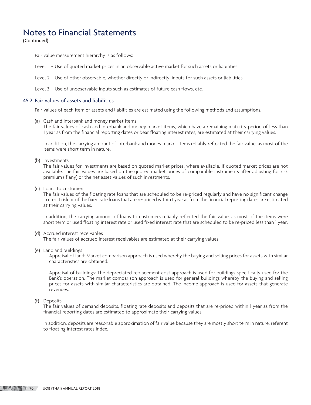(Continued)

Fair value measurement hierarchy is as follows:

Level 1 - Use of quoted market prices in an observable active market for such assets or liabilities.

Level 2 - Use of other observable, whether directly or indirectly, inputs for such assets or liabilities

Level 3 - Use of unobservable inputs such as estimates of future cash flows, etc.

#### 45.2 Fair values of assets and liabilities

Fair values of each item of assets and liabilities are estimated using the following methods and assumptions.

 (a) Cash and interbank and money market items The fair values of cash and interbank and money market items, which have a remaining maturity period of less than 1 year as from the financial reporting dates or bear floating interest rates, are estimated at their carrying values.

 In addition, the carrying amount of interbank and money market items reliably reflected the fair value, as most of the items were short term in nature.

(b) Investments

 The fair values for investments are based on quoted market prices, where available. If quoted market prices are not available, the fair values are based on the quoted market prices of comparable instruments after adjusting for risk premium (if any) or the net asset values of such investments.

(c) Loans to customers

 The fair values of the floating rate loans that are scheduled to be re-priced regularly and have no significant change in credit risk or of the fixed rate loans that are re-priced within 1 year as from the financial reporting dates are estimated at their carrying values.

 In addition, the carrying amount of loans to customers reliably reflected the fair value, as most of the items were short term or used floating interest rate or used fixed interest rate that are scheduled to be re-priced less than 1 year.

(d) Accrued interest receivables

The fair values of accrued interest receivables are estimated at their carrying values.

- (e) Land and buildings
	- Appraisal of land: Market comparison approach is used whereby the buying and selling prices for assets with similar characteristics are obtained.
	- Appraisal of buildings: The depreciated replacement cost approach is used for buildings specifically used for the Bank's operation. The market comparison approach is used for general buildings whereby the buying and selling prices for assets with similar characteristics are obtained. The income approach is used for assets that generate revenues.
- (f) Deposits

 The fair values of demand deposits, floating rate deposits and deposits that are re-priced within 1 year as from the financial reporting dates are estimated to approximate their carrying values.

 In addition, deposits are reasonable approximation of fair value because they are mostly short term in nature, referent to floating interest rates index.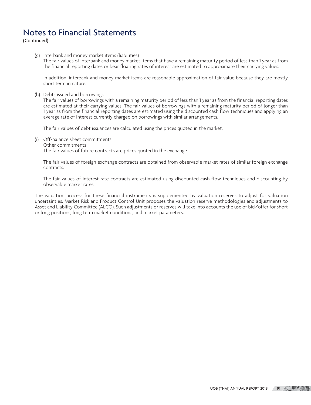(Continued)

(g) Interbank and money market items (liabilities)

 The fair values of interbank and money market items that have a remaining maturity period of less than 1 year as from the financial reporting dates or bear floating rates of interest are estimated to approximate their carrying values.

 In addition, interbank and money market items are reasonable approximation of fair value because they are mostly short term in nature.

(h) Debts issued and borrowings

 The fair values of borrowings with a remaining maturity period of less than 1 year as from the financial reporting dates are estimated at their carrying values. The fair values of borrowings with a remaining maturity period of longer than 1 year as from the financial reporting dates are estimated using the discounted cash flow techniques and applying an average rate of interest currently charged on borrowings with similar arrangements.

The fair values of debt issuances are calculated using the prices quoted in the market.

 (i) Off-balance sheet commitments Other commitments

The fair values of future contracts are prices quoted in the exchange.

 The fair values of foreign exchange contracts are obtained from observable market rates of similar foreign exchange contracts.

 The fair values of interest rate contracts are estimated using discounted cash flow techniques and discounting by observable market rates.

 The valuation process for these financial instruments is supplemented by valuation reserves to adjust for valuation uncertainties. Market Risk and Product Control Unit proposes the valuation reserve methodologies and adjustments to Asset and Liability Committee (ALCO). Such adjustments or reserves will take into accounts the use of bid/offer for short or long positions, long term market conditions, and market parameters.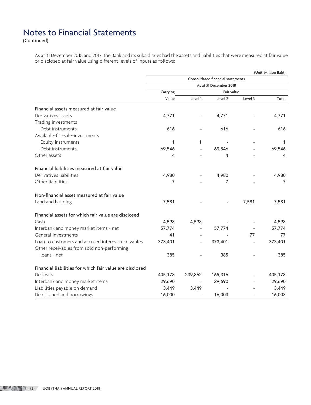(Continued)

 As at 31 December 2018 and 2017, the Bank and its subsidiaries had the assets and liabilities that were measured at fair value or disclosed at fair value using different levels of inputs as follows:

|                                                          | (Unit: Million Baht) |         |                                   |                |         |  |  |  |  |
|----------------------------------------------------------|----------------------|---------|-----------------------------------|----------------|---------|--|--|--|--|
|                                                          |                      |         | Consolidated financial statements |                |         |  |  |  |  |
|                                                          |                      |         | As at 31 December 2018            |                |         |  |  |  |  |
|                                                          | Carrying             |         | Fair value                        |                |         |  |  |  |  |
|                                                          | Value                | Level 1 | Level 2                           | Level 3        | Total   |  |  |  |  |
| Financial assets measured at fair value                  |                      |         |                                   |                |         |  |  |  |  |
| Derivatives assets                                       | 4,771                |         | 4,771                             |                | 4,771   |  |  |  |  |
| Trading investments                                      |                      |         |                                   |                |         |  |  |  |  |
| Debt instruments                                         | 616                  |         | 616                               |                | 616     |  |  |  |  |
| Available-for-sale-investments                           |                      |         |                                   |                |         |  |  |  |  |
| Equity instruments                                       | 1                    | 1       |                                   |                | 1       |  |  |  |  |
| Debt instruments                                         | 69,546               |         | 69,546                            |                | 69,546  |  |  |  |  |
| Other assets                                             | 4                    |         | 4                                 |                | 4       |  |  |  |  |
| Financial liabilities measured at fair value             |                      |         |                                   |                |         |  |  |  |  |
| Derivatives liabilities                                  | 4,980                |         | 4,980                             |                | 4,980   |  |  |  |  |
| Other liabilities                                        | 7                    |         | $\overline{7}$                    |                | 7       |  |  |  |  |
| Non-financial asset measured at fair value               |                      |         |                                   |                |         |  |  |  |  |
| Land and building                                        | 7,581                |         | $\overline{\phantom{a}}$          | 7,581          | 7,581   |  |  |  |  |
| Financial assets for which fair value are disclosed      |                      |         |                                   |                |         |  |  |  |  |
| Cash                                                     | 4,598                | 4,598   |                                   |                | 4,598   |  |  |  |  |
| Interbank and money market items - net                   | 57,774               |         | 57,774                            |                | 57,774  |  |  |  |  |
| General investments                                      | 41                   |         |                                   | 77             | 77      |  |  |  |  |
| Loan to customers and accrued interest receivables       | 373,401              |         | 373,401                           |                | 373,401 |  |  |  |  |
| Other receivables from sold non-performing               |                      |         |                                   |                |         |  |  |  |  |
| loans - net                                              | 385                  |         | 385                               |                | 385     |  |  |  |  |
| Financial liabilities for which fair value are disclosed |                      |         |                                   |                |         |  |  |  |  |
| Deposits                                                 | 405,178              | 239,862 | 165,316                           |                | 405,178 |  |  |  |  |
| Interbank and money market items                         | 29,690               |         | 29,690                            | $\overline{a}$ | 29,690  |  |  |  |  |
| Liabilities payable on demand                            | 3,449                | 3,449   |                                   |                | 3,449   |  |  |  |  |
| Debt issued and borrowings                               | 16,000               |         | 16,003                            |                | 16,003  |  |  |  |  |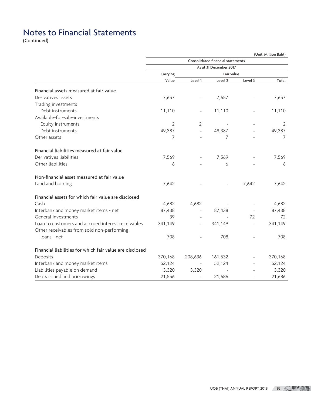(Continued)

| (Unit: Million Baht)                                     |                                   |                          |                        |                          |         |  |
|----------------------------------------------------------|-----------------------------------|--------------------------|------------------------|--------------------------|---------|--|
|                                                          | Consolidated financial statements |                          |                        |                          |         |  |
|                                                          |                                   |                          | As at 31 December 2017 |                          |         |  |
|                                                          | Carrying                          |                          | Fair value             |                          |         |  |
|                                                          | Value                             | Level 1                  | Level 2                | Level 3                  | Total   |  |
| Financial assets measured at fair value                  |                                   |                          |                        |                          |         |  |
| Derivatives assets                                       | 7,657                             | L,                       | 7,657                  |                          | 7,657   |  |
| Trading investments                                      |                                   |                          |                        |                          |         |  |
| Debt instruments                                         | 11,110                            |                          | 11,110                 |                          | 11,110  |  |
| Available-for-sale-investments                           |                                   |                          |                        |                          |         |  |
| Equity instruments                                       | 2                                 | 2                        |                        |                          | 2       |  |
| Debt instruments                                         | 49,387                            | $\overline{\phantom{a}}$ | 49,387                 |                          | 49,387  |  |
| Other assets                                             | 7                                 |                          | 7                      |                          | 7       |  |
| Financial liabilities measured at fair value             |                                   |                          |                        |                          |         |  |
| Derivatives liabilities                                  | 7,569                             |                          | 7,569                  |                          | 7,569   |  |
| Other liabilities                                        | 6                                 |                          | 6                      |                          | 6       |  |
| Non-financial asset measured at fair value               |                                   |                          |                        |                          |         |  |
| Land and building                                        | 7,642                             |                          |                        | 7,642                    | 7,642   |  |
| Financial assets for which fair value are disclosed      |                                   |                          |                        |                          |         |  |
| Cash                                                     | 4,682                             | 4,682                    |                        |                          | 4,682   |  |
| Interbank and money market items - net                   | 87,438                            |                          | 87,438                 | $\overline{\phantom{0}}$ | 87,438  |  |
| General investments                                      | 39                                |                          |                        | 72                       | 72      |  |
| Loan to customers and accrued interest receivables       | 341,149                           |                          | 341,149                |                          | 341,149 |  |
| Other receivables from sold non-performing               |                                   |                          |                        |                          |         |  |
| loans - net                                              | 708                               |                          | 708                    |                          | 708     |  |
| Financial liabilities for which fair value are disclosed |                                   |                          |                        |                          |         |  |
| Deposits                                                 | 370,168                           | 208,636                  | 161,532                |                          | 370,168 |  |
| Interbank and money market items                         | 52,124                            | $\overline{\phantom{a}}$ | 52,124                 |                          | 52,124  |  |
| Liabilities payable on demand                            | 3,320                             | 3,320                    |                        |                          | 3,320   |  |
| Debts issued and borrowings                              | 21,556                            |                          | 21,686                 |                          | 21,686  |  |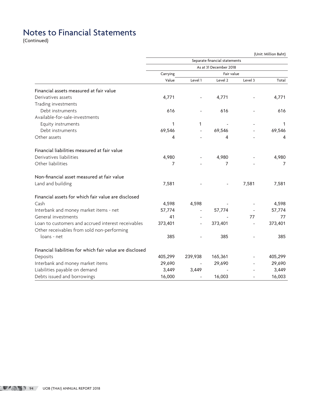(Continued)

| (Unit: Million Baht)                                     |                               |         |                        |         |                |  |
|----------------------------------------------------------|-------------------------------|---------|------------------------|---------|----------------|--|
|                                                          | Separate financial statements |         |                        |         |                |  |
|                                                          |                               |         | As at 31 December 2018 |         |                |  |
|                                                          | Carrying                      |         | Fair value             |         |                |  |
|                                                          | Value                         | Level 1 | Level 2                | Level 3 | Total          |  |
| Financial assets measured at fair value                  |                               |         |                        |         |                |  |
| Derivatives assets                                       | 4,771                         |         | 4,771                  |         | 4,771          |  |
| Trading investments                                      |                               |         |                        |         |                |  |
| Debt instruments                                         | 616                           |         | 616                    |         | 616            |  |
| Available-for-sale-investments                           |                               |         |                        |         |                |  |
| Equity instruments                                       | 1                             | 1       |                        |         | 1              |  |
| Debt instruments                                         | 69,546                        | L,      | 69,546                 |         | 69,546         |  |
| Other assets                                             | 4                             |         | 4                      |         | 4              |  |
| Financial liabilities measured at fair value             |                               |         |                        |         |                |  |
| Derivatives liabilities                                  | 4,980                         |         | 4,980                  |         | 4,980          |  |
| Other liabilities                                        | 7                             |         | 7                      |         | $\overline{7}$ |  |
| Non-financial asset measured at fair value               |                               |         |                        |         |                |  |
| Land and building                                        | 7,581                         |         |                        | 7,581   | 7,581          |  |
| Financial assets for which fair value are disclosed      |                               |         |                        |         |                |  |
| Cash                                                     | 4,598                         | 4,598   |                        |         | 4,598          |  |
| Interbank and money market items - net                   | 57,774                        |         | 57,774                 |         | 57,774         |  |
| General investments                                      | 41                            |         |                        | 77      | 77             |  |
| Loan to customers and accrued interest receivables       | 373,401                       |         | 373,401                |         | 373,401        |  |
| Other receivables from sold non-performing               |                               |         |                        |         |                |  |
| loans - net                                              | 385                           |         | 385                    |         | 385            |  |
| Financial liabilities for which fair value are disclosed |                               |         |                        |         |                |  |
| Deposits                                                 | 405,299                       | 239,938 | 165,361                |         | 405,299        |  |
| Interbank and money market items                         | 29,690                        |         | 29,690                 |         | 29,690         |  |
| Liabilities payable on demand                            | 3,449                         | 3,449   |                        |         | 3,449          |  |
| Debts issued and borrowings                              | 16,000                        | ÷,      | 16,003                 |         | 16,003         |  |

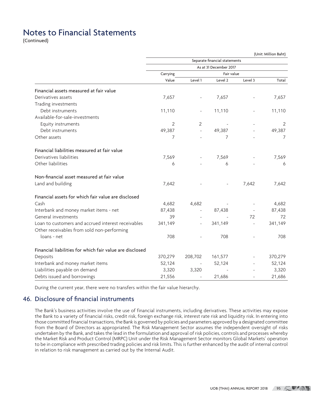(Continued)

| (Unit: Million Baht)                                     |                        |                          |                               |                          |         |  |  |
|----------------------------------------------------------|------------------------|--------------------------|-------------------------------|--------------------------|---------|--|--|
|                                                          |                        |                          | Separate financial statements |                          |         |  |  |
|                                                          | As at 31 December 2017 |                          |                               |                          |         |  |  |
|                                                          | Carrying               |                          | Fair value                    |                          |         |  |  |
|                                                          | Value                  | Level 1                  | Level 2                       | Level 3                  | Total   |  |  |
| Financial assets measured at fair value                  |                        |                          |                               |                          |         |  |  |
| Derivatives assets                                       | 7,657                  | $\overline{a}$           | 7,657                         |                          | 7,657   |  |  |
| Trading investments                                      |                        |                          |                               |                          |         |  |  |
| Debt instruments                                         | 11,110                 |                          | 11,110                        |                          | 11,110  |  |  |
| Available-for-sale-investments                           |                        |                          |                               |                          |         |  |  |
| Equity instruments                                       | 2                      | 2                        |                               |                          | 2       |  |  |
| Debt instruments                                         | 49,387                 | $\overline{\phantom{a}}$ | 49,387                        |                          | 49,387  |  |  |
| Other assets                                             | 7                      |                          | 7                             |                          | 7       |  |  |
| Financial liabilities measured at fair value             |                        |                          |                               |                          |         |  |  |
| Derivatives liabilities                                  | 7,569                  | $\overline{a}$           | 7,569                         |                          | 7,569   |  |  |
| Other liabilities                                        | 6                      |                          | 6                             |                          | 6       |  |  |
| Non-financial asset measured at fair value               |                        |                          |                               |                          |         |  |  |
| Land and building                                        | 7,642                  |                          |                               | 7,642                    | 7,642   |  |  |
| Financial assets for which fair value are disclosed      |                        |                          |                               |                          |         |  |  |
| Cash                                                     | 4,682                  | 4,682                    |                               |                          | 4,682   |  |  |
| Interbank and money market items - net                   | 87,438                 |                          | 87,438                        | $\overline{\phantom{a}}$ | 87,438  |  |  |
| General investments                                      | 39                     |                          |                               | 72                       | 72      |  |  |
| Loan to customers and accrued interest receivables       | 341,149                |                          | 341,149                       |                          | 341,149 |  |  |
| Other receivables from sold non-performing               |                        |                          |                               |                          |         |  |  |
| loans - net                                              | 708                    |                          | 708                           |                          | 708     |  |  |
| Financial liabilities for which fair value are disclosed |                        |                          |                               |                          |         |  |  |
| Deposits                                                 | 370,279                | 208,702                  | 161,577                       |                          | 370,279 |  |  |
| Interbank and money market items                         | 52,124                 | $\overline{\phantom{a}}$ | 52,124                        |                          | 52,124  |  |  |
| Liabilities payable on demand                            | 3,320                  | 3,320                    |                               |                          | 3,320   |  |  |
| Debts issued and borrowings                              | 21,556                 |                          | 21,686                        |                          | 21,686  |  |  |

During the current year, there were no transfers within the fair value hierarchy.

### 46. Disclosure of financial instruments

 The Bank's business activities involve the use of financial instruments, including derivatives. These activities may expose the Bank to a variety of financial risks, credit risk, foreign exchange risk, interest rate risk and liquidity risk. In entering into those committed financial transactions, the Bank is governed by policies and parameters approved by a designated committee from the Board of Directors as appropriated. The Risk Management Sector assumes the independent oversight of risks undertaken by the Bank, and takes the lead in the formulation and approval of risk policies, controls and processes whereby the Market Risk and Product Control (MRPC) Unit under the Risk Management Sector monitors Global Markets' operation to be in compliance with prescribed trading policies and risk limits. This is further enhanced by the audit of internal control in relation to risk management as carried out by the Internal Audit.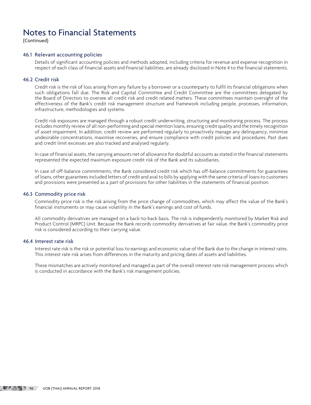(Continued)

#### 46.1 Relevant accounting policies

 Details of significant accounting policies and methods adopted, including criteria for revenue and expense recognition in respect of each class of financial assets and financial liabilities, are already disclosed in Note 4 to the financial statements.

#### 46.2 Credit risk

 Credit risk is the risk of loss arising from any failure by a borrower or a counterparty to fulfil its financial obligations when such obligations fall due. The Risk and Capital Committee and Credit Committee are the committees delegated by the Board of Directors to oversee all credit risk and credit related matters. These committees maintain oversight of the effectiveness of the Bank's credit risk management structure and framework including people, processes, information, infrastructure, methodologies and systems.

 Credit risk exposures are managed through a robust credit underwriting, structuring and monitoring process. The process includes monthly review of all non-performing and special mention loans, ensuring credit quality and the timely recognition of asset impairment. In addition, credit review are performed regularly to proactively manage any delinquency, minimise undesirable concentrations, maximise recoveries, and ensure compliance with credit policies and procedures. Past dues and credit limit excesses are also tracked and analysed regularly.

 In case of financial assets, the carrying amounts net of allowance for doubtful accounts as stated in the financial statements represented the expected maximum exposure credit risk of the Bank and its subsidiaries.

 In case of off-balance commitments, the Bank considered credit risk which has off-balance commitments for guarantees of loans, other guarantees included letters of credit and aval to bills by applying with the same criteria of loans to customers and provisions were presented as a part of provisions for other liabilities in the statements of financial position.

#### 46.3 Commodity price risk

 Commodity price risk is the risk arising from the price change of commodities, which may affect the value of the Bank's financial instruments or may cause volatility in the Bank's earnings and cost of funds.

 All commodity derivatives are managed on a back-to-back basis. The risk is independently monitored by Market Risk and Product Control (MRPC) Unit. Because the Bank records commodity derivatives at fair value, the Bank's commodity price risk is considered according to their carrying value.

#### 46.4 Interest rate risk

 Interest rate risk is the risk or potential loss to earnings and economic value of the Bank due to the change in interest rates. This interest rate risk arises from differences in the maturity and pricing dates of assets and liabilities.

 These mismatches are actively monitored and managed as part of the overall interest rate risk management process which is conducted in accordance with the Bank's risk management policies.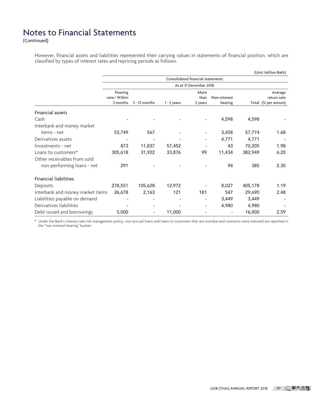(Continued)

 However, financial assets and liabilities represented their carrying values in statements of financial position, which are classified by types of interest rates and repricing periods as follows.

|                                  |                                      |                 |                                   |                              |              |         | (Unit: Million Baht)   |
|----------------------------------|--------------------------------------|-----------------|-----------------------------------|------------------------------|--------------|---------|------------------------|
|                                  |                                      |                 | Consolidated financial statements |                              |              |         |                        |
|                                  |                                      |                 |                                   | As at 31 December 2018       |              |         |                        |
|                                  | Floating<br>rate/ Within<br>3 months |                 |                                   | More<br>than                 | Non-interest |         | Average<br>return rate |
|                                  |                                      | $3 - 12$ months | $1 - 5$ years                     | 5 years                      | bearing      |         | Total (% per annum)    |
| Financial assets                 |                                      |                 |                                   |                              |              |         |                        |
| Cash                             |                                      |                 |                                   |                              | 4,598        | 4,598   |                        |
| Interbank and money market       |                                      |                 |                                   |                              |              |         |                        |
| items - net                      | 53,749                               | 567             |                                   |                              | 3,458        | 57,774  | 1.68                   |
| Derivatives assets               |                                      |                 |                                   | $\overline{a}$               | 4,771        | 4,771   |                        |
| Investments - net                | 873                                  | 11,837          | 57,452                            |                              | 43           | 70,205  | 1.98                   |
| Loans to customers*              | 305,618                              | 31,922          | 33,876                            | 99                           | 11,434       | 382,949 | 6.20                   |
| Other receivables from sold      |                                      |                 |                                   |                              |              |         |                        |
| non-performing loans - net       | 291                                  |                 |                                   |                              | 94           | 385     | 2.30                   |
| <b>Financial liabilities</b>     |                                      |                 |                                   |                              |              |         |                        |
| Deposits                         | 278,551                              | 105,628         | 12,972                            |                              | 8,027        | 405,178 | 1.19                   |
| Interbank and money market items | 26,678                               | 2,163           | 121                               | 181                          | 547          | 29,690  | 2.48                   |
| Liabilities payable on demand    |                                      |                 | $\overline{\phantom{a}}$          | $\qquad \qquad \blacksquare$ | 3,449        | 3,449   |                        |
| Derivatives liabilities          |                                      |                 |                                   |                              | 4,980        | 4,980   |                        |
| Debt issued and borrowings       | 5,000                                |                 | 11,000                            |                              |              | 16,000  | 2.59                   |

 \* Under the Bank's interest rate risk management policy, non-accrual loans and loans to customers that are overdue and contracts were matured are reported in the "non-interest bearing" bucket.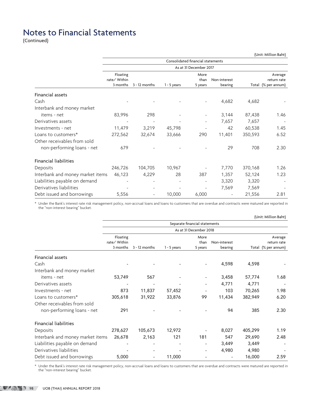(Continued)

|                                  | (Unit: Million Baht)                 |                 |               |                          |                         |         |                                               |
|----------------------------------|--------------------------------------|-----------------|---------------|--------------------------|-------------------------|---------|-----------------------------------------------|
|                                  | Consolidated financial statements    |                 |               |                          |                         |         |                                               |
|                                  |                                      |                 |               | As at 31 December 2017   |                         |         |                                               |
|                                  | Floating<br>rate/ Within<br>3 months | $3 - 12$ months | $1 - 5$ years | More<br>than<br>5 years  | Non-interest<br>bearing |         | Average<br>return rate<br>Total (% per annum) |
| Financial assets                 |                                      |                 |               |                          |                         |         |                                               |
| Cash                             |                                      |                 |               |                          | 4,682                   | 4,682   |                                               |
| Interbank and money market       |                                      |                 |               |                          |                         |         |                                               |
| items - net                      | 83,996                               | 298             |               | $\overline{\phantom{a}}$ | 3,144                   | 87,438  | 1.46                                          |
| Derivatives assets               |                                      |                 |               | $\overline{\phantom{a}}$ | 7,657                   | 7,657   |                                               |
| Investments - net                | 11,479                               | 3,219           | 45,798        |                          | 42                      | 60,538  | 1.45                                          |
| Loans to customers*              | 272,562                              | 32,674          | 33,666        | 290                      | 11,401                  | 350,593 | 6.52                                          |
| Other receivables from sold      |                                      |                 |               |                          |                         |         |                                               |
| non-performing loans - net       | 679                                  |                 |               |                          | 29                      | 708     | 2.30                                          |
| <b>Financial liabilities</b>     |                                      |                 |               |                          |                         |         |                                               |
| Deposits                         | 246,726                              | 104,705         | 10,967        |                          | 7,770                   | 370,168 | 1.26                                          |
| Interbank and money market items | 46,123                               | 4,229           | 28            | 387                      | 1,357                   | 52,124  | 1.23                                          |
| Liabilities payable on demand    |                                      |                 |               |                          | 3,320                   | 3,320   |                                               |
| Derivatives liabilities          |                                      |                 |               |                          | 7,569                   | 7,569   |                                               |
| Debt issued and borrowings       | 5,556                                |                 | 10,000        | 6,000                    |                         | 21,556  | 2.81                                          |

 \* Under the Bank's interest rate risk management policy, non-accrual loans and loans to customers that are overdue and contracts were matured are reported in the "non-interest bearing" bucket.

|                                  | (Unit: Million Baht)          |                 |               |                          |              |         |                     |
|----------------------------------|-------------------------------|-----------------|---------------|--------------------------|--------------|---------|---------------------|
|                                  | Separate financial statements |                 |               |                          |              |         |                     |
|                                  |                               |                 |               | As at 31 December 2018   |              |         |                     |
|                                  | Floating                      |                 |               | More                     |              |         | Average             |
|                                  | rate/ Within                  |                 |               | than                     | Non-interest |         | return rate         |
|                                  | 3 months                      | $3 - 12$ months | $1 - 5$ years | 5 years                  | bearing      |         | Total (% per annum) |
| Financial assets                 |                               |                 |               |                          |              |         |                     |
| Cash                             |                               |                 |               |                          | 4,598        | 4,598   |                     |
| Interbank and money market       |                               |                 |               |                          |              |         |                     |
| items - net                      | 53,749                        | 567             |               | $\overline{\phantom{a}}$ | 3,458        | 57,774  | 1.68                |
| Derivatives assets               |                               |                 |               | $\overline{\phantom{a}}$ | 4,771        | 4,771   |                     |
| Investments - net                | 873                           | 11,837          | 57,452        |                          | 103          | 70,265  | 1.98                |
| Loans to customers*              | 305,618                       | 31,922          | 33,876        | 99                       | 11,434       | 382,949 | 6.20                |
| Other receivables from sold      |                               |                 |               |                          |              |         |                     |
| non-performing loans - net       | 291                           |                 |               |                          | 94           | 385     | 2.30                |
| <b>Financial liabilities</b>     |                               |                 |               |                          |              |         |                     |
| Deposits                         | 278,627                       | 105,673         | 12,972        |                          | 8,027        | 405,299 | 1.19                |
| Interbank and money market items | 26,678                        | 2,163           | 121           | 181                      | 547          | 29,690  | 2.48                |
| Liabilities payable on demand    |                               |                 |               |                          | 3,449        | 3,449   |                     |
| Derivatives liabilities          |                               |                 |               |                          | 4,980        | 4,980   |                     |
| Debt issued and borrowings       | 5,000                         |                 | 11,000        |                          |              | 16,000  | 2.59                |

 \* Under the Bank's interest rate risk management policy, non-accrual loans and loans to customers that are overdue and contracts were matured are reported in the "non-interest bearing" bucket.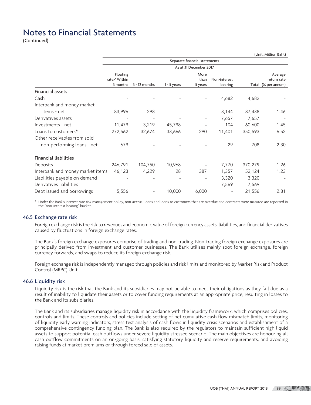(Continued)

|                                  | (Unit: Million Baht)     |               |               |                               |              |         |                        |
|----------------------------------|--------------------------|---------------|---------------|-------------------------------|--------------|---------|------------------------|
|                                  |                          |               |               | Separate financial statements |              |         |                        |
|                                  |                          |               |               | As at 31 December 2017        |              |         |                        |
|                                  | Floating<br>rate/ Within |               |               | More<br>than                  | Non-interest |         | Average<br>return rate |
| <b>Financial assets</b>          | 3 months                 | 3 - 12 months | $1 - 5$ years | 5 years                       | bearing      |         | Total (% per annum)    |
| Cash                             |                          |               |               |                               | 4,682        | 4,682   |                        |
| Interbank and money market       |                          |               |               |                               |              |         |                        |
| items - net                      | 83,996                   | 298           |               | $\overline{a}$                | 3,144        | 87,438  | 1.46                   |
| Derivatives assets               |                          |               |               | $\overline{a}$                | 7,657        | 7,657   |                        |
| Investments - net                | 11,479                   | 3,219         | 45,798        |                               | 104          | 60,600  | 1.45                   |
| Loans to customers*              | 272,562                  | 32,674        | 33,666        | 290                           | 11,401       | 350,593 | 6.52                   |
| Other receivables from sold      |                          |               |               |                               |              |         |                        |
| non-performing loans - net       | 679                      |               |               |                               | 29           | 708     | 2.30                   |
| <b>Financial liabilities</b>     |                          |               |               |                               |              |         |                        |
| Deposits                         | 246,791                  | 104,750       | 10,968        |                               | 7,770        | 370,279 | 1.26                   |
| Interbank and money market items | 46,123                   | 4,229         | 28            | 387                           | 1,357        | 52,124  | 1.23                   |
| Liabilities payable on demand    |                          |               |               | $\overline{a}$                | 3,320        | 3,320   |                        |
| Derivatives liabilities          |                          |               |               |                               | 7,569        | 7,569   |                        |
| Debt issued and borrowings       | 5,556                    |               | 10,000        | 6,000                         |              | 21,556  | 2.81                   |

 \* Under the Bank's interest rate risk management policy, non-accrual loans and loans to customers that are overdue and contracts were matured are reported in the "non-interest bearing" bucket.

#### 46.5 Exchange rate risk

 Foreign exchange risk is the risk to revenues and economic value of foreign currency assets, liabilities, and financial derivatives caused by fluctuations in foreign exchange rates.

 The Bank's foreign exchange exposures comprise of trading and non-trading. Non-trading foreign exchange exposures are principally derived from investment and customer businesses. The Bank utilises mainly spot foreign exchange, foreign currency forwards, and swaps to reduce its foreign exchange risk.

 Foreign exchange risk is independently managed through policies and risk limits and monitored by Market Risk and Product Control (MRPC) Unit.

#### 46.6 Liquidity risk

 Liquidity risk is the risk that the Bank and its subsidiaries may not be able to meet their obligations as they fall due as a result of inability to liquidate their assets or to cover funding requirements at an appropriate price, resulting in losses to the Bank and its subsidiaries.

 The Bank and its subsidiaries manage liquidity risk in accordance with the liquidity framework, which comprises policies, controls and limits. These controls and policies include setting of net cumulative cash flow mismatch limits, monitoring of liquidity early warning indicators, stress test analysis of cash flows in liquidity crisis scenarios and establishment of a comprehensive contingency funding plan. The Bank is also required by the regulators to maintain sufficient high liquid assets to support potential cash outflows under severe liquidity stressed scenario. The main objectives are honouring all cash outflow commitments on an on-going basis, satisfying statutory liquidity and reserve requirements, and avoiding raising funds at market premiums or through forced sale of assets.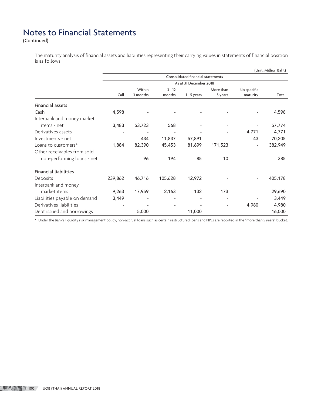(Continued)

 The maturity analysis of financial assets and liabilities representing their carrying values in statements of financial position is as follows:

|                               |                          |                |          |                                   |           |                          | (Unit: Million Baht) |
|-------------------------------|--------------------------|----------------|----------|-----------------------------------|-----------|--------------------------|----------------------|
|                               |                          |                |          | Consolidated financial statements |           |                          |                      |
|                               |                          |                |          | As at 31 December 2018            |           |                          |                      |
|                               |                          | Within         | $3 - 12$ |                                   | More than | No specific              |                      |
|                               | Call                     | 3 months       | months   | $1 - 5$ years                     | 5 years   | maturity                 | Total                |
| Financial assets              |                          |                |          |                                   |           |                          |                      |
| Cash                          | 4,598                    |                |          |                                   |           |                          | 4,598                |
| Interbank and money market    |                          |                |          |                                   |           |                          |                      |
| items - net                   | 3,483                    | 53,723         | 568      |                                   |           |                          | 57,774               |
| Derivatives assets            |                          |                |          |                                   |           | 4,771                    | 4,771                |
| Investments - net             |                          | 434            | 11,837   | 57,891                            |           | 43                       | 70,205               |
| Loans to customers*           | 1,884                    | 82,390         | 45,453   | 81,699                            | 171,523   | $\overline{\phantom{a}}$ | 382,949              |
| Other receivables from sold   |                          |                |          |                                   |           |                          |                      |
| non-performing loans - net    |                          | 96             | 194      | 85                                | 10        |                          | 385                  |
| <b>Financial liabilities</b>  |                          |                |          |                                   |           |                          |                      |
| Deposits                      | 239,862                  | 46,716         | 105,628  | 12,972                            |           | $\overline{\phantom{a}}$ | 405,178              |
| Interbank and money           |                          |                |          |                                   |           |                          |                      |
| market items                  | 9,263                    | 17,959         | 2,163    | 132                               | 173       |                          | 29,690               |
| Liabilities payable on demand | 3,449                    | $\overline{a}$ |          | $\overline{\phantom{a}}$          |           |                          | 3,449                |
| Derivatives liabilities       |                          |                |          |                                   |           | 4,980                    | 4,980                |
| Debt issued and borrowings    | $\overline{\phantom{a}}$ | 5,000          |          | 11,000                            |           |                          | 16,000               |

\* Under the Bank's liquidity risk management policy, non-accrual loans such as certain restructured loans and NPLs are reported in the "more than 5 years" bucket.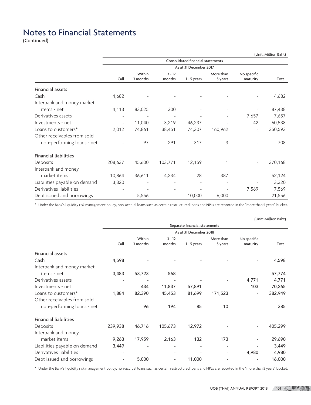(Continued)

|                               |                          | (Unit: Million Baht)              |                          |                |                      |                          |         |  |  |
|-------------------------------|--------------------------|-----------------------------------|--------------------------|----------------|----------------------|--------------------------|---------|--|--|
|                               |                          | Consolidated financial statements |                          |                |                      |                          |         |  |  |
|                               |                          | As at 31 December 2017            |                          |                |                      |                          |         |  |  |
|                               | Call                     | Within<br>3 months                | $3 - 12$<br>months       | $1 - 5$ years  | More than<br>5 years | No specific<br>maturity  | Total   |  |  |
| Financial assets              |                          |                                   |                          |                |                      |                          |         |  |  |
| Cash                          | 4,682                    |                                   |                          |                |                      |                          | 4,682   |  |  |
| Interbank and money market    |                          |                                   |                          |                |                      |                          |         |  |  |
| items - net                   | 4,113                    | 83,025                            | 300                      |                |                      |                          | 87,438  |  |  |
| Derivatives assets            |                          |                                   |                          |                |                      | 7,657                    | 7,657   |  |  |
| Investments - net             | $\overline{\phantom{a}}$ | 11,040                            | 3,219                    | 46,237         |                      | 42                       | 60,538  |  |  |
| Loans to customers*           | 2,012                    | 74,861                            | 38,451                   | 74,307         | 160,962              | $\overline{\phantom{a}}$ | 350,593 |  |  |
| Other receivables from sold   |                          |                                   |                          |                |                      |                          |         |  |  |
| non-performing loans - net    |                          | 97                                | 291                      | 317            | 3                    |                          | 708     |  |  |
| <b>Financial liabilities</b>  |                          |                                   |                          |                |                      |                          |         |  |  |
| Deposits                      | 208,637                  | 45,600                            | 103,771                  | 12,159         |                      | $\overline{\phantom{a}}$ | 370,168 |  |  |
| Interbank and money           |                          |                                   |                          |                |                      |                          |         |  |  |
| market items                  | 10,864                   | 36,611                            | 4,234                    | 28             | 387                  |                          | 52,124  |  |  |
| Liabilities payable on demand | 3,320                    | $\overline{\phantom{a}}$          | $\overline{\phantom{a}}$ | $\overline{a}$ |                      |                          | 3,320   |  |  |
| Derivatives liabilities       |                          |                                   |                          |                |                      | 7,569                    | 7,569   |  |  |
| Debt issued and borrowings    | $\overline{a}$           | 5,556                             |                          | 10,000         | 6,000                |                          | 21,556  |  |  |

\* Under the Bank's liquidity risk management policy, non-accrual loans such as certain restructured loans and NPLs are reported in the "more than 5 years" bucket.

|                               |         |                               |                          |                        |                          |             | (Unit: Million Baht) |  |
|-------------------------------|---------|-------------------------------|--------------------------|------------------------|--------------------------|-------------|----------------------|--|
|                               |         | Separate financial statements |                          |                        |                          |             |                      |  |
|                               |         |                               |                          | As at 31 December 2018 |                          |             |                      |  |
|                               |         | Within                        | $3 - 12$                 |                        | More than                | No specific |                      |  |
|                               | Call    | 3 months                      | months                   | $1 - 5$ years          | 5 years                  | maturity    | Total                |  |
| <b>Financial assets</b>       |         |                               |                          |                        |                          |             |                      |  |
| Cash                          | 4,598   |                               |                          |                        |                          |             | 4,598                |  |
| Interbank and money market    |         |                               |                          |                        |                          |             |                      |  |
| items - net                   | 3,483   | 53,723                        | 568                      |                        |                          |             | 57,774               |  |
| Derivatives assets            |         |                               |                          |                        |                          | 4,771       | 4,771                |  |
| Investments - net             |         | 434                           | 11,837                   | 57,891                 |                          | 103         | 70,265               |  |
| Loans to customers*           | 1,884   | 82,390                        | 45,453                   | 81,699                 | 171,523                  | -           | 382,949              |  |
| Other receivables from sold   |         |                               |                          |                        |                          |             |                      |  |
| non-performing loans - net    |         | 96                            | 194                      | 85                     | 10                       |             | 385                  |  |
| <b>Financial liabilities</b>  |         |                               |                          |                        |                          |             |                      |  |
| Deposits                      | 239,938 | 46,716                        | 105,673                  | 12,972                 |                          |             | 405,299              |  |
| Interbank and money           |         |                               |                          |                        |                          |             |                      |  |
| market items                  | 9,263   | 17,959                        | 2,163                    | 132                    | 173                      |             | 29,690               |  |
| Liabilities payable on demand | 3,449   | ٠                             | $\overline{\phantom{a}}$ |                        | $\overline{\phantom{a}}$ |             | 3,449                |  |
| Derivatives liabilities       |         |                               |                          |                        |                          | 4,980       | 4,980                |  |
| Debt issued and borrowings    |         | 5,000                         | $\overline{\phantom{a}}$ | 11,000                 |                          |             | 16,000               |  |

\* Under the Bank's liquidity risk management policy, non-accrual loans such as certain restructured loans and NPLs are reported in the "more than 5 years" bucket.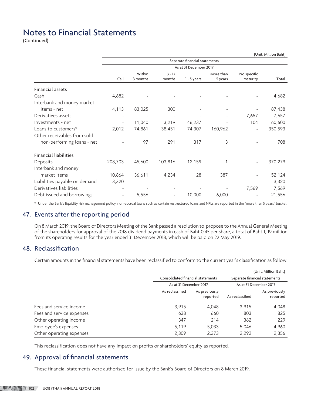(Continued)

|                               |                          | (Unit: Million Baht)          |                    |               |                      |                          |         |  |  |
|-------------------------------|--------------------------|-------------------------------|--------------------|---------------|----------------------|--------------------------|---------|--|--|
|                               |                          | Separate financial statements |                    |               |                      |                          |         |  |  |
|                               |                          | As at 31 December 2017        |                    |               |                      |                          |         |  |  |
|                               | Call                     | Within<br>3 months            | $3 - 12$<br>months | $1 - 5$ years | More than<br>5 years | No specific<br>maturity  | Total   |  |  |
| Financial assets              |                          |                               |                    |               |                      |                          |         |  |  |
| Cash                          | 4,682                    |                               |                    |               |                      |                          | 4,682   |  |  |
| Interbank and money market    |                          |                               |                    |               |                      |                          |         |  |  |
| items - net                   | 4,113                    | 83,025                        | 300                |               |                      |                          | 87,438  |  |  |
| Derivatives assets            |                          |                               |                    |               |                      | 7,657                    | 7,657   |  |  |
| Investments - net             | $\overline{\phantom{a}}$ | 11,040                        | 3,219              | 46,237        |                      | 104                      | 60,600  |  |  |
| Loans to customers*           | 2,012                    | 74,861                        | 38,451             | 74,307        | 160,962              | $\overline{\phantom{0}}$ | 350,593 |  |  |
| Other receivables from sold   |                          |                               |                    |               |                      |                          |         |  |  |
| non-performing loans - net    |                          | 97                            | 291                | 317           | 3                    |                          | 708     |  |  |
| <b>Financial liabilities</b>  |                          |                               |                    |               |                      |                          |         |  |  |
| Deposits                      | 208,703                  | 45,600                        | 103,816            | 12,159        | 1                    | $\overline{\phantom{a}}$ | 370,279 |  |  |
| Interbank and money           |                          |                               |                    |               |                      |                          |         |  |  |
| market items                  | 10,864                   | 36,611                        | 4,234              | 28            | 387                  |                          | 52,124  |  |  |
| Liabilities payable on demand | 3,320                    |                               |                    |               |                      |                          | 3,320   |  |  |
| Derivatives liabilities       |                          |                               |                    |               |                      | 7,569                    | 7,569   |  |  |
| Debt issued and borrowings    | $\overline{\phantom{a}}$ | 5,556                         |                    | 10,000        | 6,000                |                          | 21,556  |  |  |

\* Under the Bank's liquidity risk management policy, non-accrual loans such as certain restructured loans and NPLs are reported in the "more than 5 years" bucket.

#### 47. Events after the reporting period

 On 8 March 2019, the Board of Directors Meeting of the Bank passed a resolution to propose to the Annual General Meeting of the shareholders for approval of the 2018 dividend payments in cash of Baht 0.45 per share, a total of Baht 1,119 million from its operating results for the year ended 31 December 2018, which will be paid on 22 May 2019.

#### 48. Reclassification

Certain amounts in the financial statements have been reclassified to conform to the current year's classification as follow:

|                           |                                   |                        |                               | (Unit: Million Baht) |
|---------------------------|-----------------------------------|------------------------|-------------------------------|----------------------|
|                           | Consolidated financial statements |                        | Separate financial statements |                      |
|                           | As at 31 December 2017            | As at 31 December 2017 |                               |                      |
|                           | As reclassified                   | As previously          |                               | As previously        |
|                           |                                   | reported               | As reclassified               | reported             |
| Fees and service income   | 3,915                             | 4,048                  | 3,915                         | 4,048                |
| Fees and service expenses | 638                               | 660                    | 803                           | 825                  |
| Other operating income    | 347                               | 214                    | 362                           | 229                  |
| Employee's expenses       | 5,119                             | 5,033                  | 5,046                         | 4,960                |
| Other operating expenses  | 2,309                             | 2,373                  | 2,292                         | 2,356                |

This reclassification does not have any impact on profits or shareholders' equity as reported.

### 49. Approval of financial statements

These financial statements were authorised for issue by the Bank's Board of Directors on 8 March 2019.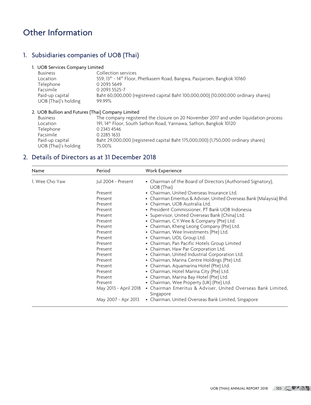### 1. Subsidiaries companies of UOB (Thai)

#### 1. UOB Services Company Limited

| <b>Business</b>                         | Collection services                                                                               |
|-----------------------------------------|---------------------------------------------------------------------------------------------------|
| Location                                | 559, 13 <sup>th</sup> - 14 <sup>th</sup> Floor, Phetkasem Road, Bangwa, Pasijaroen, Bangkok 10160 |
| Telephone                               | 0 2093 5649                                                                                       |
| Facsimile                               | 0 2093 5525-7                                                                                     |
| Paid-up capital<br>UOB (Thai)'s holding | Baht 60,000,000 (registered capital Baht 100,000,000) (10,000,000 ordinary shares)<br>99.99%      |
|                                         |                                                                                                   |

#### 2. UOB Bullion and Futures (Thai) Company Limited

| <b>Business</b>      | The company registered the closure on 20 November 2017 and under liquidation process |
|----------------------|--------------------------------------------------------------------------------------|
| Location             | 191, 14 <sup>th</sup> Floor, South Sathon Road, Yannawa, Sathon, Bangkok 10120       |
| Telephone            | 0 2343 4546                                                                          |
| Facsimile            | 0 2285 1633                                                                          |
| Paid-up capital      | Baht 29,000,000 (registered capital Baht 175,000,000) (1,750,000 ordinary shares)    |
| UOB (Thai)'s holding | 75.00%                                                                               |

### 2. Details of Directors as at 31 December 2018

| Name           | Period                | Work Experience                                                            |  |  |
|----------------|-----------------------|----------------------------------------------------------------------------|--|--|
| 1. Wee Cho Yaw | Jul 2004 - Present    | • Chairman of the Board of Directors (Authorised Signatory),<br>UOB (Thai) |  |  |
|                | Present               | • Chairman, United Overseas Insurance Ltd.                                 |  |  |
|                | Present               | • Chairman Emeritus & Adviser, United Overseas Bank (Malaysia) Bhd.        |  |  |
|                | Present               | • Chairman, UOB Australia Ltd.                                             |  |  |
|                | Present               | • President Commissioner, PT Bank UOB Indonesia                            |  |  |
|                | Present               | • Supervisor, United Overseas Bank (China) Ltd.                            |  |  |
|                | Present               | • Chairman, C.Y.Wee & Company (Pte) Ltd.                                   |  |  |
|                | Present               | • Chairman, Kheng Leong Company (Pte) Ltd.                                 |  |  |
|                | Present               | • Chairman, Wee Investments (Pte) Ltd.                                     |  |  |
|                | Present               | • Chairman, UOL Group Ltd.                                                 |  |  |
|                | Present               | • Chairman, Pan Pacific Hotels Group Limited                               |  |  |
|                | Present               | • Chairman, Haw Par Corporation Ltd.                                       |  |  |
|                | Present               | • Chairman, United Industrial Corporation Ltd.                             |  |  |
|                | Present               | • Chairman, Marina Centre Holdings (Pte) Ltd.                              |  |  |
|                | Present               | • Chairman, Aquamarina Hotel (Pte) Ltd.                                    |  |  |
|                | Present               | • Chairman, Hotel Marina City (Pte) Ltd.                                   |  |  |
|                | Present               | • Chairman, Marina Bay Hotel (Pte) Ltd.                                    |  |  |
|                | Present               | • Chairman, Wee Property (UK) (Pte) Ltd.                                   |  |  |
|                | May 2013 - April 2018 | • Chairman Emeritus & Adviser, United Overseas Bank Limited,<br>Singapore  |  |  |
|                | May 2007 - Apr 2013   | • Chairman, United Overseas Bank Limited, Singapore                        |  |  |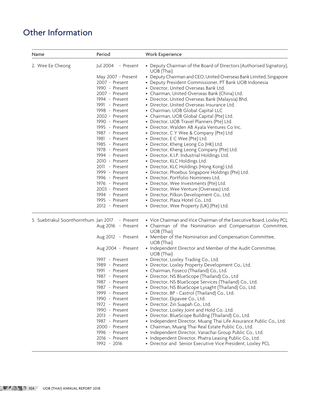| Name                                                                                       | Period                                                                                                                                                                                                                                                                                                                                                                                                                                | Work Experience                                                                                                                                                                                                                                                                                                                                                                                                                                                                                                                                                                                                                                                                                                                                                                                                                                                                                                                                                                                                                                                                 |  |  |  |
|--------------------------------------------------------------------------------------------|---------------------------------------------------------------------------------------------------------------------------------------------------------------------------------------------------------------------------------------------------------------------------------------------------------------------------------------------------------------------------------------------------------------------------------------|---------------------------------------------------------------------------------------------------------------------------------------------------------------------------------------------------------------------------------------------------------------------------------------------------------------------------------------------------------------------------------------------------------------------------------------------------------------------------------------------------------------------------------------------------------------------------------------------------------------------------------------------------------------------------------------------------------------------------------------------------------------------------------------------------------------------------------------------------------------------------------------------------------------------------------------------------------------------------------------------------------------------------------------------------------------------------------|--|--|--|
| 2. Wee Ee Cheong                                                                           | Jul 2004<br>- Present<br>May 2007 - Present<br>2007 - Present<br>1990 - Present<br>2007 - Present<br>1994 - Present<br>1991 - Present<br>1998 - Present<br>2002 - Present<br>1990 - Present<br>1995 - Present<br>1987 - Present<br>1981 - Present<br>1985 - Present<br>1978 - Present<br>1994 - Present<br>2010 - Present<br>2011 - Present<br>1999 - Present<br>1996 - Present<br>1976 - Present<br>2003 - Present<br>1994 - Present | • Deputy Chairman of the Board of Directors (Authorised Signatory),<br>UOB (Thai)<br>• Deputy Chairman and CEO, United Overseas Bank Limited, Singapore<br>• Deputy President Commissioner, PT Bank UOB Indonesia<br>• Director, United Overseas Bank Ltd.<br>• Chairman, United Overseas Bank (China) Ltd.<br>• Director, United Overseas Bank (Malaysia) Bhd.<br>• Director, United Overseas Insurance Ltd.<br>• Chairman, UOB Global Capital LLC<br>• Chairman, UOB Global Capital (Pte) Ltd.<br>· Director, UOB Travel Planners (Pte) Ltd.<br>• Director, Walden AB Ayala Ventures Co Inc.<br>• Director, C Y Wee & Company (Pte) Ltd<br>• Director, E C Wee (Pte) Ltd.<br>• Director, Kheng Leong Co (HK) Ltd.<br>• Director, Kheng Leong Company (Pte) Ltd.<br>· Director, K.I.P. Industrial Holdings Ltd.<br>· Director, KLC Holdings Ltd.<br>• Director, KLC Holdings (Hong Kong) Ltd.<br>• Director, Phoebus Singapore Holdings (Pte) Ltd.<br>· Director, Portfolio Nominees Ltd.<br>· Director, Wee Investments (Pte) Ltd.<br>• Director, Wee Venture (Overseas) Ltd. |  |  |  |
|                                                                                            | 1995 - Present                                                                                                                                                                                                                                                                                                                                                                                                                        | • Director, Pilkon Development Co., Ltd.<br>· Director, Plaza Hotel Co., Ltd.                                                                                                                                                                                                                                                                                                                                                                                                                                                                                                                                                                                                                                                                                                                                                                                                                                                                                                                                                                                                   |  |  |  |
|                                                                                            | 2012 - Present                                                                                                                                                                                                                                                                                                                                                                                                                        | • Director, Wee Property (UK) (Pte) Ltd.                                                                                                                                                                                                                                                                                                                                                                                                                                                                                                                                                                                                                                                                                                                                                                                                                                                                                                                                                                                                                                        |  |  |  |
| 3. Suebtrakul Soonthornthum Jan 2017 - Present<br>Aug 2016 - Present<br>Aug 2012 - Present |                                                                                                                                                                                                                                                                                                                                                                                                                                       | • Vice Chairman and Vice Chairman of the Executive Board, Loxley PCL<br>• Chairman of the Nomination and Compensation Committee,<br>UOB (Thai)<br>• Member of the Nomination and Compensation Committee,                                                                                                                                                                                                                                                                                                                                                                                                                                                                                                                                                                                                                                                                                                                                                                                                                                                                        |  |  |  |
|                                                                                            | Aug 2004 - Present                                                                                                                                                                                                                                                                                                                                                                                                                    | UOB (Thai)<br>• Independent Director and Member of the Audit Committee,<br>UOB (Thai)                                                                                                                                                                                                                                                                                                                                                                                                                                                                                                                                                                                                                                                                                                                                                                                                                                                                                                                                                                                           |  |  |  |
|                                                                                            | 1997 - Present<br>1989 - Present<br>1991 - Present<br>1987 - Present<br>1987 - Present<br>1987 - Present<br>1999 - Present<br>1990 - Present<br>1972 - Present<br>1990 - Present<br>2013 - Present<br>1987 - Present<br>2000 - Present<br>1996 - Present<br>2016 - Present<br>1992 - 2016                                                                                                                                             | • Director, Loxley Trading Co., Ltd.<br>· Director, Loxley Property Development Co., Ltd.<br>• Chairman, Foseco (Thailand) Co., Ltd.<br>· Director, NS BlueScope (Thailand) Co., Ltd<br>• Director, NS BlueScope Services (Thailand) Co., Ltd.<br>• Director, NS BlueScope Lysaght (Thailand) Co., Ltd.<br>· Director, BP - Castrol (Thailand) Co., Ltd.<br>• Director, Ekpavee Co., Ltd.<br>• Director, Zin Suapah Co., Ltd.<br>• Director, Loxley Joint and Hold Co., Ltd.<br>• Director, BlueScope Building (Thailand) Co., Ltd.<br>• Independent Director, Muang Thai Life Assurance Public Co., Ltd.<br>• Chairman, Muang Thai Real Estate Public Co., Ltd.<br>• Independent Director, Vanachai Group Public Co., Ltd.<br>• Independent Director, Phatra Leasing Public Co., Ltd.<br>• Director and Senior Executive Vice President, Loxley PCL                                                                                                                                                                                                                            |  |  |  |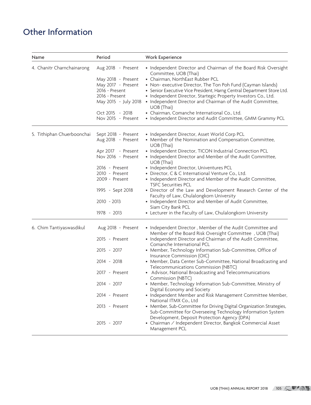| Name                       | Period                                                                                                                                                                                        | Work Experience                                                                                                                                                                                                                                                                                                                                                                                                                                                                                                                                                                                                                                                                                                                                                                                                                                                                                                                                                      |  |  |  |
|----------------------------|-----------------------------------------------------------------------------------------------------------------------------------------------------------------------------------------------|----------------------------------------------------------------------------------------------------------------------------------------------------------------------------------------------------------------------------------------------------------------------------------------------------------------------------------------------------------------------------------------------------------------------------------------------------------------------------------------------------------------------------------------------------------------------------------------------------------------------------------------------------------------------------------------------------------------------------------------------------------------------------------------------------------------------------------------------------------------------------------------------------------------------------------------------------------------------|--|--|--|
| 4. Chanitr Charnchainarong | Aug 2018 - Present<br>May 2018 - Present<br>May 2017 - Present<br>2016 - Present<br>2016 - Present<br>May 2015 - July 2018<br>Oct 2015 - 2018<br>Nov 2015 - Present                           | • Independent Director and Chairman of the Board Risk Oversight<br>Committee, UOB (Thai)<br>• Chairman, NorthEast Rubber PCL<br>• Non- executive Director, The Ton Poh Fund (Cayman Islands)<br>• Senior Executive Vice President, Harng Central Department Store Ltd.<br>• Independent Director, Startegic Property Investors Co., Ltd.<br>• Independent Director and Chairman of the Audit Committee,<br>UOB (Thai)<br>• Chairman, Comanche International Co., Ltd.<br>• Independent Director and Audit Committee, GMM Grammy PCL                                                                                                                                                                                                                                                                                                                                                                                                                                  |  |  |  |
| 5. Tithiphan Chuerboonchai | Sept 2018 - Present<br>Aug 2018 - Present<br>Apr 2017 - Present<br>Nov 2016 - Present<br>2016 - Present<br>2010 - Present<br>2009 - Present<br>1995 - Sept 2018<br>2010 - 2013<br>1978 - 2013 | • Independent Director, Asset World Corp PCL<br>• Member of the Nomination and Compensation Committee,<br>UOB (Thai)<br>• Independent Director, TICON Industrial Connection PCL<br>• Independent Director and Member of the Audit Committee,<br>UOB (Thai)<br>• Independent Director, Univentures PCL<br>• Director, C & C International Venture Co., Ltd.<br>• Independent Director and Member of the Audit Committee,<br>TSFC Securities PCL<br>• Director of the Law and Development Research Center of the<br>Faculty of Law, Chulalongkorn University<br>• Independent Director and Member of Audit Committee,<br>Siam City Bank PCL<br>• Lecturer in the Faculty of Law, Chulalongkorn University                                                                                                                                                                                                                                                              |  |  |  |
| 6. Chim Tantiyaswasdikul   | Aug 2018 - Present<br>2015 - Present<br>2015 - 2017<br>2014 - 2018<br>2017 - Present<br>2014 - 2017<br>2014 - Present<br>2013 - Present<br>2015 - 2017                                        | • Independent Director, Member of the Audit Committee and<br>Member of the Board Risk Oversight Committee, UOB (Thai)<br>• Independent Director and Chairman of the Audit Committee,<br>Comanche International PCL<br>• Member, Technology Information Sub-Committee, Office of<br>Insurance Commission (OIC)<br>• Member, Data Center Sub-Committee, National Broadcasting and<br>Telecommunications Commission (NBTC)<br>• Advisor, National Broadcasting and Telecommunications<br>Commission (NBTC)<br>• Member, Technology Information Sub-Committee, Ministry of<br>Digital Economy and Society<br>• Independent Member and Risk Management Committee Member,<br>National ITMX Co., Ltd<br>• Member, Sub-Committee for Driving Digital Organization Strategies,<br>Sub-Committee for Overseeing Technology Information System<br>Development, Deposit Protection Agency (DPA)<br>• Chairman / Independent Director, Bangkok Commercial Asset<br>Management PCL |  |  |  |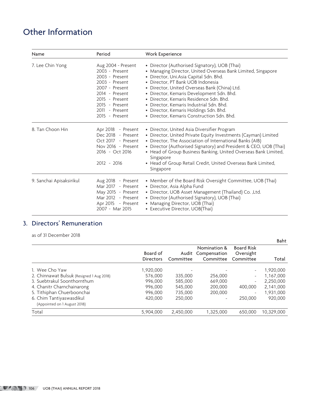| Name                     | Period                                                                                                                                                                               | Work Experience                                                                                                                                                                                                                                                                                                                                                                                                                                                           |  |  |
|--------------------------|--------------------------------------------------------------------------------------------------------------------------------------------------------------------------------------|---------------------------------------------------------------------------------------------------------------------------------------------------------------------------------------------------------------------------------------------------------------------------------------------------------------------------------------------------------------------------------------------------------------------------------------------------------------------------|--|--|
| 7. Lee Chin Yong         | Aug 2004 - Present<br>2003 - Present<br>2003 - Present<br>2003 - Present<br>2007 - Present<br>2014 - Present<br>2015 - Present<br>2015 - Present<br>2011 - Present<br>2015 - Present | • Director (Authorised Signatory), UOB (Thai)<br>• Managing Director, United Overseas Bank Limited, Singapore<br>· Director, Uni.Asia Capital Sdn. Bhd.<br>• Director, PT Bank UOB Indonesia<br>· Director, United Overseas Bank (China) Ltd.<br>• Director, Kemaris Development Sdn. Bhd.<br>• Director, Kemaris Residence Sdn. Bhd.<br>• Director, Kemaris Industrial Sdn. Bhd.<br>• Director, Kemaris Holdings Sdn. Bhd.<br>• Director, Kemaris Construction Sdn. Bhd. |  |  |
| 8. Tan Choon Hin         | Apr 2018 - Present<br>Dec 2018 - Present<br>Oct 2017 - Present<br>Nov 2016 - Present<br>2016 - Oct 2016<br>2012 - 2016                                                               | • Director, United Asia Diversifier Program<br>• Director, United Private Equity Investments (Cayman) Limited<br>• Director, The Association of International Banks (AIB)<br>• Director (Authorised Signatory) and President & CEO, UOB (Thai)<br>• Head of Group Business Banking, United Overseas Bank Limited,<br>Singapore<br>• Head of Group Retail Credit, United Overseas Bank Limited,<br>Singapore                                                               |  |  |
| 9. Sanchai Apisaksirikul | Aug 2018 - Present<br>Mar 2017 - Present<br>May 2015 - Present<br>Mar 2012 - Present<br>Apr 2015 - Present<br>2007 - Mar 2015                                                        | • Member of the Board Risk Oversight Committee, UOB (Thai)<br>• Director, Asia Alpha Fund<br>· Director, UOB Asset Management (Thailand) Co., Ltd.<br>• Director (Authorised Signatory), UOB (Thai)<br>• Managing Director, UOB (Thai)<br>• Executive Director, UOB(Thai)                                                                                                                                                                                                 |  |  |

### 3. Directors' Remuneration

as of 31 December 2018

|                                                          |                              |           |                                                 |                                             | <b>Baht</b> |
|----------------------------------------------------------|------------------------------|-----------|-------------------------------------------------|---------------------------------------------|-------------|
|                                                          | Board of<br><b>Directors</b> | Committee | Nomination &<br>Audit Compensation<br>Committee | <b>Board Risk</b><br>Oversight<br>Committee | Total       |
| 1. Wee Cho Yaw                                           | 1,920,000                    | ۰         |                                                 | $\overline{\phantom{0}}$                    | 1,920,000   |
| 2. Chinnawat Bulsuk (Resigned 1 Aug 2018)                | 576,000                      | 335,000   | 256,000                                         | $\overline{\phantom{a}}$                    | 1,167,000   |
| 3. Suebtrakul Soonthornthum                              | 996,000                      | 585,000   | 669,000                                         | ۰                                           | 2,250,000   |
| 4. Chanitr Charnchainarong                               | 996,000                      | 545,000   | 200,000                                         | 400,000                                     | 2,141,000   |
| 5. Tithiphan Chuerboonchai                               | 996,000                      | 735,000   | 200,000                                         | ۰                                           | 1,931,000   |
| 6. Chim Tantiyaswasdikul<br>(Appointed on 1 August 2018) | 420,000                      | 250,000   |                                                 | 250,000                                     | 920,000     |
| Total                                                    | 5,904,000                    | 2,450,000 | 1,325,000                                       | 650,000                                     | 10,329,000  |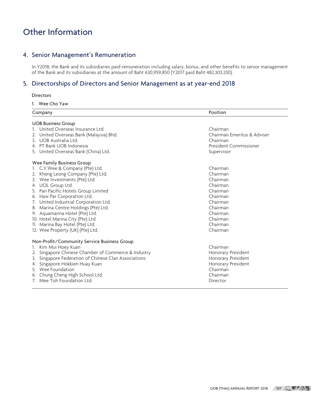## 4. Senior Management's Remuneration

 In Y2018, the Bank and its subsidiaries paid remuneration including salary, bonus, and other benefits to senior management of the Bank and its subsidiaries at the amount of Baht 630,959,850 (Y2017 paid Baht 482,303,230).

## 5. Directorships of Directors and Senior Management as at year-end 2018

## **Directors**

|  | 1. Wee Cho Yaw |  |  |
|--|----------------|--|--|
|--|----------------|--|--|

| Company                                                | Position                      |
|--------------------------------------------------------|-------------------------------|
| <b>UOB Business Group</b>                              |                               |
| United Overseas Insurance Ltd.                         | Chairman                      |
| United Overseas Bank (Malaysia) Bhd.                   | Chairman Emeritus & Adviser   |
| UOB Australia Ltd.<br>3.                               | Chairman                      |
| PT Bank UOB Indonesia<br>4.                            | <b>President Commissioner</b> |
| United Overseas Bank (China) Ltd.                      | Supervisor                    |
| Wee Family Business Group                              |                               |
| C.Y.Wee & Company (Pte) Ltd.                           | Chairman                      |
| Kheng Leong Company (Pte) Ltd.<br>2.                   | Chairman                      |
| Wee Investments (Pte) Ltd.<br>3.                       | Chairman                      |
| UOL Group Ltd.<br>4.                                   | Chairman                      |
| Pan Pacific Hotels Group Limited<br>5.                 | Chairman                      |
| Haw Par Corporation Ltd.<br>6.                         | Chairman                      |
| United Industrial Corporation Ltd.                     | Chairman                      |
| Marina Centre Holdings (Pte) Ltd.<br>8.                | Chairman                      |
| Aquamarina Hotel (Pte) Ltd.<br>9.                      | Chairman                      |
| 10. Hotel Marina City (Pte) Ltd.                       | Chairman                      |
| 11. Marina Bay Hotel (Pte) Ltd.                        | Chairman                      |
| 12. Wee Property (UK) (Pte) Ltd.                       | Chairman                      |
| Non-Profit/Community Service Business Group            |                               |
| Kim Mui Hoey Kuan                                      | Chairman                      |
| Singapore Chinese Chamber of Commerce & Industry<br>2. | Honorary President            |
| Singapore Federation of Chinese Clan Associations      | Honorary President            |
| Singapore Hokkien Huay Kuan                            | Honorary President            |
| Wee Foundation<br>5.                                   | Chairman                      |
| Chung Cheng High School Ltd.                           | Chairman                      |
| 7. Mee Toh Foundation Ltd.                             | Director                      |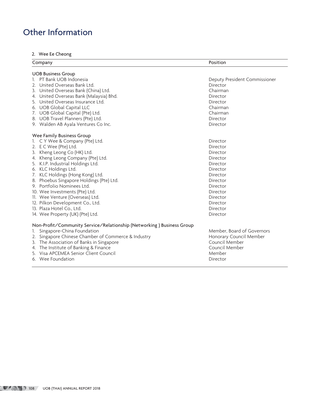## 2. Wee Ee Cheong

| Company                                                               | Position                      |
|-----------------------------------------------------------------------|-------------------------------|
| <b>UOB Business Group</b>                                             |                               |
| 1. PT Bank UOB Indonesia                                              | Deputy President Commissioner |
| 2. United Overseas Bank Ltd.                                          | Director                      |
| 3. United Overseas Bank (China) Ltd.                                  | Chairman                      |
| 4. United Overseas Bank (Malaysia) Bhd.                               | Director                      |
| United Overseas Insurance Ltd.<br>5.                                  | Director                      |
| 6. UOB Global Capital LLC                                             | Chairman                      |
| 7. UOB Global Capital (Pte) Ltd.                                      | Chairman                      |
| 8. UOB Travel Planners (Pte) Ltd.                                     | Director                      |
| 9. Walden AB Ayala Ventures Co Inc.                                   | Director                      |
| Wee Family Business Group                                             |                               |
| 1. C Y Wee & Company (Pte) Ltd.                                       | Director                      |
| 2. E C Wee (Pte) Ltd.                                                 | Director                      |
| Kheng Leong Co (HK) Ltd.<br>3.                                        | Director                      |
| 4. Kheng Leong Company (Pte) Ltd.                                     | Director                      |
| 5. K.I.P. Industrial Holdings Ltd.                                    | Director                      |
| 6. KLC Holdings Ltd.                                                  | Director                      |
| 7. KLC Holdings (Hong Kong) Ltd.                                      | Director                      |
| 8. Phoebus Singapore Holdings (Pte) Ltd.                              | Director                      |
| 9. Portfolio Nominees Ltd.                                            | Director                      |
| 10. Wee Investments (Pte) Ltd.                                        | Director                      |
| 11. Wee Venture (Overseas) Ltd.                                       | Director                      |
| 12. Pilkon Development Co., Ltd.                                      | Director                      |
| 13. Plaza Hotel Co., Ltd.                                             | Director                      |
| 14. Wee Property (UK) (Pte) Ltd.                                      | Director                      |
| Non-Profit/Community Service/Relationship (Networking) Business Group |                               |
| Singapore-China Foundation                                            | Member, Board of Governors    |
| Singapore Chinese Chamber of Commerce & Industry<br>2.                | Honorary Council Member       |
| The Association of Banks in Singapore<br>3.                           | Council Member                |
| 4. The Institute of Banking & Finance                                 | Council Member                |
| Visa APCEMEA Senior Client Council<br>5.                              | Member                        |
| 6. Wee Foundation                                                     | Director                      |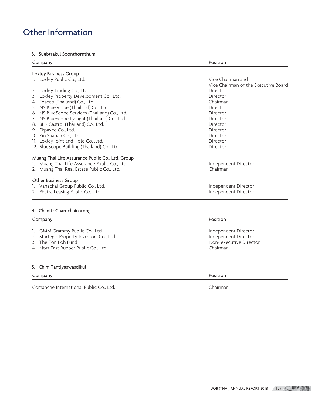## 3. Suebtrakul Soonthornthum

| Company                                          | Position                             |
|--------------------------------------------------|--------------------------------------|
| Loxley Business Group                            |                                      |
| 1. Loxley Public Co., Ltd.                       | Vice Chairman and                    |
|                                                  | Vice Chairman of the Executive Board |
| 2. Loxley Trading Co., Ltd.                      | Director                             |
| Loxley Property Development Co., Ltd.            | Director                             |
| 4. Foseco (Thailand) Co., Ltd.                   | Chairman                             |
| NS BlueScope (Thailand) Co., Ltd.<br>5.          | Director                             |
| NS BlueScope Services (Thailand) Co., Ltd.<br>6. | Director                             |
| NS BlueScope Lysaght (Thailand) Co., Ltd.        | Director                             |
| BP - Castrol (Thailand) Co., Ltd.<br>8.          | Director                             |
| Ekpavee Co., Ltd.<br>9.                          | Director                             |
| 10. Zin Suapah Co., Ltd.                         | Director                             |
| 11. Loxley Joint and Hold Co., Ltd.              | Director                             |
| 12. BlueScope Building (Thailand) Co., Ltd.      | Director                             |
| Muang Thai Life Assurance Public Co., Ltd. Group |                                      |
| Muang Thai Life Assurance Public Co., Ltd.       | Independent Director                 |
| 2. Muang Thai Real Estate Public Co., Ltd.       | Chairman                             |
| Other Business Group                             |                                      |
| Vanachai Group Public Co., Ltd.                  | Independent Director                 |
| Phatra Leasing Public Co., Ltd.                  | Independent Director                 |
| 4. Chanitr Charnchainarong                       |                                      |
| Company                                          | Position                             |
|                                                  |                                      |

- 
- 1. GMM Grammy Public Co., Ltd<br>
2. Startegic Property Investors Co., Ltd.<br>
2. Startegic Property Investors Co., Ltd. 2. Startegic Property Investors Co., Ltd.<br>3. The Ton Poh Fund
- 
- 4. Nort East Rubber Public Co., Ltd. Chairman Chairman

## 5. Chim Tantiyaswasdikul

| Company                                 | Position |
|-----------------------------------------|----------|
| Comanche International Public Co., Ltd. | Chairman |

Non- executive Director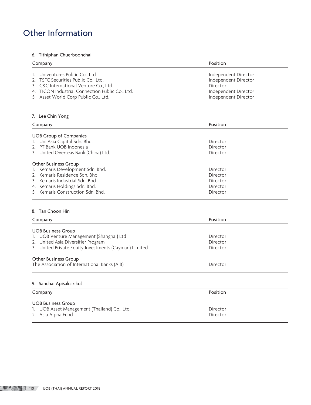## 6. Tithiphan Chuerboonchai

| Company                                         | Position             |  |
|-------------------------------------------------|----------------------|--|
| 1. Univentures Public Co., Ltd                  | Independent Director |  |
| 2. TSFC Securities Public Co., Ltd.             | Independent Director |  |
| 3. C&C International Venture Co., Ltd.          | Director             |  |
| 4. TICON Industrial Connection Public Co., Ltd. | Independent Director |  |
| 5. Asset World Corp Public Co., Ltd.            | Independent Director |  |

## 7. Lee Chin Yong

| Company                              | Position |
|--------------------------------------|----------|
| <b>UOB Group of Companies</b>        |          |
| 1. Uni.Asia Capital Sdn. Bhd.        | Director |
| 2. PT Bank UOB Indonesia             | Director |
| 3. United Overseas Bank (China) Ltd. | Director |
| Other Business Group                 |          |
| 1. Kemaris Development Sdn. Bhd.     | Director |
| 2. Kemaris Residence Sdn. Bhd.       | Director |
| 3. Kemaris Industrial Sdn. Bhd.      | Director |
| 4. Kemaris Holdings Sdn. Bhd.        | Director |
| 5. Kemaris Construction Sdn. Bhd.    | Director |

## 8. Tan Choon Hin

| Director |  |
|----------|--|
| Director |  |
| Director |  |
|          |  |
| Director |  |
|          |  |

## 9. Sanchai Apisaksirikul

| Company                                      | Position |  |
|----------------------------------------------|----------|--|
| <b>UOB Business Group</b>                    |          |  |
| 1. UOB Asset Management (Thailand) Co., Ltd. | Director |  |
| 2. Asia Alpha Fund                           | Director |  |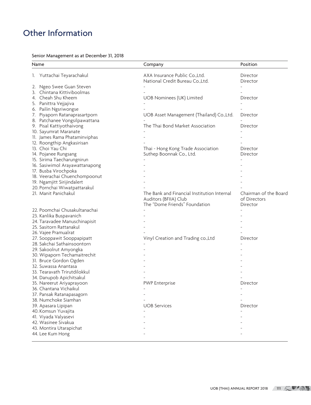Senior Management as at December 31, 2018

| Name                           | Company                                     | Position              |
|--------------------------------|---------------------------------------------|-----------------------|
| 1. Yuttachai Teyarachakul      | AXA Insurance Public Co., Ltd.              | Director              |
|                                | National Credit Bureau Co., Ltd.            | Director              |
| Ngeo Swee Guan Steven<br>2.    |                                             |                       |
| Chintana Kittiviboolmas<br>3.  |                                             |                       |
| 4. Cheah Shu Kheem             | <b>UOB Nominees (UK) Limited</b>            | Director              |
| 5. Panittra Vejjajiva          |                                             |                       |
| 6. Pailin Ngsriwongse          |                                             |                       |
| 7. Piyaporn Ratanaprasartporn  | UOB Asset Management (Thailand) Co.,Ltd.    | Director              |
| 8. Patchanee Vongsilpawattana  |                                             |                       |
| 9. Pisal Kattiyothaivong       | The Thai Bond Market Association            | Director              |
| 10. Sayumrat Maranate          |                                             |                       |
| 11. James Rama Phataminviphas  |                                             |                       |
| 12. Roongthip Angkasirisan     |                                             |                       |
| 13. Choi Yau Chi               | Thai - Hong Kong Trade Association          | Director              |
| 14. Pojanee Rungsang           | Suthep Boonnak Co., Ltd.                    | Director              |
| 15. Sirima Taecharungnirun     |                                             |                       |
| 16. Sasiwimol Arayawattanapong |                                             |                       |
| 17. Busba Virochpoka           |                                             |                       |
| 18. Veerachai Chuenchompoonut  |                                             |                       |
| 19. Ngamjitt Sirijindalert     |                                             |                       |
| 20. Pornchai Wiwatpattarakul   |                                             |                       |
| 21. Manit Panichakul           | The Bank and Financial Institution Internal | Chairman of the Board |
|                                | Auditors (BFIIA) Club                       | of Directors          |
|                                | The "Dome Friends" Foundation               | Director              |
| 22. Poomchai Chusakultanachai  |                                             |                       |
| 23. Kanlika Buspavanich        |                                             |                       |
| 24. Taravadee Manuschinapisit  |                                             |                       |
| 25. Sasitorn Rattanakul        |                                             |                       |
| 26. Vajee Pramualrat           |                                             |                       |
| 27. Sooppawit Sooppapipatt     | Vinyl Creation and Trading co.,Ltd          | Director              |
| 28. Sakchai Sathainsoontorn    |                                             |                       |
| 29. Sakoolrut Amyongka         |                                             |                       |
| 30. Wipaporn Techamaitrechit   |                                             |                       |
| 31. Bruce Gordon Ogden         |                                             |                       |
| 32. Suwassa Anantasa           |                                             |                       |
| 33. Tearavath Trirutdilokkul   |                                             |                       |
| 34. Danupob Apichitsakul       |                                             |                       |
| 35. Nareerut Ariyaprayoon      | <b>PWP</b> Enterprise                       | Director              |
| 36. Chantana Vichaikul         |                                             |                       |
| 37. Pansak Ratanapasagorn      |                                             |                       |
| 38. Numchoke Siamhan           |                                             |                       |
|                                |                                             |                       |
| 39. Apasara Lipipan            | <b>UOB Services</b>                         | Director              |
| 40. Komsun Yuvajita            |                                             |                       |
| 41. Viyada Valyasevi           |                                             |                       |
| 42. Wasinee Sivakua            |                                             |                       |
| 43. Montira Utarapichat        |                                             |                       |
| 44. Lee Kum Hong               |                                             |                       |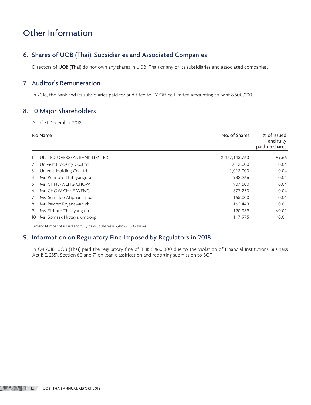## 6. Shares of UOB (Thai), Subsidiaries and Associated Companies

Directors of UOB (Thai) do not own any shares in UOB (Thai) or any of its subsidiaries and associated companies.

## 7. Auditor's Remuneration

In 2018, the Bank and its subsidiaries paid for audit fee to EY Office Limited amounting to Baht 8,500,000.

## 8. 10 Major Shareholders

As of 31 December 2018

|    | No Name                      | No. of Shares | % of Issued<br>and fully<br>paid-up shares |
|----|------------------------------|---------------|--------------------------------------------|
|    | UNITED OVERSEAS BANK LIMITED | 2,477,143,763 | 99.66                                      |
|    | Univest Property Co., Ltd.   | 1,012,000     | 0.04                                       |
| 3  | Univest Holding Co., Ltd.    | 1,012,000     | 0.04                                       |
| 4  | Mr. Pramote Thitayangura     | 982,266       | 0.04                                       |
| 5  | Mr. CHNE-WENG CHOW           | 907,500       | 0.04                                       |
| 6  | Mr. CHOW CHNE WENG           | 877,250       | 0.04                                       |
|    | Ms. Sumalee Atiphanampai     | 165,000       | 0.01                                       |
| 8  | Mr. Paichit Rojanawanich     | 162,443       | 0.01                                       |
| 9  | Ms. Sirirath Thitayangura    | 120,939       | < 0.01                                     |
| 10 | Mr. Somsak Nittayarumpong    | 117,975       | < 0.01                                     |

Remark: Number of issued and fully paid-up shares is 2,485,661,305 shares.

## 9. Information on Regulatory Fine Imposed by Regulators in 2018

 In Q4'2018, UOB (Thai) paid the regulatory fine of THB 5,460,000 due to the violation of Financial Institutions Business Act B.E. 2551, Section 60 and 71 on loan classification and reporting submission to BOT.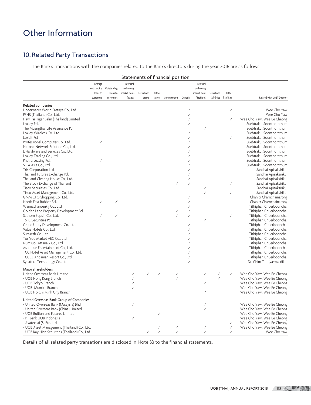## 10. Related Party Transactions

The Bank's transactions with the companies related to the Bank's directors during the year 2018 are as follows:

| Statements of financial position |  |  |  |
|----------------------------------|--|--|--|
|----------------------------------|--|--|--|

|                                                | Average     |             | Interbank    |             |        |                |          | Interbank     |             |                          |                            |
|------------------------------------------------|-------------|-------------|--------------|-------------|--------|----------------|----------|---------------|-------------|--------------------------|----------------------------|
|                                                | outstanding | Outstanding | and money    |             |        |                |          | and money     |             |                          |                            |
|                                                | loans to    | loans to    | market items | Derivatives | Other  |                |          | market items  | Derivatives | Other                    |                            |
|                                                | customers   | customers   | (assets)     | assets      | assets | Commitments    | Deposits | (liabilities) | liabilities | liabilities              | Related with UOBT Director |
| Related companies                              |             |             |              |             |        |                |          |               |             |                          |                            |
| Underwater World Pattaya Co., Ltd.             |             |             |              |             |        |                | Ϊ        |               |             | $\!\!{}^/$               | Wee Cho Yaw                |
| PPHR (Thailand) Co., Ltd.                      |             |             |              |             |        |                |          |               |             |                          | Wee Cho Yaw                |
| Haw Par Tiger Balm (Thailand) Limited          |             |             |              |             |        |                |          |               |             |                          | Wee Cho Yaw, Wee Ee Cheong |
| Loxley Pcl.                                    |             |             |              |             |        |                |          |               |             |                          | Suebtrakul Soonthornthum   |
| The Muangthai Life Assurance Pcl.              |             |             |              |             |        |                |          |               |             |                          | Suebtrakul Soonthornthum   |
| Loxley Wireless Co., Ltd.                      |             |             |              |             |        |                |          |               |             |                          | Suebtrakul Soonthornthum   |
| Loxbit Pcl.                                    |             |             |              |             |        |                |          |               |             | $\overline{\phantom{a}}$ | Suebtrakul Soonthornthum   |
| Professional Computer Co., Ltd.                | Ϊ           |             |              |             |        |                |          |               |             |                          | Suebtrakul Soonthornthum   |
| Netone Network Solution Co., Ltd.              |             |             |              |             |        |                |          |               |             |                          | Suebtrakul Soonthornthum   |
| L Hardware and Services Co., Ltd.              |             |             |              |             |        |                |          |               |             |                          | Suebtrakul Soonthornthum   |
| Loxley Trading Co., Ltd.                       |             |             |              |             |        |                |          |               |             |                          | Suebtrakul Soonthornthum   |
| Phatra Leasing Pcl.                            |             |             |              |             |        |                |          |               |             |                          | Suebtrakul Soonthornthum   |
| S.L.A Asia Co., Ltd.                           |             |             |              |             |        |                |          |               |             |                          | Suebtrakul Soonthornthum   |
| Tris Corporation Ltd.                          |             |             |              |             |        |                |          |               |             |                          | Sanchai Apisaksirikul      |
| Thailand Futures Exchange Pcl.                 |             |             |              |             |        |                |          |               |             |                          | Sanchai Apisaksirikul      |
| Thailand Clearing House Co., Ltd.              |             |             |              |             |        |                |          |               |             |                          | Sanchai Apisaksirikul      |
| The Stock Exchange of Thailand                 |             |             |              |             |        | $\overline{1}$ |          |               |             | Ϊ                        | Sanchai Apisaksirikul      |
| Tisco Securities Co., Ltd.                     |             |             |              |             |        |                |          |               |             |                          | Sanchai Apisaksirikul      |
| Tisco Asset Management Co., Ltd.               |             |             |              |             |        |                |          |               |             | Ϊ                        | Sanchai Apisaksirikul      |
| GMM CJ O Shopping Co., Ltd.                    |             |             |              |             |        |                |          |               |             |                          | Chanitr Charnchainarong    |
| North East Rubber Pcl.                         |             |             |              |             |        |                |          |               |             |                          | Chanitr Charnchainarong    |
| Wannacharoenkij Co., Ltd.                      |             |             |              |             |        |                |          |               |             |                          | Tithiphan Chuerboonchai    |
| Golden Land Property Development Pcl.          |             |             |              |             |        |                |          |               |             |                          | Tithiphan Chuerboonchai    |
| Sathorn Supsin Co., Ltd.                       |             | Γ           |              |             |        |                |          |               |             | $\overline{\phantom{a}}$ | Tithiphan Chuerboonchai    |
| TSFC Securities Pcl.                           |             |             |              |             |        |                |          |               |             |                          | Tithiphan Chuerboonchai    |
| Grand Unity Development Co., Ltd.              |             |             |              |             |        |                |          |               |             |                          | Tithiphan Chuerboonchai    |
| Value Hotels Co., Ltd.                         |             |             |              |             |        |                |          |               |             |                          | Tithiphan Chuerboonchai    |
| Suraseth Co., Ltd.                             |             |             |              |             |        |                |          |               |             |                          | Tithiphan Chuerboonchai    |
| Tor Yod Market AEC Co., Ltd.                   |             |             |              |             |        |                |          |               |             |                          | Tithiphan Chuerboonchai    |
| Numsub Pattana 2 Co., Ltd.                     |             |             |              |             |        |                |          |               |             |                          | Tithiphan Chuerboonchai    |
| Asiatique Entertainment Co., Ltd.              |             |             |              |             |        |                |          |               |             |                          | Tithiphan Chuerboonchai    |
| TCC Hotel Asset Management Co., Ltd.           |             |             |              |             |        |                |          |               |             |                          | Tithiphan Chuerboonchai    |
| TCCCL Andaman Resort Co., Ltd.                 |             |             |              |             |        |                |          |               |             |                          | Tithiphan Chuerboonchai    |
| Synature Technology Co., Ltd.                  |             |             |              |             |        |                |          |               |             |                          | Dr. Chim Tantiyaswasdikul  |
|                                                |             |             |              |             |        |                |          |               |             |                          |                            |
| Major shareholders                             |             |             |              |             |        |                |          |               |             |                          |                            |
| United Overseas Bank Limited                   |             |             |              |             |        |                |          |               | Ϊ           |                          | Wee Cho Yaw, Wee Ee Cheong |
| - UOB Hong Kong Branch                         |             |             |              |             |        |                |          |               |             |                          | Wee Cho Yaw, Wee Ee Cheong |
| - UOB Tokyo Branch                             |             |             |              |             |        |                |          |               |             |                          | Wee Cho Yaw, Wee Ee Cheong |
| - UOB Mumbai Branch                            |             |             |              |             |        |                |          |               |             |                          | Wee Cho Yaw, Wee Ee Cheong |
| - UOB Ho Chi Minh City Branch                  |             |             |              |             |        |                |          |               |             |                          | Wee Cho Yaw, Wee Ee Cheong |
| United Overseas Bank Group of Companies        |             |             |              |             |        |                |          |               |             |                          |                            |
| - United Overseas Bank (Malaysia) Bhd.         |             |             |              |             |        |                |          | $\!\!{}^/$    |             |                          | Wee Cho Yaw, Wee Ee Cheong |
| - United Overseas Bank (China) Limited         |             |             |              |             |        |                |          |               |             |                          | Wee Cho Yaw, Wee Ee Cheong |
| - UOB Bullion and Futures Limited              |             |             |              |             |        |                |          |               |             |                          | Wee Cho Yaw, Wee Ee Cheong |
| - PT Bank UOB Indonesia                        |             |             | Ϊ            |             |        |                |          |               |             |                          | Wee Cho Yaw, Wee Ee Cheong |
| - Avatec. ai (S) Pte. Ltd.                     |             |             |              |             |        |                |          |               |             |                          | Wee Cho Yaw, Wee Ee Cheong |
| - UOB Asset Management (Thailand) Co., Ltd.    |             |             |              |             |        | Ϊ              |          | Ϊ             |             | ∕                        | Wee Cho Yaw, Wee Ee Cheong |
| - UOB Kay Hian Securities (Thailand) Co., Ltd. |             |             |              |             |        |                |          |               |             |                          | Wee Cho Yaw                |

Details of all related party transations are disclosed in Note 33 to the financial statements.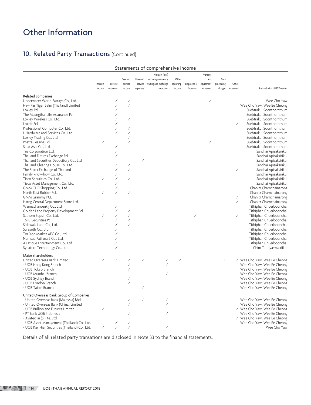## 10. Related Party Transactions (Continued)

| Statements of comprehensive income             |                          |                          |                               |                     |                                        |                     |                          |                       |                       |                   |                                                          |
|------------------------------------------------|--------------------------|--------------------------|-------------------------------|---------------------|----------------------------------------|---------------------|--------------------------|-----------------------|-----------------------|-------------------|----------------------------------------------------------|
|                                                |                          |                          | Fees and                      | Fees and            | Net gain (loss)<br>on foreign currency | Other               |                          | Premises<br>and       | Data                  |                   |                                                          |
|                                                | Interest<br>income       | Interest<br>expenses     | service<br>Income             | service<br>expenses | trading and exchange<br>transaction    | operating<br>income | Employee's<br>Expenses   | equipment<br>expenses | processing<br>charges | Other<br>expenses | Related with UOBT Director                               |
| Related companies                              |                          |                          |                               |                     |                                        |                     |                          |                       |                       |                   |                                                          |
| Underwater World Pattaya Co., Ltd.             |                          |                          | Ϊ                             |                     |                                        |                     |                          | Ϊ                     |                       |                   | Wee Cho Yaw                                              |
| Haw Par Tiger Balm (Thailand) Limited          |                          |                          | $\overline{1}$                |                     |                                        |                     |                          |                       |                       |                   | Wee Cho Yaw, Wee Ee Cheong                               |
| Loxley Pcl.                                    |                          |                          |                               |                     |                                        |                     |                          |                       |                       |                   | Suebtrakul Soonthornthum                                 |
| The Muangthai Life Assurance Pcl.              |                          |                          |                               |                     |                                        |                     |                          |                       |                       |                   | Suebtrakul Soonthornthum                                 |
| Loxley Wireless Co., Ltd.                      |                          |                          |                               |                     |                                        |                     |                          |                       |                       |                   | Suebtrakul Soonthornthum                                 |
| Loxbit Pcl.                                    |                          |                          |                               |                     |                                        |                     |                          |                       |                       | $\overline{1}$    | Suebtrakul Soonthornthum                                 |
| Professional Computer Co., Ltd.                |                          |                          |                               |                     |                                        |                     |                          |                       |                       |                   | Suebtrakul Soonthornthum                                 |
| L Hardware and Services Co., Ltd.              |                          |                          |                               |                     |                                        |                     |                          |                       |                       |                   | Suebtrakul Soonthornthum                                 |
| Loxley Trading Co., Ltd.                       |                          |                          |                               |                     |                                        |                     |                          |                       |                       |                   | Suebtrakul Soonthornthum                                 |
| Phatra Leasing Pcl.                            | $\overline{\phantom{a}}$ |                          |                               |                     |                                        |                     |                          |                       |                       |                   | Suebtrakul Soonthornthum                                 |
| S.L.A Asia Co., Ltd.                           |                          | /                        |                               |                     |                                        |                     |                          |                       |                       |                   | Suebtrakul Soonthornthum                                 |
| Tris Corporation Ltd.                          |                          |                          |                               |                     |                                        |                     |                          |                       |                       |                   | Sanchai Apisaksirikul                                    |
| Thailand Futures Exchange Pcl.                 |                          |                          |                               |                     |                                        |                     |                          |                       |                       |                   | Sanchai Apisaksirikul                                    |
| Thailand Securities Depository Co., Ltd.       |                          |                          |                               |                     |                                        |                     |                          |                       |                       |                   | Sanchai Apisaksirikul                                    |
| Thailand Clearing House Co., Ltd.              |                          |                          | Ϊ                             |                     |                                        |                     |                          |                       |                       |                   | Sanchai Apisaksirikul                                    |
| The Stock Exchange of Thailand                 |                          |                          | $\overline{1}$                |                     |                                        |                     |                          |                       |                       | $\!\!{}^/$        | Sanchai Apisaksirikul                                    |
| Family know-how Co., Ltd.                      |                          |                          |                               |                     |                                        |                     |                          |                       |                       |                   | Sanchai Apisaksirikul                                    |
| Tisco Securities Co., Ltd.                     | $\overline{\phantom{a}}$ |                          |                               |                     |                                        |                     |                          |                       |                       |                   | Sanchai Apisaksirikul                                    |
| Tisco Asset Management Co., Ltd.               |                          |                          |                               |                     |                                        |                     |                          |                       |                       |                   | Sanchai Apisaksirikul                                    |
| GMM CJ O Shopping Co., Ltd.                    |                          |                          |                               |                     |                                        |                     |                          |                       |                       |                   | Chanitr Charnchainarong                                  |
| North East Rubber Pcl.                         |                          | $\overline{1}$           | /                             |                     |                                        |                     |                          |                       |                       |                   | Chanitr Charnchainarong                                  |
| <b>GMM Grammy PCL</b>                          |                          |                          |                               |                     |                                        |                     |                          |                       |                       | Ϊ                 | Chanitr Charnchainarong                                  |
| Harng Central Department Store Ltd.            |                          |                          |                               |                     |                                        |                     |                          |                       |                       | $\overline{1}$    | Chanitr Charnchainarong                                  |
| Wannacharoenkij Co., Ltd.                      |                          |                          |                               |                     |                                        |                     |                          |                       |                       |                   | Tithiphan Chuerboonchai                                  |
| Golden Land Property Development Pcl.          |                          | $\overline{\phantom{a}}$ |                               |                     |                                        |                     |                          |                       |                       |                   | Tithiphan Chuerboonchai                                  |
| Sathorn Supsin Co., Ltd.                       | ∕                        | $\overline{1}$           | $\overline{\phantom{a}}$      |                     |                                        |                     | $\overline{\phantom{a}}$ |                       |                       | $\!\! /$          | Tithiphan Chuerboonchai                                  |
| TSFC Securities Pcl.                           |                          | /                        | $\!\!{}^/$                    |                     |                                        |                     |                          |                       |                       |                   | Tithiphan Chuerboonchai                                  |
| Sidewalk Land Co., Ltd.                        |                          |                          | $\overline{1}$                |                     |                                        |                     |                          |                       |                       |                   | Tithiphan Chuerboonchai                                  |
| Suraseth Co., Ltd.                             |                          |                          |                               |                     |                                        |                     |                          |                       |                       |                   | Tithiphan Chuerboonchai                                  |
| Tor Yod Market AEC Co., Ltd.                   |                          |                          |                               |                     |                                        |                     |                          |                       |                       |                   | Tithiphan Chuerboonchai                                  |
| Numsub Pattana 2 Co., Ltd.                     |                          |                          |                               |                     |                                        |                     |                          |                       |                       |                   | Tithiphan Chuerboonchai                                  |
| Asiatique Entertainment Co., Ltd.              |                          |                          |                               |                     |                                        |                     |                          |                       |                       |                   | Tithiphan Chuerboonchai                                  |
| Synature Technology Co., Ltd.                  |                          |                          |                               |                     |                                        |                     |                          |                       |                       |                   | Chim Tantiyaswasdikul                                    |
|                                                |                          |                          |                               |                     |                                        |                     |                          |                       |                       |                   |                                                          |
| Major shareholders                             |                          |                          |                               |                     |                                        |                     |                          |                       |                       |                   |                                                          |
| United Overseas Bank Limited                   |                          | $\overline{\phantom{a}}$ | Ϊ<br>$\overline{\phantom{a}}$ |                     |                                        |                     |                          |                       |                       |                   | / Wee Cho Yaw, Wee Ee Cheong                             |
| - UOB Hong Kong Branch<br>- UOB Tokyo Branch   |                          |                          |                               |                     |                                        |                     |                          |                       |                       |                   | Wee Cho Yaw, Wee Ee Cheong<br>Wee Cho Yaw, Wee Ee Cheong |
|                                                |                          |                          |                               |                     |                                        |                     |                          |                       |                       |                   |                                                          |
| - UOB Mumbai Branch<br>- UOB Sydney Branch     |                          |                          |                               |                     |                                        |                     |                          |                       |                       |                   | Wee Cho Yaw, Wee Ee Cheong<br>Wee Cho Yaw, Wee Ee Cheong |
| - UOB London Branch                            |                          |                          |                               |                     |                                        |                     |                          |                       |                       |                   | Wee Cho Yaw, Wee Ee Cheong                               |
| - UOB Taipei Branch                            |                          |                          |                               |                     |                                        |                     |                          |                       |                       |                   | Wee Cho Yaw, Wee Ee Cheong                               |
|                                                |                          |                          |                               |                     |                                        |                     |                          |                       |                       |                   |                                                          |
| United Overseas Bank Group of Companies        |                          |                          |                               |                     |                                        |                     |                          |                       |                       |                   |                                                          |
| - United Overseas Bank (Malaysia) Bhd.         |                          |                          |                               |                     |                                        |                     |                          |                       |                       |                   | Wee Cho Yaw, Wee Ee Cheong                               |
| - United Overseas Bank (China) Limited         |                          |                          |                               |                     |                                        |                     |                          |                       |                       |                   | Wee Cho Yaw, Wee Ee Cheong                               |
| - UOB Bullion and Futures Limited              |                          |                          |                               |                     |                                        |                     |                          |                       |                       |                   | / Wee Cho Yaw, Wee Ee Cheong                             |
| - PT Bank UOB Indonesia                        |                          |                          |                               |                     |                                        |                     |                          |                       |                       |                   | Wee Cho Yaw, Wee Ee Cheong                               |
| - Avatec. ai (S) Pte. Ltd.                     |                          |                          |                               |                     |                                        |                     |                          |                       |                       |                   | / Wee Cho Yaw, Wee Ee Cheong                             |
| - UOB Asset Management (Thailand) Co., Ltd.    |                          | Ϊ                        |                               |                     |                                        |                     |                          |                       |                       |                   | Wee Cho Yaw, Wee Ee Cheong                               |
| - UOB Kay Hian Securities (Thailand) Co., Ltd. | Ϊ                        | $\overline{1}$           |                               |                     |                                        |                     |                          |                       |                       |                   | Wee Cho Yaw                                              |

Details of all related party transations are disclosed in Note 33 to the financial statements.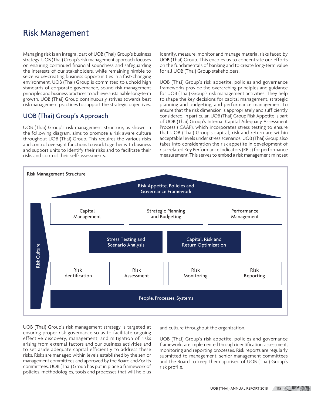Managing risk is an integral part of UOB (Thai) Group's business strategy. UOB (Thai) Group's risk management approach focuses on ensuring continued financial soundness and safeguarding the interests of our stakeholders, while remaining nimble to seize value-creating business opportunities in a fast-changing environment. UOB (Thai) Group is committed to uphold high standards of corporate governance, sound risk management principles and business practices to achieve sustainable long-term growth. UOB (Thai) Group continuously strives towards best risk management practices to support the strategic objectives.

## UOB (Thai) Group's Approach

UOB (Thai) Group's risk management structure, as shown in the following diagram, aims to promote a risk aware culture throughout UOB (Thai) Group. This requires the various risks and control oversight functions to work together with business and support units to identify their risks and to facilitate their risks and control their self-assessments.

identify, measure, monitor and manage material risks faced by UOB (Thai) Group. This enables us to concentrate our efforts on the fundamentals of banking and to create long-term value for all UOB (Thai) Group stakeholders.

UOB (Thai) Group's risk appetite, policies and governance frameworks provide the overarching principles and guidance for UOB (Thai) Group's risk management activities. They help to shape the key decisions for capital management, strategic planning and budgeting, and performance management to ensure that the risk dimension is appropriately and sufficiently considered. In particular, UOB (Thai) Group Risk Appetite is part of UOB (Thai) Group's Internal Capital Adequacy Assessment Process (ICAAP), which incorporates stress testing to ensure that UOB (Thai) Group's capital, risk and return are within acceptable levels under stress scenarios. UOB (Thai) Group also takes into consideration the risk appetite in development of risk-related Key Performance Indicators (KPIs) for performance measurement. This serves to embed a risk management mindset



UOB (Thai) Group's risk management strategy is targeted at ensuring proper risk governance so as to facilitate ongoing effective discovery, management, and mitigation of risks arising from external factors and our business activities and to set aside adequate capital efficiently to address these risks. Risks are managed within levels established by the senior management committees and approved by the Board and/or its committees. UOB (Thai) Group has put in place a framework of policies, methodologies, tools and processes that will help us

and culture throughout the organization.

UOB (Thai) Group's risk appetite, policies and governance frameworks are implemented through identification, assessment, monitoring and reporting processes. Risk reports are regularly submitted to management, senior management committees and the Board to keep them apprised of UOB (Thai) Group's risk profile.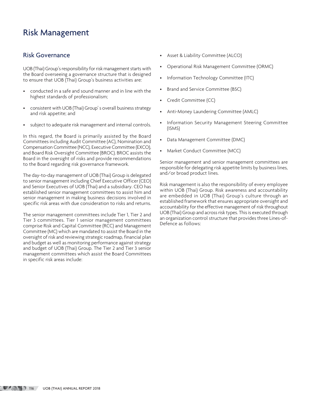## Risk Governance

UOB (Thai) Group's responsibility for risk management starts with the Board overseeing a governance structure that is designed to ensure that UOB (Thai) Group's business activities are:

- conducted in a safe and sound manner and in line with the highest standards of professionalism;
- consistent with UOB (Thai) Group' s overall business strategy and risk appetite; and
- subject to adequate risk management and internal controls.

In this regard, the Board is primarily assisted by the Board Committees including Audit Committee (AC), Nomination and Compensation Committee (NCC), Executive Committee (EXCO), and Board Risk Oversight Committee (BROC). BROC assists the Board in the oversight of risks and provide recommendations to the Board regarding risk governance framework.

The day-to-day management of UOB (Thai) Group is delegated to senior management including Chief Executive Officer (CEO) and Senior Executives of UOB (Thai) and a subsidiary. CEO has established senior management committees to assist him and senior management in making business decisions involved in specific risk areas with due consideration to risks and returns.

The senior management committees include Tier 1, Tier 2 and Tier 3 committees. Tier 1 senior management committees comprise Risk and Capital Committee (RCC) and Management Committee (MC) which are mandated to assist the Board in the oversight of risk and reviewing strategic roadmap, financial plan and budget as well as monitoring performance against strategy and budget of UOB (Thai) Group. The Tier 2 and Tier 3 senior management committees which assist the Board Committees in specific risk areas include:

- Asset & Liability Committee (ALCO)
- Operational Risk Management Committee (ORMC)
- Information Technology Committee (ITC)
- Brand and Service Committee (BSC)
- Credit Committee (CC)
- Anti-Money Laundering Committee (AMLC)
- Information Security Management Steering Committee (ISMS)
- Data Management Committee (DMC)
- Market Conduct Committee (MCC)

Senior management and senior management committees are responsible for delegating risk appetite limits by business lines, and/or broad product lines.

Risk management is also the responsibility of every employee within UOB (Thai) Group. Risk awareness and accountability are embedded in UOB (Thai) Group's culture through an established framework that ensures appropriate oversight and accountability for the effective management of risk throughout UOB (Thai) Group and across risk types. This is executed through an organization control structure that provides three Lines-of-Defence as follows: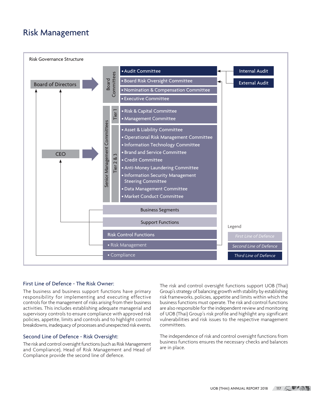

## First Line of Defence - The Risk Owner:

The business and business support functions have primary responsibility for implementing and executing effective controls for the management of risks arising from their business activities. This includes establishing adequate managerial and supervisory controls to ensure compliance with approved risk policies, appetite, limits and controls and to highlight control breakdowns, inadequacy of processes and unexpected risk events.

## Second Line of Defence - Risk Oversight:

The risk and control oversight functions (such as Risk Management and Compliance), Head of Risk Management and Head of Compliance provide the second line of defence.

The risk and control oversight functions support UOB (Thai) Group's strategy of balancing growth with stability by establishing risk frameworks, policies, appetite and limits within which the business functions must operate. The risk and control functions are also responsible for the independent review and monitoring of UOB (Thai) Group's risk profile and highlight any significant vulnerabilities and risk issues to the respective management committees.

The independence of risk and control oversight functions from business functions ensures the necessary checks and balances are in place.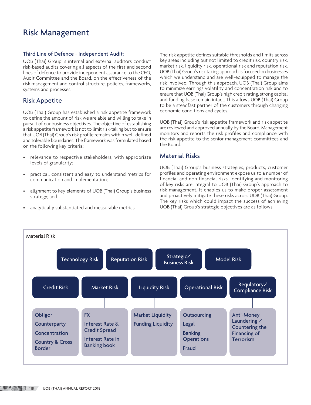## Third Line of Defence - Independent Audit:

UOB (Thai) Group' s internal and external auditors conduct risk-based audits covering all aspects of the first and second lines of defence to provide independent assurance to the CEO, Audit Committee and the Board, on the effectiveness of the risk management and control structure, policies, frameworks, systems and processes.

## Risk Appetite

UOB (Thai) Group has established a risk appetite framework to define the amount of risk we are able and willing to take in pursuit of our business objectives. The objective of establishing a risk appetite framework is not to limit risk-taking but to ensure that UOB (Thai) Group's risk profile remains within well-defined and tolerable boundaries. The framework was formulated based on the following key criteria:

- relevance to respective stakeholders, with appropriate levels of granularity;
- practical, consistent and easy to understand metrics for communication and implementation;
- alignment to key elements of UOB (Thai) Group's business strategy; and
- analytically substantiated and measurable metrics.

The risk appetite defines suitable thresholds and limits across key areas including but not limited to credit risk, country risk, market risk, liquidity risk, operational risk and reputation risk. UOB (Thai) Group's risk taking approach is focused on businesses which we understand and are well-equipped to manage the risk involved. Through this approach, UOB (Thai) Group aims to minimize earnings volatility and concentration risk and to ensure that UOB (Thai) Group's high credit rating, strong capital and funding base remain intact. This allows UOB (Thai) Group to be a steadfast partner of the customers through changing economic conditions and cycles.

UOB (Thai) Group's risk appetite framework and risk appetite are reviewed and approved annually by the Board. Management monitors and reports the risk profiles and compliance with the risk appetite to the senior management committees and the Board.

## Material Risks

UOB (Thai) Group's business strategies, products, customer profiles and operating environment expose us to a number of financial and non-financial risks. Identifying and monitoring of key risks are integral to UOB (Thai) Group's approach to risk management. It enables us to make proper assessment and proactively mitigate these risks across UOB (Thai) Group. The key risks which could impact the success of achieving UOB (Thai) Group's strategic objectives are as follows;

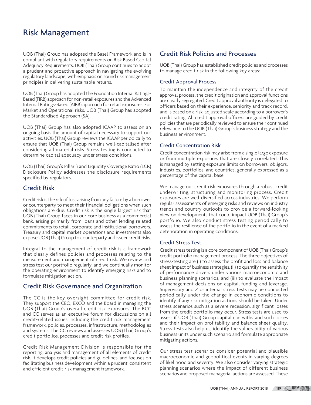UOB (Thai) Group has adopted the Basel Framework and is in compliant with regulatory requirements on Risk Based Capital Adequacy Requirements. UOB (Thai) Group continues to adopt a prudent and proactive approach in navigating the evolving regulatory landscape, with emphasis on sound risk management principles in delivering sustainable returns.

UOB (Thai) Group has adopted the Foundation Internal Ratings-Based (FIRB) approach for non-retail exposures and the Advanced Internal Ratings-Based (AIRB) approach for retail exposures. For Market and Operational risks, UOB (Thai) Group has adopted the Standardised Approach (SA).

UOB (Thai) Group has also adopted ICAAP to assess on an ongoing basis the amount of capital necessary to support our activities. UOB (Thai) Group reviews the ICAAP periodically to ensure that UOB (Thai) Group remains well-capitalised after considering all material risks. Stress testing is conducted to determine capital adequacy under stress conditions.

UOB (Thai) Group's Pillar 3 and Liquidity Coverage Ratio (LCR) Disclosure Policy addresses the disclosure requirements specified by regulators.

## Credit Risk

Credit risk is the risk of loss arising from any failure by a borrower or counterparty to meet their financial obligations when such obligations are due. Credit risk is the single largest risk that UOB (Thai) Group faces in our core business as a commercial bank, arising primarily from loans and other lending related commitments to retail, corporate and institutional borrowers. Treasury and capital market operations and investments also expose UOB (Thai) Group to counterparty and issuer credit risks.

Integral to the management of credit risk is a framework that clearly defines policies and processes relating to the measurement and management of credit risk. We review and stress test our portfolio regularly, and we continually monitor the operating environment to identify emerging risks and to formulate mitigation action.

## Credit Risk Governance and Organization

The CC is the key oversight committee for credit risk. They support the CEO, EXCO and the Board in managing the UOB (Thai) Group's overall credit risk exposures. The RCC and CC serves as an executive forum for discussions on all credit-related issues including the credit risk management framework, policies, processes, infrastructure, methodologies and systems. The CC reviews and assesses UOB (Thai) Group's credit portfolios, processes and credit risk profiles.

Credit Risk Management Division is responsible for the reporting, analysis and management of all elements of credit risk. It develops credit policies and guidelines, and focuses on facilitating business development within a prudent, consistent and efficient credit risk management framework.

## Credit Risk Policies and Processes

UOB (Thai) Group has established credit policies and processes to manage credit risk in the following key areas:

## Credit Approval Process

To maintain the independence and integrity of the credit approval process, the credit origination and approval functions are clearly segregated. Credit approval authority is delegated to officers based on their experience, seniority and track record, and is based on a risk-adjusted scale according to a borrower's credit rating. All credit approval officers are guided by credit policies that are periodically reviewed to ensure their continued relevance to the UOB (Thai) Group's business strategy and the business environment.

## Credit Concentration Risk

Credit concentration risk may arise from a single large exposure or from multiple exposures that are closely correlated. This is managed by setting exposure limits on borrowers, obligors, industries, portfolios, and countries, generally expressed as a percentage of the capital base.

We manage our credit risk exposures through a robust credit underwriting, structuring and monitoring process. Credit exposures are well-diversified across industries. We perform regular assessments of emerging risks and reviews on industry trends and country outlooks to provide a forward-looking view on developments that could impact UOB (Thai) Group's portfolio. We also conduct stress testing periodically to assess the resilience of the portfolio in the event of a marked deterioration in operating conditions.

## Credit Stress Test

Credit stress testing is a core component of UOB (Thai) Group's credit portfolio management process. The three objectives of stress-testing are (i) to assess the profit and loss and balance sheet impact of business strategies, (ii) to quantify the sensitivity of performance drivers under various macroeconomic and business planning scenarios, and (iii) to evaluate the impact of management decisions on capital, funding and leverage. Supervisory and  $\angle$  or internal stress tests may be conducted periodically under the change in economic conditions to identify if any risk mitigation actions should be taken. Under stress scenarios such as a severe recession, significant losses from the credit portfolio may occur. Stress tests are used to assess if UOB (Thai) Group capital can withstand such losses and their impact on profitability and balance sheet quality. Stress tests also help us, identify the vulnerability of various business units under such scenario and formulate appropriate mitigating actions.

Our stress test scenarios consider potential and plausible macroeconomic and geopolitical events in varying degrees of likelihood and severity. We also consider varying strategic planning scenarios where the impact of different business scenarios and proposed managerial actions are assessed. These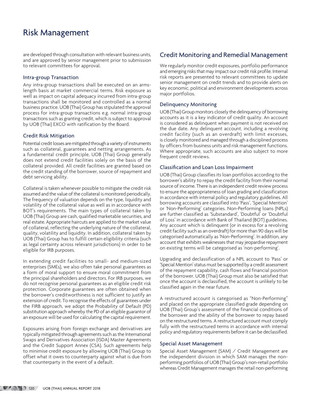are developed through consultation with relevant business units, and are approved by senior management prior to submission to relevant committees for approval.

### Intra-group Transaction

Any intra-group transactions shall be executed on an armslength basis at market commercial terms. Risk exposure as well as impact on capital adequacy incurred from intra-group transactions shall be monitored and controlled as a normal business practice. UOB (Thai) Group has stipulated the approval process for intra-group transactions e.g. normal intra-group transactions such as granting credit, which is subject to approval by UOB (Thai) EXCO with ratification by the Board.

## Credit Risk Mitigation

Potential credit losses are mitigated through a variety of instruments such as collateral, guarantees and netting arrangements. As a fundamental credit principle, UOB (Thai) Group generally does not extend credit facilities solely on the basis of the collateral provided. All credit facilities are granted based on the credit standing of the borrower, source of repayment and debt servicing ability.

Collateral is taken whenever possible to mitigate the credit risk assumed and the value of the collateral is monitored periodically. The frequency of valuation depends on the type, liquidity and volatility of the collateral value as well as in accordance with BOT's requirements. The main types of collateral taken by UOB (Thai) Group are cash, qualified marketable securities, and real estate. Appropriate haircuts are applied to the market value of collateral, reflecting the underlying nature of the collateral, quality, volatility and liquidity. In addition, collateral taken by UOB (Thai) Group has to fulfill certain eligibility criteria (such as legal certainty across relevant jurisdictions) in order to be eligible for IRB purposes.

In extending credit facilities to small- and medium-sized enterprises (SMEs), we also often take personal guarantees as a form of moral support to ensure moral commitment from the principal shareholders and directors. For IRB purposes, we do not recognise personal guarantees as an eligible credit risk protection. Corporate guarantees are often obtained when the borrower's creditworthiness is not sufficient to justify an extension of credit. To recognise the effects of guarantees under the FIRB approach, we adopt the Probability of Default (PD) substitution approach whereby the PD of an eligible guarantor of an exposure will be used for calculating the capital requirement.

Exposures arising from foreign exchange and derivatives are typically mitigated through agreements such as the International Swaps and Derivatives Association (ISDA) Master Agreements and the Credit Support Annex (CSA). Such agreements help to minimise credit exposure by allowing UOB (Thai) Group to offset what it owes to counterparty against what is due from that counterparty in the event of a default.

## Credit Monitoring and Remedial Management

We regularly monitor credit exposures, portfolio performance and emerging risks that may impact our credit risk profile. Internal risk reports are presented to relevant committees to update senior management on credit trends and to provide alerts on key economic, political and environment developments across major portfolios.

## Delinquency Monitoring

UOB (Thai) Group monitors closely the delinquency of borrowing accounts as it is a key indicator of credit quality. An account is considered as delinquent when payment is not received on the due date. Any delinquent account, including a revolving credit facility (such as an overdraft) with limit excesses, is closely monitored and managed through a disciplined process by officers from business units and risk management functions. Where appropriate, such accounts are also subject to more frequent credit reviews.

## Classification and Loan Loss Impairment

UOB (Thai) Group classifies its loan portfolios according to the borrower's ability to repay the credit facility from their normal source of income. There is an independent credit review process to ensure the appropriateness of loan grading and classification in accordance with internal policy and regulatory guidelines. All borrowing accounts are classified into 'Pass', 'Special Mention' or 'Non-Performing' categories. Non-Performing loans (NPLs) are further classified as 'Substandard', 'Doubtful' or 'Doubtful of Loss' in accordance with Bank of Thailand (BOT) guidelines. Any account which is delinquent (or in excess for a revolving credit facility such as an overdraft) for more than 90 days will be categorised automatically as 'Non-Performing'. In addition, any account that exhibits weaknesses that may jeopardise repayment on existing terms will be categorised as 'non-performing'.

Upgrading and declassification of a NPL account to 'Pass' or 'Special Mention' status must be supported by a credit assessment of the repayment capability, cash flows and financial position of the borrower. UOB (Thai) Group must also be satisfied that once the account is declassified, the account is unlikely to be classified again in the near future.

A restructured account is categorised as "Non-Performing" and placed on the appropriate classified grade depending on UOB (Thai) Group's assessment of the financial conditions of the borrower and the ability of the borrower to repay based on the restructured terms. A restructured account must comply fully with the restructured terms in accordance with internal policy and regulatory requirements before it can be declassified.

## Special Asset Management

Special Asset Management (SAM) / Credit Management are the independent division in which SAM manages the nonperforming portfolios of UOB (Thai) Group's non-retail portfolio whereas Credit Management manages the retail non-performing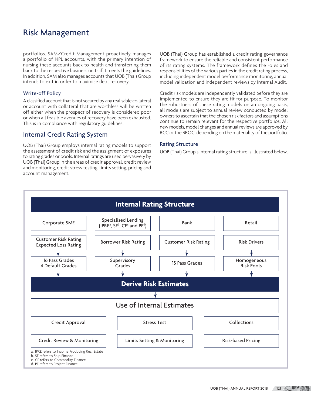portfolios. SAM/Credit Management proactively manages a portfolio of NPL accounts, with the primary intention of nursing these accounts back to health and transferring them back to the respective business units if it meets the guidelines. In addition, SAM also manages accounts that UOB (Thai) Group intends to exit in order to maximise debt recovery.

## Write-off Policy

A classified account that is not secured by any realisable collateral or account with collateral that are worthless will be written off either when the prospect of recovery is considered poor or when all feasible avenues of recovery have been exhausted. This is in compliance with regulatory guidelines.

## Internal Credit Rating System

UOB (Thai) Group employs internal rating models to support the assessment of credit risk and the assignment of exposures to rating grades or pools. Internal ratings are used pervasively by UOB (Thai) Group in the areas of credit approval, credit review and monitoring, credit stress testing, limits setting, pricing and account management.

UOB (Thai) Group has established a credit rating governance framework to ensure the reliable and consistent performance of its rating systems. The framework defines the roles and responsibilities of the various parties in the credit rating process, including independent model performance monitoring, annual model validation and independent reviews by Internal Audit.

Credit risk models are independently validated before they are implemented to ensure they are fit for purpose. To monitor the robustness of these rating models on an ongoing basis, all models are subject to annual review conducted by model owners to ascertain that the chosen risk factors and assumptions continue to remain relevant for the respective portfolios. All new models, model changes and annual reviews are approved by RCC or the BROC, depending on the materiality of the portfolio.

## Rating Structure

UOB (Thai) Group's internal rating structure is illustrated below.

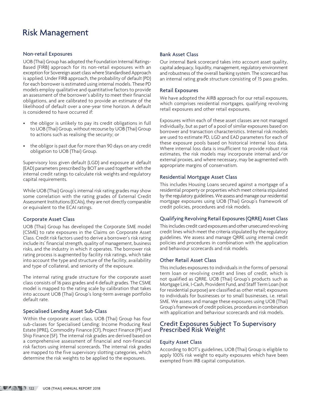## Non-retail Exposures

UOB (Thai) Group has adopted the Foundation Internal Ratings-Based (FIRB) approach for its non-retail exposures with an exception for Sovereign asset class where Standardised Approach is applied. Under FIRB approach, the probability of default (PD) for each borrower is estimated using internal models. These PD models employ qualitative and quantitative factors to provide an assessment of the borrower's ability to meet their financial obligations, and are calibrated to provide an estimate of the likelihood of default over a one-year time horizon. A default is considered to have occurred if:

- the obligor is unlikely to pay its credit obligations in full to UOB (Thai) Group, without recourse by UOB (Thai) Group to actions such as realising the security; or
- the obligor is past due for more than 90 days on any credit obligation to UOB (Thai) Group.

Supervisory loss given default (LGD) and exposure at default (EAD) parameters prescribed by BOT are used together with the internal credit ratings to calculate risk weights and regulatory capital requirements.

While UOB (Thai) Group's internal risk rating grades may show some correlation with the rating grades of External Credit Assessment Institutions (ECAIs), they are not directly comparable or equivalent to the ECAI ratings.

### Corporate Asset Class

UOB (Thai) Group has developed the Corporate SME model (CSME) to rate exposures in the Claims on Corporate Asset Class. Credit risk factors used to derive a borrower's risk rating include its' financial strength, quality of management, business risks, and the industry in which it operates. The borrower risk rating process is augmented by facility risk ratings, which take into account the type and structure of the facility, availability and type of collateral, and seniority of the exposure.

The internal rating grade structure for the corporate asset class consists of 16 pass grades and 4 default grades. The CSME model is mapped to the rating scale by calibration that takes into account UOB (Thai) Group's long-term average portfolio default rate.

### Specialised Lending Asset Sub-Class

Within the corporate asset class, UOB (Thai) Group has four sub-classes for Specialised Lending: Income Producing Real Estate (IPRE), Commodity Finance (CF), Project Finance (PF) and Ship Finance (SF). The internal risk grades are derived based on a comprehensive assessment of financial and non-financial risk factors using internal scorecards. The internal risk grades are mapped to the five supervisory slotting categories, which determine the risk weights to be applied to the exposures.

## Bank Asset Class

Our internal Bank scorecard takes into account asset quality, capital adequacy, liquidity, management, regulatory environment and robustness of the overall banking system. The scorecard has an internal rating grade structure consisting of 15 pass grades.

### Retail Exposures

We have adopted the AIRB approach for our retail exposures, which comprises residential mortgages, qualifying revolving retail exposures and other retail exposures.

Exposures within each of these asset classes are not managed individually, but as part of a pool of similar exposures based on borrower and transaction characteristics. Internal risk models are used to estimate PD, LGD and EAD parameters for each of these exposure pools based on historical internal loss data. Where internal loss data is insufficient to provide robust risk estimates, the risk models may incorporate internal and/or external proxies, and where necessary, may be augmented with appropriate margins of conservatism.

## Residential Mortgage Asset Class

This includes Housing Loans secured against a mortgage of a residential property or properties which meet criteria stipulated by the regulatory guidelines. We assess and manage our residential mortgage exposures using UOB (Thai) Group's framework of credit policies, procedures and risk models.

### Qualifying Revolving Retail Exposures (QRRE) Asset Class

This includes credit card exposures and other unsecured revolving credit lines which meet the criteria stipulated by the regulatory guidelines. We assess and manage QRRE using internal credit policies and procedures in combination with the application and behaviour scorecards and risk models.

### Other Retail Asset Class

This includes exposures to individuals in the forms of personal term loan or revolving credit and lines of credit, which is not qualified as QRRE. UOB (Thai) Group's products such as Mortgage Link, I-Cash, Provident Fund, and Staff Term Loan (not for residential purpose) are classified as other retail; exposures to individuals for businesses or to small businesses, i.e. retail SME. We assess and manage these exposures using UOB (Thai) Group's framework of credit policies, procedures in combination with application and behaviour scorecards and risk models.

## Credit Exposures Subject To Supervisory Prescribed Risk Weight

### Equity Asset Class

According to BOT's guidelines, UOB (Thai) Group is eligible to apply 100% risk weight to equity exposures which have been exempted from IRB capital computation.

**122 UOB (THAI) ANNUAL REPORT 2018**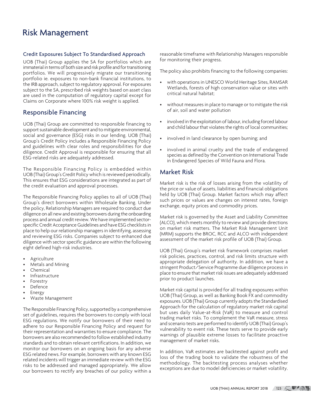## Credit Exposures Subject To Standardised Approach

UOB (Thai) Group applies the SA for portfolios which are immaterial in terms of both size and risk profile and for transitioning portfolios. We will progressively migrate our transitioning portfolio ie. exposures to non-bank financial institutions, to the IRB approach, subject to regulatory approval. For exposures subject to the SA, prescribed risk weights based on asset class are used in the computation of regulatory capital except for Claims on Corporate where 100% risk weight is applied.

## Responsible Financing

UOB (Thai) Group are committed to responsible financing to support sustainable development and to mitigate environmental, social and governance (ESG) risks in our lending. UOB (Thai) Group's Credit Policy includes a Responsible Financing Policy and guidelines with clear roles and responsibilities for due diligence. Credit Approval is responsible for ensuring that all ESG-related risks are adequately addressed.

The Responsible Financing Policy is embedded within UOB (Thai) Group's Credit Policy which is reviewed periodically. This ensures that ESG considerations are integrated as part of the credit evaluation and approval processes.

The Responsible Financing Policy applies to all of UOB (Thai) Group's direct borrowers within Wholesale Banking. Under the policy, Relationship Managers are required to conduct due diligence on all new and existing borrowers during the onboarding process and annual credit review. We have implemented sectorspecific Credit Acceptance Guidelines and have ESG checklists in place to help our relationship managers in identifying, assessing and reviewing ESG risks. Companies subject to enhanced due diligence with sector specific guidance are within the following eight defined high-risk industries.

- **Agriculture**
- Metals and Mining
- Chemical
- **Infrastructure**
- **Forestry**
- Defence
- **Energy**
- Waste Management

The Responsible Financing Policy, supported by a comprehensive set of guidelines, requires the borrowers to comply with local ESG regulations. We notify our borrowers of their need to adhere to our Responsible Financing Policy and request for their representation and warranties to ensure compliance. The borrowers are also recommended to follow established industry standards and to obtain relevant certifications. In addition, we monitor our borrowers on an ongoing basis for any adverse ESG related news. For example, borrowers with any known ESG related incidents will trigger an immediate review with the ESG risks to be addressed and managed appropriately. We allow our borrowers to rectify any breaches of our policy within a

reasonable timeframe with Relationship Managers responsible for monitoring their progress.

The policy also prohibits financing to the following companies:

- with operations in UNESCO World Heritage Sites, RAMSAR Wetlands, forests of high conservation value or sites with critical natural habitat;
- without measures in place to manage or to mitigate the risk of air, soil and water pollution
- involved in the exploitation of labour, including forced labour and child labour that violates the rights of local communities;
- involved in land clearance by open burning; and
- involved in animal cruelty and the trade of endangered species as defined by the Convention on International Trade in Endangered Species of Wild Fauna and Flora.

## Market Risk

Market risk is the risk of losses arising from the volatility of the price or value of assets, liabilities and financial obligations held by UOB (Thai) Group. Market factors which may affect such prices or values are changes on interest rates, foreign exchange, equity prices and commodity prices.

Market risk is governed by the Asset and Liability Committee (ALCO), which meets monthly to review and provide directions on market risk matters. The Market Risk Management Unit (MRM) supports the BROC, RCC and ALCO with independent assessment of the market risk profile of UOB (Thai) Group.

UOB (Thai) Group's market risk framework comprises market risk policies, practices, control, and risk limits structure with appropriate delegation of authority. In addition, we have a stringent Product/Service Programme due diligence process in place to ensure that market risk issues are adequately addressed prior to product launches.

Market risk capital is provided for all trading exposures within UOB (Thai) Group, as well as Banking Book FX and commodity exposures. UOB (Thai) Group currently adopts the Standardised Approach for the calculation of regulatory market risk capital but uses daily Value-at-Risk (VaR) to measure and control trading market risks. To complement the VaR measure, stress and scenario tests are performed to identify UOB (Thai) Group's vulnerability to event risk. These tests serve to provide early warnings of plausible extreme losses to facilitate proactive management of market risks.

In addition, VaR estimates are backtested against profit and loss of the trading book to validate the robustness of the methodology. The backtesting process analyses whether exceptions are due to model deficiencies or market volatility.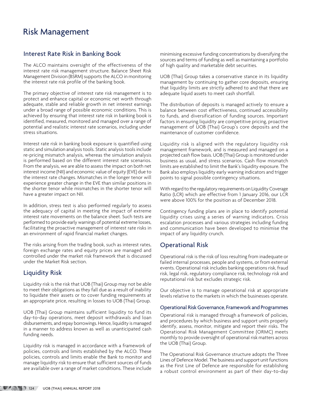## Interest Rate Risk in Banking Book

The ALCO maintains oversight of the effectiveness of the interest rate risk management structure. Balance Sheet Risk Management Division (BSRM) supports the ALCO in monitoring the interest rate risk profile of the banking book.

The primary objective of interest rate risk management is to protect and enhance capital or economic net worth through adequate, stable and reliable growth in net interest earnings under a broad range of possible economic conditions. This is achieved by ensuring that interest rate risk in banking book is identified, measured, monitored and managed over a range of potential and realistic interest rate scenarios, including under stress situations.

Interest rate risk in banking book exposure is quantified using static and simulation analysis tools. Static analysis tools include re-pricing mismatch analysis, whereas the simulation analysis is performed based on the different interest rate scenarios. From the analysis, we are able to assess the impact on both net interest income (NII) and economic value of equity (EVE) due to the interest rate changes. Mismatches in the longer tenor will experience greater change in the EVE than similar positions in the shorter tenor while mismatches in the shorter tenor will have a greater impact on NII.

In addition, stress test is also performed regularly to assess the adequacy of capital in meeting the impact of extreme interest rate movements on the balance sheet. Such tests are performed to provide early warnings of potential extreme losses, facilitating the proactive management of interest rate risks in an environment of rapid financial market changes.

The risks arising from the trading book, such as interest rates, foreign exchange rates and equity prices are managed and controlled under the market risk framework that is discussed under the Market Risk section.

## Liquidity Risk

Liquidity risk is the risk that UOB (Thai) Group may not be able to meet their obligations as they fall due as a result of inability to liquidate their assets or to cover funding requirements at an appropriate price, resulting in losses to UOB (Thai) Group.

UOB (Thai) Group maintains sufficient liquidity to fund its day-to-day operations, meet deposit withdrawals and loan disbursements, and repay borrowings. Hence, liquidity is managed in a manner to address known as well as unanticipated cash funding needs.

Liquidity risk is managed in accordance with a framework of policies, controls and limits established by the ALCO. These policies, controls and limits enable the Bank to monitor and manage liquidity risk to ensure that sufficient sources of funds are available over a range of market conditions. These include

minimising excessive funding concentrations by diversifying the sources and terms of funding as well as maintaining a portfolio of high quality and marketable debt securities.

UOB (Thai) Group takes a conservative stance in its liquidity management by continuing to gather core deposits, ensuring that liquidity limits are strictly adhered to and that there are adequate liquid assets to meet cash shortfall.

The distribution of deposits is managed actively to ensure a balance between cost effectiveness, continued accessibility to funds, and diversification of funding sources. Important factors in ensuring liquidity are competitive pricing, proactive management of UOB (Thai) Group's core deposits and the maintenance of customer confidence.

Liquidity risk is aligned with the regulatory liquidity risk management framework, and is measured and managed on a projected cash flow basis. UOB (Thai) Group is monitored under business as usual, and stress scenarios. Cash flow mismatch limits are established to limit the Bank's liquidity exposure. The Bank also employs liquidity early warning indicators and trigger points to signal possible contingency situations.

With regard to the regulatory requirements on Liquidity Coverage Ratio (LCR) which are effective from 1 January 2016, our LCR were above 100% for the position as of December 2018.

Contingency funding plans are in place to identify potential liquidity crises using a series of warning indicators. Crisis escalation processes and various strategies including funding and communication have been developed to minimise the impact of any liquidity crunch.

## Operational Risk

Operational risk is the risk of loss resulting from inadequate or failed internal processes, people and systems, or from external events. Operational risk includes banking operations risk, fraud risk, legal risk, regulatory compliance risk, technology risk and reputational risk but excludes strategic risk.

Our objective is to manage operational risk at appropriate levels relative to the markets in which the businesses operate.

## Operational Risk Governance, Framework and Programmes

Operational risk is managed through a framework of policies, and procedures by which business and support units properly identify, assess, monitor, mitigate and report their risks. The Operational Risk Management Committee (ORMC) meets monthly to provide oversight of operational risk matters across the UOB (Thai) Group.

The Operational Risk Governance structure adopts the Three Lines of Defence Model. The business and support unit functions as the First Line of Defence are responsible for establishing a robust control environment as part of their day-to-day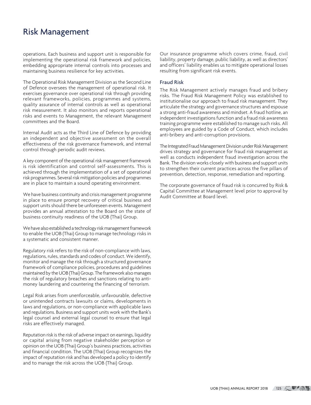operations. Each business and support unit is responsible for implementing the operational risk framework and policies, embedding appropriate internal controls into processes and maintaining business resilience for key activities.

The Operational Risk Management Division as the Second Line of Defence oversees the management of operational risk. It exercises governance over operational risk through providing relevant frameworks, policies, programmes and systems, quality assurance of internal controls as well as operational risk measurement. It also monitors and reports operational risks and events to Management, the relevant Management committees and the Board.

Internal Audit acts as the Third Line of Defence by providing an independent and objective assessment on the overall effectiveness of the risk governance framework, and internal control through periodic audit reviews.

A key component of the operational risk management framework is risk identification and control self-assessments. This is achieved through the implementation of a set of operational risk programmes. Several risk mitigation policies and programmes are in place to maintain a sound operating environment.

We have business continuity and crisis management programme in place to ensure prompt recovery of critical business and support units should there be unforeseen events. Management provides an annual attestation to the Board on the state of business continuity readiness of the UOB (Thai) Group.

We have also established a technology risk management framework to enable the UOB (Thai) Group to manage technology risks in a systematic and consistent manner.

Regulatory risk refers to the risk of non-compliance with laws, regulations, rules, standards and codes of conduct. We identify, monitor and manage the risk through a structured governance framework of compliance policies, procedures and guidelines maintained by the UOB (Thai) Group. The framework also manages the risk of regulatory breaches and sanctions relating to antimoney laundering and countering the financing of terrorism.

Legal Risk arises from unenforceable, unfavourable, defective or unintended contracts lawsuits or claims, developments in laws and regulations, or non-compliance with applicable laws and regulations. Business and support units work with the Bank's legal counsel and external legal counsel to ensure that legal risks are effectively managed.

Reputation risk is the risk of adverse impact on earnings, liquidity or capital arising from negative stakeholder perception or opinion on the UOB (Thai) Group's business practices, activities and financial condition. The UOB (Thai) Group recognizes the impact of reputation risk and has developed a policy to identify and to manage the risk across the UOB (Thai) Group.

Our insurance programme which covers crime, fraud, civil liability, property damage, public liability, as well as directors' and officers' liability enables us to mitigate operational losses resulting from significant risk events.

### Fraud Risk

The Risk Management actively manages fraud and bribery risks. The Fraud Risk Management Policy was established to institutionalise our approach to fraud risk management. They articulate the strategy and governance structures and espouse a strong anti-fraud awareness and mindset. A fraud hotline, an independent investigations function and a fraud risk awareness training programme were established to manage such risks. All employees are guided by a Code of Conduct, which includes anti-bribery and anti-corruption provisions.

The Integrated Fraud Management Division under Risk Management drives strategy and governance for fraud risk management as well as conducts independent fraud investigation across the Bank. The division works closely with business and support units to strengthen their current practices across the five pillars of prevention, detection, response, remediation and reporting.

The corporate governance of fraud risk is concurred by Risk & Capital Committee at Management level prior to approval by Audit Committee at Board level.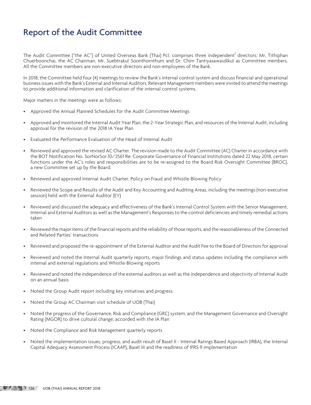## Report of the Audit Committee

The Audit Committee ("the AC") of United Overseas Bank (Thai) Pcl. comprises three independent<sup>1</sup> directors: Mr. Tithiphan Chuerboonchai, the AC Chairman, Mr. Suebtrakul Soonthornthum and Dr. Chim Tantiyasawasdikul as Committee members. All the Committee members are non-executive directors and non-employees of the Bank.

In 2018, the Committee held four (4) meetings to review the Bank's internal control system and discuss financial and operational business issues with the Bank's External and Internal Auditors. Relevant Management members were invited to attend the meetings to provide additional information and clarification of the internal control systems.

Major matters in the meetings were as follows:

- Approved the Annual Planned Schedules for the Audit Committee Meetings
- Approved and monitored the Internal Audit Year Plan, the 2-Year Strategic Plan, and resources of the Internal Audit, including approval for the revision of the 2018 IA Year Plan
- Evaluated the Performance Evaluation of the Head of Internal Audit
- Reviewed and approved the revised AC Charter. The revision made to the Audit Committee (AC) Charter in accordance with the BOT Notification No. SorNorSor.10/2561 Re: Corporate Governance of Financial Institutions dated 22 May 2018, certain functions under the AC's roles and responsibilities are to be re-assigned to the Board Risk Oversight Committee (BROC), a new Committee set up by the Board.
- Reviewed and approved Internal Audit Charter, Policy on Fraud and Whistle-Blowing Policy
- Reviewed the Scope and Results of the Audit and Key Accounting and Auditing Areas, including the meetings (non-executive session) held with the External Auditor (EY)
- Reviewed and discussed the adequacy and effectiveness of the Bank's Internal Control System with the Senior Management, Internal and External Auditors as well as the Management's Responses to the control deficiencies and timely remedial actions taken
- Reviewed the major items of the financial reports and the reliability of those reports, and the reasonableness of the Connected and Related Parties' transactions
- Reviewed and proposed the re-appointment of the External Auditor and the Audit Fee to the Board of Directors for approval
- Reviewed and noted the Internal Audit quarterly reports, major findings and status updates including the compliance with internal and external regulations and Whistle-Blowing reports
- Reviewed and noted the independence of the external auditors as well as the independence and objectivity of Internal Audit on an annual basis
- Noted the Group Audit report including key initiatives and progress
- Noted the Group AC Chairman visit schedule of UOB (Thai)
- Noted the progress of the Governance, Risk and Compliance (GRC) system, and the Management Governance and Oversight Rating (MGOR) to drive cultural change, accorded with the IA Plan
- Noted the Compliance and Risk Management quarterly reports
- Noted the implementation issues, progress, and audit result of Basel II Internal Ratings Based Approach (IRBA), the Internal Capital Adequacy Assessment Process (ICAAP), Basel III and the readiness of IFRS 9 implementation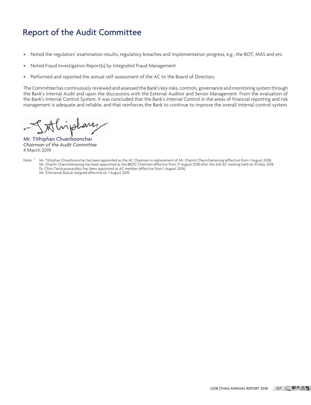## Report of the Audit Committee

- Noted the regulators' examination results, regulatory breaches and implementation progress, e.g., the BOT, MAS and etc.
- Noted Fraud Investigation Report(s) by Integrated Fraud Management
- Performed and reported the annual self-assessment of the AC to the Board of Directors.

The Committee has continuously reviewed and assessed the Bank's key risks, controls, governance and monitoring system through the Bank's Internal Audit and upon the discussions with the External Auditor and Senior Management. From the evaluation of the Bank's Internal Control System, it was concluded that the Bank's Internal Control in the areas of financial reporting and risk management is adequate and reliable, and that reinforces the Bank to continue to improve the overall internal control system.

- Sollinphary

Mr. Tithiphan Chuerboonchai *Chairman of the Audit Committee* 4 March 2019

- Note<sup>: 1</sup> Mr. Tithiphan Chuerboonchai has been appointed as the AC Chairman in replacement of Mr. Chanitr Charnchainarong (effective from 1 August 2018) Mr. Chanitr Charnchainarong has been appointed as the BROC Chairman effective from 17 August 2018 after the 2nd AC meeting held on 10 May 2018. Dr. Chim Tantiyasawasdikul has been appointed as AC member (effective from 1 August 2018). Mr. Chinnawat Bulsuk resigned effective on 1 August 2018.
	-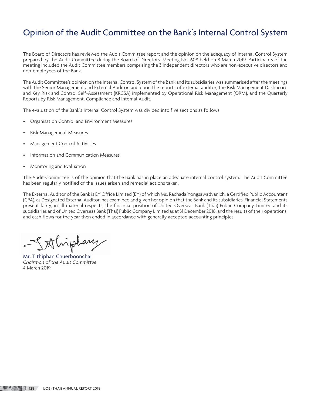## Opinion of the Audit Committee on the Bank's Internal Control System

The Board of Directors has reviewed the Audit Committee report and the opinion on the adequacy of Internal Control System prepared by the Audit Committee during the Board of Directors' Meeting No. 608 held on 8 March 2019. Participants of the meeting included the Audit Committee members comprising the 3 independent directors who are non-executive directors and non-employees of the Bank.

The Audit Committee's opinion on the Internal Control System of the Bank and its subsidiaries was summarised after the meetings with the Senior Management and External Auditor, and upon the reports of external auditor, the Risk Management Dashboard and Key Risk and Control Self-Assessment (KRCSA) implemented by Operational Risk Management (ORM), and the Quarterly Reports by Risk Management, Compliance and Internal Audit.

The evaluation of the Bank's Internal Control System was divided into five sections as follows:

- Organisation Control and Environment Measures
- Risk Management Measures
- Management Control Activities
- Information and Communication Measures
- Monitoring and Evaluation

The Audit Committee is of the opinion that the Bank has in place an adequate internal control system. The Audit Committee has been regularly notified of the issues arisen and remedial actions taken.

The External Auditor of the Bank is EY Office Limited (EY) of which Ms. Rachada Yongsawadvanich, a Certified Public Accountant (CPA), as Designated External Auditor, has examined and given her opinion that the Bank and its subsidiaries' Financial Statements present fairly, in all material respects, the financial position of United Overseas Bank (Thai) Public Company Limited and its subsidiaries and of United Overseas Bank (Thai) Public Company Limited as at 31 December 2018, and the results of their operations, and cash flows for the year then ended in accordance with generally accepted accounting principles.

- Sothriphany

Mr. Tithiphan Chuerboonchai *Chairman of the Audit Committee* 4 March 2019

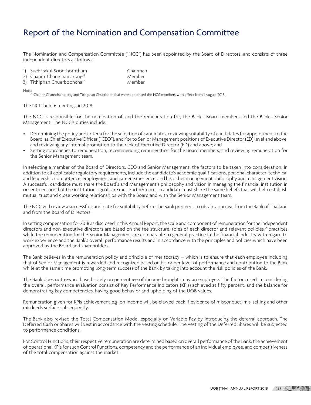## Report of the Nomination and Compensation Committee

The Nomination and Compensation Committee ("NCC") has been appointed by the Board of Directors, and consists of three independent directors as follows:

- 1) Suebtrakul Soonthornthum<br>
2) Chanitr Charnchainarong<sup>/1</sup> Member
- 2) Chanitr Charnchainarong<sup>71</sup> Member<br>3) Tithiphan Chuerboonchai<sup>71</sup> Member
- 3) Tithiphan Chuerboonchai<sup>/1</sup>

Note:

 $\frac{1}{\sqrt{1}}$  Chanitr Charnchainarong and Tithiphan Chuerboonchai were appointed the NCC members with effect from 1 August 2018.

The NCC held 6 meetings in 2018.

The NCC is responsible for the nomination of, and the remuneration for, the Bank's Board members and the Bank's Senior Management. The NCC's duties include:

- Determining the policy and criteria for the selection of candidates, reviewing suitability of candidates for appointment to the Board, as Chief Executive Officer ("CEO"), and/or to Senior Management positions of Executive Director (ED) level and above, and reviewing any internal promotion to the rank of Executive Director (ED) and above; and
- Setting approaches to remuneration, recommending remuneration for the Board members, and reviewing remuneration for the Senior Management team.

In selecting a member of the Board of Directors, CEO and Senior Management, the factors to be taken into consideration, in addition to all applicable regulatory requirements, include the candidate's academic qualifications, personal character, technical and leadership competence, employment and career experience, and his or her management philosophy and management vision. A successful candidate must share the Board's and Management's philosophy and vision in managing the financial institution in order to ensure that the institution's goals are met. Furthermore, a candidate must share the same beliefs that will help establish mutual trust and close working relationships with the Board and with the Senior Management team.

The NCC will review a successful candidate for suitability before the Bank proceeds to obtain approval from the Bank of Thailand and from the Board of Directors.

In setting compensation for 2018 as disclosed in this Annual Report, the scale and component of remuneration for the independent directors and non-executive directors are based on the fee structure, roles of each director and relevant policies/ practices while the remuneration for the Senior Management are comparable to general practice in the financial industry with regard to work experience and the Bank's overall performance results and in accordance with the principles and policies which have been approved by the Board and shareholders.

The Bank believes in the remuneration policy and principle of meritocracy – which is to ensure that each employee including that of Senior Management is rewarded and recognized based on his or her level of performance and contribution to the Bank while at the same time promoting long-term success of the Bank by taking into account the risk policies of the Bank.

The Bank does not reward based solely on percentage of income brought in by an employee. The factors used in considering the overall performance evaluation consist of Key Performance Indicators (KPIs) achieved at fifty percent, and the balance for demonstrating key competencies, having good behavior and upholding of the UOB values.

Remuneration given for KPIs achievement e.g. on income will be clawed-back if evidence of misconduct, mis-selling and other misdeeds surface subsequently.

The Bank also revised the Total Compensation Model especially on Variable Pay by introducing the deferral approach. The Deferred Cash or Shares will vest in accordance with the vesting schedule. The vesting of the Deferred Shares will be subjected to performance conditions.

For Control Functions, their respective remuneration are determined based on overall performance of the Bank, the achievement of operational KPIs for such Control Functions, competency and the performance of an individual employee, and competitiveness of the total compensation against the market.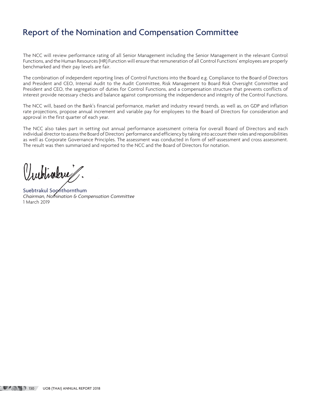## Report of the Nomination and Compensation Committee

The NCC will review performance rating of all Senior Management including the Senior Management in the relevant Control Functions, and the Human Resources (HR) Function will ensure that remuneration of all Control Functions' employees are properly benchmarked and their pay levels are fair.

The combination of independent reporting lines of Control Functions into the Board e.g. Compliance to the Board of Directors and President and CEO, Internal Audit to the Audit Committee, Risk Management to Board Risk Oversight Committee and President and CEO, the segregation of duties for Control Functions, and a compensation structure that prevents conflicts of interest provide necessary checks and balance against compromising the independence and integrity of the Control Functions.

The NCC will, based on the Bank's financial performance, market and industry reward trends, as well as, on GDP and inflation rate projections, propose annual increment and variable pay for employees to the Board of Directors for consideration and approval in the first quarter of each year.

The NCC also takes part in setting out annual performance assessment criteria for overall Board of Directors and each individual director to assess the Board of Directors' performance and efficiency by taking into account their roles and responsibilities as well as Corporate Governance Principles. The assessment was conducted in form of self-assessment and cross assessment. The result was then summarized and reported to the NCC and the Board of Directors for notation.

Vurblioskrief.

Suebtrakul Soonthornthum *Chairman, Nomination & Compensation Committee* 1 March 2019

**130 V UOB (THAI) ANNUAL REPORT 2018**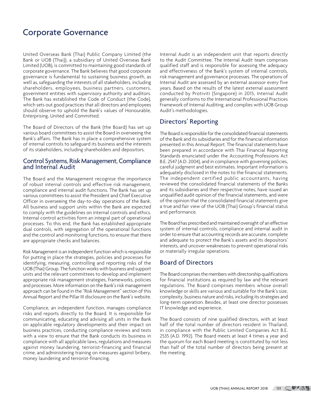United Overseas Bank (Thai) Public Company Limited (the Bank or UOB (Thai)), a subsidiary of United Overseas Bank Limited (UOB), is committed to maintaining good standards of corporate governance. The Bank believes that good corporate governance is fundamental to sustaining business growth, as well as, safeguarding the interests of all stakeholders, including shareholders, employees, business partners, customers, government entities with supervisory authority and auditors. The Bank has established the Code of Conduct (the Code), which sets out good practices that all directors and employees should observe to uphold the Bank's values of Honourable, Enterprising, United and Committed.

The Board of Directors of the Bank (the Board) has set up various board committees to assist the Board in overseeing the Bank's affairs. The Bank has in place a comprehensive system of internal controls to safeguard its business and the interests of its stakeholders, including shareholders and depositors.

## Control Systems, Risk Management, Compliance and Internal Audit

The Board and the Management recognise the importance of robust internal controls and effective risk management, compliance and internal audit functions. The Bank has set up various committees to assist the President and Chief Executive Officer in overseeing the day-to-day operations of the Bank. All business and support units within the Bank are expected to comply with the guidelines on internal controls and ethics. Internal control activities form an integral part of operational processes. To this end, the Bank has established appropriate dual controls, with segregation of the operational functions and the control and monitoring functions, to ensure that there are appropriate checks and balances.

Risk Management is an independent function which is responsible for putting in place the strategies, policies and processes for identifying, measuring, controlling and reporting risks of the UOB (Thai) Group. The function works with business and support units and the relevant committees to develop and implement appropriate risk management strategies, frameworks, policies and processes. More information on the Bank's risk management approach can be found in the "Risk Management" section of this Annual Report and the Pillar III disclosure on the Bank's website.

Compliance, an independent function, manages compliance risks and reports directly to the Board. It is responsible for communicating, educating and advising all units in the Bank on applicable regulatory developments and their impact on business practices, conducting compliance reviews and tests with a view to ensure that the Bank conducts its business in compliance with all applicable laws, regulations and measures against money laundering, terrorist-financing and financial crime, and administering training on measures against bribery, money laundering and terrorist-financing.

Internal Audit is an independent unit that reports directly to the Audit Committee. The Internal Audit team comprises qualified staff and is responsible for assessing the adequacy and effectiveness of the Bank's system of internal controls, risk management and governance processes. The operations of Internal Audit are assessed by an external assessor every five years. Based on the results of the latest external assessment conducted by Protiviti (Singapore) in 2015, Internal Audit generally conforms to the International Professional Practices Framework of Internal Auditing, and complies with UOB Group Audit's methodologies.

## Directors' Reporting

The Board is responsible for the consolidated financial statements of the Bank and its subsidiaries and for the financial information presented in this Annual Report. The financial statements have been prepared in accordance with Thai Financial Reporting Standards enunciated under the Accounting Professions Act B.E. 2547 (A.D. 2004), and in compliance with governing policies, careful judgment and best estimates. Important information is adequately disclosed in the notes to the financial statements. The independent certified public accountants, having reviewed the consolidated financial statements of the Banks and its subsidiaries and their respective notes, have issued an unqualified audit opinion of the financial statements, and were of the opinion that the consolidated financial statements give a true and fair view of the UOB (Thai) Group's financial status and performance.

The Board has prescribed and maintained oversight of an effective system of internal controls, compliance and internal audit in order to ensure that accounting records are accurate, complete and adequate to protect the Bank's assets and its depositors' interests, and uncover weaknesses to prevent operational risks or materially irregular operations.

## Board of Directors

The Board comprises the members with directorship qualifications for financial institutions as required by law and the relevant regulations. The Board comprises members whose overall knowledge or skills are various and suitable for the Bank's size, complexity, business nature and risks, including its strategies and long-term operation. Besides, at least one director possesses IT knowledge and experience.

The Board consists of nine qualified directors, with at least half of the total number of directors resident in Thailand, in compliance with the Public Limited Companies Act B.E. 2535 (A.D. 1992). The Board meets at least 4 times a year and the quorum for each Board meeting is constituted by not less than half of the total number of directors being present at the meeting.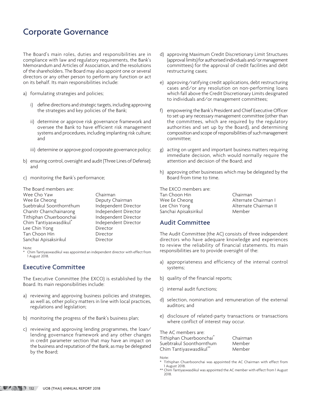The Board's main roles, duties and responsibilities are in compliance with law and regulatory requirements, the Bank's Memorandum and Articles of Association, and the resolutions of the shareholders. The Board may also appoint one or several directors or any other person to perform any function or act on its behalf. Its main responsibilities include:

- a) formulating strategies and policies;
	- i) define directions and strategic targets, including approving the strategies and key policies of the Bank;
	- ii) determine or approve risk governance framework and oversee the Bank to have efficient risk management systems and procedures, including implanting risk culture; and
	- iii) determine or approve good corporate governance policy;
- b) ensuring control, oversight and audit (Three Lines of Defense); and
- c) monitoring the Bank's performance;

| The Board members are:   |                      |
|--------------------------|----------------------|
| Wee Cho Yaw              | Chairman             |
| Wee Ee Cheong            | Deputy Chairman      |
| Suebtrakul Soonthornthum | Independent Director |
| Chanitr Charnchainarong  | Independent Director |
| Tithiphan Chuerboonchai  | Independent Director |
| Chim Tantiyaswasdikul*   | Independent Director |
| Lee Chin Yong            | Director             |
| Tan Choon Hin            | Director             |
| Sanchai Apisaksirikul    | Director             |

Note:

Chim Tantiyaswasdikul was appointed an independent director with effect from 1 August 2018.

## Executive Committee

The Executive Committee (the EXCO) is established by the Board. Its main responsibilities include:

- a) reviewing and approving business policies and strategies, as well as, other policy matters in line with local practices, regulations and legislation;
- b) monitoring the progress of the Bank's business plan;
- c) reviewing and approving lending programmes, the loan/ lending governance framework and any other changes in credit parameter section that may have an impact on the business and reputation of the Bank, as may be delegated by the Board;
- d) approving Maximum Credit Discretionary Limit Structures (approval limits) for authorised individuals and/or management committees) for the approval of credit facilities and debt restructuring cases;
- e) approving/ratifying credit applications, debt restructuring cases and/or any resolution on non-performing loans which fall above the Credit Discretionary Limits designated to individuals and/or management committees;
- f) empowering the Bank's President and Chief Executive Officer to set up any necessary management committee (other than the committees, which are required by the regulatory authorities and set up by the Board), and determining composition and scope of responsibilities of such management committee;
- g) acting on urgent and important business matters requiring immediate decision, which would normally require the attention and decision of the Board; and
- h) approving other businesses which may be delegated by the Board from time to time.

The EXCO members are: Tan Choon Hin Chairman Wee Ee Cheong Alternate Chairman I Lee Chin Yong **Alternate Chairman II** Sanchai Apisaksirikul Member

## Audit Committee

The Audit Committee (the AC) consists of three independent directors who have adequare knowledge and experiences to review the reliability of financial statements. Its main responsibilities are to provide oversight of the:

- a) appropriateness and efficiency of the internal control systems;
- b) quality of the financial reports;
- c) internal audit functions;
- d) selection, nomination and remuneration of the external auditors; and
- e) disclosure of related-party transactions or transactions where conflict of interest may occur.

The AC members are:

Tithiphan Chuerboonchai\* Chairman Suebtrakul Soonthornthum Member Chim Tantiyaswasdikul\*\* Member

Note:

Tithiphan Chuerboonchai was appointed the AC Chairman with effect from 1 August 2018.

<sup>\*\*</sup> Chim Tantiyaswasdikul was appointed the AC member with effect from 1 August 2018.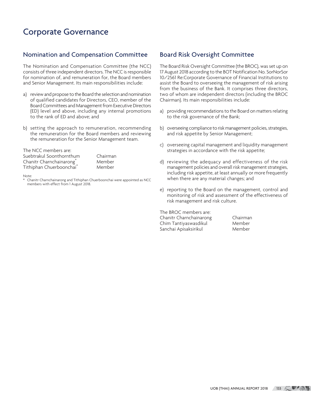## Nomination and Compensation Committee

The Nomination and Compensation Committee (the NCC) consists of three independent directors. The NCC is responsible for nomination of, and remuneration for, the Board members and Senior Management. Its main responsibilities include:

- a) review and propose to the Board the selection and nomination of qualified candidates for Directors, CEO, member of the Board Committees and Management from Executive Directors (ED) level and above, including any internal promotions to the rank of ED and above; and
- b) setting the approach to remuneration, recommending the remuneration for the Board members and reviewing the remuneration for the Senior Management team.

The NCC members are: Suebtrakul Soonthornthum Chairman Chanitr Charnchainarong<sup>\*</sup> Tithiphan Chuerboonchai\*

 Member Member

Note:

\* Chanitr Charnchainarong and Tithiphan Chuerboonchai were appointed as NCC members with effect from 1 August 2018.

## Board Risk Oversight Committee

The Board Risk Oversight Committee (the BROC), was set up on 17 August 2018 according to the BOT Notification No. SorNorSor 10/2561 Re:Corporate Governance of Financial Institutions to assist the Board to overseeing the management of risk arising from the business of the Bank. It comprises three directors, two of whom are independent directors (including the BROC Chairman). Its main responsibilities include:

- a) providing recommendations to the Board on matters relating to the risk governance of the Bank;
- b) overseeing compliance to risk management policies, strategies, and risk appetite by Senior Management;
- c) overseeing capital management and liquidity management strategies in accordance with the risk appetite;
- d) reviewing the adequacy and effectiveness of the risk management policies and overall risk management strategies, including risk appetite, at least annually or more frequently when there are any material changes; and
- e) reporting to the Board on the management, control and monitoring of risk and assessment of the effectiveness of risk management and risk culture.

The BROC members are: Chanitr Charnchainarong Chairman Chim Tantiyaswasdikul Member Sanchai Apisaksirikul Member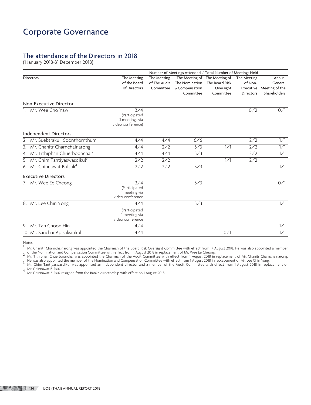## The attendance of the Directors in 2018

(1 January 2018-31 December 2018)

|                  |                                             |                   | Number of Meetings Attended / Total Number of Meetings Held |                               |                               |                  |                |  |  |  |  |  |
|------------------|---------------------------------------------|-------------------|-------------------------------------------------------------|-------------------------------|-------------------------------|------------------|----------------|--|--|--|--|--|
| <b>Directors</b> |                                             | The Meeting       | The Meeting                                                 |                               | The Meeting of The Meeting of | The Meeting      | Annual         |  |  |  |  |  |
|                  |                                             | of the Board      | of The Audit                                                | The Nomination The Board Risk |                               | of Non-          | General        |  |  |  |  |  |
|                  |                                             | of Directors      | Committee                                                   | & Compensation                | Oversight                     | Executive        | Meeting of the |  |  |  |  |  |
|                  |                                             |                   |                                                             | Committee                     | Committee                     | <b>Directors</b> | Shareholders   |  |  |  |  |  |
|                  | Non-Executive Director                      |                   |                                                             |                               |                               |                  |                |  |  |  |  |  |
|                  | 1. Mr. Wee Cho Yaw                          | 3/4               |                                                             |                               |                               | 0/2              | 0/1            |  |  |  |  |  |
|                  |                                             | (Participated     |                                                             |                               |                               |                  |                |  |  |  |  |  |
|                  |                                             | 3 meetings via    |                                                             |                               |                               |                  |                |  |  |  |  |  |
|                  |                                             | video conference) |                                                             |                               |                               |                  |                |  |  |  |  |  |
|                  | <b>Independent Directors</b>                |                   |                                                             |                               |                               |                  |                |  |  |  |  |  |
|                  | 2. Mr. Suebtrakul Soonthornthum             | 4/4               | 4/4                                                         | 6/6                           |                               | 2/2              | 1/1            |  |  |  |  |  |
|                  | 3. Mr. Chanitr Charnchainarong <sup>1</sup> | 4/4               | 2/2                                                         | 3/3                           | 1/1                           | 2/2              | 1/1            |  |  |  |  |  |
|                  | 4. Mr. Tithiphan Chuerboonchai <sup>2</sup> | 4/4               | 4/4                                                         | 3/3                           |                               | 2/2              | 1/1            |  |  |  |  |  |
|                  | 5. Mr. Chim Tantiyaswasdikul <sup>3</sup>   | 2/2               | 2/2                                                         |                               | 1/1                           | 2/2              |                |  |  |  |  |  |
|                  | 6. Mr. Chinnawat Bulsuk <sup>4</sup>        | 2/2               | 2/2                                                         | 3/3                           |                               |                  | 1/1            |  |  |  |  |  |
|                  | <b>Executive Directors</b>                  |                   |                                                             |                               |                               |                  |                |  |  |  |  |  |
|                  | 7. Mr. Wee Ee Cheong                        | 3/4               |                                                             | 3/3                           |                               |                  | 0/1            |  |  |  |  |  |
|                  |                                             | (Participated     |                                                             |                               |                               |                  |                |  |  |  |  |  |
|                  |                                             | 1 meeting via     |                                                             |                               |                               |                  |                |  |  |  |  |  |
|                  |                                             | video conference  |                                                             |                               |                               |                  |                |  |  |  |  |  |
|                  | 8. Mr. Lee Chin Yong                        | 4/4               |                                                             | 3/3                           |                               |                  | 1/1            |  |  |  |  |  |
|                  |                                             | (Participated     |                                                             |                               |                               |                  |                |  |  |  |  |  |
|                  |                                             | 1 meeting via     |                                                             |                               |                               |                  |                |  |  |  |  |  |
|                  |                                             | video conference  |                                                             |                               |                               |                  |                |  |  |  |  |  |
|                  | 9. Mr. Tan Choon Hin                        | 4/4               |                                                             |                               |                               |                  | 1/1            |  |  |  |  |  |
|                  | 10. Mr. Sanchai Apisaksirikul               | 4/4               |                                                             |                               | 0/1                           |                  | 1/1            |  |  |  |  |  |

Notes:<br>1

<sup>1</sup> Mr. Chanitr Charnchainarong was appointed the Chairman of the Board Risk Oversight Committee with effect from 17 August 2018. He was also appointed a member

of the Nomination and Compensation Committee with effect from 1 August 2018 in replacement of Mr. Wee Ee Cheong.<br><sup>2</sup> Mr. Tithiphan Chuerboonchai was appointed the Chairman of the Audit Committee with effect from 1 August 2

He was also appointed the member of the Nomination and Compensation Committee with effect from 1 August 2018 in replacement of Mr. Lee Chin Yong.<br><sup>3</sup> Mr. Chim Tantiyaswasdikul was appointed an independent director and a me

Mr. Chinnawat Bulsuk. <sup>4</sup> Mr. Chinnawat Bulsuk resigned from the Bank's directorship with effect on 1 August 2018.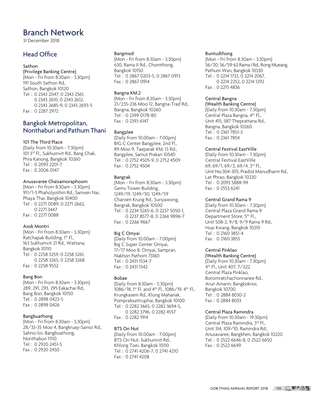31 December 2018

## Head Office

## Sathon

(Privilege Banking Centre) (Mon - Fri from 8.30am - 3.30pm) 191 South Sathon Rd., Sathon, Bangkok 10120 Tel : 0 2343 2047, 0 2343 2561, 0 2343 2610, 0 2343 2612, 0 2343 2685-9, 0 2343 2693-5 Fax : 0 2287 2972

## Bangkok Metropolitan, Nonthaburi and Pathum Thani

## 101 The Third Place

(Daily from 10.30am - 7.30pm) 101 3rd Fl., Sukhumvit Rd., Bang Chak, Phra Kanong, Bangkok 10260 Tel : 0 2093 2201-7 Fax : 0 2006 0147

### Anusavaree Chaisamoraphoom

(Mon - Fri from 8.30am - 3.30pm) 911/1-3 Phaholyothin Rd., Samsen Nai, Phaya Thai, Bangkok 10400 Tel : 0 2271 0089, 0 2271 2662, 0 2271 3447 Fax : 0 2271 0088

### Asok Montri

(Mon - Fri from 8.30am - 3.30pm) Ratchapak Building, 1st Fl., 163 Sukhumvit 21 Rd., Wattana, Bangkok 10110 Tel : 0 2258 3259, 0 2258 3261, 0 2258 3265, 0 2258 3268 Fax : 0 2258 9552

### Bang Bon

(Mon - Fri from 8.30am - 3.30pm) 289, 291, 293, 295 Eakachai Rd., Bang Bon, Bangkok 10150 Tel : 0 2898 0423-5 Fax : 0 2898 0426

### Bangbuathong

(Mon - Fri from 8.30am - 3.30pm) 28/33-35 Moo 4, Bangkruay-Sainoi Rd., Sahno-loi, Bangbuathong, Nonthaburi 11110 Tel : 0 2920 2451-5 Fax : 0 2920 2450

#### Bangmod

(Mon - Fri from 8.30am - 3.30pm) 630, Rama II Rd., Chomthong, Bangkok 10150 Tel : 0 2867 0203-5, 0 2867 0913 Fax : 0 2867 0914

#### Bangna KM.2

(Mon - Fri from 8.30am - 3.30pm) 21/235-236 Moo 12, Bangna-Trad Rd., Bangna, Bangkok 10260 Tel : 0 2399 0178-80 Fax : 0 2393 6147

### Bangplee

(Daily from 10.00am - 7.00pm) BIG C Center Bangplee, 2nd Fl., 89 Moo 9, Taeparak KM. 13 Rd., Bangplee, Samut Prakan 10540 Tel : 0 2752 4505-9, 0 2752 4509 Fax : 0 2752 4504

### Bangrak

(Mon - Fri from 8.30am - 3.30pm) Gems Tower Building, 1249/19, 1249/50, 1249/59 Charoen Krung Rd., Suriyawong, Bangrak, Bangkok 10500 Tel : 0 2234 5265-6, 0 2237 5050-1, 0 2237 8577-8, 0 2266 9896-7 Fax : 0 2266 9667

#### Big C Omyai

(Daily from 10.00am - 7.00pm) Big C Super Center Omyai, 17/17 Moo 8, Omyai, Sampran, Nakhon Pathom 73160 Tel : 0 2431 1534-7 Fax : 0 2431 1542

### Bobae

(Daily from 8.30am - 5.30pm) 1086/18, 1st Fl. and 4th Fl., 1086/19, 4th Fl., Krungkasem Rd., Klong Mahanak, Pomprabsattruphai, Bangkok 10100 Tel : 0 2282 3665, 0 2282 3694-5, 0 2282 3796, 0 2282 4557 Fax : 0 2282 1914

### BTS On Nut

(Daily from 10.00am - 7.00pm) BTS On Nut, Sukhumvit Rd., Khlong Toei, Bangkok 10110 Tel : 0 2741 4206-7, 0 2741 4210 Fax : 0 2741 4208

#### Buntudthong

(Mon - Fri from 8.30am - 3.30pm) 56/20, 56/59-62 Rama I Rd., Rong Mueang, Pathum Wan, Bangkok 10330 Tel : 0 2214 1733, 0 2214 2067, 0 2214 2252, 0 2214 1292 Fax : 0 2215 4836

### Central Bangna

(Wealth Banking Centre) (Daily from 10.30am - 7.30pm) Central Plaza Bangna, 4th Fl., Unit 415, 587 Theprattana Rd., Bangna, Bangkok 10260 Tel : 0 2361 7851-3 Fax : 0 2361 7854

### Central Festival EastVille

(Daily from 10.30am - 7.30pm) Central Festival EastVille 69, 69/1, 69/2, 69/4, 3rd Fl., Unit No.304-305, Pradist Manudharm Rd., Lat Phrao, Bangkok 10230 Tel : 0 2093 5888-99 Fax : 0 2553 6241

#### Central Grand Rama 9

(Daily from 10.30am - 7.30pm) Central Plaza Grand Rama 9 Department Store, 5<sup>th</sup> Fl., Unit 508-2, 9/8, 9/9 Rama 9 Rd., Huai Kwang, Bangkok 10310 Tel : 0 2160 3851-4 Fax : 0 2160 3855

## Central Pinklao

(Wealth Banking Centre) (Daily from 10.30am - 7.30pm) 4th Fl., Unit 407, 7/222 Central Plaza Pinklao, Boromratchachonnanee Rd., Arun Amarin, Bangkoknoi, Bangkok 10700 Tel : 0 2884 8030-2 Fax : 0 2884 8033

#### Central Plaza Ramindra

(Daily from 10.30am - 19.30pm) Central Plaza Ramindra, 3<sup>rd</sup> Fl., Unit 314, 109/10, Ramindra Rd., Anusavaree, Bangkhen, Bangkok 10220 Tel : 0 2522 6646-8, 0 2522 6650 Fax : 0 2522 6649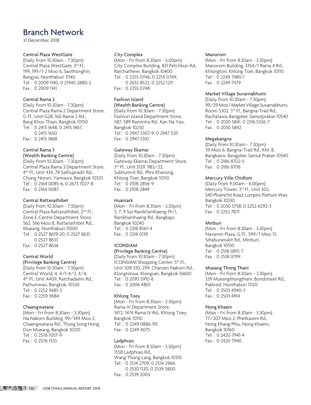31 December 2018

## Central Plaza WestGate

(Daily from 10.30am - 7.30pm) Central Plaza WestGate, 3rd Fl., 199, 199/1-2 Moo 6, Saothonghin, Bangyai, Nonthaburi 11140 Tel : 0 2009 1140, 0 21940 2880-2 Fax : 0 2009 1141

## Central Rama 2

(Daily from 10.30am - 7.30pm) Central Plaza Rama 2 Department Store, G Fl., Unit G28, 160 Rama 2 Rd., Bang Khun Thian, Bangkok 10150 Tel : 0 2415 1648, 0 2415 1867, 0 2415 1650 Fax : 0 2415 1868

## Central Rama 3

(Wealth Banking Centre) (Daily from 10.30am - 7.30pm) Central Plaza Rama 3 Department Store, 4th Fl., Unit 434, 79 Sathupradit Rd., Chong Nonsri, Yannawa, Bangkok 10120 Tel : 0 2164 0085-6, 0 2673 7027-8 Fax : 0 2164 0087

## Central Rattanathibet

(Daily from 10.30am - 7.30pm) Central Plaza Rattanathibet, 2<sup>nd</sup> Fl., Zone E-Centre Department Store, 562, 566 Moo 8, Rattanathibet Rd., Mueang, Nonthaburi 11000 Tel : 0 2527 8619-20, 0 2527 8631, 0 2527 8633 Fax : 0 2527 8636

## Central World

## (Privilege Banking Centre)

(Daily from 10.30am - 7.30pm) Central World, 4, 4/1-4/2, 4/4, 4th Fl., Unit A409, Ratchadamri Rd., Pathumwan, Bangkok, 10330 Tel : 0 2252 9681-3 Fax : 0 2259 9684

## Chaengwatana

(Mon - Fri from 8.30am - 3.30pm) Na Nakorn Building, 99/349 Moo 2, Chaengwatana Rd., Thung Song Hong, Don Mueang, Bangkok 10210 Tel : 0 2576 1057-9 Fax : 0 2576 1533

### City Complex

(Mon - Fri from 8.30am - 5.00pm) City Complex Building, 831 Petchburi Rd., Ratchathewi, Bangkok 10400 Tel : 0 2255 0746, 0 2255 0749, 0 2653 8522, 0 2252 1211 Fax : 0 2255 0748

## Fashion Island

(Wealth Banking Centre) (Daily from 10.30am - 7.30pm) Fashion Island Department Store, 587, 589 Ramintra Rd., Kan Na Yao, Bangkok 10230 Tel : 0 2947 5307-9, 0 2947 5311 Fax : 0 2947 5310

## Gateway Ekamai

(Daily from 10.30am - 7.30pm) Gateway Ekamai Department Store, 3rd Fl., Unit 3129, 982/22, Sukhumvit Rd., Phra Khanong, Khlong Toei, Bangkok 10110 Tel : 0 2108 2856-9 Fax : 0 2108 2849

## Huamark

(Mon - Fri from 8.30am - 3.30pm) 5, 7, 9 Soi Ramkhamhaeng 19/1, Ramkhamhaeng Rd., Bangkapi, Bangkok 10240 Tel : 0 2318 8561-4 Fax : 0 2318 0139

## ICONSIAM

(Privilege Banking Centre) (Daily from 10.30am - 7.30pm) ICONSIAM Shopping Center, 5th Fl., Unit 509-510, 299, Charoen Nakorn Rd., Klongtonsai, Klongsan, Bangkok 10600 Tel : 0 2093 5910-6 Fax : 0 2006 4801

## Khlong Toey

(Mon - Fri from 8.30am - 3.30pm) Rama IV Department Store, 1472, 1474 Rama IV Rd., Khlong Toey Bangkok 10110 Tel : 0 2249 0886-90 Fax : 0 2249 4075

### Ladphrao

(Mon - Fri from 8.30am - 3.30pm) 1558 Ladphrao Rd., Wang Thong Lang, Bangkok 10310 Tel : 0 2514 2709, 0 2514 2964, 0 2530 1120, 0 2539 5800 Fax : 0 2539 2003

#### Manorom

(Mon - Fri from 8.30am - 3.30pm) Manorom Building, 3354/1 Rama 4 Rd., Khlongton, Khlong Toei, Bangkok 10110 Tel : 0 2249 7480-1 Fax : 0 2249 7479

## Market Village Suvarnabhumi

(Daily from 10.30am - 7.30pm) 99/29 Moo 1 Market Village Suvarnabhumi, Room S302, 3<sup>rd</sup> Fl., Bangna-Trad Rd., Rachatawa, Bangplee, Samutprakan 10540 Tel : 0 2030 5841, 0 2316 5326-7 Fax : 0 2030 5842

### Megabangna

(Daily from 10.30am - 7.30pm) 39 Moo 6, Bangna-Trad Rd., KM. 8, Bangkaew, Bangplee, Samut Prakan 10540 Tel : 0 2186 8702-5 Fax : 0 2186 8706

### Mercury Ville Chidlom

(Daily from 9.00am - 6.00pm) Mercury Tower, 3<sup>rd</sup> Fl., Unit 302, 540 Ploenchit Road, Lumpini, Pathum Wan, Bangkok 10330 Tel : 0 2030 5758, 0 2252 6292-3 Fax : 0 2252 7871

## Minburi

(Mon - Fri from 8.30am - 3.30pm) Navamin Plaza, G Fl., 599/1 Moo 13, Sihaburanukit Rd., Minburi, Bangkok 10510 Tel : 0 2518 0815-7 Fax : 0 2518 0799

### Mueang Thong Thani

(Mon - Fri from 8.30am - 3.30pm) 339 Mueangthongthani, Bondstreet Rd., Pakkred, Nonthaburi 11120 Tel : 0 2503 4940-3 Fax : 0 2503 4914

### Nong Khaem

(Mon - Fri from 8.30am - 3.30pm) 77/207 Moo 2, Phetkasem Rd., Nong Khang Phlu, Nong Khaem, Bangkok 10160 Tel : 0 2420 7941-4 Fax : 0 2420 7940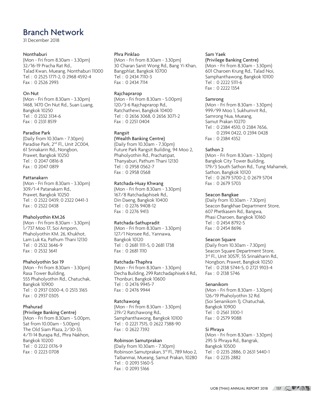31 December 2018

## Nonthaburi

(Mon - Fri from 8.30am - 3.30pm) 32/16-19 Pracha Rat Rd., Talad Kwan, Mueang, Nonthaburi 11000 Tel : 0 2525 1771-2, 0 2968 4592-4 Fax : 0 2526 2993

## On Nut

(Mon - Fri from 8.30am - 3.30pm) 1468, 1470 On Nut Rd., Suan Luang, Bangkok 10250 Tel : 0 2332 3134-6 Fax : 0 2331 8519

## Paradise Park

(Daily from 10.30am - 7.30pm) Paradise Park, 2nd Fl., Unit 2C004, 61 Srinakarin Rd., Nongbon, Prawet, Bangkok 10250 Tel : 0 2047 0816-8 Fax : 0 2047 0819

## Pattanakarn

(Mon - Fri from 8.30am - 3.30pm) 309/1-4 Patanakarn Rd., Prawet, Bangkok 10250 Tel : 0 2322 0439, 0 2322 0441-3 Fax : 0 2322 0438

## Phaholyothin KM.26

(Mon - Fri from 8.30am - 3.30pm) 1/737 Moo 17, Soi Amporn, Phaholyothin KM. 26, Khukhot, Lam Luk Ka, Pathum Thani 12130 Tel : 0 2532 3646-9 Fax : 0 2532 3641

## Phaholyothin Soi 19

(Mon - Fri from 8.30am - 3.30pm) Rasa Tower Building, 555 Phaholyothin Rd., Chatuchak, Bangkok 10900 Tel : 0 2937 0300-4, 0 2513 3165 Fax : 0 2937 0305

## Phahurad

## (Privilege Banking Centre)

(Mon - Fri from 8.30am - 5.00pm, Sat from 10.00am - 5.00pm) The Old Siam Plaza, 2/30-33, 4/11-14 Burapa Rd., Phra Nakhon, Bangkok 10200 Tel : 0 2222 0176-9 Fax : 0 2223 0708

## Phra Pinklao

(Mon - Fri from 8.30am - 3.30pm) 30 Charan Sanit Wong Rd., Bang Yi Khan, Bangphlat, Bangkok 10700 Tel : 0 2434 7110-3 Fax : 0 2434 7114

## Rajchaprarop

(Mon - Fri from 8.30am - 5.00pm) 120/3-6 Rajchaprarop Rd., Ratchathewi, Bangkok 10400 Tel : 0 2656 3068, 0 2656 3071-2 Fax : 0 2251 0404

## Rangsit

(Wealth Banking Centre) (Daily from 10.30am - 7.30pm) Future Park Rangsit Building, 94 Moo 2, Phaholyothin Rd., Prachatipat, Thanyaburi, Pathum Thani 12130 Tel : 0 2958 0562-7 Fax : 0 2958 0568

## Ratchada-Huay Khwang

(Mon - Fri from 8.30am - 3.30pm) 167/8 Ratchadaphisek Rd., Din Daeng, Bangkok 10400 Tel : 0 2276 9408-12 Fax : 0 2276 9413

## Ratchada-Sathupradit

(Mon - Fri from 8.30am - 3.30pm) 127/1 Nonsee Rd., Yannawa, Bangkok 10120 Tel : 0 2681 1111-5, 0 2681 1738 Fax : 0 2681 1110

## Ratchada-Thaphra

(Mon - Fri from 8.30am - 3.30pm) Decha Building, 299 Ratchadaphisek 6 Rd., Thonburi, Bangkok 10600 Tel : 0 2476 9945-7 Fax : 0 2476 9944

## Ratchawong

(Mon - Fri from 8.30am - 3.30pm) 219/2 Ratchawong Rd., Samphanthawong, Bangkok 10100 Tel : 0 2221 7515, 0 2622 7388-90 Fax : 0 2622 7392

## Robinson Samutprakan

(Daily from 10.30am - 7.30pm) Robinson Samutprakan, 3rd Fl., 789 Moo 2, Taibanmai, Mueang, Samut Prakan, 10280 Tel : 0 2093 5160-5 Fax : 0 2093 5166

## Sam Yaek

(Privilege Banking Centre) (Mon - Fri from 8.30am - 3.30pm) 601 Charoen Krung Rd., Talad Noi, Samphanthawong, Bangkok 10100 Tel : 0 2222 5111-6 Fax : 0 2222 1354

## Samrong

(Mon - Fri from 8.30am - 3.30pm) 999/99 Moo 1, Sukhumvit Rd., Samrong Nua, Mueang, Samut Prakan 10270 Tel : 0 2384 4510, 0 2384 7656, 0 2394 0422, 0 2394 0428 Fax : 0 2384 4352

## Sathon 2

(Mon - Fri from 8.30am - 3.30pm) Bangkok City Tower Building, 179/3 South Sathon Rd., Tung Mahamek, Sathon, Bangkok 10120 Tel : 0 2679 5700-2, 0 2679 5704 Fax : 0 2679 5703

## Seacon Bangkae

(Daily from 10.30am - 7.30pm) Seacon Bangkhae Department Store, 607 Phetkasem Rd., Bangwa, Phasi Charoen, Bangkok 10160 Tel : 0 2454 8792-5 Fax : 0 2454 8696

## Seacon Square

(Daily from 10.30am - 7.30pm) Seacon Square Department Store, 3rd Fl., Unit 3057F, 55 Srinakharin Rd., Nongbon, Prawet, Bangkok 10250 Tel : 0 2138 5744-5, 0 2721 9103-4 Fax : 0 2138 5746

## Senanikom

(Mon - Fri from 8.30am - 3.30pm) 126/19 Phaholyothin 32 Rd. (Soi Senanikom 1), Chatuchak, Bangkok 10900 Tel : 0 2561 3100-1 Fax : 0 2579 9088

## Si Phraya

(Mon - Fri from 8.30am - 3.30pm) 295 Si Phraya Rd., Bangrak, Bangkok 10500 Tel : 0 2235 2886, 0 2631 5440-1 Fax : 0 2235 2882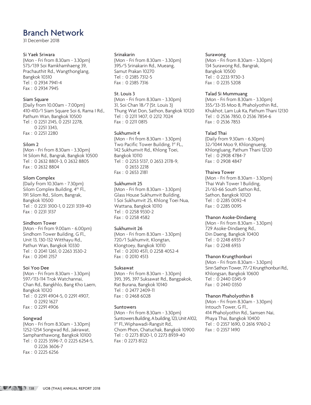31 December 2018

## Si Yaek Sriwara

(Mon - Fri from 8.30am - 3.30pm) 573/139 Soi Ramkhamhaeng 39, Prachauthit Rd., Wangthonglang, Bangkok 10310 Tel : 0 2934 7941-4 Fax : 0 2934 7945

## Siam Square

(Daily from 10.00am - 7.00pm) 410-410/1 Siam Square Soi 6, Rama I Rd., Pathum Wan, Bangkok 10500 Tel : 0 2251 2145, 0 2251 2278, 0 2251 3343, Fax : 0 2251 2280

## Silom 2

(Mon - Fri from 8.30am - 3.30pm) 14 Silom Rd., Bangrak, Bangkok 10500 Tel : 0 2632 8801-3, 0 2632 8805 Fax : 0 2632 8804

## Silom Complex

(Daily from 10.30am - 7.30pm) Silom Complex Building, 4<sup>th</sup> Fl., 191 Silom Rd., Silom, Bangrak, Bangkok 10500 Tel : 0 2231 3100-1, 0 2231 3139-40 Fax : 0 2231 3137

## Sindhorn Tower

(Mon - Fri from 9.00am - 6.00pm) Sindhorn Tower Building, G Fl., Unit 13, 130-132 Witthayu Rd., Pathun Wan, Bangkok 10330 Tel : 0 2041 1261, 0 2263 3530-2 Fax : 0 2041 2157

## Soi Yoo Dee

(Mon - Fri from 8.30am - 3.30pm) 597/113-114 Trok Watchannai, Chan Rd., Bangkhlo, Bang Kho Laem, Bangkok 10120 Tel : 0 2291 4904-5, 0 2291 4907, 0 2292 1627 Fax : 0 2291 4906

### Songwad

(Mon - Fri from 8.30am - 3.30pm) 1252-1254 Songwad Rd., Jakrawat, Samphanthawong, Bangkok 10100 Tel : 0 2225 3596-7, 0 2225 6254-5, 0 2226 3606-7 Fax : 0 2225 6256

#### Srinakarin

(Mon - Fri from 8.30am - 3.30pm) 395/5 Srinakarin Rd., Mueang, Samut Prakan 10270 Tel : 0 2385 7312-5 Fax : 0 2385 7316

## St. Louis 3

(Mon - Fri from 8.30am - 3.30pm) 31, Soi Chan 18/7 (St. Louis 3) Thung Wat Don, Sathon, Bangkok 10120 Tel : 0 2211 1407, 0 2212 7024 Fax : 0 2211 0815

## Sukhumvit 4

(Mon - Fri from 8.30am - 3.30pm) Two Pacific Tower Building, 1st FL., 142 Sukhumvit Rd., Khlong Toei, Bangkok 10110 Tel : 0 2253 5137, 0 2653 2178-9, 0 2653 2218 Fax : 0 2653 2181

## Sukhumvit 25

(Mon - Fri from 8.30am - 3.30pm) Glass House Sukhumvit Building, 1 Soi Sukhumvit 25, Khlong Toei Nua, Wattana, Bangkok 10110 Tel : 0 2258 9330-2 Fax : 0 2258 4582

### Sukhumvit 26

(Mon - Fri from 8.30am - 3.30pm) 720/1 Sukhumvit, Klongtan, Klongtoey, Bangkok 10110 Tel : 0 2010 4511, 0 2258 4052-4 Fax : 0 2010 4513

### Suksawat

(Mon - Fri from 8.30am - 3.30pm) 393, 395, 397 Suksawat Rd., Bangpakok, Rat Burana, Bangkok 10140 Tel : 0 2477 2409-11 Fax : 0 2468 6028

### **Suntowers**

(Mon - Fri from 8.30am - 3.30pm) Suntowers Building, A building, 123, Unit A102, 1 st Fl.,Wiphawadi-Rangsit Rd., Chom Phon, Chatuchak, Bangkok 10900 Tel : 0 2273 8120-1, 0 2273 8939-40 Fax : 0 2273 8122

### Surawong

(Mon - Fri from 8.30am - 3.30pm) 134 Surawong Rd., Bangrak, Bangkok 10500 Tel : 0 2233 9730-3 Fax : 0 2235 5208

## Talad Si Mummuang

(Mon - Fri from 8.30am - 3.30pm) 355/33-35 Moo 8, Phaholyothin Rd., Khukhot, Lam Luk Ka, Pathum Thani 12130 Tel : 0 2536 7850, 0 2536 7854-6 Fax : 0 2536 7853

## Talad Thai

(Daily from 9.30am - 6.30pm) 32/1044 Moo 9, Khlongnueng, Khlongluang, Pathum Thani 12120 Tel : 0 2908 4784-7 Fax : 0 2908 4847

## Thaiwa Tower

(Mon - Fri from 8.30am - 3.30pm) Thai Wah Tower 1 Building, 21/63-66 South Sathon Rd., Sathon, Bangkok 10120 Tel : 0 2285 0092-4 Fax : 0 2285 0095

### Thanon Asoke-Dindaeng

(Mon - Fri from 8.30am - 3.30pm) 729 Asoke-Dindaeng Rd., Din Daeng, Bangkok 10400 Tel : 0 2248 6935-7 Fax : 0 2248 6933

## Thanon Krungthonburi

(Mon - Fri from 8.30am - 3.30pm) Sinn Sathon Tower, 77/2 Krungthonburi Rd., Khlongsan, Bangkok 10600 Tel : 0 2440 0345-9 Fax : 0 2440 0350

### Thanon Phaholyothin 8

(Mon - Fri from 8.30am - 3.30pm) Intouch Tower, G Fl., 414 Phaholyothin Rd., Samsen Nai, Phaya Thai, Bangkok 10400 Tel : 0 2357 1690, 0 2616 9760-2 Fax : 0 2357 1490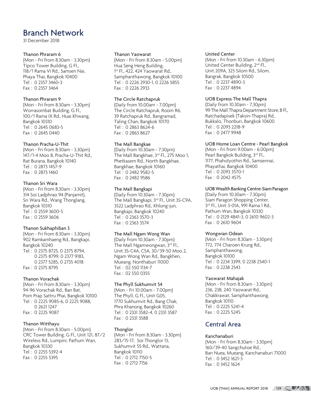31 December 2018

## Thanon Phraram 6

(Mon - Fri from 8.30am - 3.30pm) Tipco Tower Building, G Fl., 118/1 Rama VI Rd., Samsen Nai, Phaya Thai, Bangkok 10400 Tel : 0 2357 3460-3 Fax : 0 2357 3464

### Thanon Phraram 9

(Mon - Fri from 8.30am - 3.30pm) Worrasombat Building, G Fl., 100/1 Rama IX Rd., Huai Khwang, Bangkok 10310 Tel : 0 2645 0683-5 Fax : 0 2645 0440

## Thanon Pracha-U-Thit

(Mon - Fri from 8.30am - 3.30pm) 147/1-4 Moo 8, Pracha-U-Thit Rd., Rat Burana, Bangkok 10140 Tel : 0 2873 1457-9 Fax : 0 2873 1460

## Thanon Sri Wara

(Mon - Fri from 8.30am - 3.30pm) 314 Soi Ladphrao 94 (Panjamit), Sri Wara Rd., Wang Thonglang, Bangkok 10310 Tel : 0 2559 3600-5 Fax : 0 2559 3606

## Thanon Sukhaphiban 3

(Mon - Fri from 8.30am - 3.30pm) 902 Ramkamhaeng Rd., Bangkapi, Bangkok 10240 Tel : 0 2375 8725, 0 2375 8794, 0 2375 8799, 0 2377 9183, 0 2377 5285, 0 2735 4018 Fax : 0 2375 8795

## Thanon Vorachak

(Mon - Fri from 8.30am - 3.30pm) 94-96 Vorachak Rd., Ban Bat, Pom Prap Sattru Phai, Bangkok 10100 Tel : 0 2225 9085-6, 0 2225 9088, 0 2621 1247 Fax : 0 2225 9087

## Thanon Witthayu

(Mon - Fri from 8.30am - 5.00pm) CRC Tower Building, G Fl., Unit 121, 87/2 Wireless Rd., Lumpini, Pathum Wan, Bangkok 10330 Tel : 0 2255 5392-4 Fax : 0 2255 5395

#### Thanon Yaowarat

(Mon - Fri from 8.30am - 5.00pm) Hua Seng Heng Building, 1 st Fl., 422, 424 Yaowarat Rd., Samphanthawong, Bangkok 10100 Tel : 0 2226 2930-1, 0 2226 5855 Fax : 0 2226 2933

### The Circle Ratchapruk

(Daily from 10.00am - 7.00pm) The Circle Ratchapruk, Room R6, 39 Ratchapruk Rd., Bangramad, Taling Chan, Bangkok 10170 Tel : 0 2863 8624-6 Fax : 0 2863 8627

## The Mall Bangkae

(Daily from 10.30am - 7.30pm) The Mall Bangkhae, 3rd Fl., 275 Moo 1, Phetkasem Rd., North Bangkhae, Bangkhae, Bangkok 10160 Tel : 0 2482 9582-5 Fax : 0 2482 9586

## The Mall Bangkapi

(Daily from 10.30am - 7.30pm) The Mall Bangkapi, 3rd Fl., Unit 3S-C9A, 3522 Ladphrao Rd., Khlong-jun, Bangkapi, Bangkok 10240 Tel : 0 2363 3570-3 Fax : 0 2363 3574

### The Mall Ngam Wong Wan

(Daily from 10.30am - 7.30pm) The Mall Ngamwongwan, 3rd Fl., Unit 3S-C4A, C5A, 30/39-50 Moo 2, Ngam Wong Wan Rd., Bangkhen, Mueang, Nonthaburi 11000 Tel : 02 550 1134-7 Fax : 02 550 0355

### The Phyll Sukhumvit 54

(Mon - Fri 10.00am - 7.00pm) The Phyll, G Fl., Unit G05, 1770 Sukhumvit Rd., Bang Chak, Phra Khanong, Bangkok 10260 Tel : 0 2331 3582-4, 0 2331 3587 Fax : 0 2331 3588

### **Thonglor**

(Mon - Fri from 8.30am - 3.30pm) 283/15-17, Soi Thonglor 13, Sukhumvit 55 Rd., Wattana, Bangkok 10110 Tel : 0 2712 7150-5 Fax : 0 2712 7156

#### United Center

(Mon - Fri from 10.30am - 6.30pm) United Center Building, 2<sup>nd</sup> Fl., Unit 209A, 323 Silom Rd., Silom, Bangrak, Bangkok 10500 Tel : 0 2237 4890-3 Fax : 0 2237 4894

### UOB Express The Mall Thapra

(Daily from 10.30am - 7.30pm) 99 The Mall Thapra Department Store, B Fl., Ratchadapisek (Taksin-Thapra) Rd., Bukkalo, Thonburi, Bangkok 10600 Tel : 0 2093 2218-9 Fax : 0 2477 9948

## UOB Home Loan Centre - Pearl Bangkok

(Mon - Fri from 9.00am - 6.00pm) Pearl Bangkok Building, 3rd Fl., 1177, Phaholyothin Rd., Samsennai, Phayathai, Bangkok 10400 Tel : 0 2093 3570-1 Fax : 0 2042 4575

## UOB Wealth Banking Centre-Siam Paragon

(Daily from 10.30am - 7.30pm) Siam Paragon Shopping Center, 3rd Fl., Unit 3-01A, 991 Rama 1 Rd., Pathum Wan, Bangkok 10330 Tel : 0 2129 4841-3, 0 2610 9602-3 Fax : 0 2610 9604

### Wongwian Odean

(Mon - Fri from 8.30am - 3.30pm) 772, 774 Charoen Krung Rd., Samphanthawong, Bangkok 10100 Tel : 0 2234 3399, 0 2238 2540-1 Fax : 0 2238 2543

### Yaowarat Mahajak

(Mon - Fri from 8.30am - 3.30pm) 236, 238, 240 Yaowarat Rd., Chakkrawat, Samphanthawong, Bangkok 10110 Tel : 0 2225 5241-4 Fax : 0 2225 5245

## Central Area

### Kanchanaburi

(Mon - Fri from 8.30am - 3.30pm) 160/39-40 Sangchutoe Rd., Ban Nuea, Mueang, Kanchanaburi 71000 Tel : 0 3452 1621-3 Fax : 0 3452 1624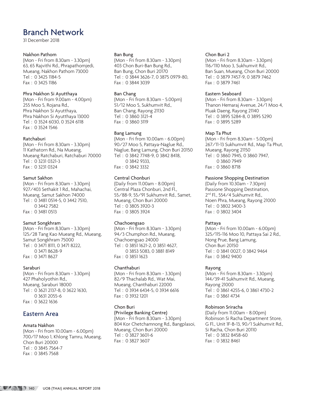31 December 2018

## Nakhon Pathom

(Mon - Fri from 8.30am - 3.30pm) 63, 65 Rajvithi Rd., Phrapathomjedi, Mueang, Nakhon Pathom 73000 Tel : 0 3425 1184-5 Fax : 0 3425 1186

### Phra Nakhon Si Ayutthaya

(Mon - Fri from 9.00am - 4.00pm) 255 Moo 5, Rojana Rd., Phra Nakhon Si Ayutthaya, Phra Nakhon Si Ayutthaya 13000 Tel : 0 3524 6030, 0 3524 6118 Fax : 0 3524 1546

## Ratchaburi

(Mon - Fri from 8.30am - 3.30pm) 11 Kathatorn Rd., Na Mueang, Mueang Ratchaburi, Ratchaburi 70000 Tel : 0 3231 0321-3 Fax : 0 3231 0324

## Samut Sakhon

(Mon - Fri from 8.30am - 3.30pm) 927/403 Sethakit 1 Rd., Mahachai, Mueang, Samut Sakhon 74000 Tel : 0 3481 0514-5, 0 3442 7510, 0 3442 7582 Fax : 0 3481 0513

## Samut Songkhram

(Mon - Fri from 8.30am - 3.30pm) 125/28 Tang Kao Mueang Rd., Mueang, Samut Songkhram 75000 Tel : 0 3471 8111, 0 3471 8222, 0 3471 8628-9 Fax : 0 3471 8627

## Saraburi

(Mon - Fri from 8.30am - 3.30pm) 427 Phaholyothin Rd., Mueang, Saraburi 18000 Tel : 0 3621 2137-8, 0 3622 1630, 0 3631 2055-6 Fax : 0 3622 1636

## Eastern Area

## Amata Nakhon

(Mon - Fri from 10.00am - 6.00pm) 700/17 Moo 1, Khlong Tamru, Mueang, Chon Buri 20000 Tel : 0 3845 7564-7 Fax : 0 3845 7568

### Ban Bung

(Mon - Fri from 8.30am - 3.30pm) 403 Chon Buri-Ban Bung Rd., Ban Bung, Chon Buri 20170 Tel : 0 3844 3626-7, 0 3875 0979-80, Fax : 0 3844 3039

## Ban Chang

(Mon - Fri from 8.30am - 5.00pm) 51/12 Moo 5, Sukhumvit Rd., Ban Chang, Rayong 21130 Tel : 0 3860 3121-4 Fax : 0 3860 3119

## Bang Lamung

(Mon - Fri from 10.00am - 6.00pm) 90/27 Moo 5, Pattaya-Naglue Rd., Naglue, Bang Lamung, Chon Buri 20150 Tel : 0 3842 7748-9, 0 3842 8418, 0 3842 9333, Fax : 0 3842 3332

## Central Chonburi

(Daily from 11.00am - 8.00pm) Central Plaza Chonburi, 2nd Fl., 55/88-9, 55/91 Sukhumvit Rd., Samet, Mueang, Chon Buri 20000 Tel : 0 3805 3920-3 Fax : 0 3805 3924

## Chachoengsao

(Mon - Fri from 8.30am - 3.30pm) 94/3 Chumphon Rd., Mueang, Chachoengsao 24000 Tel : 0 3851 1621-2, 0 3851 4627, 0 3853 5083, 0 3881 8149 Fax : 0 3851 1623

## Chanthaburi

(Mon - Fri from 8.30am - 3.30pm) 82/9 Thachalab Rd., Wat Mai, Mueang, Chanthaburi 22000 Tel : 0 3934 6434-5, 0 3934 6616 Fax : 0 3932 1201

## Chon Buri

(Privilege Banking Centre) (Mon - Fri from 8.30am - 3.30pm) 804 Kor Chetchamnong Rd., Bangplasoi, Mueang, Chon Buri 20000 Tel : 0 3827 3601-6 Fax : 0 3827 3607

### Chon Buri 2

(Mon - Fri from 8.30am - 3.30pm) 116/110 Moo 3, Sukhumvit Rd., Ban Suan, Mueang, Chon Buri 20000 Tel : 0 3879 7457-9, 0 3879 7462 Fax : 0 3879 7461

## Eastern Seaboard

(Mon - Fri from 8.30am - 3.30pm) Thanon Hemaraj Avenue, 24/1 Moo 4, Pluak Daeng, Rayong 21140 Tel : 0 3895 5284-8, 0 3895 5290 Fax : 0 3895 5289

## Map Ta Phut

(Mon - Fri from 8.30am - 5.00pm) 267/11-13 Sukhumvit Rd., Map Ta Phut, Mueang, Rayong 21150 Tel : 0 3860 7945, 0 3860 7947, 0 3860 7949 Fax : 0 3860 8718

## Passione Shopping Destination

(Daily from 10.30am - 7.30pm) Passione Shopping Destination, 2nd Fl., 554/4 Sukhumvit Rd., Noen Phra, Mueang, Rayong 21000 Tel : 0 3802 3400-3 Fax : 0 3802 3404

### Pattaya

(Mon - Fri from 10.00am - 6.00pm) 325/115-116 Moo 10, Pattaya Sai 2 Rd., Nong Prue, Bang Lamung, Chon Buri 20150 Tel : 0 3841 0027, 0 3842 9464 Fax : 0 3842 9400

### Rayong

(Mon - Fri from 8.30am - 3.30pm) 144/39-41 Sukhumvit Rd., Mueang, Rayong 21000 Tel : 0 3861 4255-6, 0 3861 4730-2 Fax : 0 3861 4734

## Robinson Sriracha

(Daily from 11.00am - 8.00pm) Robinson Si Racha Department Store, G Fl., Unit 1F-B-13, 90/1 Sukhumvit Rd., Si Racha, Chon Buri 20110 Tel : 0 3832 8458-60 Fax : 0 3832 8461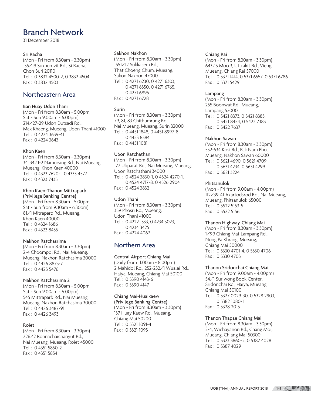31 December 2018

## Sri Racha

(Mon - Fri from 8.30am - 3.30pm) 135/19 Sukhumvit Rd., Si Racha, Chon Buri 20110 Tel : 0 3832 4500-2, 0 3832 4504 Fax : 0 3832 4503

## Northeastern Area

## Ban Huay Udon Thani

(Mon - Fri from 8.30am - 5.00pm, Sat - Sun 9.00am - 6.00pm) 214/27-29 Udon Dutsadi Rd., Mak Khaeng, Mueang, Udon Thani 41000 Tel : 0 4224 3639-41 Fax : 0 4224 3643

## Khon Kaen

(Mon - Fri from 8.30am - 3.30pm) 34, 34/1-2 Namueang Rd., Nai Mueang, Mueang, Khon Kaen 40000 Tel : 0 4323 7620-1, 0 4333 4577 Fax : 0 4323 7435

## Khon Kaen-Thanon Mittraparb

(Privilege Banking Centre) (Mon - Fri from 8.30am - 5.00pm, Sat - Sun from 9.30am - 6.30pm) 81/1 Mitraparb Rd., Mueang, Khon Kaen 40000 Tel : 0 4324 1686 Fax : 0 4323 8435

## Nakhon Ratchasrima

(Mon - Fri from 8.30am - 3.30pm) 2-4 Choompol Rd., Nai Mueang, Mueang, Nakhon Ratchasima 30000 Tel : 0 4426 8873-7 Fax : 0 4425 5476

## Nakhon Ratchasrima 2

(Mon - Fri from 8.30am - 5.00pm, Sat - Sun 9.00am - 6.00pm) 545 Mittraparb Rd., Nai Mueang, Mueang, Nakhon Ratchasima 30000 Tel : 0 4426 3487-91 Fax : 0 4426 3493

## Roiet

(Mon - Fri from 8.30am - 3.30pm) 226/2 Ronnachaichanyut Rd., Nai Mueang, Mueang, Roiet 45000 Tel : 0 4351 5850-2 Fax : 0 4351 5854

## Sakhon Nakhon

(Mon - Fri from 8.30am - 3.30pm) 1551/12 Sukkasem Rd., That Choeng Chum, Mueang, Sakon Nakhon 47000 Tel : 0 4271 6230, 0 4271 6303, 0 4271 6350, 0 4271 6765, 0 4271 6895 Fax : 0 4271 6728

## Surin

(Mon - Fri from 8.30am - 3.30pm) 79, 81, 83 Chitbumrung Rd., Nai Mueang, Mueang, Surin 32000 Tel : 0 4451 1848, 0 4451 8997-8, 0 4453 8384 Fax : 0 4451 1081

## Ubon Ratchathani

(Mon - Fri from 8.30am - 3.30pm) 177 Ubparat Rd., Nai Mueang, Mueang, Ubon Ratchathani 34000 Tel : 0 4524 3830-1, 0 4524 4270-1, 0 4524 4717-8, 0 4526 2904 Fax : 0 4524 3832

## Udon Thani

(Mon - Fri from 8.30am - 3.30pm) 359 Phosri Rd., Mueang, Udon Thani 41000 Tel : 0 4222 1333, 0 4234 3023, 0 4234 3425 Fax : 0 4224 4062

## Northern Area

## Central Airport Chiang Mai

(Daily from 11.00am - 8.00pm) 2 Mahidol Rd., 252-252/1 Wualai Rd., Haiya, Mueang, Chiang Mai 50100 Tel : 0 5390 4143-6 Fax : 0 5390 4147

## Chiang Mai-Huaikaew

(Privilege Banking Centre) (Mon - Fri from 8.30am - 3.30pm) 137 Huay Kaew Rd., Mueang, Chiang Mai 50200 Tel : 0 5321 1091-4 Fax : 0 5321 1095

## Chiang Rai

(Mon - Fri from 8.30am - 3.30pm) 643/5 Moo 3, Uttrakit Rd., Vieng, Mueang, Chiang Rai 57000 Tel : 0 5371 1414, 0 5371 6557, 0 5371 6786 Fax : 0 5371 5429

## Lampang

(Mon - Fri from 8.30am - 3.30pm) 255 Boonwat Rd., Mueang, Lampang 52000 Tel : 0 5421 8373, 0 5421 8383, 0 5421 8454, 0 5422 7383 Fax : 0 5422 7637

## Nakhon Sawan

(Mon - Fri from 8.30am - 3.30pm) 532-534 Kosi Rd., Pak Nam Pho, Mueang, Nakhon Sawan 60000 Tel : 0 5621 4690, 0 5621 4709, 0 5631 4234, 0 5631 4299 Fax : 0 5621 3224

## Phitsanulok

(Mon - Fri from 9.00am - 4.00pm) 112/39-41 Akartodsrod Rd., Nai Mueang, Mueang, Phitsanulok 65000 Tel : 0 5522 5153-5 Fax : 0 5522 5156

## Thanon Highway-Chiang Mai

(Mon - Fri from 8.30am - 3.30pm) 1/99 Chiang Mai-Lampang Rd., Nong Pa Khrang, Mueang, Chiang Mai 50000 Tel : 0 5330 4701-4, 0 5330 4706 Fax : 0 5330 4705

## Thanon Sridonchai Chiang Mai

(Mon - Fri from 9.00am - 4.00pm) 54/1 Suriwong Book Center, Sridonchai Rd., Haiya, Mueang, Chiang Mai 50100 Tel : 0 5327 0029-30, 0 5328 2903, 0 5382 1080-1 Fax : 0 5328 2015

## Thanon Thapae Chiang Mai

(Mon - Fri from 8.30am - 3.30pm) 2-4, Wichayanon Rd., Chang Moi, Mueang, Chiang Mai 50300 Tel : 0 5323 3860-2, 0 5387 4028 Fax : 0 5387 4029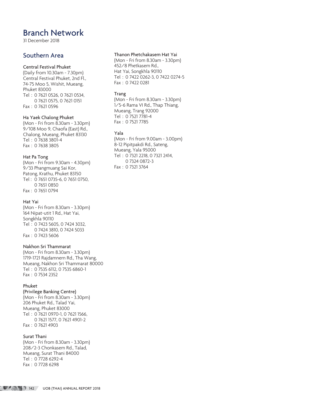31 December 2018

## Southern Area

## Central Festival Phuket

(Daily from 10.30am - 7.30pm) Central Festival Phuket, 2nd Fl., 74-75 Moo 5, Wishit, Mueang, Phuket 83000 Tel : 0 7621 0526, 0 7621 0534, 0 7621 0575, 0 7621 0151 Fax : 0 7621 0596

## Ha Yaek Chalong Phuket

(Mon - Fri from 8.30am - 3.30pm) 9/108 Moo 9, Chaofa (East) Rd., Chalong, Mueang, Phuket 83130 Tel : 0 7638 3801-4 Fax : 0 7638 3805

## Hat Pa Tong

(Mon - Fri from 9.30am - 4.30pm) 9/33 Phangmuang Sai Kor, Patong, Krathu, Phuket 83150 Tel : 0 7651 0735-6, 0 7651 0750, 0 7651 0850 Fax : 0 7651 0794

## Hat Yai

(Mon - Fri from 8.30am - 3.30pm) 164 Nipat-utit 1 Rd., Hat Yai, Songkhla 90110 Tel : 0 7423 5605, 0 7424 3032, 0 7424 3810, 0 7424 5033 Fax : 0 7423 5606

### Nakhon Sri Thammarat

(Mon - Fri from 8.30am - 3.30pm) 1719-1721 Rajdamnern Rd., Tha Wang, Mueang, Nakhon Sri Thammarat 80000 Tel : 0 7535 6112, 0 7535 6860-1 Fax : 0 7534 2352

## Phuket

### (Privilege Banking Centre)

(Mon - Fri from 8.30am - 3.30pm) 206 Phuket Rd., Talad Yai, Mueang, Phuket 83000 Tel : 0 7621 0970-1, 0 7621 1566, 0 7621 1577, 0 7621 4901-2 Fax : 0 7621 4903

## Surat Thani

(Mon - Fri from 8.30am - 3.30pm) 208/2-3 Chonkasem Rd., Talad, Mueang, Surat Thani 84000 Tel : 0 7728 6292-4 Fax : 0 7728 6298

## Thanon Phetchakasem Hat Yai

(Mon - Fri from 8.30am - 3.30pm) 452/8 Phetkasem Rd., Hat Yai, Songkhla 90110 Tel : 0 7422 0262-3, 0 7422 0274-5 Fax : 0 7422 0281

## Trang

(Mon - Fri from 8.30am - 3.30pm) 1/5-6 Rama VI Rd., Thap Thiang, Mueang, Trang 92000 Tel : 0 7521 7781-4 Fax : 0 7521 7785

## Yala

(Mon - Fri from 9.00am - 3.00pm) 8-12 Pipitpakdi Rd., Sateng, Mueang, Yala 95000 Tel : 0 7321 2218, 0 7321 2414, 0 7324 0872-3 Fax : 0 7321 3764

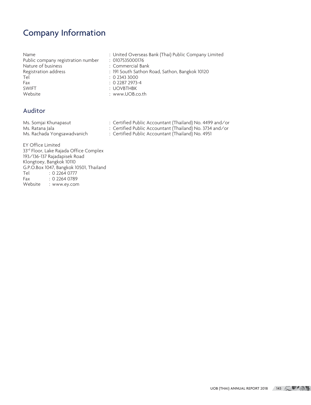## Company Information

| Name<br>Public company registration number<br>Nature of business | : United Overseas Bank (Thai) Public Company Limited<br>: 0107535000176<br>: Commercial Bank |
|------------------------------------------------------------------|----------------------------------------------------------------------------------------------|
|                                                                  |                                                                                              |
| Registration address                                             | : 191 South Sathon Road, Sathon, Bangkok 10120                                               |
| Tel                                                              | : 023433000                                                                                  |
| Fax                                                              | $: 022872973 - 4$                                                                            |
| <b>SWIFT</b>                                                     | : UOVBTHBK                                                                                   |
| Website                                                          | : www.UOB.co.th                                                                              |
|                                                                  |                                                                                              |

### Auditor

| Ms. Somjai Khunapasut       | : Certified Public Accountant (Thailand) No. 4499 and/or |
|-----------------------------|----------------------------------------------------------|
| Ms. Ratana Jala             | : Certified Public Accountant (Thailand) No. 3734 and/or |
| Ms. Rachada Yongsawadvanich | : Certified Public Accountant (Thailand) No. 4951        |

EY Office Limited 33<sup>rd</sup> Floor, Lake Rajada Office Complex 193/136-137 Rajadapisek Road Klongtoey, Bangkok 10110 G.P.O.Box 1047, Bangkok 10501, Thailand Tel : 0 2264 0777<br>Fax : 0 2264 0789 Fax : 0 2264 0789 Website : www.ey.com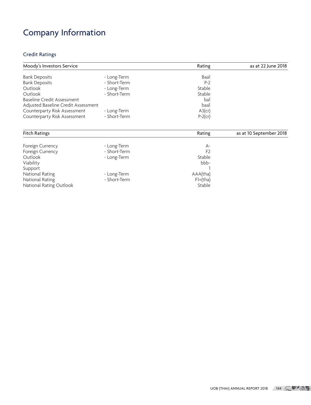# Company Information

### Credit Ratings

| Moody's Investors Service           |              | Rating     | as at 22 June 2018 |
|-------------------------------------|--------------|------------|--------------------|
| <b>Bank Deposits</b>                | - Long-Term  | Baa1       |                    |
| <b>Bank Deposits</b>                | - Short-Term | $P-2$      |                    |
| Outlook                             | - Long-Term  | Stable     |                    |
| Outlook                             | - Short-Term | Stable     |                    |
| <b>Baseline Credit Assessment</b>   |              | ba1        |                    |
| Adjusted Baseline Credit Assessment |              | baal       |                    |
| Counterparty Risk Assessment        | - Long-Term  | $A3$ (cr)  |                    |
| Counterparty Risk Assessment        | - Short-Term | $P-2$ (cr) |                    |

| <b>Fitch Ratings</b>    |              | Rating     | as at 10 September 2018 |
|-------------------------|--------------|------------|-------------------------|
| Foreign Currency        | - Long-Term  | A-         |                         |
| Foreign Currency        | - Short-Term | F2         |                         |
| Outlook                 | - Long-Term  | Stable     |                         |
| Viability               |              | bbb-       |                         |
| Support                 |              |            |                         |
| National Rating         | - Long-Term  | AAA(tha)   |                         |
| National Rating         | - Short-Term | $F1+(tha)$ |                         |
| National Rating Outlook |              | Stable     |                         |